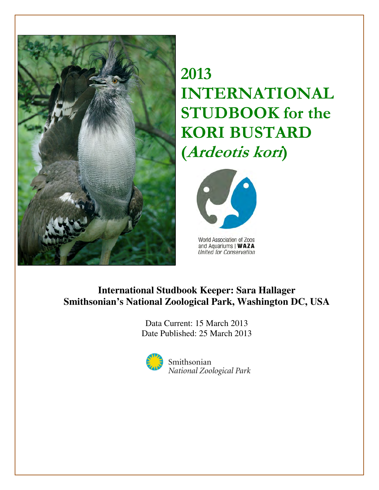

2013 INTERNATIONAL STUDBOOK for the KORI BUSTARD (Ardeotis kori)



World Association of Zoos and Aquariums | WAZA United for Conservation

# **International Studbook Keeper: Sara Hallager Smithsonian's National Zoological Park, Washington DC, USA**

Data Current: 15 March 2013 Date Published: 25 March 2013



Smithsonian National Zoological Park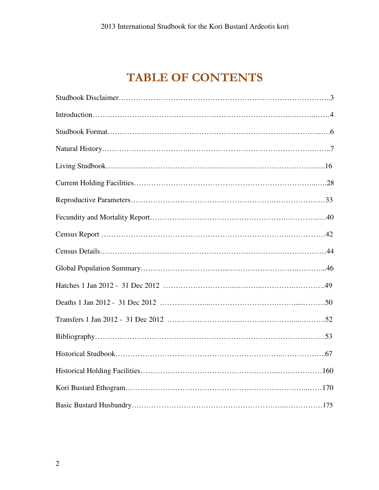# TABLE OF CONTENTS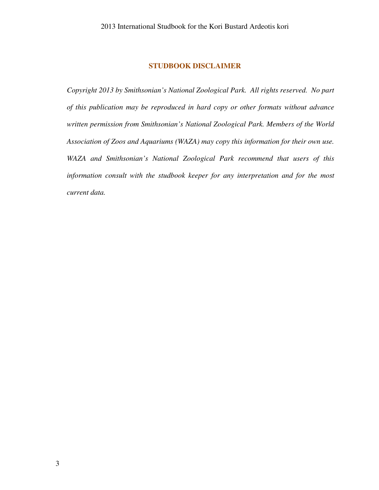#### **STUDBOOK DISCLAIMER**

*Copyright 2013 by Smithsonian's National Zoological Park. All rights reserved. No part of this publication may be reproduced in hard copy or other formats without advance written permission from Smithsonian's National Zoological Park. Members of the World Association of Zoos and Aquariums (WAZA) may copy this information for their own use. WAZA and Smithsonian's National Zoological Park recommend that users of this information consult with the studbook keeper for any interpretation and for the most current data.*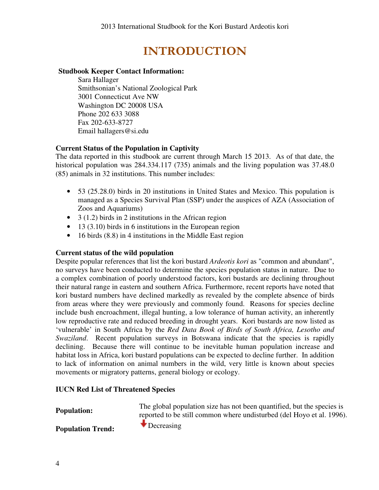# INTRODUCTION

#### **Studbook Keeper Contact Information:**

Sara Hallager Smithsonian's National Zoological Park 3001 Connecticut Ave NW Washington DC 20008 USA Phone 202 633 3088 Fax 202-633-8727 Email hallagers@si.edu

#### **Current Status of the Population in Captivity**

The data reported in this studbook are current through March 15 2013. As of that date, the historical population was 284.334.117 (735) animals and the living population was 37.48.0 (85) animals in 32 institutions. This number includes:

- 53 (25.28.0) birds in 20 institutions in United States and Mexico. This population is managed as a Species Survival Plan (SSP) under the auspices of AZA (Association of Zoos and Aquariums)
- $\bullet$  3 (1.2) birds in 2 institutions in the African region
- $\bullet$  13 (3.10) birds in 6 institutions in the European region
- 16 birds (8.8) in 4 institutions in the Middle East region

#### **Current status of the wild population**

Despite popular references that list the kori bustard *Ardeotis kori* as "common and abundant", no surveys have been conducted to determine the species population status in nature. Due to a complex combination of poorly understood factors, kori bustards are declining throughout their natural range in eastern and southern Africa. Furthermore, recent reports have noted that kori bustard numbers have declined markedly as revealed by the complete absence of birds from areas where they were previously and commonly found. Reasons for species decline include bush encroachment, illegal hunting, a low tolerance of human activity, an inherently low reproductive rate and reduced breeding in drought years. Kori bustards are now listed as 'vulnerable' in South Africa by the *Red Data Book of Birds of South Africa, Lesotho and Swaziland*. Recent population surveys in Botswana indicate that the species is rapidly declining. Because there will continue to be inevitable human population increase and habitat loss in Africa, kori bustard populations can be expected to decline further. In addition to lack of information on animal numbers in the wild, very little is known about species movements or migratory patterns, general biology or ecology.

#### **IUCN Red List of Threatened Species**

**Population:** The global population size has not been quantified, but the species is reported to be still common where undisturbed (del Hoyo et al. 1996).

**Population Trend: Population Trend:**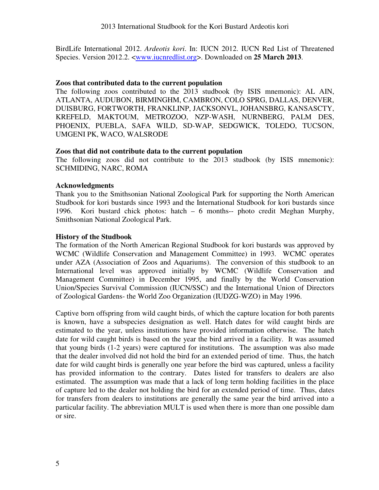BirdLife International 2012. *Ardeotis kori*. In: IUCN 2012. IUCN Red List of Threatened Species. Version 2012.2. <www.iucnredlist.org>. Downloaded on **25 March 2013**.

#### **Zoos that contributed data to the current population**

The following zoos contributed to the 2013 studbook (by ISIS mnemonic): AL AIN, ATLANTA, AUDUBON, BIRMINGHM, CAMBRON, COLO SPRG, DALLAS, DENVER, DUISBURG, FORTWORTH, FRANKLINP, JACKSONVL, JOHANSBRG, KANSASCTY, KREFELD, MAKTOUM, METROZOO, NZP-WASH, NURNBERG, PALM DES, PHOENIX, PUEBLA, SAFA WILD, SD-WAP, SEDGWICK, TOLEDO, TUCSON, UMGENI PK, WACO, WALSRODE

#### **Zoos that did not contribute data to the current population**

The following zoos did not contribute to the 2013 studbook (by ISIS mnemonic): SCHMIDING, NARC, ROMA

#### **Acknowledgments**

Thank you to the Smithsonian National Zoological Park for supporting the North American Studbook for kori bustards since 1993 and the International Studbook for kori bustards since 1996. Kori bustard chick photos: hatch – 6 months-- photo credit Meghan Murphy, Smithsonian National Zoological Park.

#### **History of the Studbook**

The formation of the North American Regional Studbook for kori bustards was approved by WCMC (Wildlife Conservation and Management Committee) in 1993. WCMC operates under AZA (Association of Zoos and Aquariums). The conversion of this studbook to an International level was approved initially by WCMC (Wildlife Conservation and Management Committee) in December 1995, and finally by the World Conservation Union/Species Survival Commission (IUCN/SSC) and the International Union of Directors of Zoological Gardens- the World Zoo Organization (IUDZG-WZO) in May 1996.

Captive born offspring from wild caught birds, of which the capture location for both parents is known, have a subspecies designation as well. Hatch dates for wild caught birds are estimated to the year, unless institutions have provided information otherwise. The hatch date for wild caught birds is based on the year the bird arrived in a facility. It was assumed that young birds (1-2 years) were captured for institutions. The assumption was also made that the dealer involved did not hold the bird for an extended period of time. Thus, the hatch date for wild caught birds is generally one year before the bird was captured, unless a facility has provided information to the contrary. Dates listed for transfers to dealers are also estimated. The assumption was made that a lack of long term holding facilities in the place of capture led to the dealer not holding the bird for an extended period of time. Thus, dates for transfers from dealers to institutions are generally the same year the bird arrived into a particular facility. The abbreviation MULT is used when there is more than one possible dam or sire.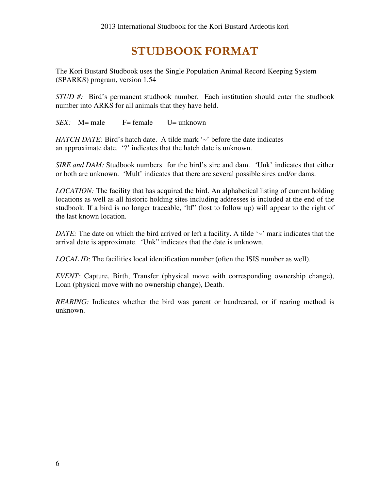# STUDBOOK FORMAT

The Kori Bustard Studbook uses the Single Population Animal Record Keeping System (SPARKS) program, version 1.54

*STUD #:* Bird's permanent studbook number. Each institution should enter the studbook number into ARKS for all animals that they have held.

*SEX:* M= male F= female U= unknown

*HATCH DATE:* Bird's hatch date. A tilde mark '~' before the date indicates an approximate date. '?' indicates that the hatch date is unknown.

*SIRE and DAM:* Studbook numbers for the bird's sire and dam. 'Unk' indicates that either or both are unknown. 'Mult' indicates that there are several possible sires and/or dams.

*LOCATION:* The facility that has acquired the bird. An alphabetical listing of current holding locations as well as all historic holding sites including addresses is included at the end of the studbook. If a bird is no longer traceable, 'ltf" (lost to follow up) will appear to the right of the last known location.

*DATE*: The date on which the bird arrived or left a facility. A tilde '~' mark indicates that the arrival date is approximate. 'Unk" indicates that the date is unknown.

*LOCAL ID*: The facilities local identification number (often the ISIS number as well).

*EVENT:* Capture, Birth, Transfer (physical move with corresponding ownership change), Loan (physical move with no ownership change), Death.

*REARING*: Indicates whether the bird was parent or handreared, or if rearing method is unknown.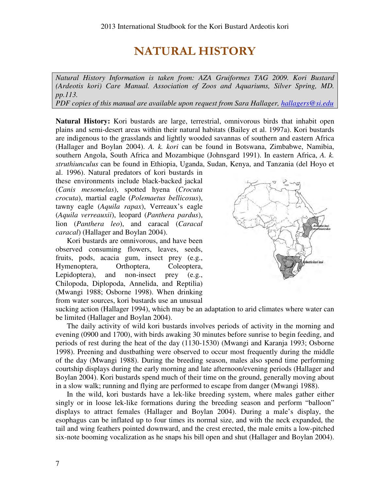# NATURAL HISTORY

*Natural History Information is taken from: AZA Gruiformes TAG 2009. Kori Bustard (Ardeotis kori) Care Manual. Association of Zoos and Aquariums, Silver Spring, MD. pp.113.* 

*PDF copies of this manual are available upon request from Sara Hallager, hallagers@si.edu* 

**Natural History:** Kori bustards are large, terrestrial, omnivorous birds that inhabit open plains and semi-desert areas within their natural habitats (Bailey et al. 1997a). Kori bustards are indigenous to the grasslands and lightly wooded savannas of southern and eastern Africa (Hallager and Boylan 2004). *A. k. kori* can be found in Botswana, Zimbabwe, Namibia, southern Angola, South Africa and Mozambique (Johnsgard 1991). In eastern Africa, *A. k. struthiunculus* can be found in Ethiopia, Uganda, Sudan, Kenya, and Tanzania (del Hoyo et

al. 1996). Natural predators of kori bustards in these environments include black-backed jackal (*Canis mesomelas*), spotted hyena (*Crocuta crocuta*), martial eagle (*Polemaetus bellicosus*), tawny eagle (*Aquila rapax*), Verreaux's eagle (*Aquila verreauxii*), leopard (*Panthera pardus*), lion (*Panthera leo*), and caracal (*Caracal caracal*) (Hallager and Boylan 2004).

Kori bustards are omnivorous, and have been observed consuming flowers, leaves, seeds, fruits, pods, acacia gum, insect prey (e.g., Hymenoptera, Orthoptera, Coleoptera, Lepidoptera), and non-insect prey (e.g., Chilopoda, Diplopoda, Annelida, and Reptilia) (Mwangi 1988; Osborne 1998). When drinking from water sources, kori bustards use an unusual



sucking action (Hallager 1994), which may be an adaptation to arid climates where water can be limited (Hallager and Boylan 2004).

The daily activity of wild kori bustards involves periods of activity in the morning and evening (0900 and 1700), with birds awaking 30 minutes before sunrise to begin feeding, and periods of rest during the heat of the day (1130-1530) (Mwangi and Karanja 1993; Osborne 1998). Preening and dustbathing were observed to occur most frequently during the middle of the day (Mwangi 1988). During the breeding season, males also spend time performing courtship displays during the early morning and late afternoon/evening periods (Hallager and Boylan 2004). Kori bustards spend much of their time on the ground, generally moving about in a slow walk; running and flying are performed to escape from danger (Mwangi 1988).

In the wild, kori bustards have a lek-like breeding system, where males gather either singly or in loose lek-like formations during the breeding season and perform "balloon" displays to attract females (Hallager and Boylan 2004). During a male's display, the esophagus can be inflated up to four times its normal size, and with the neck expanded, the tail and wing feathers pointed downward, and the crest erected, the male emits a low-pitched six-note booming vocalization as he snaps his bill open and shut (Hallager and Boylan 2004).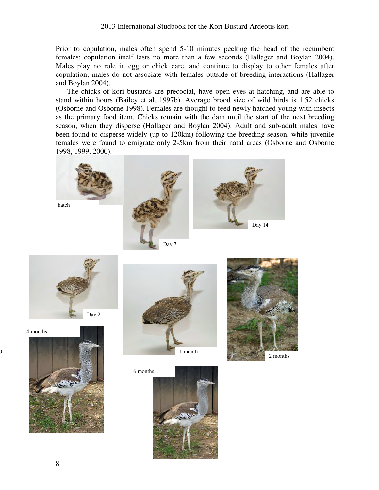Prior to copulation, males often spend 5-10 minutes pecking the head of the recumbent females; copulation itself lasts no more than a few seconds (Hallager and Boylan 2004). Males play no role in egg or chick care, and continue to display to other females after copulation; males do not associate with females outside of breeding interactions (Hallager and Boylan 2004).

The chicks of kori bustards are precocial, have open eyes at hatching, and are able to stand within hours (Bailey et al. 1997b). Average brood size of wild birds is 1.52 chicks (Osborne and Osborne 1998). Females are thought to feed newly hatched young with insects as the primary food item. Chicks remain with the dam until the start of the next breeding season, when they disperse (Hallager and Boylan 2004). Adult and sub-adult males have been found to disperse widely (up to 120km) following the breeding season, while juvenile females were found to emigrate only 2-5km from their natal areas (Osborne and Osborne 1998, 1999, 2000).







 $\overline{0}$ 



6 months



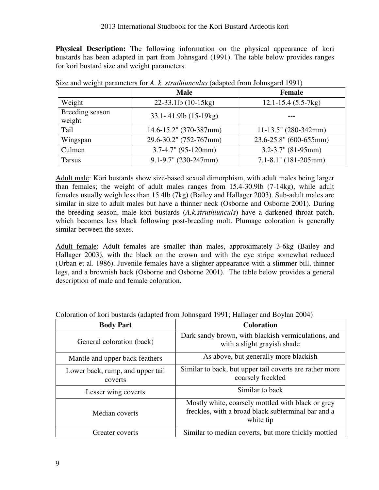**Physical Description:** The following information on the physical appearance of kori bustards has been adapted in part from Johnsgard (1991). The table below provides ranges for kori bustard size and weight parameters.

|                           | <b>Male</b>                  | <b>Female</b>               |
|---------------------------|------------------------------|-----------------------------|
| Weight                    | 22-33.1lb (10-15kg)          | $12.1 - 15.4$ (5.5-7 kg)    |
| Breeding season<br>weight | $33.1 - 41.9$ lb $(15-19kg)$ |                             |
| Tail                      | 14.6-15.2" (370-387mm)       | $11-13.5$ " (280-342mm)     |
| Wingspan                  | 29.6-30.2" (752-767mm)       | $23.6 - 25.8$ " (600-655mm) |
| Culmen                    | $3.7 - 4.7$ " (95-120mm)     | $3.2 - 3.7$ " (81-95mm)     |
| Tarsus                    | $9.1 - 9.7$ " (230-247mm)    | $7.1 - 8.1$ " (181-205mm)   |

Size and weight parameters for *A. k. struthiunculus* (adapted from Johnsgard 1991)

Adult male: Kori bustards show size-based sexual dimorphism, with adult males being larger than females; the weight of adult males ranges from 15.4-30.9lb (7-14kg), while adult females usually weigh less than 15.4lb (7kg) (Bailey and Hallager 2003). Sub-adult males are similar in size to adult males but have a thinner neck (Osborne and Osborne 2001). During the breeding season, male kori bustards (*A.k.struthiunculs*) have a darkened throat patch, which becomes less black following post-breeding molt. Plumage coloration is generally similar between the sexes.

Adult female: Adult females are smaller than males, approximately 3-6kg (Bailey and Hallager 2003), with the black on the crown and with the eye stripe somewhat reduced (Urban et al. 1986). Juvenile females have a slighter appearance with a slimmer bill, thinner legs, and a brownish back (Osborne and Osborne 2001). The table below provides a general description of male and female coloration.

| <b>Body Part</b>                            | <b>Coloration</b>                                                                                                    |
|---------------------------------------------|----------------------------------------------------------------------------------------------------------------------|
| General coloration (back)                   | Dark sandy brown, with blackish vermiculations, and<br>with a slight grayish shade                                   |
| Mantle and upper back feathers              | As above, but generally more blackish                                                                                |
| Lower back, rump, and upper tail<br>coverts | Similar to back, but upper tail coverts are rather more<br>coarsely freckled                                         |
| Lesser wing coverts                         | Similar to back                                                                                                      |
| Median coverts                              | Mostly white, coarsely mottled with black or grey<br>freckles, with a broad black subterminal bar and a<br>white tip |
| Greater coverts                             | Similar to median coverts, but more thickly mottled                                                                  |

Coloration of kori bustards (adapted from Johnsgard 1991; Hallager and Boylan 2004)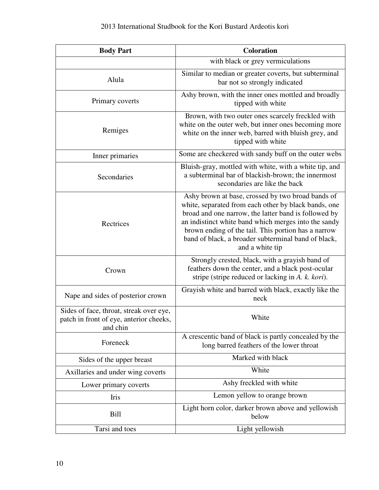| <b>Body Part</b>                                                                               | <b>Coloration</b>                                                                                                                                                                                                                                                                                                                                          |  |  |  |  |  |
|------------------------------------------------------------------------------------------------|------------------------------------------------------------------------------------------------------------------------------------------------------------------------------------------------------------------------------------------------------------------------------------------------------------------------------------------------------------|--|--|--|--|--|
|                                                                                                | with black or grey vermiculations                                                                                                                                                                                                                                                                                                                          |  |  |  |  |  |
| Alula                                                                                          | Similar to median or greater coverts, but subterminal<br>bar not so strongly indicated                                                                                                                                                                                                                                                                     |  |  |  |  |  |
| Primary coverts                                                                                | Ashy brown, with the inner ones mottled and broadly<br>tipped with white                                                                                                                                                                                                                                                                                   |  |  |  |  |  |
| Remiges                                                                                        | Brown, with two outer ones scarcely freckled with<br>white on the outer web, but inner ones becoming more<br>white on the inner web, barred with bluish grey, and<br>tipped with white                                                                                                                                                                     |  |  |  |  |  |
| Inner primaries                                                                                | Some are checkered with sandy buff on the outer webs                                                                                                                                                                                                                                                                                                       |  |  |  |  |  |
| Secondaries                                                                                    | Bluish-gray, mottled with white, with a white tip, and<br>a subterminal bar of blackish-brown; the innermost<br>secondaries are like the back                                                                                                                                                                                                              |  |  |  |  |  |
| Rectrices                                                                                      | Ashy brown at base, crossed by two broad bands of<br>white, separated from each other by black bands, one<br>broad and one narrow, the latter band is followed by<br>an indistinct white band which merges into the sandy<br>brown ending of the tail. This portion has a narrow<br>band of black, a broader subterminal band of black,<br>and a white tip |  |  |  |  |  |
| Crown                                                                                          | Strongly crested, black, with a grayish band of<br>feathers down the center, and a black post-ocular<br>stripe (stripe reduced or lacking in A. k. kori).                                                                                                                                                                                                  |  |  |  |  |  |
| Nape and sides of posterior crown                                                              | Grayish white and barred with black, exactly like the<br>neck                                                                                                                                                                                                                                                                                              |  |  |  |  |  |
| Sides of face, throat, streak over eye,<br>patch in front of eye, anterior cheeks.<br>and chin | White                                                                                                                                                                                                                                                                                                                                                      |  |  |  |  |  |
| Foreneck                                                                                       | A crescentic band of black is partly concealed by the<br>long barred feathers of the lower throat                                                                                                                                                                                                                                                          |  |  |  |  |  |
| Sides of the upper breast                                                                      | Marked with black                                                                                                                                                                                                                                                                                                                                          |  |  |  |  |  |
| Axillaries and under wing coverts                                                              | White                                                                                                                                                                                                                                                                                                                                                      |  |  |  |  |  |
| Lower primary coverts                                                                          | Ashy freckled with white                                                                                                                                                                                                                                                                                                                                   |  |  |  |  |  |
| Iris                                                                                           | Lemon yellow to orange brown                                                                                                                                                                                                                                                                                                                               |  |  |  |  |  |
| Bill                                                                                           | Light horn color, darker brown above and yellowish<br>below                                                                                                                                                                                                                                                                                                |  |  |  |  |  |
| Tarsi and toes                                                                                 | Light yellowish                                                                                                                                                                                                                                                                                                                                            |  |  |  |  |  |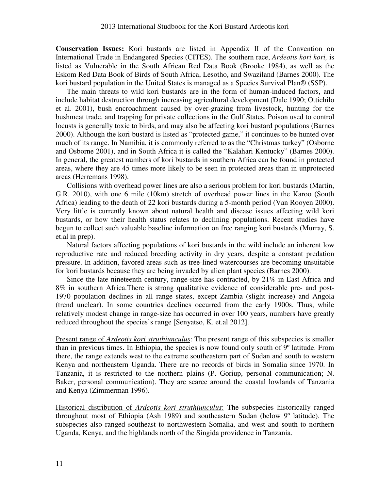**Conservation Issues:** Kori bustards are listed in Appendix II of the Convention on International Trade in Endangered Species (CITES). The southern race, *Ardeotis kori kori,* is listed as Vulnerable in the South African Red Data Book (Brooke 1984), as well as the Eskom Red Data Book of Birds of South Africa, Lesotho, and Swaziland (Barnes 2000). The kori bustard population in the United States is managed as a Species Survival Plan® (SSP).

The main threats to wild kori bustards are in the form of human-induced factors, and include habitat destruction through increasing agricultural development (Dale 1990; Ottichilo et al. 2001), bush encroachment caused by over-grazing from livestock, hunting for the bushmeat trade, and trapping for private collections in the Gulf States. Poison used to control locusts is generally toxic to birds, and may also be affecting kori bustard populations (Barnes 2000). Although the kori bustard is listed as "protected game," it continues to be hunted over much of its range. In Namibia, it is commonly referred to as the "Christmas turkey" (Osborne and Osborne 2001), and in South Africa it is called the "Kalahari Kentucky" (Barnes 2000). In general, the greatest numbers of kori bustards in southern Africa can be found in protected areas, where they are 45 times more likely to be seen in protected areas than in unprotected areas (Herremans 1998).

Collisions with overhead power lines are also a serious problem for kori bustards (Martin, G.R. 2010), with one 6 mile (10km) stretch of overhead power lines in the Karoo (South Africa) leading to the death of 22 kori bustards during a 5-month period (Van Rooyen 2000). Very little is currently known about natural health and disease issues affecting wild kori bustards, or how their health status relates to declining populations. Recent studies have begun to collect such valuable baseline information on free ranging kori bustards (Murray, S. et.al in prep).

Natural factors affecting populations of kori bustards in the wild include an inherent low reproductive rate and reduced breeding activity in dry years, despite a constant predation pressure. In addition, favored areas such as tree-lined watercourses are becoming unsuitable for kori bustards because they are being invaded by alien plant species (Barnes 2000).

Since the late nineteenth century, range-size has contracted, by 21% in East Africa and 8% in southern Africa.There is strong qualitative evidence of considerable pre- and post-1970 population declines in all range states, except Zambia (slight increase) and Angola (trend unclear). In some countries declines occurred from the early 1900s. Thus, while relatively modest change in range-size has occurred in over 100 years, numbers have greatly reduced throughout the species's range [Senyatso, K. et.al 2012].

Present range of *Ardeotis kori struthiunculus*: The present range of this subspecies is smaller than in previous times. In Ethiopia, the species is now found only south of 9º latitude. From there, the range extends west to the extreme southeastern part of Sudan and south to western Kenya and northeastern Uganda. There are no records of birds in Somalia since 1970. In Tanzania, it is restricted to the northern plains (P. Goriup, personal communication; N. Baker, personal communication). They are scarce around the coastal lowlands of Tanzania and Kenya (Zimmerman 1996).

Historical distribution of *Ardeotis kori struthiunculus*: The subspecies historically ranged throughout most of Ethiopia (Ash 1989) and southeastern Sudan (below 9º latitude). The subspecies also ranged southeast to northwestern Somalia, and west and south to northern Uganda, Kenya, and the highlands north of the Singida providence in Tanzania.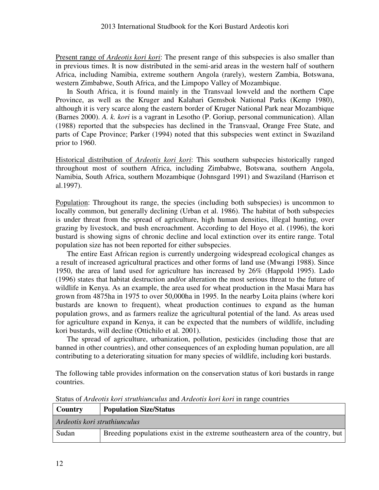Present range of *Ardeotis kori kori*: The present range of this subspecies is also smaller than in previous times. It is now distributed in the semi-arid areas in the western half of southern Africa, including Namibia, extreme southern Angola (rarely), western Zambia, Botswana, western Zimbabwe, South Africa, and the Limpopo Valley of Mozambique.

In South Africa, it is found mainly in the Transvaal lowveld and the northern Cape Province, as well as the Kruger and Kalahari Gemsbok National Parks (Kemp 1980), although it is very scarce along the eastern border of Kruger National Park near Mozambique (Barnes 2000). *A. k. kori* is a vagrant in Lesotho (P. Goriup, personal communication). Allan (1988) reported that the subspecies has declined in the Transvaal, Orange Free State, and parts of Cape Province; Parker (1994) noted that this subspecies went extinct in Swaziland prior to 1960.

Historical distribution of *Ardeotis kori kori*: This southern subspecies historically ranged throughout most of southern Africa, including Zimbabwe, Botswana, southern Angola, Namibia, South Africa, southern Mozambique (Johnsgard 1991) and Swaziland (Harrison et al.1997).

Population: Throughout its range, the species (including both subspecies) is uncommon to locally common, but generally declining (Urban et al. 1986). The habitat of both subspecies is under threat from the spread of agriculture, high human densities, illegal hunting, over grazing by livestock, and bush encroachment. According to del Hoyo et al. (1996), the kori bustard is showing signs of chronic decline and local extinction over its entire range. Total population size has not been reported for either subspecies.

The entire East African region is currently undergoing widespread ecological changes as a result of increased agricultural practices and other forms of land use (Mwangi 1988). Since 1950, the area of land used for agriculture has increased by 26% (Happold 1995). Lado (1996) states that habitat destruction and/or alteration the most serious threat to the future of wildlife in Kenya. As an example, the area used for wheat production in the Masai Mara has grown from 4875ha in 1975 to over 50,000ha in 1995. In the nearby Loita plains (where kori bustards are known to frequent), wheat production continues to expand as the human population grows, and as farmers realize the agricultural potential of the land. As areas used for agriculture expand in Kenya, it can be expected that the numbers of wildlife, including kori bustards, will decline (Ottichilo et al. 2001).

The spread of agriculture, urbanization, pollution, pesticides (including those that are banned in other countries), and other consequences of an exploding human population, are all contributing to a deteriorating situation for many species of wildlife, including kori bustards.

The following table provides information on the conservation status of kori bustards in range countries.

| <b>Country</b>               | <b>Population Size/Status</b>                                                   |
|------------------------------|---------------------------------------------------------------------------------|
| Ardeotis kori struthiunculus |                                                                                 |
| Sudan                        | Breeding populations exist in the extreme southeastern area of the country, but |

Status of *Ardeotis kori struthiunculus* and *Ardeotis kori kori* in range countries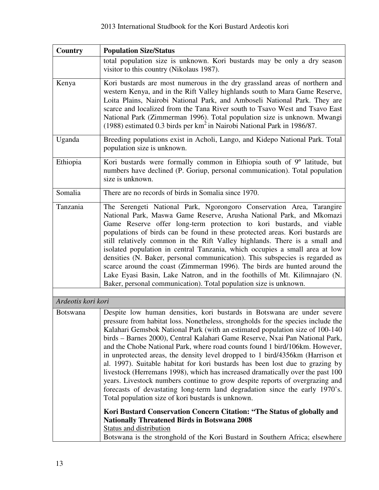| Country            | <b>Population Size/Status</b>                                                                                                                                                                                                                                                                                                                                                                                                                                                                                                                                                                                                                                                                                                                                                                                                                                                       |
|--------------------|-------------------------------------------------------------------------------------------------------------------------------------------------------------------------------------------------------------------------------------------------------------------------------------------------------------------------------------------------------------------------------------------------------------------------------------------------------------------------------------------------------------------------------------------------------------------------------------------------------------------------------------------------------------------------------------------------------------------------------------------------------------------------------------------------------------------------------------------------------------------------------------|
|                    | total population size is unknown. Kori bustards may be only a dry season<br>visitor to this country (Nikolaus 1987).                                                                                                                                                                                                                                                                                                                                                                                                                                                                                                                                                                                                                                                                                                                                                                |
| Kenya              | Kori bustards are most numerous in the dry grassland areas of northern and<br>western Kenya, and in the Rift Valley highlands south to Mara Game Reserve,<br>Loita Plains, Nairobi National Park, and Amboseli National Park. They are<br>scarce and localized from the Tana River south to Tsavo West and Tsavo East<br>National Park (Zimmerman 1996). Total population size is unknown. Mwangi<br>(1988) estimated 0.3 birds per km <sup>2</sup> in Nairobi National Park in 1986/87.                                                                                                                                                                                                                                                                                                                                                                                            |
| Uganda             | Breeding populations exist in Acholi, Lango, and Kidepo National Park. Total<br>population size is unknown.                                                                                                                                                                                                                                                                                                                                                                                                                                                                                                                                                                                                                                                                                                                                                                         |
| Ethiopia           | Kori bustards were formally common in Ethiopia south of 9° latitude, but<br>numbers have declined (P. Goriup, personal communication). Total population<br>size is unknown.                                                                                                                                                                                                                                                                                                                                                                                                                                                                                                                                                                                                                                                                                                         |
| Somalia            | There are no records of birds in Somalia since 1970.                                                                                                                                                                                                                                                                                                                                                                                                                                                                                                                                                                                                                                                                                                                                                                                                                                |
| Tanzania           | The Serengeti National Park, Ngorongoro Conservation Area, Tarangire<br>National Park, Maswa Game Reserve, Arusha National Park, and Mkomazi<br>Game Reserve offer long-term protection to kori bustards, and viable<br>populations of birds can be found in these protected areas. Kori bustards are<br>still relatively common in the Rift Valley highlands. There is a small and<br>isolated population in central Tanzania, which occupies a small area at low<br>densities (N. Baker, personal communication). This subspecies is regarded as<br>scarce around the coast (Zimmerman 1996). The birds are hunted around the<br>Lake Eyasi Basin, Lake Natron, and in the foothills of Mt. Kilimnajaro (N.<br>Baker, personal communication). Total population size is unknown.                                                                                                  |
| Ardeotis kori kori |                                                                                                                                                                                                                                                                                                                                                                                                                                                                                                                                                                                                                                                                                                                                                                                                                                                                                     |
| <b>Botswana</b>    | Despite low human densities, kori bustards in Botswana are under severe<br>pressure from habitat loss. Nonetheless, strongholds for the species include the<br>Kalahari Gemsbok National Park (with an estimated population size of 100-140<br>birds - Barnes 2000), Central Kalahari Game Reserve, Nxai Pan National Park,<br>and the Chobe National Park, where road counts found 1 bird/106km. However,<br>in unprotected areas, the density level dropped to 1 bird/4356km (Harrison et<br>al. 1997). Suitable habitat for kori bustards has been lost due to grazing by<br>livestock (Herremans 1998), which has increased dramatically over the past 100<br>years. Livestock numbers continue to grow despite reports of overgrazing and<br>forecasts of devastating long-term land degradation since the early 1970's.<br>Total population size of kori bustards is unknown. |
|                    | Kori Bustard Conservation Concern Citation: "The Status of globally and<br><b>Nationally Threatened Birds in Botswana 2008</b><br><b>Status and distribution</b><br>Botswana is the stronghold of the Kori Bustard in Southern Africa; elsewhere                                                                                                                                                                                                                                                                                                                                                                                                                                                                                                                                                                                                                                    |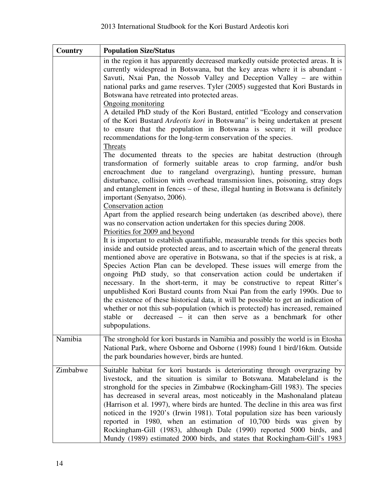| Country  | <b>Population Size/Status</b>                                                                                                                                                                                                                                                                                                                                                                                                                                                                                                                                                                                                                                                                                                                                                                                                               |
|----------|---------------------------------------------------------------------------------------------------------------------------------------------------------------------------------------------------------------------------------------------------------------------------------------------------------------------------------------------------------------------------------------------------------------------------------------------------------------------------------------------------------------------------------------------------------------------------------------------------------------------------------------------------------------------------------------------------------------------------------------------------------------------------------------------------------------------------------------------|
|          | in the region it has apparently decreased markedly outside protected areas. It is<br>currently widespread in Botswana, but the key areas where it is abundant -<br>Savuti, Nxai Pan, the Nossob Valley and Deception Valley – are within<br>national parks and game reserves. Tyler (2005) suggested that Kori Bustards in<br>Botswana have retreated into protected areas.<br><b>Ongoing monitoring</b>                                                                                                                                                                                                                                                                                                                                                                                                                                    |
|          | A detailed PhD study of the Kori Bustard, entitled "Ecology and conservation<br>of the Kori Bustard Ardeotis kori in Botswana" is being undertaken at present<br>to ensure that the population in Botswana is secure; it will produce<br>recommendations for the long-term conservation of the species.                                                                                                                                                                                                                                                                                                                                                                                                                                                                                                                                     |
|          | <b>Threats</b><br>The documented threats to the species are habitat destruction (through<br>transformation of formerly suitable areas to crop farming, and/or bush<br>encroachment due to rangeland overgrazing), hunting pressure, human<br>disturbance, collision with overhead transmission lines, poisoning, stray dogs<br>and entanglement in fences – of these, illegal hunting in Botswana is definitely<br>important (Senyatso, 2006).                                                                                                                                                                                                                                                                                                                                                                                              |
|          | Conservation action<br>Apart from the applied research being undertaken (as described above), there<br>was no conservation action undertaken for this species during 2008.<br>Priorities for 2009 and beyond                                                                                                                                                                                                                                                                                                                                                                                                                                                                                                                                                                                                                                |
|          | It is important to establish quantifiable, measurable trends for this species both<br>inside and outside protected areas, and to ascertain which of the general threats<br>mentioned above are operative in Botswana, so that if the species is at risk, a<br>Species Action Plan can be developed. These issues will emerge from the<br>ongoing PhD study, so that conservation action could be undertaken if<br>necessary. In the short-term, it may be constructive to repeat Ritter's<br>unpublished Kori Bustard counts from Nxai Pan from the early 1990s. Due to<br>the existence of these historical data, it will be possible to get an indication of<br>whether or not this sub-population (which is protected) has increased, remained<br>decreased – it can then serve as a benchmark for other<br>stable or<br>subpopulations. |
| Namibia  | The stronghold for kori bustards in Namibia and possibly the world is in Etosha<br>National Park, where Osborne and Osborne (1998) found 1 bird/16km. Outside<br>the park boundaries however, birds are hunted.                                                                                                                                                                                                                                                                                                                                                                                                                                                                                                                                                                                                                             |
| Zimbabwe | Suitable habitat for kori bustards is deteriorating through overgrazing by<br>livestock, and the situation is similar to Botswana. Matabeleland is the<br>stronghold for the species in Zimbabwe (Rockingham-Gill 1983). The species<br>has decreased in several areas, most noticeably in the Mashonaland plateau<br>(Harrison et al. 1997), where birds are hunted. The decline in this area was first<br>noticed in the 1920's (Irwin 1981). Total population size has been variously<br>reported in 1980, when an estimation of 10,700 birds was given by<br>Rockingham-Gill (1983), although Dale (1990) reported 5000 birds, and<br>Mundy (1989) estimated 2000 birds, and states that Rockingham-Gill's 1983                                                                                                                         |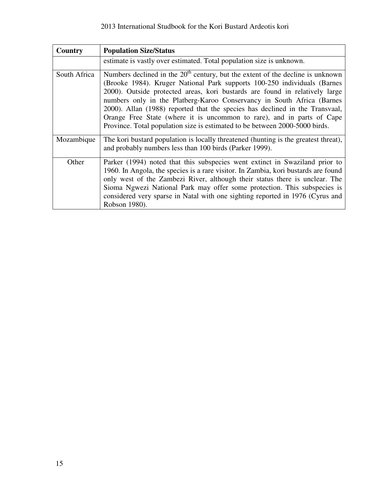| Country      | <b>Population Size/Status</b>                                                                                                                                                                                                                                                                                                                                                                                                                                                                                                                                  |
|--------------|----------------------------------------------------------------------------------------------------------------------------------------------------------------------------------------------------------------------------------------------------------------------------------------------------------------------------------------------------------------------------------------------------------------------------------------------------------------------------------------------------------------------------------------------------------------|
|              | estimate is vastly over estimated. Total population size is unknown.                                                                                                                                                                                                                                                                                                                                                                                                                                                                                           |
| South Africa | Numbers declined in the $20th$ century, but the extent of the decline is unknown<br>(Brooke 1984). Kruger National Park supports 100-250 individuals (Barnes<br>2000). Outside protected areas, kori bustards are found in relatively large<br>numbers only in the Platberg-Karoo Conservancy in South Africa (Barnes<br>2000). Allan (1988) reported that the species has declined in the Transvaal,<br>Orange Free State (where it is uncommon to rare), and in parts of Cape<br>Province. Total population size is estimated to be between 2000-5000 birds. |
| Mozambique   | The kori bustard population is locally threatened (hunting is the greatest threat),<br>and probably numbers less than 100 birds (Parker 1999).                                                                                                                                                                                                                                                                                                                                                                                                                 |
| Other        | Parker (1994) noted that this subspecies went extinct in Swaziland prior to<br>1960. In Angola, the species is a rare visitor. In Zambia, kori bustards are found<br>only west of the Zambezi River, although their status there is unclear. The<br>Sioma Ngwezi National Park may offer some protection. This subspecies is<br>considered very sparse in Natal with one sighting reported in 1976 (Cyrus and<br>Robson 1980).                                                                                                                                 |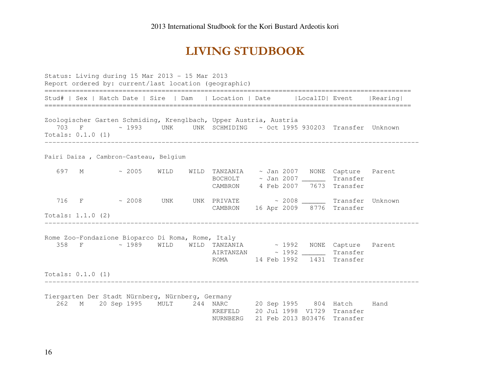# LIVING STUDBOOK

Status: Living during 15 Mar 2013 - 15 Mar 2013 Report ordered by: current/last location (geographic) ============================================================================================== Stud# | Sex | Hatch Date | Sire | Dam | Location | Date | LocalID| Event | Rearing| ============================================================================================== Zoologischer Garten Schmiding, Krenglbach, Upper Austria, Austria 703 F ~ 1993 UNK UNK SCHMIDING ~ Oct 1995 930203 Transfer Unknown Totals: 0.1.0 (1) ------------------------------------------------------------------------------------------------ Pairi Daiza , Cambron-Casteau, Belgium 697 M ~ 2005 WILD WILD TANZANIA ~ Jan 2007 NONE Capture Parent BOCHOLT ~ Jan 2007 \_\_\_\_\_\_ Transfer CAMBRON 4 Feb 2007 7673 Transfer 716 F  $\sim$  2008 UNK UNK PRIVATE  $\sim$  2008 Transfer Unknown CAMBRON 16 Apr 2009 8776 Transfer Totals: 1.1.0 (2) ------------------------------------------------------------------------------------------------ Rome Zoo-Fondazione Bioparco Di Roma, Rome, Italy 358 F ~ 1989 WILD WILD TANZANIA ~ 1992 NONE Capture Parent AIRTANZAN ~ 1992 \_\_\_\_\_\_ Transfer ROMA 14 Feb 1992 1431 Transfer Totals: 0.1.0 (1) ------------------------------------------------------------------------------------------------ Tiergarten Der Stadt Nürnberg, Nürnberg, Germany 262 M 20 Sep 1995 MULT 244 NARC 20 Sep 1995 804 Hatch Hand KREFELD 20 Jul 1998 V1729 Transfer NURNBERG 21 Feb 2013 B03476 Transfer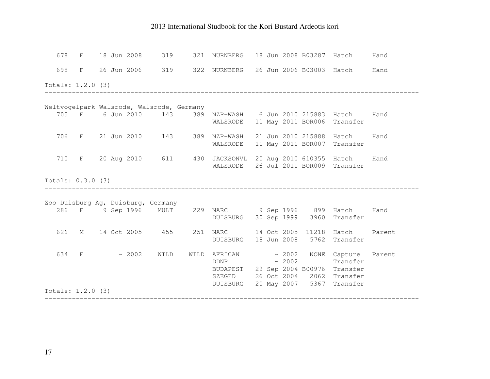| 678                 |  |               | F 18 Jun 2008 319                         | 321 NURNBERG                                                                                   |  |             | 18 Jun 2008 B03287 Hatch                                     | Hand   |
|---------------------|--|---------------|-------------------------------------------|------------------------------------------------------------------------------------------------|--|-------------|--------------------------------------------------------------|--------|
| 698                 |  |               |                                           | F 26 Jun 2006 319 322 NURNBERG 26 Jun 2006 B03003 Hatch Hand                                   |  |             |                                                              |        |
| Totals: 1.2.0 (3)   |  |               |                                           |                                                                                                |  |             |                                                              |        |
|                     |  |               | Weltvogelpark Walsrode, Walsrode, Germany |                                                                                                |  |             |                                                              |        |
|                     |  |               |                                           | 705 F 6 Jun 2010 143 389 NZP-WASH 6 Jun 2010 215883 Hatch<br>WALSRODE                          |  |             | 11 May 2011 BOR006 Transfer                                  | Hand   |
| 706                 |  |               |                                           | F 21 Jun 2010 143 389 NZP-WASH<br>WALSRODE                                                     |  |             | 21 Jun 2010 215888 Hatch Hand<br>11 May 2011 BOR007 Transfer |        |
| 710                 |  |               |                                           | F 20 Aug 2010 611 430 JACKSONVL<br>WALSRODE                                                    |  |             | 20 Aug 2010 610355 Hatch<br>26 Jul 2011 BOR009 Transfer      | Hand   |
| Totals: 0.3.0 (3)   |  |               |                                           |                                                                                                |  |             |                                                              |        |
|                     |  |               | Zoo Duisburg Ag, Duisburg, Germany        |                                                                                                |  |             |                                                              |        |
|                     |  |               |                                           | 286 F 9 Sep 1996 MULT 229 NARC 9 Sep 1996 899 Hatch Hand<br>DUISBURG 30 Sep 1999 3960 Transfer |  |             |                                                              |        |
| 626                 |  |               | M 14 Oct 2005 455                         | 251 NARC 14 Oct 2005 11218 Hatch<br>DUISBURG                                                   |  |             | 18 Jun 2008 5762 Transfer                                    | Parent |
| 634                 |  | $F \sim 2002$ | WILD                                      | WILD AFRICAN ~ 2002 NONE Capture<br>DDNP<br>BUDAPEST 29 Sep 2004 B00976<br>SZEGED              |  | $\sim 2002$ | Transfer<br>Transfer<br>26 Oct 2004 2062 Transfer            | Parent |
| Totals: $1.2.0$ (3) |  |               |                                           | DUISBURG                                                                                       |  |             | 20 May 2007 5367 Transfer                                    |        |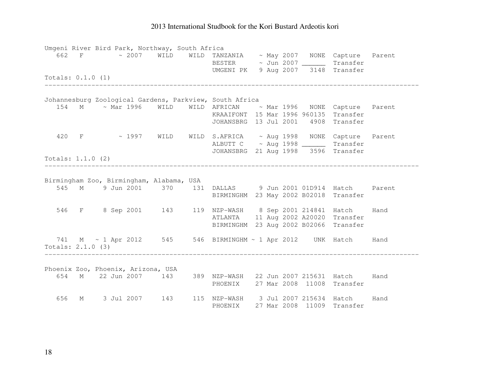|                     |  |  | Umgeni River Bird Park, Northway, South Africa |                                                                                                   |  |  |                             |        |
|---------------------|--|--|------------------------------------------------|---------------------------------------------------------------------------------------------------|--|--|-----------------------------|--------|
| 662                 |  |  |                                                | F ~ 2007 WILD WILD TANZANIA ~ May 2007 NONE Capture Parent<br>BESTER ~ Jun 2007 ________ Transfer |  |  |                             |        |
|                     |  |  |                                                | UMGENI PK 9 Aug 2007 3148 Transfer                                                                |  |  |                             |        |
| Totals: $0.1.0$ (1) |  |  |                                                |                                                                                                   |  |  |                             |        |
|                     |  |  |                                                |                                                                                                   |  |  |                             |        |
|                     |  |  |                                                |                                                                                                   |  |  |                             |        |
|                     |  |  |                                                | Johannesburg Zoological Gardens, Parkview, South Africa                                           |  |  |                             |        |
| 154                 |  |  |                                                | M ~ Mar 1996 WILD WILD AFRICAN ~ Mar 1996 NONE Capture Parent                                     |  |  |                             |        |
|                     |  |  |                                                | KRAAIFONT 15 Mar 1996 960135 Transfer                                                             |  |  |                             |        |
|                     |  |  |                                                | JOHANSBRG 13 Jul 2001 4908 Transfer                                                               |  |  |                             |        |
|                     |  |  |                                                | 420 F ~ 1997 WILD WILD S.AFRICA ~ Aug 1998 NONE Capture Parent                                    |  |  |                             |        |
|                     |  |  |                                                | ALBUTT C ~ Aug 1998 ________ Transfer                                                             |  |  |                             |        |
|                     |  |  |                                                | JOHANSBRG 21 Aug 1998 3596 Transfer                                                               |  |  |                             |        |
| Totals: $1.1.0$ (2) |  |  |                                                |                                                                                                   |  |  |                             |        |
|                     |  |  |                                                |                                                                                                   |  |  |                             |        |
|                     |  |  | Birmingham Zoo, Birmingham, Alabama, USA       |                                                                                                   |  |  |                             |        |
|                     |  |  |                                                | 545 M 9 Jun 2001 370 131 DALLAS 9 Jun 2001 01D914 Hatch                                           |  |  |                             | Parent |
|                     |  |  |                                                | BIRMINGHM 23 May 2002 B02018 Transfer                                                             |  |  |                             |        |
|                     |  |  |                                                |                                                                                                   |  |  |                             |        |
|                     |  |  |                                                | 546 F 8 Sep 2001 143 119 NZP-WASH 8 Sep 2001 214841 Hatch Hand                                    |  |  |                             |        |
|                     |  |  |                                                | <b>ATLANTA</b>                                                                                    |  |  | 11 Aug 2002 A20020 Transfer |        |
|                     |  |  |                                                | BIRMINGHM 23 Aug 2002 B02066 Transfer                                                             |  |  |                             |        |
|                     |  |  |                                                | 741 M ~ 1 Apr 2012 545 546 BIRMINGHM ~ 1 Apr 2012 UNK Hatch Hand                                  |  |  |                             |        |
| Totals: $2.1.0$ (3) |  |  |                                                |                                                                                                   |  |  |                             |        |
|                     |  |  |                                                |                                                                                                   |  |  |                             |        |
|                     |  |  |                                                |                                                                                                   |  |  |                             |        |
|                     |  |  | Phoenix Zoo, Phoenix, Arizona, USA             |                                                                                                   |  |  |                             |        |
| 654                 |  |  |                                                | M 22 Jun 2007 143 389 NZP-WASH 22 Jun 2007 215631 Hatch Hand                                      |  |  |                             |        |
|                     |  |  |                                                | PHOENIX 27 Mar 2008 11008 Transfer                                                                |  |  |                             |        |
| 656                 |  |  |                                                | M 3 Jul 2007 143 115 NZP-WASH 3 Jul 2007 215634 Hatch Hand                                        |  |  |                             |        |
|                     |  |  |                                                | PHOENIX                                                                                           |  |  | 27 Mar 2008 11009 Transfer  |        |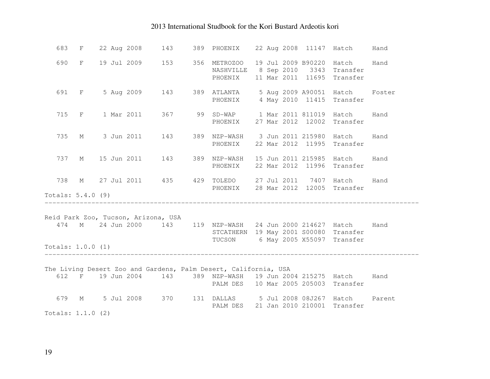|                                                                                                                                                                             |  | 683 F 22 Aug 2008 143                                            |  |  |         |                                                                                                   |  |  | Hand |  |
|-----------------------------------------------------------------------------------------------------------------------------------------------------------------------------|--|------------------------------------------------------------------|--|--|---------|---------------------------------------------------------------------------------------------------|--|--|------|--|
|                                                                                                                                                                             |  | 690 F 19 Jul 2009 153 356 METROZOO                               |  |  | PHOENIX | 19 Jul 2009 B90220 Hatch Hand<br>NASHVILLE 8 Sep 2010 3343 Transfer<br>11 Mar 2011 11695 Transfer |  |  |      |  |
|                                                                                                                                                                             |  | 691 F 5 Aug 2009 143 389 ATLANTA 5 Aug 2009 A90051 Hatch Foster  |  |  |         | PHOENIX 4 May 2010 11415 Transfer                                                                 |  |  |      |  |
|                                                                                                                                                                             |  | 715 F 1 Mar 2011 367 99 SD-WAP 1 Mar 2011 811019 Hatch Hand      |  |  |         | PHOENIX 27 Mar 2012 12002 Transfer                                                                |  |  |      |  |
|                                                                                                                                                                             |  | 735 M 3 Jun 2011 143 389 NZP-WASH 3 Jun 2011 215980 Hatch Hand   |  |  |         | PHOENIX 22 Mar 2012 11995 Transfer                                                                |  |  |      |  |
|                                                                                                                                                                             |  | 737 M 15 Jun 2011 143 389 NZP-WASH 15 Jun 2011 215985 Hatch Hand |  |  |         | PHOENIX 22 Mar 2012 11996 Transfer                                                                |  |  |      |  |
| Totals: $5.4.0$ (9)                                                                                                                                                         |  | 738 M 27 Jul 2011 435 429 TOLEDO 27 Jul 2011 7407 Hatch Hand     |  |  |         | PHOENIX 28 Mar 2012 12005 Transfer                                                                |  |  |      |  |
|                                                                                                                                                                             |  |                                                                  |  |  |         |                                                                                                   |  |  |      |  |
|                                                                                                                                                                             |  | Reid Park Zoo, Tucson, Arizona, USA                              |  |  |         |                                                                                                   |  |  |      |  |
|                                                                                                                                                                             |  | 474 M 24 Jun 2000 143 119 NZP-WASH 24 Jun 2000 214627 Hatch Hand |  |  |         | STCATHERN 19 May 2001 S00080 Transfer<br>TUCSON 6 May 2005 X55097 Transfer                        |  |  |      |  |
| Totals: $1.0.0$ (1)                                                                                                                                                         |  |                                                                  |  |  |         |                                                                                                   |  |  |      |  |
| The Living Desert Zoo and Gardens, Palm Desert, California, USA<br>612 F 19 Jun 2004 143 389 NZP-WASH 19 Jun 2004 215275 Hatch Hand<br>PALM DES 10 Mar 2005 205003 Transfer |  |                                                                  |  |  |         |                                                                                                   |  |  |      |  |
| Totals: $1.1.0$ (2)                                                                                                                                                         |  | 679 M 5 Jul 2008 370 131 DALLAS 5 Jul 2008 08J267 Hatch Parent   |  |  |         | PALM DES 21 Jan 2010 210001 Transfer                                                              |  |  |      |  |
|                                                                                                                                                                             |  |                                                                  |  |  |         |                                                                                                   |  |  |      |  |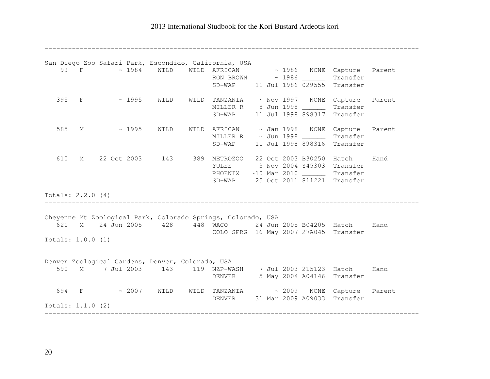------------------------------------------------------------------------------------------------

|     |                     |                     | San Diego Zoo Safari Park, Escondido, California, USA                                           |                                                                 |  |  |                             |      |
|-----|---------------------|---------------------|-------------------------------------------------------------------------------------------------|-----------------------------------------------------------------|--|--|-----------------------------|------|
|     |                     |                     | 99 F ~ 1984 WILD WILD AFRICAN ~ 1986 NONE Capture Parent                                        |                                                                 |  |  |                             |      |
|     |                     |                     |                                                                                                 | RON BROWN ~ 1986 Transfer<br>SD-WAP 11 Jul 1986 029555 Transfer |  |  |                             |      |
|     |                     |                     |                                                                                                 |                                                                 |  |  |                             |      |
|     |                     |                     | 395 F ~ 1995 WILD WILD TANZANIA ~ Nov 1997 NONE Capture Parent                                  |                                                                 |  |  |                             |      |
|     |                     |                     |                                                                                                 | MILLER R 8 Jun 1998 ________ Transfer                           |  |  |                             |      |
|     |                     |                     |                                                                                                 | SD-WAP 11 Jul 1998 898317 Transfer                              |  |  |                             |      |
| 585 |                     |                     | M ~ 1995 WILD                                                                                   | WILD AFRICAN ~ Jan 1998 NONE Capture Parent                     |  |  |                             |      |
|     |                     |                     |                                                                                                 | MILLER R ~ Jun 1998 ________ Transfer                           |  |  |                             |      |
|     |                     |                     |                                                                                                 | SD-WAP 11 Jul 1998 898316 Transfer                              |  |  |                             |      |
| 610 |                     |                     | M 22 Oct 2003 143 389 METROZOO 22 Oct 2003 B30250 Hatch                                         |                                                                 |  |  |                             | Hand |
|     |                     |                     |                                                                                                 | YULEE 3 Nov 2004 Y45303 Transfer                                |  |  |                             |      |
|     |                     |                     |                                                                                                 | PHOENIX ~10 Mar 2010 ________ Transfer                          |  |  |                             |      |
|     |                     |                     |                                                                                                 | SD-WAP 25 Oct 2011 811221 Transfer                              |  |  |                             |      |
|     | Totals: 2.2.0 (4)   |                     |                                                                                                 |                                                                 |  |  |                             |      |
|     |                     |                     |                                                                                                 |                                                                 |  |  |                             |      |
|     |                     |                     | Cheyenne Mt Zoological Park, Colorado Springs, Colorado, USA                                    |                                                                 |  |  |                             |      |
|     |                     |                     | 621 M 24 Jun 2005 428 448 WACO 24 Jun 2005 B04205 Hatch Hand                                    | COLO SPRG 16 May 2007 27A045 Transfer                           |  |  |                             |      |
|     |                     | Totals: $1.0.0$ (1) |                                                                                                 |                                                                 |  |  |                             |      |
|     |                     |                     |                                                                                                 |                                                                 |  |  |                             |      |
| 590 |                     |                     | Denver Zoological Gardens, Denver, Colorado, USA                                                |                                                                 |  |  |                             |      |
|     |                     |                     | M 7 Jul 2003 143 119 NZP-WASH 7 Jul 2003 215123 Hatch Hand<br>DENVER 5 May 2004 A04146 Transfer |                                                                 |  |  |                             |      |
|     |                     |                     |                                                                                                 |                                                                 |  |  |                             |      |
|     |                     |                     | 694 F ~ 2007 WILD WILD TANZANIA ~ 2009 NONE Capture Parent                                      |                                                                 |  |  |                             |      |
|     |                     |                     |                                                                                                 | DENVER                                                          |  |  | 31 Mar 2009 A09033 Transfer |      |
|     | Totals: $1.1.0$ (2) |                     | --------------------------                                                                      |                                                                 |  |  |                             |      |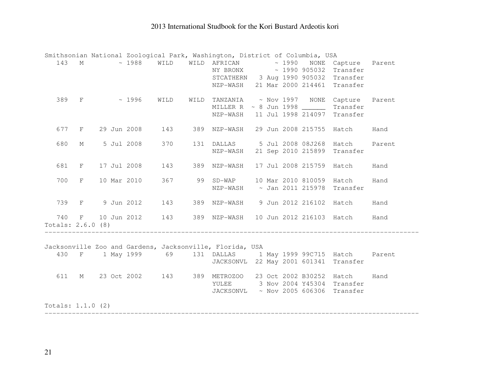|                     |             |  |               |      |      | Smithsonian National Zoological Park, Washington, District of Columbia, USA |  |  |                             |        |
|---------------------|-------------|--|---------------|------|------|-----------------------------------------------------------------------------|--|--|-----------------------------|--------|
| 143                 |             |  |               |      |      | M ~ 1988 WILD WILD AFRICAN ~ 1990 NONE Capture                              |  |  |                             | Parent |
|                     |             |  |               |      |      | NY BRONX ~ 1990 905032 Transfer                                             |  |  |                             |        |
|                     |             |  |               |      |      | STCATHERN 3 Aug 1990 905032 Transfer                                        |  |  |                             |        |
|                     |             |  |               |      |      | NZP-WASH 21 Mar 2000 214461 Transfer                                        |  |  |                             |        |
| 389                 |             |  | $F \sim 1996$ | WILD | WILD | TANZANIA ~ Nov 1997 NONE Capture                                            |  |  |                             | Parent |
|                     |             |  |               |      |      | MILLER R $\sim$ 8 Jun 1998 $\sim$ Transfer                                  |  |  |                             |        |
|                     |             |  |               |      |      | NZP-WASH                                                                    |  |  | 11 Jul 1998 214097 Transfer |        |
| 677                 | F           |  | 29 Jun 2008   | 143  |      | 389 NZP-WASH 29 Jun 2008 215755 Hatch                                       |  |  |                             | Hand   |
|                     |             |  |               |      |      |                                                                             |  |  |                             |        |
| 680                 | $M_{\odot}$ |  | 5 Jul 2008    | 370  |      | 131 DALLAS 5 Jul 2008 08J268 Hatch                                          |  |  |                             | Parent |
|                     |             |  |               |      |      | NZP-WASH 21 Sep 2010 215899 Transfer                                        |  |  |                             |        |
| 681                 | F           |  | 17 Jul 2008   | 143  |      | 389 NZP-WASH                                                                |  |  | 17 Jul 2008 215759 Hatch    | Hand   |
| 700                 | F           |  | 10 Mar 2010   |      |      | 367 99 SD-WAP 10 Mar 2010 810059 Hatch                                      |  |  |                             | Hand   |
|                     |             |  |               |      |      | NZP-WASH ~ Jan 2011 215978 Transfer                                         |  |  |                             |        |
|                     |             |  |               |      |      |                                                                             |  |  |                             |        |
| 739                 |             |  | F 9 Jun 2012  | 143  |      | 389 NZP-WASH 9 Jun 2012 216102 Hatch                                        |  |  |                             | Hand   |
| 740                 |             |  | F 10 Jun 2012 | 143  |      | 389 NZP-WASH 10 Jun 2012 216103 Hatch                                       |  |  |                             | Hand   |
| Totals: $2.6.0$ (8) |             |  |               |      |      |                                                                             |  |  |                             |        |
|                     |             |  |               |      |      |                                                                             |  |  |                             |        |
|                     |             |  |               |      |      | Jacksonville Zoo and Gardens, Jacksonville, Florida, USA                    |  |  |                             |        |
| 430                 |             |  |               |      |      | F 1 May 1999 69 131 DALLAS 1 May 1999 99C715 Hatch                          |  |  |                             | Parent |
|                     |             |  |               |      |      | JACKSONVL 22 May 2001 601341 Transfer                                       |  |  |                             |        |
| 611                 |             |  | M 23 Oct 2002 |      |      | 143 389 METROZOO 23 Oct 2002 B30252 Hatch                                   |  |  |                             | Hand   |
|                     |             |  |               |      |      | YULEE 3 Nov 2004 Y45304 Transfer                                            |  |  |                             |        |
|                     |             |  |               |      |      | JACKSONVL ~ Nov 2005 606306 Transfer                                        |  |  |                             |        |
| Totals: $1.1.0$ (2) |             |  |               |      |      |                                                                             |  |  |                             |        |

------------------------------------------------------------------------------------------------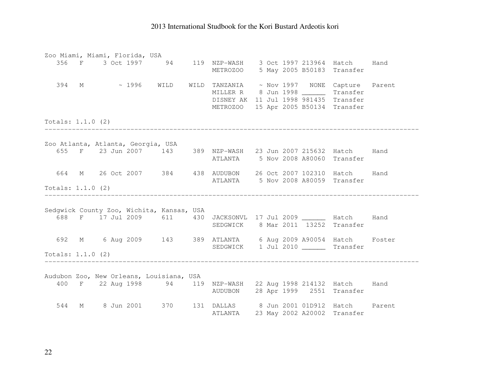|                     |  | Zoo Miami, Miami, Florida, USA     |                                           |                                                                                                                                                             |  |  |                             |  |
|---------------------|--|------------------------------------|-------------------------------------------|-------------------------------------------------------------------------------------------------------------------------------------------------------------|--|--|-----------------------------|--|
|                     |  |                                    |                                           | 356 F 3 Oct 1997 94 119 NZP-WASH 3 Oct 1997 213964 Hatch Hand<br>METROZOO 5 May 2005 B50183 Transfer                                                        |  |  |                             |  |
|                     |  |                                    |                                           | 394 M ~ 1996 WILD WILD TANZANIA ~ Nov 1997 NONE Capture Parent<br>MILLER R 8 Jun 1998 _______ Transfer<br>DISNEY AK 11 Jul 1998 981435 Transfer<br>METROZOO |  |  | 15 Apr 2005 B50134 Transfer |  |
| Totals: $1.1.0$ (2) |  |                                    |                                           |                                                                                                                                                             |  |  |                             |  |
|                     |  | Zoo Atlanta, Atlanta, Georgia, USA |                                           |                                                                                                                                                             |  |  |                             |  |
|                     |  |                                    |                                           | 655 F 23 Jun 2007 143 389 NZP-WASH 23 Jun 2007 215632 Hatch Hand<br>ATLANTA 5 Nov 2008 A80060 Transfer                                                      |  |  |                             |  |
| 664                 |  |                                    |                                           | M 26 Oct 2007 384 438 AUDUBON 26 Oct 2007 102310 Hatch Hand<br>ATLANTA 5 Nov 2008 A80059 Transfer                                                           |  |  |                             |  |
| Totals: $1.1.0$ (2) |  |                                    | ---------------------------------         |                                                                                                                                                             |  |  |                             |  |
|                     |  |                                    | Sedgwick County Zoo, Wichita, Kansas, USA | 688 F 17 Jul 2009 611 430 JACKSONVL 17 Jul 2009 _______ Hatch Hand<br>SEDGWICK 8 Mar 2011 13252 Transfer                                                    |  |  |                             |  |
|                     |  |                                    |                                           | 692 M 6 Aug 2009 143 389 ATLANTA 6 Aug 2009 A90054 Hatch Foster<br>SEDGWICK 1 Jul 2010 Transfer                                                             |  |  |                             |  |
| Totals: $1.1.0$ (2) |  |                                    |                                           |                                                                                                                                                             |  |  |                             |  |
|                     |  |                                    | Audubon Zoo, New Orleans, Louisiana, USA  | 400 F 22 Aug 1998 94 119 NZP-WASH 22 Aug 1998 214132 Hatch Hand<br>AUDUBON 28 Apr 1999 2551 Transfer                                                        |  |  |                             |  |
| 544                 |  |                                    |                                           | M 8 Jun 2001 370 131 DALLAS 8 Jun 2001 01D912 Hatch Parent<br><b>ATLANTA</b>                                                                                |  |  | 23 May 2002 A20002 Transfer |  |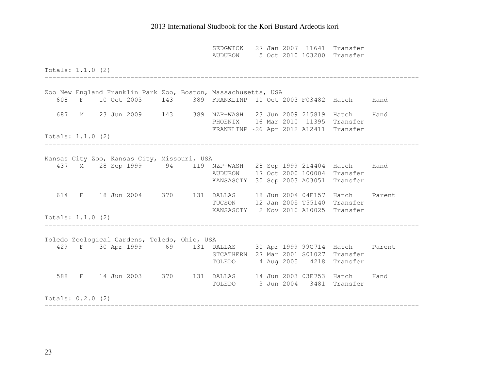|                     |  |                                              |  | SEDGWICK 27 Jan 2007 11641 Transfer<br>AUDUBON 5 Oct 2010 103200 Transfer                                                                        |  |  |  |
|---------------------|--|----------------------------------------------|--|--------------------------------------------------------------------------------------------------------------------------------------------------|--|--|--|
| Totals: $1.1.0$ (2) |  |                                              |  |                                                                                                                                                  |  |  |  |
|                     |  |                                              |  | Zoo New England Franklin Park Zoo, Boston, Massachusetts, USA<br>608 F 10 Oct 2003 143 389 FRANKLINP 10 Oct 2003 F03482 Hatch Hand               |  |  |  |
|                     |  |                                              |  | 687 M 23 Jun 2009 143 389 NZP-WASH 23 Jun 2009 215819 Hatch Hand<br>PHOENIX 16 Mar 2010 11395 Transfer<br>FRANKLINP ~26 Apr 2012 A12411 Transfer |  |  |  |
| Totals: $1.1.0$ (2) |  | ___________________________                  |  |                                                                                                                                                  |  |  |  |
|                     |  | Kansas City Zoo, Kansas City, Missouri, USA  |  | 437 M 28 Sep 1999 94 119 NZP-WASH 28 Sep 1999 214404 Hatch Hand<br>AUDUBON 17 Oct 2000 100004 Transfer<br>KANSASCTY 30 Sep 2003 A03051 Transfer  |  |  |  |
|                     |  |                                              |  | 614 F 18 Jun 2004 370 131 DALLAS 18 Jun 2004 04F157 Hatch Parent<br>TUCSON 12 Jan 2005 T55140 Transfer<br>KANSASCTY 2 Nov 2010 A10025 Transfer   |  |  |  |
| Totals: $1.1.0$ (2) |  |                                              |  |                                                                                                                                                  |  |  |  |
|                     |  | Toledo Zoological Gardens, Toledo, Ohio, USA |  | 429 F 30 Apr 1999 69 131 DALLAS 30 Apr 1999 99C714 Hatch Parent<br>STCATHERN 27 Mar 2001 S01027 Transfer<br>TOLEDO 4 Aug 2005 4218 Transfer      |  |  |  |
|                     |  |                                              |  | 588 F 14 Jun 2003 370 131 DALLAS 14 Jun 2003 03E753 Hatch Hand<br>TOLEDO 3 Jun 2004 3481 Transfer                                                |  |  |  |
| Totals: $0.2.0$ (2) |  |                                              |  |                                                                                                                                                  |  |  |  |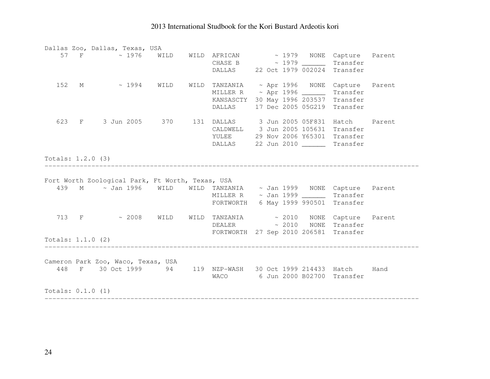|                     | Dallas Zoo, Dallas, Texas, USA                                                                        |  |                                       |  |                    |          |  |
|---------------------|-------------------------------------------------------------------------------------------------------|--|---------------------------------------|--|--------------------|----------|--|
|                     | 57 F ~ 1976 WILD WILD AFRICAN ~ 1979 NONE Capture Parent                                              |  |                                       |  |                    |          |  |
|                     |                                                                                                       |  | CHASE B $\sim$ 1979 $\sim$ Transfer   |  |                    |          |  |
|                     |                                                                                                       |  | DALLAS 22 Oct 1979 002024 Transfer    |  |                    |          |  |
|                     | 152 M ~ 1994 WILD WILD TANZANIA ~ Apr 1996 NONE Capture Parent                                        |  |                                       |  |                    |          |  |
|                     |                                                                                                       |  | MILLER R ~ Apr 1996 ______            |  |                    | Transfer |  |
|                     |                                                                                                       |  | KANSASCTY 30 May 1996 203537          |  |                    | Transfer |  |
|                     |                                                                                                       |  | DALLAS                                |  | 17 Dec 2005 05G219 | Transfer |  |
|                     | 623 F 3 Jun 2005 370 131 DALLAS 3 Jun 2005 05F831 Hatch Parent                                        |  |                                       |  |                    |          |  |
|                     |                                                                                                       |  | CALDWELL 3 Jun 2005 105631 Transfer   |  |                    |          |  |
|                     |                                                                                                       |  | YULEE 29 Nov 2006 Y65301 Transfer     |  |                    |          |  |
|                     |                                                                                                       |  | DALLAS 22 Jun 2010 _______ Transfer   |  |                    |          |  |
| Totals: $1.2.0$ (3) |                                                                                                       |  |                                       |  |                    |          |  |
|                     |                                                                                                       |  |                                       |  |                    |          |  |
|                     | Fort Worth Zoological Park, Ft Worth, Texas, USA                                                      |  |                                       |  |                    |          |  |
|                     | 439 M ~ Jan 1996 WILD WILD TANZANIA ~ Jan 1999 NONE Capture Parent                                    |  |                                       |  |                    |          |  |
|                     |                                                                                                       |  | MILLER R ~ Jan 1999 ________ Transfer |  |                    |          |  |
|                     |                                                                                                       |  | FORTWORTH 6 May 1999 990501 Transfer  |  |                    |          |  |
|                     | 713 F ~ 2008 WILD WILD TANZANIA ~ 2010 NONE Capture Parent                                            |  |                                       |  |                    |          |  |
|                     |                                                                                                       |  | DEALER ~ 2010 NONE Transfer           |  |                    |          |  |
|                     |                                                                                                       |  | FORTWORTH 27 Sep 2010 206581 Transfer |  |                    |          |  |
|                     | Totals: $1.1.0$ (2)                                                                                   |  |                                       |  |                    |          |  |
|                     |                                                                                                       |  |                                       |  |                    |          |  |
|                     | Cameron Park Zoo, Waco, Texas, USA<br>448 F 30 Oct 1999 94 119 NZP-WASH 30 Oct 1999 214433 Hatch Hand |  |                                       |  |                    |          |  |
|                     |                                                                                                       |  | WACO 6 Jun 2000 B02700 Transfer       |  |                    |          |  |
|                     |                                                                                                       |  |                                       |  |                    |          |  |
| Totals: $0.1.0$ (1) |                                                                                                       |  |                                       |  |                    |          |  |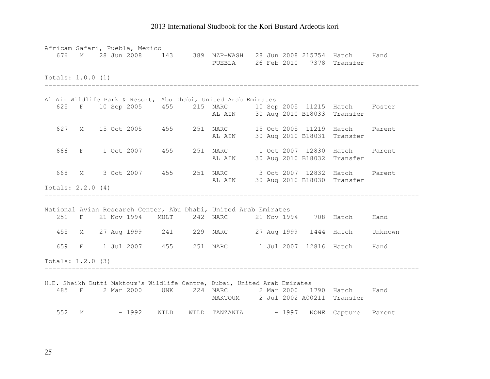| Africam Safari, Puebla, Mexico |  |  |  |                                                                                                     |  |  |      |
|--------------------------------|--|--|--|-----------------------------------------------------------------------------------------------------|--|--|------|
| 676                            |  |  |  | M 28 Jun 2008 143 389 NZP-WASH 28 Jun 2008 215754 Hatch<br>PUEBLA 26 Feb 2010 7378 Transfer         |  |  | Hand |
| Totals: 1.0.0 (1)              |  |  |  |                                                                                                     |  |  |      |
|                                |  |  |  |                                                                                                     |  |  |      |
|                                |  |  |  | Al Ain Wildlife Park & Resort, Abu Dhabi, United Arab Emirates                                      |  |  |      |
|                                |  |  |  | 625 F 10 Sep 2005 455 215 NARC 10 Sep 2005 11215 Hatch Foster<br>AL AIN 30 Aug 2010 B18033 Transfer |  |  |      |
|                                |  |  |  | 627 M 15 Oct 2005 455 251 NARC 15 Oct 2005 11219 Hatch Parent                                       |  |  |      |
|                                |  |  |  | AL AIN 30 Aug 2010 B18031 Transfer                                                                  |  |  |      |
| 666                            |  |  |  | F 1 Oct 2007 455 251 NARC 1 Oct 2007 12830 Hatch Parent                                             |  |  |      |
|                                |  |  |  | AL AIN 30 Aug 2010 B18032 Transfer                                                                  |  |  |      |
|                                |  |  |  |                                                                                                     |  |  |      |
| 668                            |  |  |  | M 3 Oct 2007 455 251 NARC 3 Oct 2007 12832 Hatch Parent                                             |  |  |      |
| Totals: $2.2.0$ (4)            |  |  |  | AL AIN 30 Aug 2010 B18030 Transfer                                                                  |  |  |      |
|                                |  |  |  |                                                                                                     |  |  |      |
|                                |  |  |  | National Avian Research Center, Abu Dhabi, United Arab Emirates                                     |  |  |      |
|                                |  |  |  | 251 F 21 Nov 1994 MULT 242 NARC 21 Nov 1994 708 Hatch Hand                                          |  |  |      |
|                                |  |  |  | 455 M 27 Aug 1999 241 229 NARC 27 Aug 1999 1444 Hatch Unknown                                       |  |  |      |
| 659                            |  |  |  | F 1 Jul 2007 455 251 NARC 1 Jul 2007 12816 Hatch Hand                                               |  |  |      |
| Totals: $1.2.0$ (3)            |  |  |  |                                                                                                     |  |  |      |
|                                |  |  |  |                                                                                                     |  |  |      |
|                                |  |  |  | H.E. Sheikh Butti Maktoum's Wildlife Centre, Dubai, United Arab Emirates                            |  |  |      |
|                                |  |  |  | 485 F 2 Mar 2000 UNK 224 NARC 2 Mar 2000 1790 Hatch Hand                                            |  |  |      |
|                                |  |  |  | MAKTOUM 2 Jul 2002 A00211 Transfer                                                                  |  |  |      |
|                                |  |  |  | 552 M ~ 1992 WILD WILD TANZANIA ~ 1997 NONE Capture Parent                                          |  |  |      |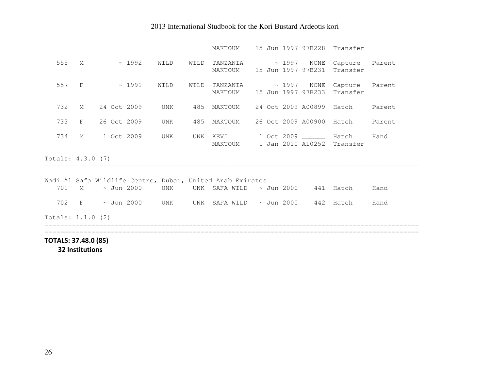| TOTALS: 37.48.0 (85) |   |                   |  |                 |      |                                                                                 |  |  |  |                                 |      |
|----------------------|---|-------------------|--|-----------------|------|---------------------------------------------------------------------------------|--|--|--|---------------------------------|------|
|                      |   |                   |  |                 |      |                                                                                 |  |  |  |                                 |      |
| Totals: 1.1.0 (2)    |   |                   |  |                 |      |                                                                                 |  |  |  |                                 |      |
| 702                  |   |                   |  |                 |      | F $\sim$ Jun 2000 UNK UNK SAFA_WILD $\sim$ Jun 2000 $\,$ 442 $\,$ Hatch $\,$    |  |  |  |                                 | Hand |
| 701                  |   | M ~ Jun 2000      |  | UNK             |      | UNK SAFA WILD $\sim$ Jun 2000 441 Hatch                                         |  |  |  |                                 | Hand |
|                      |   |                   |  |                 |      | Wadi Al Safa Wildlife Centre, Dubai, United Arab Emirates                       |  |  |  |                                 |      |
| Totals: 4.3.0 (7)    |   |                   |  |                 |      |                                                                                 |  |  |  |                                 |      |
|                      |   |                   |  |                 |      | MAKTOUM                                                                         |  |  |  | 1 Jan 2010 A10252 Transfer      |      |
| 734                  | M | 1 Oct 2009        |  | UNK             |      | UNK KEVI                                                                        |  |  |  | 1 Oct 2009 _______ Hatch        | Hand |
| 733                  | F | 26 Oct 2009       |  | UNK             |      | 485 MAKTOUM 26 Oct 2009 A00900 Hatch Parent                                     |  |  |  |                                 |      |
| 732                  | M |                   |  | 24 Oct 2009 UNK |      | 485 MAKTOUM                                                                     |  |  |  | 24 Oct 2009 A00899 Hatch Parent |      |
|                      |   | 557 F $\sim$ 1991 |  | WILD            | WILD | TANZANIA ~ 1997 NONE Capture Parent<br>MAKTOUM 15 Jun 1997 97B233 Transfer      |  |  |  |                                 |      |
| 555                  |   | M $\sim 1992$     |  | WILD            |      | WILD TANZANIA ~ 1997 NONE Capture Parent<br>MAKTOUM 15 Jun 1997 97B231 Transfer |  |  |  |                                 |      |
|                      |   |                   |  |                 |      | MAKTOUM 15 Jun 1997 97B228 Transfer                                             |  |  |  |                                 |      |

32 Institutions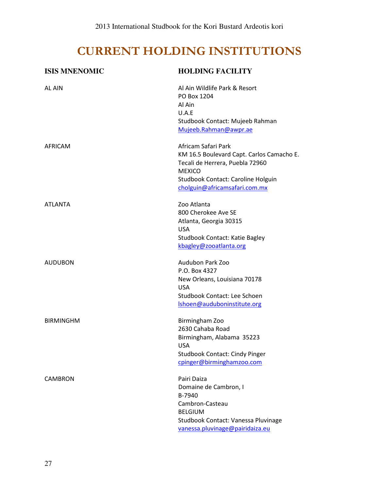# CURRENT HOLDING INSTITUTIONS

| <b>ISIS MNENOMIC</b> | <b>HOLDING FACILITY</b>                                                                                                                                                                     |
|----------------------|---------------------------------------------------------------------------------------------------------------------------------------------------------------------------------------------|
| <b>AL AIN</b>        | Al Ain Wildlife Park & Resort<br>PO Box 1204<br>Al Ain<br>U.A.E<br>Studbook Contact: Mujeeb Rahman<br>Mujeeb.Rahman@awpr.ae                                                                 |
| AFRICAM              | Africam Safari Park<br>KM 16.5 Boulevard Capt. Carlos Camacho E.<br>Tecali de Herrera, Puebla 72960<br><b>MEXICO</b><br>Studbook Contact: Caroline Holguin<br>cholguin@africamsafari.com.mx |
| <b>ATLANTA</b>       | Zoo Atlanta<br>800 Cherokee Ave SE<br>Atlanta, Georgia 30315<br><b>USA</b><br><b>Studbook Contact: Katie Bagley</b><br>kbagley@zooatlanta.org                                               |
| <b>AUDUBON</b>       | Audubon Park Zoo<br>P.O. Box 4327<br>New Orleans, Louisiana 70178<br><b>USA</b><br>Studbook Contact: Lee Schoen<br>Ishoen@auduboninstitute.org                                              |
| <b>BIRMINGHM</b>     | Birmingham Zoo<br>2630 Cahaba Road<br>Birmingham, Alabama 35223<br>USA<br><b>Studbook Contact: Cindy Pinger</b><br>cpinger@birminghamzoo.com                                                |
| <b>CAMBRON</b>       | Pairi Daiza<br>Domaine de Cambron, I<br>B-7940<br>Cambron-Casteau<br><b>BELGIUM</b><br>Studbook Contact: Vanessa Pluvinage<br>vanessa.pluvinage@pairidaiza.eu                               |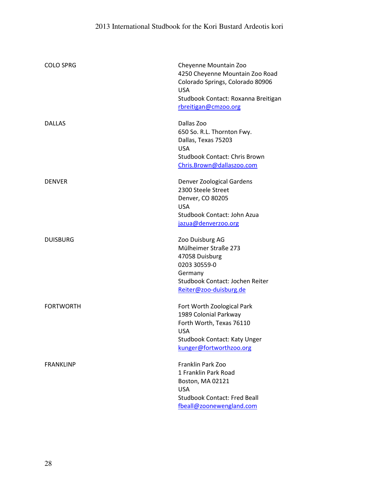| <b>COLO SPRG</b> | Cheyenne Mountain Zoo<br>4250 Cheyenne Mountain Zoo Road<br>Colorado Springs, Colorado 80906<br><b>USA</b><br>Studbook Contact: Roxanna Breitigan<br>rbreitigan@cmzoo.org |
|------------------|---------------------------------------------------------------------------------------------------------------------------------------------------------------------------|
| <b>DALLAS</b>    | Dallas Zoo<br>650 So. R.L. Thornton Fwy.<br>Dallas, Texas 75203<br><b>USA</b><br><b>Studbook Contact: Chris Brown</b><br>Chris.Brown@dallaszoo.com                        |
| <b>DENVER</b>    | Denver Zoological Gardens<br>2300 Steele Street<br>Denver, CO 80205<br><b>USA</b><br>Studbook Contact: John Azua<br>jazua@denverzoo.org                                   |
| <b>DUISBURG</b>  | Zoo Duisburg AG<br>Mülheimer Straße 273<br>47058 Duisburg<br>0203 30559-0<br>Germany<br>Studbook Contact: Jochen Reiter<br>Reiter@zoo-duisburg.de                         |
| <b>FORTWORTH</b> | Fort Worth Zoological Park<br>1989 Colonial Parkway<br>Forth Worth, Texas 76110<br><b>USA</b><br><b>Studbook Contact: Katy Unger</b><br>kunger@fortworthzoo.org           |
| <b>FRANKLINP</b> | Franklin Park Zoo<br>1 Franklin Park Road<br>Boston, MA 02121<br><b>USA</b><br><b>Studbook Contact: Fred Beall</b><br>fbeall@zoonewengland.com                            |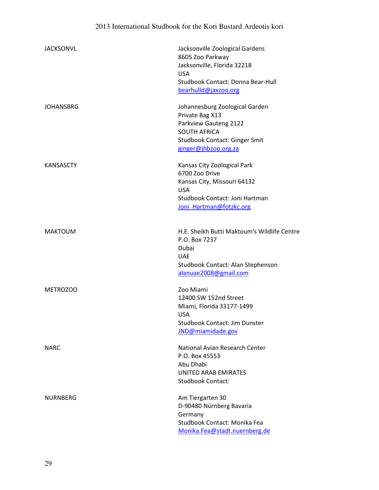| <b>JACKSONVL</b> | Jacksonville Zoological Gardens<br>8605 Zoo Parkway<br>Jacksonville, Florida 32218<br><b>USA</b><br>Studbook Contact: Donna Bear-Hull<br>bearhulld@jaxzoo.org |
|------------------|---------------------------------------------------------------------------------------------------------------------------------------------------------------|
| <b>JOHANSBRG</b> | Johannesburg Zoological Garden<br>Private Bag X13<br>Parkview Gauteng 2122<br><b>SOUTH AFRICA</b><br>Studbook Contact: Ginger Smit<br>ginger@jhbzoo.org.za    |
| <b>KANSASCTY</b> | Kansas City Zoological Park<br>6700 Zoo Drive<br>Kansas City, Missouri 64132<br><b>USA</b><br>Studbook Contact: Joni Hartman<br>Joni Hartman@fotzkc.org       |
| <b>MAKTOUM</b>   | H.E. Sheikh Butti Maktoum's Wildlife Centre<br>P.O. Box 7237<br>Dubai<br><b>UAE</b><br>Studbook Contact: Alan Stephenson<br>alanuae2008@gmail.com             |
| METROZOO         | Zoo Miami<br>12400 SW 152nd Street<br>Miami, Florida 33177-1499<br><b>USA</b><br><b>Studbook Contact: Jim Dunster</b><br>JND@miamidade.gov                    |
| <b>NARC</b>      | National Avian Research Center<br>P.O. Box 45553<br>Abu Dhabi<br><b>UNITED ARAB EMIRATES</b><br><b>Studbook Contact:</b>                                      |
| <b>NURNBERG</b>  | Am Tiergarten 30<br>D-90480 Nürnberg Bavaria<br>Germany<br>Studbook Contact: Monika Fea<br>Monika.Fea@stadt.nuernberg.de                                      |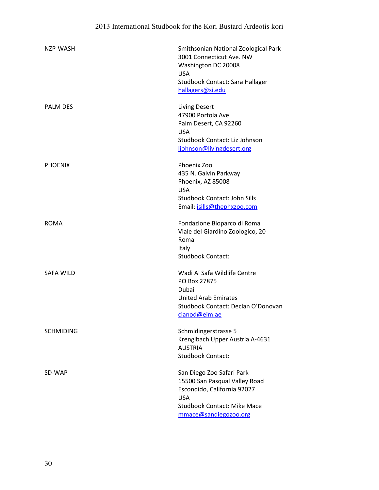| NZP-WASH         | Smithsonian National Zoological Park<br>3001 Connecticut Ave. NW<br>Washington DC 20008<br><b>USA</b><br>Studbook Contact: Sara Hallager<br>hallagers@si.edu           |
|------------------|------------------------------------------------------------------------------------------------------------------------------------------------------------------------|
| <b>PALM DES</b>  | <b>Living Desert</b><br>47900 Portola Ave.<br>Palm Desert, CA 92260<br><b>USA</b><br>Studbook Contact: Liz Johnson<br>ljohnson@livingdesert.org                        |
| <b>PHOENIX</b>   | Phoenix Zoo<br>435 N. Galvin Parkway<br>Phoenix, AZ 85008<br><b>USA</b><br>Studbook Contact: John Sills<br>Email: jsills@thephxzoo.com                                 |
| <b>ROMA</b>      | Fondazione Bioparco di Roma<br>Viale del Giardino Zoologico, 20<br>Roma<br>Italy<br><b>Studbook Contact:</b>                                                           |
| <b>SAFA WILD</b> | Wadi Al Safa Wildlife Centre<br>PO Box 27875<br>Dubai<br><b>United Arab Emirates</b><br>Studbook Contact: Declan O'Donovan<br>cianod@eim.ae                            |
| <b>SCHMIDING</b> | Schmidingerstrasse 5<br>Krenglbach Upper Austria A-4631<br><b>AUSTRIA</b><br><b>Studbook Contact:</b>                                                                  |
| SD-WAP           | San Diego Zoo Safari Park<br>15500 San Pasqual Valley Road<br>Escondido, California 92027<br><b>USA</b><br><b>Studbook Contact: Mike Mace</b><br>mmace@sandiegozoo.org |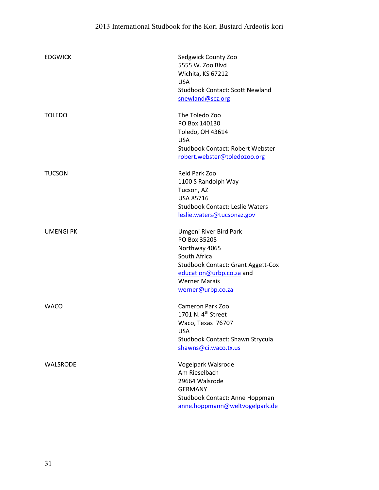| <b>EDGWICK</b>   | Sedgwick County Zoo<br>5555 W. Zoo Blvd<br>Wichita, KS 67212<br><b>USA</b><br><b>Studbook Contact: Scott Newland</b><br>snewland@scz.org                                                      |
|------------------|-----------------------------------------------------------------------------------------------------------------------------------------------------------------------------------------------|
| <b>TOLEDO</b>    | The Toledo Zoo<br>PO Box 140130<br>Toledo, OH 43614<br><b>USA</b><br><b>Studbook Contact: Robert Webster</b><br>robert.webster@toledozoo.org                                                  |
| <b>TUCSON</b>    | Reid Park Zoo<br>1100 S Randolph Way<br>Tucson, AZ<br><b>USA 85716</b><br><b>Studbook Contact: Leslie Waters</b><br>leslie.waters@tucsonaz.gov                                                |
| <b>UMENGI PK</b> | Umgeni River Bird Park<br>PO Box 35205<br>Northway 4065<br>South Africa<br><b>Studbook Contact: Grant Aggett-Cox</b><br>education@urbp.co.za and<br><b>Werner Marais</b><br>werner@urbp.co.za |
| <b>WACO</b>      | <b>Cameron Park Zoo</b><br>1701 N. 4 <sup>th</sup> Street<br>Waco, Texas 76707<br><b>USA</b><br>Studbook Contact: Shawn Strycula<br>shawns@ci.waco.tx.us                                      |
| <b>WALSRODE</b>  | Vogelpark Walsrode<br>Am Rieselbach<br>29664 Walsrode<br><b>GERMANY</b><br>Studbook Contact: Anne Hoppman<br>anne.hoppmann@weltvogelpark.de                                                   |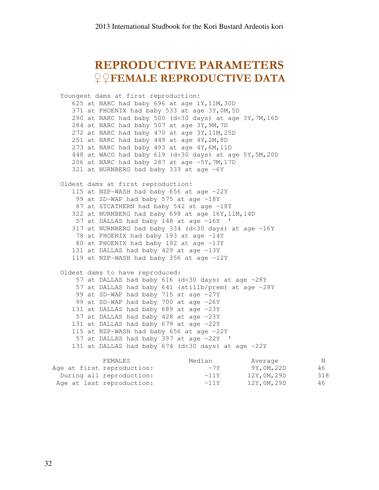# REPRODUCTIVE PARAMETERS ♀♀FEMALE REPRODUCTIVE DATA

 Youngest dams at first reproduction: 625 at NARC had baby 696 at age 1Y,11M,30D 371 at PHOENIX had baby 533 at age 3Y,0M,5D 290 at NARC had baby 500 (d<30 days) at age 3Y,7M,16D 284 at NARC had baby 507 at age 3Y,9M,7D 272 at NARC had baby 470 at age 3Y,11M,25D 251 at NARC had baby 449 at age 4Y,2M,8D 273 at NARC had baby 493 at age 4Y,6M,11D 448 at WACO had baby 619 (d<30 days) at age 5Y,5M,20D 206 at NARC had baby 287 at age ~5Y,7M,17D 321 at NURNBERG had baby 333 at age ~6Y Oldest dams at first reproduction: 115 at NZP-WASH had baby 656 at age ~22Y 99 at SD-WAP had baby 575 at age ~18Y 87 at STCATHERN had baby 542 at age ~18Y 322 at NURNBERG had baby 698 at age 16Y,11M,14D 57 at DALLAS had baby 148 at age ~16Y ' 317 at NURNBERG had baby 334 ( $d$ <30 days) at age ~16Y 78 at PHOENIX had baby 193 at age ~14Y 80 at PHOENIX had baby 192 at age ~13Y 131 at DALLAS had baby 429 at age ~13Y 119 at NZP-WASH had baby 356 at age ~12Y Oldest dams to have reproduced: 57 at DALLAS had baby 616 (d<30 days) at age ~28Y 57 at DALLAS had baby 641 (stillb/prem) at age ~28Y 99 at SD-WAP had baby 715 at age ~27Y 99 at SD-WAP had baby 700 at age ~26Y 131 at DALLAS had baby 689 at age ~23Y 57 at DALLAS had baby 428 at age ~23Y 131 at DALLAS had baby 679 at age ~22Y 115 at NZP-WASH had baby 656 at age ~22Y 57 at DALLAS had baby 397 at age ~22Y ' 131 at DALLAS had baby 674 (d<30 days) at age ~22Y

| FEMALES                    | Median     | Average    | N   |
|----------------------------|------------|------------|-----|
| Age at first reproduction: | $\sim 7Y$  | 9Y,0M,22D  | 46  |
| During all reproduction:   | $\sim$ 11Y | 12Y,0M,29D | 318 |
| Age at last reproduction:  | $\sim$ 11Y | 12Y,0M,29D | 46  |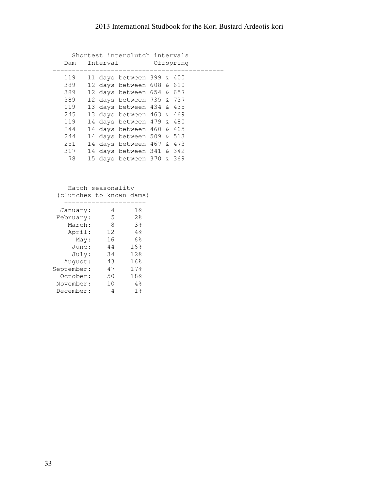| Shortest interclutch intervals |  |  |                               |  |  |                          |
|--------------------------------|--|--|-------------------------------|--|--|--------------------------|
| Dam                            |  |  | Interval Offspring            |  |  |                          |
|                                |  |  |                               |  |  | ------------------------ |
| 119                            |  |  | 11 days between 399 & 400     |  |  |                          |
| 389                            |  |  | 12 days between 608 & 610     |  |  |                          |
| 389                            |  |  | 12 days between $654$ & $657$ |  |  |                          |
| 389                            |  |  | 12 days between 735 & 737     |  |  |                          |
| 119                            |  |  | 13 days between 434 & 435     |  |  |                          |
| 245                            |  |  | 13 days between 463 & 469     |  |  |                          |
| 119                            |  |  | 14 days between 479 & 480     |  |  |                          |
| 244                            |  |  | 14 days between 460 & 465     |  |  |                          |
| 244                            |  |  | 14 days between 509 & 513     |  |  |                          |
| 251                            |  |  | 14 days between 467 & 473     |  |  |                          |
| 317                            |  |  | 14 days between 341 & 342     |  |  |                          |
| 78                             |  |  | 15 days between 370 & 369     |  |  |                          |

 Hatch seasonality (clutches to known dams)

| January:   | 4  | $1\,$        |
|------------|----|--------------|
| February:  | 5  | 2.8          |
| March:     | 8  | 3%           |
| April:     | 12 | 4%           |
| May:       | 16 | 6%           |
| June:      | 44 | 16%          |
| July:      | 34 | 12%          |
| August:    | 43 | 16%          |
| September: | 47 | 17.8         |
| October:   | 50 | 18%          |
| November:  | 10 | 4%           |
| December:  |    | $1\,$ $\ast$ |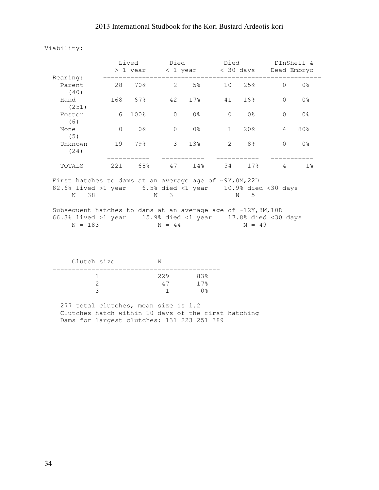#### Viability:

|                                                                                                                                          |          |                | Lived Died<br>> 1 year < 1 year < 30 days Dead Embryo |                |                |                 | Died DInShell & |                |  |
|------------------------------------------------------------------------------------------------------------------------------------------|----------|----------------|-------------------------------------------------------|----------------|----------------|-----------------|-----------------|----------------|--|
| Rearing:<br>Parent                                                                                                                       |          | 28 70% 2 5%    |                                                       |                |                | 10 25%          | $\Omega$        | 0 <sup>8</sup> |  |
| (40)<br>Hand                                                                                                                             |          | 168 67% 42 17% |                                                       |                | 41             | 16%             | $\Omega$        | 0 <sup>°</sup> |  |
| (251)<br>Foster<br>(6)                                                                                                                   | 6        | 100%           | $\Omega$                                              | 0 <sup>8</sup> | $\overline{0}$ | 0 %             | $\bigcap$       | 0 <sup>°</sup> |  |
| None<br>(5)                                                                                                                              | $\Omega$ | 0 <sup>°</sup> | $\circ$                                               | 0 %            | $\mathbf{1}$   | 20%             | 4               | 80%            |  |
| Unknown<br>(24)                                                                                                                          |          | 19 79%         |                                                       | 3 13%          | $2^{\circ}$    | 8 <sup>8</sup>  | $\Omega$        | 0 <sub>8</sub> |  |
| TOTALS                                                                                                                                   |          | 221 68% 47 14% |                                                       |                | 54             | 17 <sup>8</sup> | $\overline{4}$  | $1\%$          |  |
| First hatches to dams at an average age of $\sim 9Y$ , OM, 22D<br>82.6% lived >1 year 6.5% died <1 year 10.9% died <30 days<br>$N = 38$  |          |                | $N = 3$                                               |                |                | $N = 5$         |                 |                |  |
| Subsequent hatches to dams at an average age of ~12Y, 8M, 10D<br>66.3% lived >1 year 15.9% died <1 year 17.8% died <30 days<br>$N = 183$ |          |                | $N = 44$                                              |                |                | $N = 49$        |                 |                |  |
| Clutch size                                                                                                                              |          |                | N                                                     |                |                |                 |                 |                |  |
| $\sim$ 1                                                                                                                                 |          | 229            |                                                       | 83%            |                |                 |                 |                |  |

|                                          | ムムン いいつ    |  |
|------------------------------------------|------------|--|
|                                          | 47 17%     |  |
|                                          | $1 \t 0$ % |  |
| $277 + 64 - 1$ alutabaa maan ajaa ja 1.2 |            |  |

 277 total clutches, mean size is 1.2 Clutches hatch within 10 days of the first hatching Dams for largest clutches: 131 223 251 389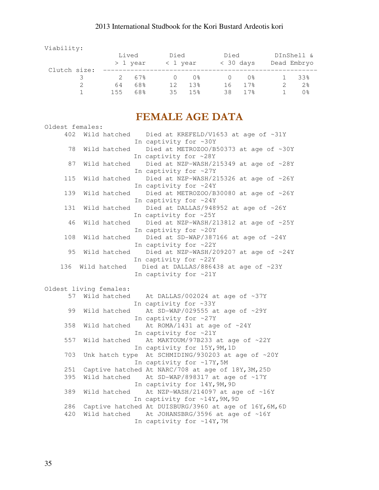Viability:

|              | Lived<br>> 1 year |       | Died<br>< 1 year |                   | Died<br>$<$ 30 days |      | DInShell &<br>Dead Embryo |     |
|--------------|-------------------|-------|------------------|-------------------|---------------------|------|---------------------------|-----|
| Clutch size: |                   |       |                  |                   |                     |      |                           |     |
|              |                   | 2.67% |                  | $()$ $\approx$    |                     | በ%   |                           | 33% |
|              | 64                | 68%   | 12               | 1.3%              | 16                  | 17.8 |                           | 2.8 |
|              | 155               | 68%   | 35               | $15$ <sup>2</sup> | 38                  | 17.8 |                           | 0 % |

# FEMALE AGE DATA

| Oldest females: |                        |                                                               |
|-----------------|------------------------|---------------------------------------------------------------|
|                 |                        | 402 Wild hatched  Died at KREFELD/V1653 at age of ~31Y        |
|                 |                        | In captivity for ~30Y                                         |
| 78              | Wild hatched           | Died at METROZOO/B50373 at age of ~30Y                        |
|                 |                        | In captivity for ~28Y                                         |
| 87              | Wild hatched           | Died at NZP-WASH/215349 at age of ~28Y                        |
|                 |                        | In captivity for ~27Y                                         |
| 115             | Wild hatched           | Died at NZP-WASH/215326 at age of ~26Y                        |
|                 |                        | In captivity for ~24Y                                         |
| 139             | Wild hatched           | Died at METROZOO/B30080 at age of ~26Y                        |
|                 |                        | In captivity for ~24Y                                         |
| 131             | Wild hatched           | Died at DALLAS/948952 at age of ~26Y                          |
|                 |                        | In captivity for ~25Y                                         |
| 46              | Wild hatched           | Died at NZP-WASH/213812 at age of ~25Y                        |
|                 |                        | In captivity for ~20Y                                         |
| 108             | Wild hatched           | Died at SD-WAP/387166 at age of ~24Y                          |
|                 |                        | In captivity for ~22Y                                         |
| 95              | Wild hatched           | Died at NZP-WASH/209207 at age of ~24Y                        |
|                 |                        | In captivity for ~22Y                                         |
| 136             | Wild hatched           | Died at DALLAS/886438 at age of ~23Y                          |
|                 |                        | In captivity for ~21Y                                         |
|                 |                        |                                                               |
|                 | Oldest living females: |                                                               |
|                 | 57 Wild hatched        | At DALLAS/002024 at age of $~37Y$                             |
|                 |                        | In captivity for ~33Y                                         |
| 99              | Wild hatched           | At SD-WAP/029555 at age of ~29Y                               |
|                 |                        | In captivity for ~27Y                                         |
| 358             | Wild hatched           | At ROMA/1431 at age of $~24Y$                                 |
|                 |                        | In captivity for ~21Y                                         |
| 557             |                        |                                                               |
|                 | Wild hatched           | At MAKTOUM/97B233 at age of ~22Y                              |
|                 |                        | In captivity for 15Y, 9M, 1D                                  |
| 703             | Unk hatch type         | At SCHMIDING/930203 at age of ~20Y                            |
|                 |                        | In captivity for ~17Y, 5M                                     |
| 251             |                        | Captive hatched At NARC/708 at age of 18Y, 3M, 25D            |
| 395             | Wild hatched           | At SD-WAP/898317 at age of ~17Y                               |
|                 |                        | In captivity for 14Y, 9M, 9D                                  |
| 389             | Wild hatched           | At NZP-WASH/214097 at age of ~16Y                             |
|                 |                        | In captivity for ~14Y, 9M, 9D                                 |
| 286             |                        | Captive hatched At DUISBURG/3960 at age of 16Y, 6M, 6D        |
| 420             | Wild hatched           | At JOHANSBRG/3596 at age of ~16Y<br>In captivity for ~14Y, 7M |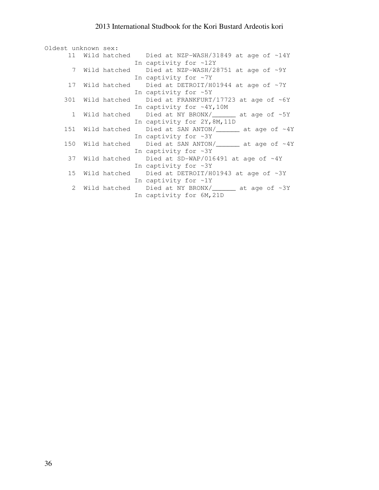| Oldest unknown sex: |  |                                                                       |
|---------------------|--|-----------------------------------------------------------------------|
|                     |  | 11 Wild hatched Died at NZP-WASH/31849 at age of ~14Y                 |
|                     |  | In captivity for $~12Y$                                               |
|                     |  | 7 Wild hatched Died at NZP-WASH/28751 at age of ~9Y                   |
|                     |  | In captivity for $~\sim 7Y$                                           |
|                     |  | 17 Wild hatched Died at DETROIT/H01944 at age of ~7Y                  |
|                     |  | In captivity for ~5Y                                                  |
|                     |  | 301 Wild hatched                Died at FRANKFURT/17723 at age of ~6Y |
|                     |  | In captivity for $~4Y,10M$                                            |
|                     |  | 1 Wild hatched Died at NY BRONX/______ at age of ~5Y                  |
|                     |  | In captivity for 2Y, 8M, 11D                                          |
|                     |  | 151 Wild hatched Died at SAN ANTON/________ at age of ~4Y             |
|                     |  | In captivity for $~2Y$                                                |
|                     |  | 150 Wild hatched Died at SAN ANTON/________ at age of ~4Y             |
|                     |  | In captivity for $~2Y$                                                |
|                     |  | 37 Wild hatched Died at SD-WAP/016491 at age of ~4Y                   |
|                     |  | In captivity for $~2Y$                                                |
|                     |  | 15 Wild hatched Died at DETROIT/H01943 at age of ~3Y                  |
|                     |  | In captivity for $\sim 1Y$                                            |
|                     |  | 2 Wild hatched Died at NY BRONX/_______ at age of ~3Y                 |
|                     |  | In captivity for 6M, 21D                                              |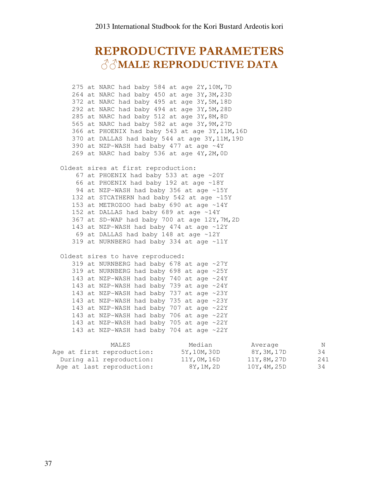# REPRODUCTIVE PARAMETERS ♂♂MALE REPRODUCTIVE DATA

 275 at NARC had baby 584 at age 2Y,10M,7D 264 at NARC had baby 450 at age 3Y,3M,23D 372 at NARC had baby 495 at age 3Y,5M,18D 292 at NARC had baby 494 at age 3Y,5M,28D 285 at NARC had baby 512 at age 3Y,8M,8D 565 at NARC had baby 582 at age 3Y,9M,27D 366 at PHOENIX had baby 543 at age 3Y,11M,16D 370 at DALLAS had baby 544 at age 3Y,11M,19D 390 at NZP-WASH had baby 477 at age ~4Y 269 at NARC had baby 536 at age 4Y,2M,0D

 Oldest sires at first reproduction: 67 at PHOENIX had baby 533 at age ~20Y 66 at PHOENIX had baby 192 at age ~18Y 94 at NZP-WASH had baby 356 at age ~15Y 132 at STCATHERN had baby 542 at age ~15Y 153 at METROZOO had baby 690 at age ~14Y 152 at DALLAS had baby 689 at age ~14Y 367 at SD-WAP had baby 700 at age 12Y,7M,2D 143 at NZP-WASH had baby 474 at age ~12Y 69 at DALLAS had baby 148 at age ~12Y 319 at NURNBERG had baby 334 at age ~11Y

#### Oldest sires to have reproduced:

 319 at NURNBERG had baby 678 at age ~27Y 319 at NURNBERG had baby 698 at age ~25Y 143 at NZP-WASH had baby 740 at age ~24Y 143 at NZP-WASH had baby 739 at age ~24Y 143 at NZP-WASH had baby 737 at age ~23Y 143 at NZP-WASH had baby 735 at age ~23Y 143 at NZP-WASH had baby 707 at age ~22Y 143 at NZP-WASH had baby 706 at age ~22Y 143 at NZP-WASH had baby 705 at age ~22Y 143 at NZP-WASH had baby 704 at age ~22Y

| MALES                      | Median       | Average      | N   |
|----------------------------|--------------|--------------|-----|
| Age at first reproduction: | 5Y, 10M, 30D | 8Y,3M,17D    | 34  |
| During all reproduction:   | 11Y,0M,16D   | 11Y, 8M, 27D | 241 |
| Age at last reproduction:  | 8Y,1M,2D     | 10Y, 4M, 25D | 34  |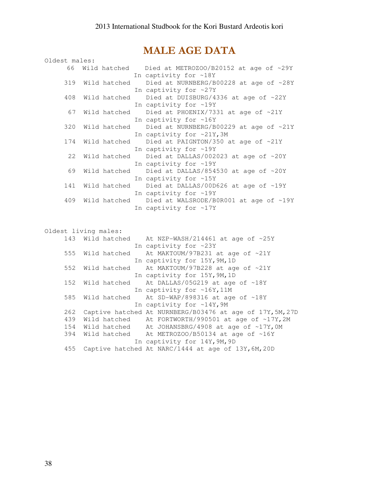## MALE AGE DATA

| Oldest males: |                      |                                                        |
|---------------|----------------------|--------------------------------------------------------|
|               |                      | 66 Wild hatched Died at METROZOO/B20152 at age of ~29Y |
|               |                      | In captivity for ~18Y                                  |
| 319           | Wild hatched         | Died at NURNBERG/B00228 at age of ~28Y                 |
|               |                      | In captivity for ~27Y                                  |
| 408           | Wild hatched         | Died at DUISBURG/4336 at age of ~22Y                   |
|               |                      | In captivity for ~19Y                                  |
| 67            |                      | Wild hatched Died at PHOENIX/7331 at age of ~21Y       |
|               |                      | In captivity for ~16Y                                  |
| 320           | Wild hatched         | Died at NURNBERG/B00229 at age of ~21Y                 |
|               |                      | In captivity for ~21Y, 3M                              |
| 174           | Wild hatched         | Died at PAIGNTON/350 at age of ~21Y                    |
|               |                      | In captivity for ~19Y                                  |
| 22            |                      | Wild hatched Died at DALLAS/002023 at age of ~20Y      |
|               |                      | In captivity for ~19Y                                  |
| 69            | Wild hatched         | Died at DALLAS/854530 at age of ~20Y                   |
|               |                      | In captivity for ~15Y                                  |
| 141           | Wild hatched         | Died at DALLAS/00D626 at age of ~19Y                   |
|               |                      | In captivity for ~19Y                                  |
| 409           |                      | Wild hatched Died at WALSRODE/B0R001 at age of ~19Y    |
|               |                      | In captivity for ~17Y                                  |
|               |                      |                                                        |
|               |                      |                                                        |
|               | Oldest living males: |                                                        |
|               |                      | 143 Wild hatched At NZP-WASH/214461 at age of ~25Y     |
|               |                      | In captivity for ~23Y                                  |
| 555           | Wild hatched         | At MAKTOUM/97B231 at age of ~21Y                       |
|               |                      | In captivity for 15Y, 9M, 1D                           |

552 Wild hatched At MAKTOUM/97B228 at age of ~21Y

152 Wild hatched At DALLAS/05G219 at age of ~18Y

585 Wild hatched At SD-WAP/898316 at age of ~18Y

 439 Wild hatched At FORTWORTH/990501 at age of ~17Y,2M 154 Wild hatched At JOHANSBRG/4908 at age of ~17Y,0M 394 Wild hatched At METROZOO/B50134 at age of ~16Y

455 Captive hatched At NARC/1444 at age of 13Y,6M,20D

In captivity for 15Y,9M,1D

In captivity for ~16Y, 11M

In captivity for ~14Y, 9M 262 Captive hatched At NURNBERG/B03476 at age of 17Y,5M,27D

In captivity for 14Y,9M,9D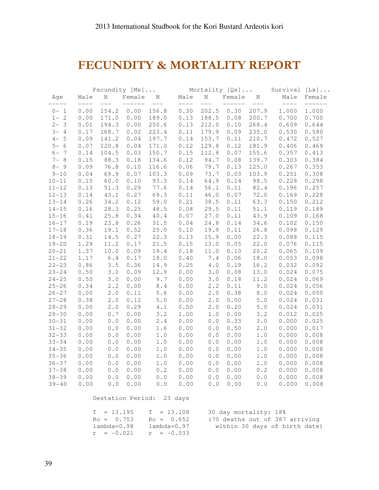# FECUNDITY & MORTALITY REPORT

|           |               | Fecundity [Mx]                                      |                             |                                                     |      |                                                                                                                                                                                                                                                                                                                                                                                                                                                                          |      |                              | Mortality [Qx] Survival [Lx] |                    |
|-----------|---------------|-----------------------------------------------------|-----------------------------|-----------------------------------------------------|------|--------------------------------------------------------------------------------------------------------------------------------------------------------------------------------------------------------------------------------------------------------------------------------------------------------------------------------------------------------------------------------------------------------------------------------------------------------------------------|------|------------------------------|------------------------------|--------------------|
| Age       | Male<br>$---$ | N<br>$---$                                          | Female N<br>_______________ |                                                     | Male | N<br>$\begin{tabular}{lllllllllll} \multicolumn{2}{c}{\multicolumn{2}{c}{\multicolumn{2}{c}{\multicolumn{2}{c}{\multicolumn{2}{c}{\multicolumn{2}{c}{\multicolumn{2}{c}{\multicolumn{2}{c}{\multicolumn{2}{c}{\multicolumn{2}{c}{\multicolumn{2}{c}{\textbf{1}}}}}}}}& \multicolumn{2}{c}{\multicolumn{2}{c}{\multicolumn{2}{c}{\textbf{2}}\end{tabular}}& \multicolumn{2}{c}{\multicolumn{2}{c}{\textbf{3}}\end{tabular}}& \multicolumn{2}{c}{\textbf{4}}\end{tabular}$ |      | Female N<br>________________ | Male<br>$--- -$              | Female<br>$------$ |
| $0 - 1$   | 0.00          |                                                     | 154.2 0.00 156.8            |                                                     |      | 0.30 202.5 0.30 207.9                                                                                                                                                                                                                                                                                                                                                                                                                                                    |      |                              | 1.000                        | 1.000              |
| $1 - 2$   | 0.00          | 171.0                                               | 0.00                        | 189.0                                               | 0.13 | 188.5                                                                                                                                                                                                                                                                                                                                                                                                                                                                    | 0.08 | 200.7                        | 0.700                        | 0.700              |
| $2 - 3$   | 0.01          | 194.3                                               | 0.00                        | 250.6                                               | 0.13 | 212.0                                                                                                                                                                                                                                                                                                                                                                                                                                                                    |      | 0.10 268.4                   | 0.609                        | 0.644              |
| $3 - 4$   | 0.17          | 168.7                                               | 0.02                        | 223.4                                               | 0.11 | 179.9                                                                                                                                                                                                                                                                                                                                                                                                                                                                    | 0.09 | 235.0                        | 0.530                        | 0.580              |
| $4 - 5$   | 0.09          | 141.2                                               | 0.04                        | 197.7                                               | 0.14 | 153.7                                                                                                                                                                                                                                                                                                                                                                                                                                                                    |      | $0.11$ 210.7                 | 0.472                        | 0.527              |
| $5 - 6$   | 0.07          | 120.8                                               | 0.04                        | 171.0                                               | 0.12 | 129.8                                                                                                                                                                                                                                                                                                                                                                                                                                                                    | 0.12 | 181.9                        | 0.406                        | 0.469              |
| $6 - 7$   | 0.14          | 104.5                                               | 0.03                        | 150.7                                               | 0.15 | 112.8                                                                                                                                                                                                                                                                                                                                                                                                                                                                    | 0.07 | 155.6                        | 0.357                        | 0.413              |
| $7 - 8$   | 0.15          | 88.3                                                | 0.18                        | 134.6                                               | 0.12 | 94.7                                                                                                                                                                                                                                                                                                                                                                                                                                                                     | 0.08 | 139.7                        | 0.303                        | 0.384              |
| $8 - 9$   | 0.09          | 76.8                                                | 0.10                        | 116.6                                               | 0.06 | 79.7                                                                                                                                                                                                                                                                                                                                                                                                                                                                     |      | $0.13$ 125.0                 | 0.267                        | 0.353              |
| $9 - 10$  | 0.04          | 69.9                                                | 0.07                        | 103.3                                               | 0.09 | 73.7                                                                                                                                                                                                                                                                                                                                                                                                                                                                     | 0.03 | 103.9                        | 0.251                        | 0.308              |
| $10 - 11$ | 0.15          | 60.0                                                | 0.10                        | 93.3                                                | 0.14 | 64.9                                                                                                                                                                                                                                                                                                                                                                                                                                                                     | 0.14 | 98.5                         | 0.228                        | 0.298              |
| $11 - 12$ | 0.13          | 51.3                                                | 0.29                        | 77.6                                                | 0.14 | 56.1                                                                                                                                                                                                                                                                                                                                                                                                                                                                     | 0.11 | 82.4                         | 0.196                        | 0.257              |
| $12 - 13$ | 0.14          | 43.1                                                | 0.27                        | 69.3                                                | 0.11 | 46.0                                                                                                                                                                                                                                                                                                                                                                                                                                                                     | 0.07 | 72.0                         | 0.169                        | 0.228              |
| $13 - 14$ | 0.26          | 34.2                                                | 0.12                        | 59.0                                                | 0.21 | 38.5                                                                                                                                                                                                                                                                                                                                                                                                                                                                     | 0.11 | 63.3                         | 0.150                        | 0.212              |
| $14 - 15$ | 0.16          | 28.3                                                | 0.25                        | 48.5                                                | 0.08 | 29.5                                                                                                                                                                                                                                                                                                                                                                                                                                                                     | 0.11 | 51.1                         | 0.119                        | 0.189              |
| $15 - 16$ | 0.41          | 25.8                                                | 0.34                        | 40.4                                                | 0.07 | 27.0                                                                                                                                                                                                                                                                                                                                                                                                                                                                     | 0.11 | 43.9                         | 0.109                        | 0.168              |
| $16 - 17$ | 0.19          | 23.8                                                | 0.26                        | 31.5                                                | 0.04 | 24.8                                                                                                                                                                                                                                                                                                                                                                                                                                                                     | 0.14 | 34.6                         | 0.102                        | 0.150              |
| $17 - 18$ | 0.36          | 19.1                                                | 0.52                        | 25.0                                                | 0.10 | 19.9                                                                                                                                                                                                                                                                                                                                                                                                                                                                     | 0.11 | 26.8                         | 0.098                        | 0.129              |
| $18 - 19$ | 0.31          | 14.5                                                | 0.27                        | 22.3                                                | 0.13 | 15.9                                                                                                                                                                                                                                                                                                                                                                                                                                                                     | 0.00 | 22.3                         | 0.088                        | 0.115              |
| $19 - 20$ | 1.29          | 11.2                                                | 0.17                        | 21.5                                                | 0.15 | 13.0                                                                                                                                                                                                                                                                                                                                                                                                                                                                     | 0.05 | 22.0                         | 0.076                        | 0.115              |
| $20 - 21$ | 1.37          | 10.0                                                | 0.09                        | 19.4                                                | 0.18 | 11.0                                                                                                                                                                                                                                                                                                                                                                                                                                                                     | 0.10 | 20.2                         | 0.065                        | 0.109              |
| $21 - 22$ | 1.17          | $6.4$                                               | 0.17                        | 18.0                                                | 0.40 | 7.4                                                                                                                                                                                                                                                                                                                                                                                                                                                                      | 0.06 | 18.0                         | 0.053                        | 0.098              |
| $22 - 23$ | 0.86          | 3.5                                                 | 0.36                        | 14.9                                                | 0.25 | $4 \cdot 0$                                                                                                                                                                                                                                                                                                                                                                                                                                                              | 0.19 | 16.2                         | 0.032                        | 0.092              |
| $23 - 24$ | 0.50          | 3.0                                                 | 0.09                        | 12.9                                                | 0.00 | 3.0                                                                                                                                                                                                                                                                                                                                                                                                                                                                      | 0.08 | 13.0                         | 0.024                        | 0.075              |
| $24 - 25$ | 0.50          | 3.0                                                 | 0.00                        | 9.7                                                 | 0.00 | 3.0                                                                                                                                                                                                                                                                                                                                                                                                                                                                      | 0.18 | 11.2                         | 0.024                        | 0.069              |
| $25 - 26$ | 0.34          | 2.2                                                 | 0.00                        | 8.4                                                 | 0.00 | 2.2                                                                                                                                                                                                                                                                                                                                                                                                                                                                      | 0.11 | 9.0                          | 0.024                        | 0.056              |
| $26 - 27$ | 0.00          | 2.0                                                 | 0.11                        | 5.6                                                 | 0.00 | 2.0                                                                                                                                                                                                                                                                                                                                                                                                                                                                      | 0.38 | $8 \cdot 0$                  | 0.024                        | 0.050              |
| $27 - 28$ | 0.38          | 2.0                                                 | 0.12                        | $5.0$                                               | 0.00 | 2.0                                                                                                                                                                                                                                                                                                                                                                                                                                                                      | 0.00 | $5.0$                        | 0.024                        | 0.031              |
| $28 - 29$ | 0.00          | 2.0                                                 | 0.29                        | 4.1                                                 | 0.50 | 2.0                                                                                                                                                                                                                                                                                                                                                                                                                                                                      | 0.20 | $5.0$                        | 0.024                        | 0.031              |
| $29 - 30$ | 0.00          | $0.7$                                               | 0.00                        | 3.2                                                 | 1.00 | $1\,.$ $0\,$                                                                                                                                                                                                                                                                                                                                                                                                                                                             | 0.00 | 3.2                          | 0.012                        | 0.025              |
| $30 - 31$ | 0.00          | $\ensuremath{\mathbf 0}$ . $\ensuremath{\mathbf 0}$ | 0.00                        | 2.4                                                 | 0.00 | $0.0$                                                                                                                                                                                                                                                                                                                                                                                                                                                                    | 0.33 | 3.0                          | 0.000                        | 0.025              |
| $31 - 32$ | 0.00          | $0.0$                                               | 0.00                        | 1.6                                                 | 0.00 | $\ensuremath{\mathbf 0}$ . $\ensuremath{\mathbf 0}$                                                                                                                                                                                                                                                                                                                                                                                                                      | 0.50 | 2.0                          | 0.000                        | 0.017              |
| $32 - 33$ | 0.00          | $\ensuremath{\mathbf 0}$ . $\ensuremath{\mathbf 0}$ | 0.00                        | $1.0$                                               | 0.00 | $\ensuremath{\mathbf 0}$ . $\ensuremath{\mathbf 0}$                                                                                                                                                                                                                                                                                                                                                                                                                      | 0.00 | 1.0                          | 0.000                        | 0.008              |
| $33 - 34$ | 0.00          | $0.0$                                               | 0.00                        | $1.0$                                               | 0.00 | $0.0$                                                                                                                                                                                                                                                                                                                                                                                                                                                                    | 0.00 | $1.0$                        | 0.000                        | 0.008              |
| $34 - 35$ | 0.00          | $0.0$                                               | 0.00                        | $1.0$                                               | 0.00 | 0.0                                                                                                                                                                                                                                                                                                                                                                                                                                                                      | 0.00 | 1.0                          | 0.000                        | 0.008              |
| $35 - 36$ | 0.00          | $0.0$                                               | 0.00                        | $1.0$                                               | 0.00 | $\ensuremath{\mathbf 0}$ . $\ensuremath{\mathbf 0}$                                                                                                                                                                                                                                                                                                                                                                                                                      | 0.00 | $1.0\,$                      | 0.000                        | 0.008              |
| $36 - 37$ | 0.00          | $0.0$                                               | 0.00                        | $1.0$                                               | 0.00 | 0.0                                                                                                                                                                                                                                                                                                                                                                                                                                                                      | 0.00 | 1.0                          | 0.000                        | 0.008              |
| $37 - 38$ | 0.00          | $\ensuremath{\mathbf 0}$ . $\ensuremath{\mathbf 0}$ | 0.00                        | 0.2                                                 | 0.00 | $\ensuremath{\mathbf 0}$ . $\ensuremath{\mathbf 0}$                                                                                                                                                                                                                                                                                                                                                                                                                      | 0.00 | 0.2                          | 0.000                        | 0.008              |
| $38 - 39$ | 0.00          | 0.0                                                 | 0.00                        | 0.0                                                 | 0.00 | 0.0                                                                                                                                                                                                                                                                                                                                                                                                                                                                      | 0.00 | 0.0                          | 0.000                        | 0.008              |
| $39 - 40$ | 0.00          | $\ensuremath{\mathbf 0}$ . $\ensuremath{\mathbf 0}$ | 0.00                        | $\ensuremath{\mathbf 0}$ . $\ensuremath{\mathbf 0}$ | 0.00 | 0.0                                                                                                                                                                                                                                                                                                                                                                                                                                                                      | 0.00 | $0.0$                        | 0.000                        | 0.008              |

Gestation Period: 23 days

| $Ro = 0.753$                               | $T = 13.195$ $T = 13.108$<br>$Ro = 0.652$ | 30 day mortality: 18%<br>(70 deaths out of 387 arriving |
|--------------------------------------------|-------------------------------------------|---------------------------------------------------------|
| $lambda=0.98$<br>$r = -0.021$ $r = -0.033$ | lambda=0.97                               | within 30 days of birth date)                           |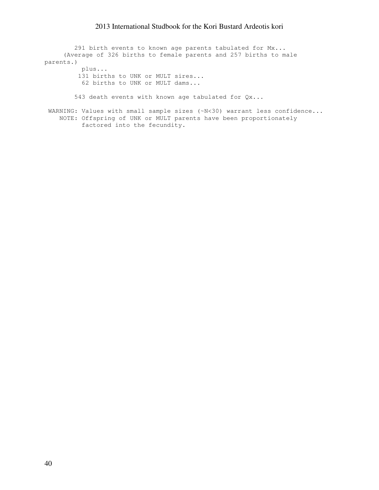291 birth events to known age parents tabulated for Mx... (Average of 326 births to female parents and 257 births to male parents.) plus... 131 births to UNK or MULT sires... 62 births to UNK or MULT dams...

543 death events with known age tabulated for Qx...

WARNING: Values with small sample sizes (~N<30) warrant less confidence... NOTE: Offspring of UNK or MULT parents have been proportionately factored into the fecundity.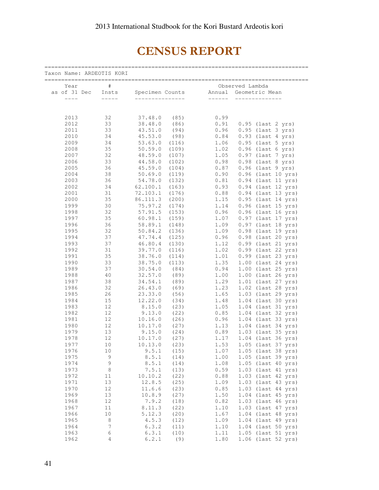# CENSUS REPORT

| Taxon Name: ARDEOTIS KORI<br>================ |                  |                 |       |        |                    |  |  |  |  |  |  |
|-----------------------------------------------|------------------|-----------------|-------|--------|--------------------|--|--|--|--|--|--|
| Year                                          | $\#$             |                 |       |        | Observed Lambda    |  |  |  |  |  |  |
| as of 31 Dec                                  | Insts            | Specimen Counts |       | Annual | Geometric Mean     |  |  |  |  |  |  |
| ----                                          |                  |                 |       |        |                    |  |  |  |  |  |  |
|                                               |                  |                 |       |        |                    |  |  |  |  |  |  |
| 2013                                          | 32               | 37.48.0         | (85)  | 0.99   |                    |  |  |  |  |  |  |
| 2012                                          | 33               | 38.48.0         | (86)  | 0.91   | 0.95 (last 2 yrs)  |  |  |  |  |  |  |
| 2011                                          | 33               | 43.51.0         | (94)  | 0.96   | 0.95 (last 3 yrs)  |  |  |  |  |  |  |
| 2010                                          | 34               | 45.53.0         | (98)  | 0.84   | 0.93 (last 4 yrs)  |  |  |  |  |  |  |
| 2009                                          | 34               | 53.63.0         | (116) | 1.06   | 0.95 (last 5 yrs)  |  |  |  |  |  |  |
| 2008                                          | 35               | 50.59.0         | (109) | 1.02   | 0.96 (last 6 yrs)  |  |  |  |  |  |  |
| 2007                                          | 32               | 48.59.0         | (107) | 1.05   | 0.97 (last 7 yrs)  |  |  |  |  |  |  |
| 2006                                          | 33               | 44.58.0         | (102) | 0.98   | 0.98 (last 8 yrs)  |  |  |  |  |  |  |
| 2005                                          | 36               | 45.59.0         | (104) | 0.87   | 0.96 (last 9 yrs)  |  |  |  |  |  |  |
| 2004                                          | 38               | 50.69.0         | (119) | 0.90   | 0.96 (last 10 yrs) |  |  |  |  |  |  |
| 2003                                          | 36               | 54.78.0         | (132) | 0.81   | 0.94 (last 11 yrs) |  |  |  |  |  |  |
| 2002                                          | 34               | 62.100.1        | (163) | 0.93   | 0.94 (last 12 yrs) |  |  |  |  |  |  |
| 2001                                          | 31               | 72.103.1        | (176) | 0.88   | 0.94 (last 13 yrs) |  |  |  |  |  |  |
| 2000                                          | 35               | 86.111.3        | (200) | 1.15   | 0.95 (last 14 yrs) |  |  |  |  |  |  |
| 1999                                          | 30               | 75.97.2         | (174) | 1.14   | 0.96 (last 15 yrs) |  |  |  |  |  |  |
| 1998                                          | 32               | 57.91.5         | (153) | 0.96   | 0.96 (last 16 yrs) |  |  |  |  |  |  |
| 1997                                          | 35               | 60.98.1         | (159) | 1.07   | 0.97 (last 17 yrs) |  |  |  |  |  |  |
| 1996                                          | 36               | 58.89.1         | (148) | 1.09   | 0.97 (last 18 yrs) |  |  |  |  |  |  |
| 1995                                          | 32               | 50.84.2         | (136) | 1.09   | 0.98 (last 19 yrs) |  |  |  |  |  |  |
| 1994                                          | 37               | 47.74.4         | (125) | 0.96   | 0.98 (last 20 yrs) |  |  |  |  |  |  |
| 1993                                          | 37               | 46.80.4         | (130) | 1.12   | 0.99 (last 21 yrs) |  |  |  |  |  |  |
| 1992                                          | 31               | 39.77.0         | (116) | 1.02   | 0.99 (last 22 yrs) |  |  |  |  |  |  |
| 1991                                          | 35               | 38.76.0         | (114) | 1.01   | 0.99 (last 23 yrs) |  |  |  |  |  |  |
| 1990                                          | 33               | 38.75.0         | (113) | 1.35   | 1.00 (last 24 yrs) |  |  |  |  |  |  |
| 1989                                          | 37               | 30.54.0         | (84)  | 0.94   | 1.00 (last 25 yrs) |  |  |  |  |  |  |
| 1988                                          | 40               | 32.57.0         | (89)  | 1.00   | 1.00 (last 26 yrs) |  |  |  |  |  |  |
| 1987                                          | 38               | 34.54.1         | (89)  | 1.29   | 1.01 (last 27 yrs) |  |  |  |  |  |  |
| 1986                                          | 32               | 26.43.0         | (69)  | 1.23   | 1.02 (last 28 yrs) |  |  |  |  |  |  |
| 1985                                          | 26               | 23.33.0         | (56)  | 1.65   | 1.03 (last 29 yrs) |  |  |  |  |  |  |
| 1984                                          | 15               | 12.22.0         | (34)  | 1.48   | 1.04 (last 30 yrs) |  |  |  |  |  |  |
| 1983                                          | 12               | 8.15.0          | (23)  | 1.05   | 1.04 (last 31 yrs) |  |  |  |  |  |  |
| 1982                                          | 12               | 9.13.0          | (22)  | 0.85   | 1.04 (last 32 yrs) |  |  |  |  |  |  |
| 1981                                          | 12               | 10.16.0         | (26)  | 0.96   | 1.04 (last 33 yrs) |  |  |  |  |  |  |
| 1980                                          | 12               | 10.17.0         | (27)  | 1.13   | 1.04 (last 34 yrs) |  |  |  |  |  |  |
| 1979                                          | 13               | 9.15.0          | (24)  | 0.89   | 1.03 (last 35 yrs) |  |  |  |  |  |  |
| 1978                                          | 12               | 10.17.0         | (27)  | 1.17   | 1.04 (last 36 yrs) |  |  |  |  |  |  |
| 1977                                          | 10               | 10.13.0         | (23)  | 1.53   | 1.05 (last 37 yrs) |  |  |  |  |  |  |
| 1976                                          | 10               | 9.5.1           | (15)  | 1.07   | 1.05 (last 38 yrs) |  |  |  |  |  |  |
| 1975                                          | 9                | 8.5.1           | (14)  | 1.00   | 1.05 (last 39 yrs) |  |  |  |  |  |  |
| 1974                                          | 9                | 8.5.1           | (14)  | 1.08   | 1.05 (last 40 yrs) |  |  |  |  |  |  |
| 1973                                          | 8                | 7.5.1           | (13)  | 0.59   | 1.03 (last 41 yrs) |  |  |  |  |  |  |
| 1972                                          | 11               | 10.10.2         | (22)  | 0.88   | 1.03 (last 42 yrs) |  |  |  |  |  |  |
| 1971                                          | 13               | 12.8.5          | (25)  | 1.09   | 1.03 (last 43 yrs) |  |  |  |  |  |  |
| 1970                                          | 12               | 11.6.6          | (23)  | 0.85   | 1.03 (last 44 yrs) |  |  |  |  |  |  |
| 1969                                          | 13               | 10.8.9          | (27)  | 1.50   | 1.04 (last 45 yrs) |  |  |  |  |  |  |
| 1968                                          | 12               | 7.9.2           | (18)  | 0.82   | 1.03 (last 46 yrs) |  |  |  |  |  |  |
| 1967                                          | 11               | 8.11.3          | (22)  | 1.10   | 1.03 (last 47 yrs) |  |  |  |  |  |  |
| 1966                                          | 10               | 5.12.3          | (20)  | 1.67   | 1.04 (last 48 yrs) |  |  |  |  |  |  |
| 1965                                          | 8                | 4.5.3           | (12)  | 1.09   | 1.04 (last 49 yrs) |  |  |  |  |  |  |
| 1964                                          | $\boldsymbol{7}$ | 6.3.2           | (11)  | 1.10   | 1.04 (last 50 yrs) |  |  |  |  |  |  |
| 1963                                          | 6                | 6.3.1           | (10)  | 1.11   | 1.05 (last 51 yrs) |  |  |  |  |  |  |
| 1962                                          | $\overline{4}$   | 6.2.1           | (9)   | 1.80   | 1.06 (last 52 yrs) |  |  |  |  |  |  |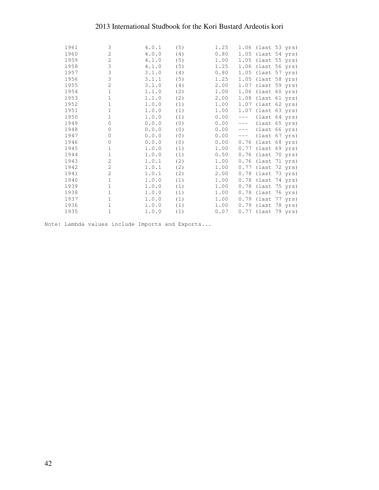| 1961 | 3              | 4.0.1 | (5) | 1.25 |       | 1.06 (last 53 yrs)   |  |
|------|----------------|-------|-----|------|-------|----------------------|--|
| 1960 | 2              | 4.0.0 | (4) | 0.80 |       | 1.05 (last 54 yrs)   |  |
| 1959 | $\overline{c}$ | 4.1.0 | (5) | 1.00 |       | 1.05 (last 55 yrs)   |  |
| 1958 | 3              | 4.1.0 | (5) | 1.25 |       | 1.06 (last 56 yrs)   |  |
| 1957 | 3              | 3.1.0 | (4) | 0.80 |       | 1.05 (last 57 yrs)   |  |
| 1956 | 3              | 3.1.1 | (5) | 1.25 |       | 1.05 (last 58 yrs)   |  |
| 1955 | 2              | 3.1.0 | (4) | 2.00 |       | 1.07 (last 59 yrs)   |  |
| 1954 | $\mathbf{1}$   | 1.1.0 | (2) | 1.00 |       | 1.06 (last 60 yrs)   |  |
| 1953 | 1              | 1.1.0 | (2) | 2.00 |       | 1.08 (last 61 yrs)   |  |
| 1952 | $\mathbf{1}$   | 1.0.0 | (1) | 1.00 |       | 1.07 (last 62 yrs)   |  |
| 1951 | 1              | 1.0.0 | (1) | 1.00 |       | 1.07 (last 63 yrs)   |  |
| 1950 | 1              | 1.0.0 | (1) | 0.00 | $---$ | (last 64 yrs)        |  |
| 1949 | $\circ$        | 0.0.0 | (0) | 0.00 | $---$ | $ulast 65 yrs)$      |  |
| 1948 | $\circ$        | 0.0.0 | (0) | 0.00 |       | $u$ ast 66 yrs)      |  |
| 1947 | $\circ$        | 0.0.0 | (0) | 0.00 | $---$ | $ulast 67 yrs)$      |  |
| 1946 | 0              | 0.0.0 | (0) | 0.00 | 0.76  | (last 68 yrs)        |  |
| 1945 | 1              | 1.0.0 | (1) | 1.00 |       | $0.77$ (last 69 yrs) |  |
| 1944 | 1              | 1.0.0 | (1) | 0.50 |       | $0.76$ (last 70 yrs) |  |
| 1943 | 2              | 1.0.1 | (2) | 1.00 | 0.76  | (last 71 yrs)        |  |
| 1942 | 2              | 1.0.1 | (2) | 1.00 |       | 0.77 (last 72 yrs)   |  |
| 1941 | 2              | 1.0.1 | (2) | 2.00 |       | 0.78 (last 73 yrs)   |  |
| 1940 | 1              | 1.0.0 | (1) | 1.00 |       | $0.78$ (last 74 yrs) |  |
| 1939 | $\mathbf{1}$   | 1.0.0 | (1) | 1.00 |       | $0.78$ (last 75 yrs) |  |
| 1938 | 1              | 1.0.0 | (1) | 1.00 |       | 0.78 (last 76 yrs)   |  |
| 1937 | $\mathbf{1}$   | 1.0.0 | (1) | 1.00 |       | 0.79 (last 77 yrs)   |  |
| 1936 | 1              | 1.0.0 | (1) | 1.00 |       | 0.79 (last 78 yrs)   |  |
| 1935 | $\mathbf{1}$   | 1.0.0 | (1) | 0.07 |       | 0.77 (last 79 yrs)   |  |
|      |                |       |     |      |       |                      |  |

Note: Lambda values include Imports and Exports...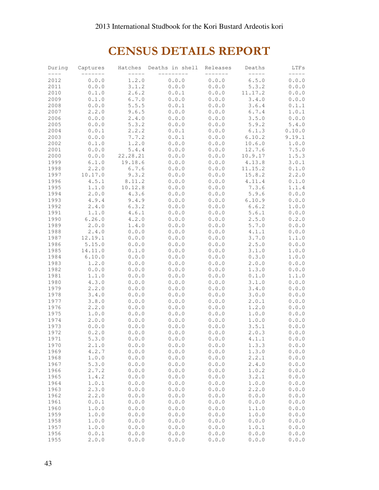# CENSUS DETAILS REPORT

| During | Captures | Hatches  | Deaths in shell | Releases | Deaths  | LTFs           |
|--------|----------|----------|-----------------|----------|---------|----------------|
| 2012   | 0.0.0    | 1.2.0    | 0.0.0           | 0.0.0    | 6.5.0   | 0.0.0          |
| 2011   | 0.0.0    | 3.1.2    | 0.0.0           | 0.0.0    | 5.3.2   | 0.0.0          |
| 2010   | 0.1.0    | 2.6.2    | 0.0.1           | 0.0.0    | 11.17.2 | 0.0.0          |
| 2009   | 0.1.0    | 6.7.0    | 0.0.0           | 0.0.0    | 3.4.0   | 0.0.0          |
| 2008   | 0.0.0    | 5.5.5    | 0.0.1           | 0.0.0    | 3.6.4   | 0.1.1          |
| 2007   | 2.2.0    | 9.6.5    | 0.0.0           | 0.0.0    | 6.7.4   | 1.0.1          |
| 2006   | 0.0.0    | 2.4.0    | 0.0.0           | 0.0.0    | 3.5.0   | 0.0.0          |
| 2005   | 0.0.0    | 5.3.2    | 0.0.0           | 0.0.0    | 5.9.2   | 5.4.0          |
| 2004   | 0.0.1    | 2.2.2    | 0.0.1           | 0.0.0    | 6.1.3   | 0.10.0         |
| 2003   | 0.0.0    | 7.7.2    | 0.0.1           | 0.0.0    | 6.10.2  | 9.19.1         |
| 2002   | 0.1.0    | 1.2.0    | 0.0.0           | 0.0.0    | 10.6.0  | 1.0.0          |
| 2001   | 0.0.0    | 5.4.4    | 0.0.0           | 0.0.0    | 12.7.6  | 7.5.0          |
| 2000   | 0.0.0    | 22.28.21 | 0.0.0           | 0.0.0    | 10.9.17 | 1.5.3          |
| 1999   | 6.1.0    | 19.18.6  | 0.0.0           | 0.0.0    | 4.13.8  | 3.0.1          |
| 1998   | 2.2.0    | 6.7.6    | 0.0.0           | 0.0.0    | 11.15.2 | 0.1.0          |
| 1997   | 10.17.0  | 9.3.2    | 0.0.0           | 0.0.0    | 15.8.2  | 2.2.0          |
| 1996   | 4.5.1    | 8.11.2   | 0.0.0           | 0.0.0    | 4.11.4  | 0.1.0          |
| 1995   | 1.1.0    | 10.12.8  | 0.0.0           | 0.0.0    | 7.3.6   | 1.1.4          |
| 1994   | 2.0.0    | 4.3.6    | 0.0.0           | 0.0.0    | 5.9.6   | 0.0.0          |
| 1993   | 4.9.4    | 9.4.9    | 0.0.0           | 0.0.0    | 6.10.9  | 0.0.0          |
| 1992   | 2.4.0    | 6.3.2    | 0.0.0           | 0.0.0    | 6.6.2   |                |
| 1991   | 1.1.0    | 4.6.1    |                 | 0.0.0    | 5.6.1   | 1.0.0          |
| 1990   | 6.26.0   | 4.2.0    | 0.0.0<br>0.0.0  | 0.0.0    | 2.5.0   | 0.0.0<br>0.2.0 |
| 1989   | 2.0.0    | 1.4.0    | 0.0.0           | 0.0.0    | 5.7.0   | 0.0.0          |
| 1988   | 2.4.0    | 0.0.0    | 0.0.0           | 0.0.0    | 4.1.1   | 0.0.0          |
| 1987   | 12.19.1  | 0.0.0    | 0.0.0           | 0.0.0    | 3.7.0   | 1.1.0          |
| 1986   | 5.15.0   | 0.0.0    | 0.0.0           | 0.0.0    | 2.5.0   | 0.0.0          |
| 1985   | 14.11.0  | 0.1.0    | 0.0.0           | 0.0.0    | 3.1.0   | 1.0.0          |
| 1984   | 6.10.0   | 0.0.0    | 0.0.0           | 0.0.0    | 0.3.0   | 1.0.0          |
| 1983   | 1.2.0    | 0.0.0    | 0.0.0           | 0.0.0    | 2.0.0   | 0.0.0          |
| 1982   | 0.0.0    | 0.0.0    | 0.0.0           | 0.0.0    | 1.3.0   | 0.0.0          |
| 1981   | 1.1.0    | 0.0.0    | 0.0.0           | 0.0.0    | 0.1.0   | 1.1.0          |
| 1980   | 4.3.0    | 0.0.0    | 0.0.0           | 0.0.0    | 3.1.0   | 0.0.0          |
| 1979   | 2.2.0    | 0.0.0    | 0.0.0           | 0.0.0    | 3.4.0   | 0.0.0          |
| 1978   | 3.4.0    | 0.0.0    | 0.0.0           | 0.0.0    | 3.0.0   | 0.0.0          |
| 1977   | 3.8.0    | 0.0.0    | 0.0.0           | 0.0.0    | 2.0.1   | 0.0.0          |
| 1976   | 2.2.0    | 0.0.0    | 0.0.0           | 0.0.0    | 1.2.0   | 0.0.0          |
| 1975   | 1.0.0    | 0.0.0    | 0.0.0           | 0.0.0    | 1.0.0   | 0.0.0          |
| 1974   | 2.0.0    | 0.0.0    | 0.0.0           | 0.0.0    | 1.0.0   | 0.0.0          |
| 1973   | 0.0.0    | 0.0.0    | 0.0.0           | 0.0.0    | 3.5.1   | 0.0.0          |
| 1972   | 0.2.0    | 0.0.0    | 0.0.0           | 0.0.0    | 2.0.3   | 0.0.0          |
| 1971   | 5.3.0    | 0.0.0    | 0.0.0           | 0.0.0    | 4.1.1   | 0.0.0          |
| 1970   | 2.1.0    | 0.0.0    | 0.0.0           | 0.0.0    | 1.3.3   | 0.0.0          |
| 1969   | 4.2.7    | 0.0.0    | 0.0.0           | 0.0.0    | 1.3.0   | 0.0.0          |
| 1968   | 1.0.0    | 0.0.0    | 0.0.0           | 0.0.0    | 2.2.1   | 0.0.0          |
| 1967   | 5.3.0    | 0.0.0    | 0.0.0           | 0.0.0    | 2.4.0   | 0.0.0          |
| 1966   | 2.7.2    | 0.0.0    | 0.0.0           | 0.0.0    | 1.0.2   | 0.0.0          |
| 1965   | 1.4.2    | 0.0.0    | 0.0.0           | 0.0.0    | 3.2.1   | 0.0.0          |
| 1964   | 1.0.1    | 0.0.0    | 0.0.0           | 0.0.0    | 1.0.0   | 0.0.0          |
| 1963   | 2.3.0    | 0.0.0    | 0.0.0           | 0.0.0    | 2.2.0   | 0.0.0          |
| 1962   | 2.2.0    | 0.0.0    | 0.0.0           | 0.0.0    | 0.0.0   | 0.0.0          |
| 1961   | 0.0.1    | 0.0.0    | 0.0.0           | 0.0.0    | 0.0.0   | 0.0.0          |
| 1960   | 1.0.0    | 0.0.0    | 0.0.0           | 0.0.0    | 1.1.0   | 0.0.0          |
| 1959   | 1.0.0    | 0.0.0    | 0.0.0           | 0.0.0    | 1.0.0   | 0.0.0          |
| 1958   | 1.0.0    | 0.0.0    | 0.0.0           | 0.0.0    | 0.0.0   | 0.0.0          |
| 1957   | 1.0.0    | 0.0.0    | 0.0.0           | 0.0.0    | 1.0.1   | 0.0.0          |
| 1956   | 0.0.1    | 0.0.0    | 0.0.0           | 0.0.0    | 0.0.0   | 0.0.0          |
| 1955   | 2.0.0    | 0.0.0    | 0.0.0           | 0.0.0    | 0.0.0   | 0.0.0          |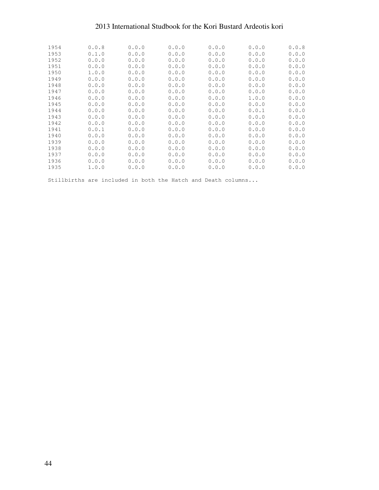| 1954 | 0.0.8 | 0.0.0 | 0.0.0 | 0.0.0 | 0.0.0 | 0.0.8 |
|------|-------|-------|-------|-------|-------|-------|
| 1953 | 0.1.0 | 0.0.0 | 0.0.0 | 0.0.0 | 0.0.0 | 0.0.0 |
| 1952 | 0.0.0 | 0.0.0 | 0.0.0 | 0.0.0 | 0.0.0 | 0.0.0 |
| 1951 | 0.0.0 | 0.0.0 | 0.0.0 | 0.0.0 | 0.0.0 | 0.0.0 |
| 1950 | 1.0.0 | 0.0.0 | 0.0.0 | 0.0.0 | 0.0.0 | 0.0.0 |
| 1949 | 0.0.0 | 0.0.0 | 0.0.0 | 0.0.0 | 0.0.0 | 0.0.0 |
| 1948 | 0.0.0 | 0.0.0 | 0.0.0 | 0.0.0 | 0.0.0 | 0.0.0 |
| 1947 | 0.0.0 | 0.0.0 | 0.0.0 | 0.0.0 | 0.0.0 | 0.0.0 |
| 1946 | 0.0.0 | 0.0.0 | 0.0.0 | 0.0.0 | 1.0.0 | 0.0.0 |
| 1945 | 0.0.0 | 0.0.0 | 0.0.0 | 0.0.0 | 0.0.0 | 0.0.0 |
| 1944 | 0.0.0 | 0.0.0 | 0.0.0 | 0.0.0 | 0.0.1 | 0.0.0 |
| 1943 | 0.0.0 | 0.0.0 | 0.0.0 | 0.0.0 | 0.0.0 | 0.0.0 |
| 1942 | 0.0.0 | 0.0.0 | 0.0.0 | 0.0.0 | 0.0.0 | 0.0.0 |
| 1941 | 0.0.1 | 0.0.0 | 0.0.0 | 0.0.0 | 0.0.0 | 0.0.0 |
| 1940 | 0.0.0 | 0.0.0 | 0.0.0 | 0.0.0 | 0.0.0 | 0.0.0 |
| 1939 | 0.0.0 | 0.0.0 | 0.0.0 | 0.0.0 | 0.0.0 | 0.0.0 |
| 1938 | 0.0.0 | 0.0.0 | 0.0.0 | 0.0.0 | 0.0.0 | 0.0.0 |
| 1937 | 0.0.0 | 0.0.0 | 0.0.0 | 0.0.0 | 0.0.0 | 0.0.0 |
| 1936 | 0.0.0 | 0.0.0 | 0.0.0 | 0.0.0 | 0.0.0 | 0.0.0 |
| 1935 | 1.0.0 | 0.0.0 | 0.0.0 | 0.0.0 | 0.0.0 | 0.0.0 |

Stillbirths are included in both the Hatch and Death columns...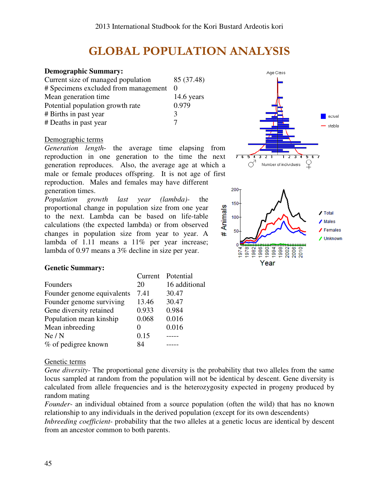# GLOBAL POPULATION ANALYSIS

## **Demographic Summary:**

Current size of managed population 85 (37.48) # Specimens excluded from management 0 Mean generation time 14.6 years Potential population growth rate  $0.979$ # Births in past year 3 # Deaths in past year 7

## Demographic terms

*Generation length*- the average time elapsing from reproduction in one generation to the time the next generation reproduces. Also, the average age at which a male or female produces offspring. It is not age of first reproduction. Males and females may have different generation times.

*Population growth last year (lambda)-* the proportional change in population size from one year to the next. Lambda can be based on life-table calculations (the expected lambda) or from observed changes in population size from year to year. A lambda of 1.11 means a 11% per year increase; lambda of 0.97 means a 3% decline in size per year.



Age Class

## **Genetic Summary:**

|                            |       | Current Potential |
|----------------------------|-------|-------------------|
| Founders                   | 20    | 16 additional     |
| Founder genome equivalents | 7.41  | 30.47             |
| Founder genome surviving   | 13.46 | 30.47             |
| Gene diversity retained    | 0.933 | 0.984             |
| Population mean kinship    | 0.068 | 0.016             |
| Mean inbreeding            |       | 0.016             |
| Ne/N                       | 0.15  |                   |
| % of pedigree known        | 84    |                   |

## Genetic terms

*Gene diversity*- The proportional gene diversity is the probability that two alleles from the same locus sampled at random from the population will not be identical by descent. Gene diversity is calculated from allele frequencies and is the heterozygosity expected in progeny produced by random mating

*Founder*- an individual obtained from a source population (often the wild) that has no known relationship to any individuals in the derived population (except for its own descendents)

*Inbreeding coefficient*- probability that the two alleles at a genetic locus are identical by descent from an ancestor common to both parents.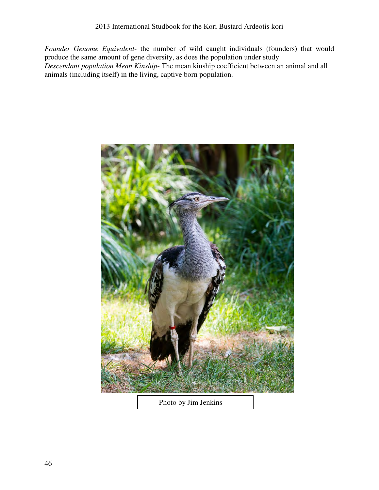*Founder Genome Equivalent*- the number of wild caught individuals (founders) that would produce the same amount of gene diversity, as does the population under study *Descendant population Mean Kinship*- The mean kinship coefficient between an animal and all animals (including itself) in the living, captive born population.



Photo by Jim Jenkins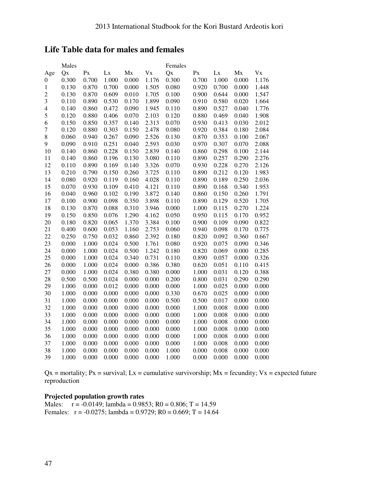## **Life Table data for males and females**

|                  | Males |       |       |       |       | Females |         |       |       |         |
|------------------|-------|-------|-------|-------|-------|---------|---------|-------|-------|---------|
| Age              | Qx    | Px    | Lx    | Mx    | Vx    | Qx      | $P_{X}$ | Lx    | Mx    | $V_{X}$ |
| $\boldsymbol{0}$ | 0.300 | 0.700 | 1.000 | 0.000 | 1.176 | 0.300   | 0.700   | 1.000 | 0.000 | 1.176   |
| $\mathbf{1}$     | 0.130 | 0.870 | 0.700 | 0.000 | 1.505 | 0.080   | 0.920   | 0.700 | 0.000 | 1.448   |
| $\sqrt{2}$       | 0.130 | 0.870 | 0.609 | 0.010 | 1.705 | 0.100   | 0.900   | 0.644 | 0.000 | 1.547   |
| 3                | 0.110 | 0.890 | 0.530 | 0.170 | 1.899 | 0.090   | 0.910   | 0.580 | 0.020 | 1.664   |
| $\overline{4}$   | 0.140 | 0.860 | 0.472 | 0.090 | 1.945 | 0.110   | 0.890   | 0.527 | 0.040 | 1.776   |
| 5                | 0.120 | 0.880 | 0.406 | 0.070 | 2.103 | 0.120   | 0.880   | 0.469 | 0.040 | 1.908   |
| 6                | 0.150 | 0.850 | 0.357 | 0.140 | 2.313 | 0.070   | 0.930   | 0.413 | 0.030 | 2.012   |
| $\overline{7}$   | 0.120 | 0.880 | 0.303 | 0.150 | 2.478 | 0.080   | 0.920   | 0.384 | 0.180 | 2.084   |
| $\,8\,$          | 0.060 | 0.940 | 0.267 | 0.090 | 2.526 | 0.130   | 0.870   | 0.353 | 0.100 | 2.067   |
| 9                | 0.090 | 0.910 | 0.251 | 0.040 | 2.593 | 0.030   | 0.970   | 0.307 | 0.070 | 2.088   |
| 10               | 0.140 | 0.860 | 0.228 | 0.150 | 2.839 | 0.140   | 0.860   | 0.298 | 0.100 | 2.144   |
| 11               | 0.140 | 0.860 | 0.196 | 0.130 | 3.080 | 0.110   | 0.890   | 0.257 | 0.290 | 2.276   |
| 12               | 0.110 | 0.890 | 0.169 | 0.140 | 3.326 | 0.070   | 0.930   | 0.228 | 0.270 | 2.126   |
| 13               | 0.210 | 0.790 | 0.150 | 0.260 | 3.725 | 0.110   | 0.890   | 0.212 | 0.120 | 1.983   |
| 14               | 0.080 | 0.920 | 0.119 | 0.160 | 4.028 | 0.110   | 0.890   | 0.189 | 0.250 | 2.036   |
| 15               | 0.070 | 0.930 | 0.109 | 0.410 | 4.121 | 0.110   | 0.890   | 0.168 | 0.340 | 1.953   |
| 16               | 0.040 | 0.960 | 0.102 | 0.190 | 3.872 | 0.140   | 0.860   | 0.150 | 0.260 | 1.791   |
| 17               | 0.100 | 0.900 | 0.098 | 0.350 | 3.898 | 0.110   | 0.890   | 0.129 | 0.520 | 1.705   |
| 18               | 0.130 | 0.870 | 0.088 | 0.310 | 3.946 | 0.000   | 1.000   | 0.115 | 0.270 | 1.224   |
| 19               | 0.150 | 0.850 | 0.076 | 1.290 | 4.162 | 0.050   | 0.950   | 0.115 | 0.170 | 0.952   |
| 20               | 0.180 | 0.820 | 0.065 | 1.370 | 3.384 | 0.100   | 0.900   | 0.109 | 0.090 | 0.822   |
| 21               | 0.400 | 0.600 | 0.053 | 1.160 | 2.753 | 0.060   | 0.940   | 0.098 | 0.170 | 0.775   |
| 22               | 0.250 | 0.750 | 0.032 | 0.860 | 2.392 | 0.180   | 0.820   | 0.092 | 0.360 | 0.667   |
| 23               | 0.000 | 1.000 | 0.024 | 0.500 | 1.761 | 0.080   | 0.920   | 0.075 | 0.090 | 0.346   |
| 24               | 0.000 | 1.000 | 0.024 | 0.500 | 1.242 | 0.180   | 0.820   | 0.069 | 0.000 | 0.285   |
| 25               | 0.000 | 1.000 | 0.024 | 0.340 | 0.731 | 0.110   | 0.890   | 0.057 | 0.000 | 0.326   |
| 26               | 0.000 | 1.000 | 0.024 | 0.000 | 0.386 | 0.380   | 0.620   | 0.051 | 0.110 | 0.415   |
| 27               | 0.000 | 1.000 | 0.024 | 0.380 | 0.380 | 0.000   | 1.000   | 0.031 | 0.120 | 0.388   |
| 28               | 0.500 | 0.500 | 0.024 | 0.000 | 0.000 | 0.200   | 0.800   | 0.031 | 0.290 | 0.290   |
| 29               | 1.000 | 0.000 | 0.012 | 0.000 | 0.000 | 0.000   | 1.000   | 0.025 | 0.000 | 0.000   |
| 30               | 1.000 | 0.000 | 0.000 | 0.000 | 0.000 | 0.330   | 0.670   | 0.025 | 0.000 | 0.000   |
| 31               | 1.000 | 0.000 | 0.000 | 0.000 | 0.000 | 0.500   | 0.500   | 0.017 | 0.000 | 0.000   |
| 32               | 1.000 | 0.000 | 0.000 | 0.000 | 0.000 | 0.000   | 1.000   | 0.008 | 0.000 | 0.000   |
| 33               | 1.000 | 0.000 | 0.000 | 0.000 | 0.000 | 0.000   | 1.000   | 0.008 | 0.000 | 0.000   |
| 34               | 1.000 | 0.000 | 0.000 | 0.000 | 0.000 | 0.000   | 1.000   | 0.008 | 0.000 | 0.000   |
| 35               | 1.000 | 0.000 | 0.000 | 0.000 | 0.000 | 0.000   | 1.000   | 0.008 | 0.000 | 0.000   |
| 36               | 1.000 | 0.000 | 0.000 | 0.000 | 0.000 | 0.000   | 1.000   | 0.008 | 0.000 | 0.000   |
| 37               | 1.000 | 0.000 | 0.000 | 0.000 | 0.000 | 0.000   | 1.000   | 0.008 | 0.000 | 0.000   |
| 38               | 1.000 | 0.000 | 0.000 | 0.000 | 0.000 | 1.000   | 0.000   | 0.008 | 0.000 | 0.000   |
| 39               | 1.000 | 0.000 | 0.000 | 0.000 | 0.000 | 1.000   | 0.000   | 0.000 | 0.000 | 0.000   |

 $Qx$  = mortality; Px = survival; Lx = cumulative survivorship; Mx = fecundity; Vx = expected future reproduction

## **Projected population growth rates**

Males:  $r = -0.0149$ ; lambda = 0.9853; R0 = 0.806; T = 14.59 Females:  $r = -0.0275$ ; lambda = 0.9729; R0 = 0.669; T = 14.64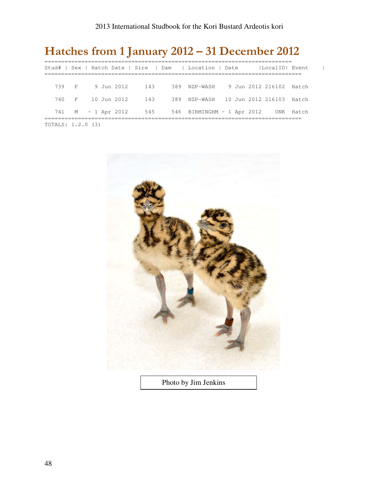# Hatches from 1 January 2012 – 31 December 2012

|                   |  |                        | Stud#   Sex   Hatch Date   Sire   Dam   Location   Date |  | LocalID  Event            |  |
|-------------------|--|------------------------|---------------------------------------------------------|--|---------------------------|--|
|                   |  | 739 F 9 Jun 2012 143   | 389 NZP-WASH                                            |  | 9 Jun 2012 216102 - Hatch |  |
|                   |  | 740 F 10 Jun 2012 143  | 389 NZP-WASH 10 Jun 2012 216103 Hatch                   |  |                           |  |
|                   |  | 741 M ~ 1 Apr 2012 545 | 546 BIRMINGHM $\sim$ 1 Apr 2012 UNK Hatch               |  |                           |  |
| TOTALS: 1.2.0 (3) |  |                        |                                                         |  |                           |  |



Photo by Jim Jenkins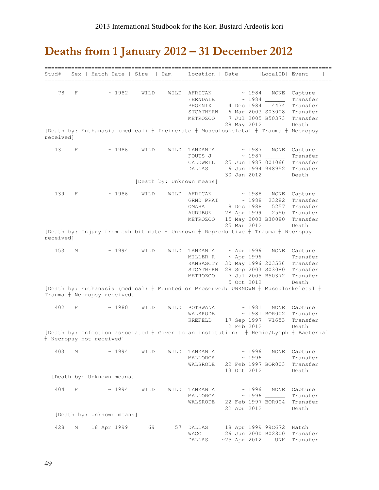# Deaths from 1 January 2012 – 31 December 2012

|                 |   | Stud#   Sex   Hatch Date   Sire                                                                                    |      | Dam  | ============<br>Location   Date                                 |                                                         | LocalID  Event                                                          |                                                                       |
|-----------------|---|--------------------------------------------------------------------------------------------------------------------|------|------|-----------------------------------------------------------------|---------------------------------------------------------|-------------------------------------------------------------------------|-----------------------------------------------------------------------|
| 78<br>receivedl | F | ~1982<br>[Death by: Euthanasia (medical) + Incinerate + Musculoskeletal + Trauma + Necropsy                        | WILD |      | WILD AFRICAN<br>FERNDALE<br>PHOENIX<br>STCATHERN<br>METROZOO    | 4 Dec 1984<br>28 May 2012                               | ~1984<br>NONE<br>4434<br>6 Mar 2003 S03008<br>7 Jul 2005 B50373         | Capture<br>Transfer<br>Transfer<br>Transfer<br>Transfer<br>Death      |
|                 |   |                                                                                                                    |      |      |                                                                 |                                                         |                                                                         |                                                                       |
| 131             | F | ~1986                                                                                                              | WILD | WILD | TANZANIA<br>FOUTS J<br>CALDWELL<br>DALLAS                       | 30 Jan 2012                                             | $\sim 1987$<br>NONE<br>~1987<br>25 Jun 1987 001066<br>6 Jun 1994 948952 | Capture<br>Transfer<br>Transfer<br>Transfer<br>Death                  |
|                 |   |                                                                                                                    |      |      | [Death by: Unknown means]                                       |                                                         |                                                                         |                                                                       |
| 139             | F | ~1986                                                                                                              | WILD | WILD | AFRICAN<br>GRND PRAI<br>OMAHA<br>AUDUBON<br>METROZOO            | $\sim 1988$<br>8 Dec 1988<br>28 Apr 1999<br>25 Mar 2012 | $\sim 1988$<br>NONE<br>23282<br>5257<br>2550<br>15 May 2003 B30080      | Capture<br>Transfer<br>Transfer<br>Transfer<br>Transfer<br>Death      |
| received]       |   | [Death by: Injury from exhibit mate $+$ Unknown $+$ Reproductive $+$ Trauma $+$ Necropsy                           |      |      |                                                                 |                                                         |                                                                         |                                                                       |
| 153             | М | ~1994                                                                                                              | WILD |      | WILD TANZANIA<br>MILLER R<br>KANSASCTY<br>STCATHERN<br>METROZOO | ~ Apr 1996<br>5 Oct 2012                                | 30 May 1996 203536<br>28 Sep 2003 S03080<br>7 Jul 2005 B50372           | NONE Capture<br>Transfer<br>Transfer<br>Transfer<br>Transfer<br>Death |
|                 |   | [Death by: Euthanasia (medical) + Mounted or Preserved: UNKNOWN + Musculoskeletal +<br>Trauma + Necropsy received] |      |      |                                                                 |                                                         |                                                                         |                                                                       |
| 402             | F | ~1980                                                                                                              | WILD |      | WILD BOTSWANA<br>WALSRODE<br>KREFELD                            | 2 Feb 2012                                              | ~1981<br>NONE<br>$\sim$ 1981 BOR002<br>17 Sep 1997 V1653                | Capture<br>Transfer<br>Transfer<br>Death                              |
|                 |   | [Death by: Infection associated + Given to an institution: $+$ Hemic/Lymph + Bacterial<br>+ Necropsy not received] |      |      |                                                                 |                                                         |                                                                         |                                                                       |
| 403             | М | ~1994                                                                                                              | WILD |      | WILD TANZANIA<br>MALLORCA<br>WALSRODE                           | 13 Oct 2012                                             | ~1996<br>NONE<br>22 Feb 1997 BOR003                                     | Capture<br>Transfer<br>Transfer<br>Death                              |
|                 |   | [Death by: Unknown means]                                                                                          |      |      |                                                                 |                                                         |                                                                         |                                                                       |
| 404             | F | ~1994                                                                                                              | WILD | WILD | TANZANIA<br>MALLORCA<br>WALSRODE                                | 22 Apr 2012                                             | ~1996<br>NONE<br>22 Feb 1997 BOR004                                     | Capture<br>Transfer<br>Transfer<br>Death                              |
|                 |   | [Death by: Unknown means]                                                                                          |      |      |                                                                 |                                                         |                                                                         |                                                                       |
| 428             | М | 18 Apr 1999                                                                                                        | 69   | 57   | DALLAS<br>WACO<br><b>DALLAS</b>                                 |                                                         | 18 Apr 1999 99C672<br>26 Jun 2000 B02800<br>$~25$ Apr 2012<br>UNK       | Hatch<br>Transfer<br>Transfer                                         |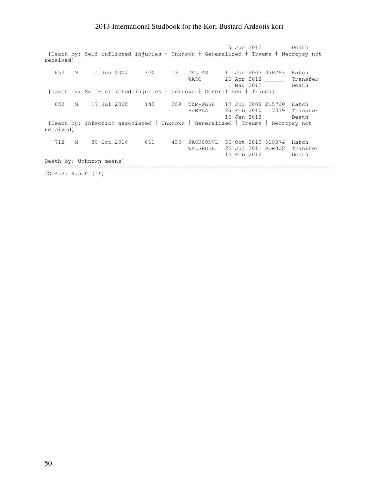6 Jun 2012 Death [Death by: Self-inflicted injuries  $+$  Unknown  $+$  Generalized  $+$  Trauma  $+$  Necropsy not received] 652 M 11 Jun 2007 370 131 DALLAS 11 Jun 2007 07H263 Hatch 26 Apr 2012 \_\_\_\_\_\_\_ Transfer 1 May 2012 Death [Death by: Self-inflicted injuries  $\dagger$  Unknown  $\dagger$  Generalized  $\dagger$  Trauma] 682 M 17 Jul 2008 143 389 NZP-WASH 17 Jul 2008 215760 Hatch PUEBLA 26 Feb 2010 7379 Transfer 16 Jan 2012 Death [Death by: Infection associated  $\dagger$  Unknown  $\dagger$  Generalized  $\dagger$  Trauma  $\dagger$  Necropsy not received] 712 M 30 Oct 2010 611 430 JACKSONVL 30 Oct 2010 610374 Hatch WALSRODE 26 Jul 2011 BOR008 Transfer 15 Feb 2012 Death Death by: Unknown means] ====================================================================================== TOTALS: 6.5.0 (11)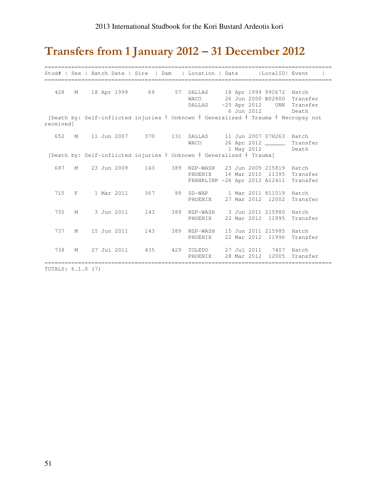# Transfers from 1 January 2012 – 31 December 2012

|           |          |  |             |                 | Stud#   Sex   Hatch Date   Sire   Dam   Location   Date                                                      |  |             | LocalID  Event                                |                                       |
|-----------|----------|--|-------------|-----------------|--------------------------------------------------------------------------------------------------------------|--|-------------|-----------------------------------------------|---------------------------------------|
| 428       | М        |  |             |                 | 18 Apr 1999 69 57 DALLAS 18 Apr 1999 99C672 Hatch<br>WACO<br>DALLAS                                          |  |             | 26 Jun 2000 B02800                            | Transfer<br>~25 Apr 2012 UNK Transfer |
| receivedl |          |  |             |                 | [Death by: Self-inflicted injuries + Unknown + Generalized + Trauma + Necropsy not                           |  | 6 Jun 2012  |                                               | Death                                 |
| 652       | M        |  |             |                 | 11 Jun 2007 370 131 DALLAS 11 Jun 2007 07H263 Hatch<br><b>WACO</b>                                           |  |             | 1 May 2012 Death                              | 26 Apr 2012 ________ Transfer         |
|           |          |  |             |                 | [Death by: Self-inflicted injuries $+$ Unknown $+$ Generalized $+$ Trauma]                                   |  |             |                                               |                                       |
| 687       | M        |  |             | 23 Jun 2009 143 | 389 NZP-WASH 23 Jun 2009 215819 Hatch<br>PHOENIX 16 Mar 2010 11395 Transfer<br>FRANKLINP ~26 Apr 2012 A12411 |  |             |                                               | Transfer                              |
| 715       | $F \sim$ |  | 1 Mar 2011  | 367             | 99 SD-WAP 1 Mar 2011 811019 Hatch<br>PHOENIX 27 Mar 2012 12002                                               |  |             |                                               | Transfer                              |
| 735       | M        |  | 3 Jun 2011  |                 | 143 389 NZP-WASH 3 Jun 2011 215980 Hatch<br>PHOENIX 22 Mar 2012 11995                                        |  |             |                                               | Transfer                              |
| 737       | M        |  | 15 Jun 2011 | 143             | 389 NZP-WASH<br>PHOENIX                                                                                      |  |             | 15 Jun 2011 215985 Hatch<br>22 Mar 2012 11996 | Transfer                              |
| 738       | M        |  | 27 Jul 2011 |                 | 435 429 TOLEDO 27 Jul 2011 7407 Hatch<br>PHOENIX                                                             |  | 28 Mar 2012 | 12005                                         | Transfer                              |

TOTALS: 6.1.0 (7)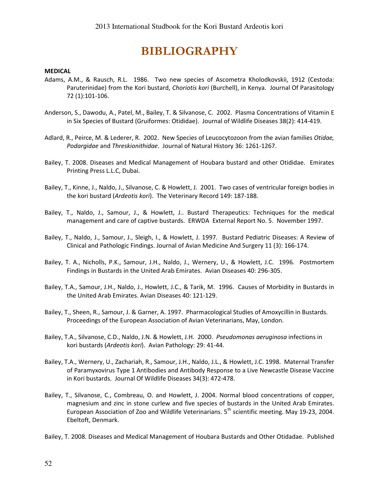# BIBLIOGRAPHY

### MEDICAL

- Adams, A.M., & Rausch, R.L. 1986. Two new species of Ascometra Kholodkovskii, 1912 (Cestoda: Paruterinidae) from the Kori bustard, Choriotis kori (Burchell), in Kenya. Journal Of Parasitology 72 (1):101-106.
- Anderson, S., Dawodu, A., Patel, M., Bailey, T. & Silvanose, C. 2002. Plasma Concentrations of Vitamin E in Six Species of Bustard (Gruiformes: Otididae). Journal of Wildlife Diseases 38(2): 414-419.
- Adlard, R., Peirce, M. & Lederer, R. 2002. New Species of Leucocytozoon from the avian families Otidae, Podargidae and Threskionithidae. Journal of Natural History 36: 1261-1267.
- Bailey, T. 2008. Diseases and Medical Management of Houbara bustard and other Otididae. Emirates Printing Press L.L.C, Dubai.
- Bailey, T., Kinne, J., Naldo, J., Silvanose, C. & Howlett, J. 2001. Two cases of ventricular foreign bodies in the kori bustard (Ardeotis kori). The Veterinary Record 149: 187-188.
- Bailey, T., Naldo, J., Samour, J., & Howlett, J.. Bustard Therapeutics: Techniques for the medical management and care of captive bustards. ERWDA External Report No. 5. November 1997.
- Bailey, T., Naldo, J., Samour, J., Sleigh, I., & Howlett, J. 1997. Bustard Pediatric Diseases: A Review of Clinical and Pathologic Findings. Journal of Avian Medicine And Surgery 11 (3): 166-174.
- Bailey, T. A., Nicholls, P.K., Samour, J.H., Naldo, J., Wernery, U., & Howlett, J.C. 1996. Postmortem Findings in Bustards in the United Arab Emirates. Avian Diseases 40: 296-305.
- Bailey, T.A., Samour, J.H., Naldo, J., Howlett, J.C., & Tarik, M. 1996. Causes of Morbidity in Bustards in the United Arab Emirates. Avian Diseases 40: 121-129.
- Bailey, T., Sheen, R., Samour, J. & Garner, A. 1997. Pharmacological Studies of Amoxycillin in Bustards. Proceedings of the European Association of Avian Veterinarians, May, London.
- Bailey, T.A., Silvanose, C.D., Naldo, J.N. & Howlett, J.H. 2000. Pseudomonas aeruginosa infections in kori bustards (Ardeotis kori). Avian Pathology: 29: 41-44.
- Bailey, T.A., Wernery, U., Zachariah, R., Samour, J.H., Naldo, J.L., & Howlett, J.C. 1998. Maternal Transfer of Paramyxovirus Type 1 Antibodies and Antibody Response to a Live Newcastle Disease Vaccine in Kori bustards. Journal Of Wildlife Diseases 34(3): 472-478.
- Bailey, T., Silvanose, C., Combreau, O. and Howlett, J. 2004. Normal blood concentrations of copper, magnesium and zinc in stone curlew and five species of bustards in the United Arab Emirates. European Association of Zoo and Wildlife Veterinarians. 5<sup>th</sup> scientific meeting. May 19-23, 2004. Ebeltoft, Denmark.
- Bailey, T. 2008. Diseases and Medical Management of Houbara Bustards and Other Otidadae. Published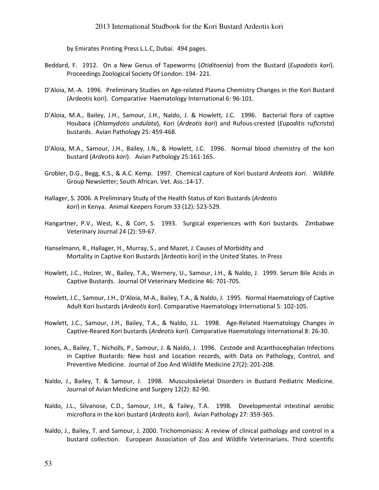by Emirates Printing Press L.L.C, Dubai. 494 pages.

- Beddard, F. 1912. On a New Genus of Tapeworms (Otiditoenia) from the Bustard (Eupodotis kori). Proceedings Zoological Society Of London: 194- 221.
- D'Aloia, M.-A. 1996. Preliminary Studies on Age-related Plasma Chemistry Changes in the Kori Bustard (Ardeotis kori). Comparative Haematology International 6: 96-101.
- D'Aloia, M.A., Bailey, J.H., Samour, J.H., Naldo, J. & Howlett, J.C. 1996. Bacterial flora of captive Houbara (Chlamydotis undulata), Kori (Ardeotis kori) and Rufous-crested (Eupoditis ruficrista) bustards. Avian Pathology 25: 459-468.
- D'Aloia, M.A., Samour, J.H., Bailey, J.N., & Howlett, J.C. 1996. Normal blood chemistry of the kori bustard (Ardeotis kori). Avian Pathology 25:161-165.
- Grobler, D.G., Begg, K.S., & A.C. Kemp. 1997. Chemical capture of Kori bustard Ardeotis kori. Wildlife Group Newsletter; South African. Vet. Ass.:14-17.
- Hallager, S. 2006. A Preliminary Study of the Health Status of Kori Bustards (Ardeotis kori) in Kenya. Animal Keepers Forum 33 (12): 523-529.
- Hangartner, P.V., West, K., & Corr, S. 1993. Surgical experiences with Kori bustards. Zimbabwe Veterinary Journal 24 (2): 59-67.
- Hanselmann, R., Hallager, H., Murray, S., and Mazet, J. Causes of Morbidity and Mortality in Captive Kori Bustards [Ardeotis kori] in the United States. In Press
- Howlett, J.C., Holzer, W., Bailey, T.A., Wernery, U., Samour, J.H., & Naldo, J. 1999. Serum Bile Acids in Captive Bustards. Journal Of Veterinary Medicine 46: 701-705.
- Howlett, J.C., Samour, J.H., D'Aloia, M-A., Bailey, T.A., & Naldo, J. 1995. Normal Haematology of Captive Adult Kori bustards (Ardeotis kori). Comparative Haematology International 5: 102-105.
- Howlett, J.C., Samour, J.H., Bailey, T.A., & Naldo, J.L. 1998. Age-Related Haematology Changes in Captive-Reared Kori bustards (Ardeotis kori). Comparative Haemotology International 8: 26-30.
- Jones, A., Bailey, T., Nicholls, P., Samour, J. & Naldo, J. 1996. Cestode and Acanthocephalan Infections in Captive Bustards: New host and Location records, with Data on Pathology, Control, and Preventive Medicine. Journal of Zoo And Wildlife Medicine 27(2): 201-208.
- Naldo, J., Bailey, T. & Samour, J. 1998. Musculoskeletal Disorders in Bustard Pediatric Medicine. Journal of Avian Medicine and Surgery 12(2): 82-90.
- Naldo, J.L., Silvanose, C.D., Samour, J.H., & Tailey, T.A. 1998. Developmental intestinal aerobic microflora in the kori bustard (Ardeotis kori). Avian Pathology 27: 359-365.
- Naldo, J., Bailey, T. and Samour, J. 2000. Trichomoniasis: A review of clinical pathology and control in a bustard collection. European Association of Zoo and Wildlife Veterinarians. Third scientific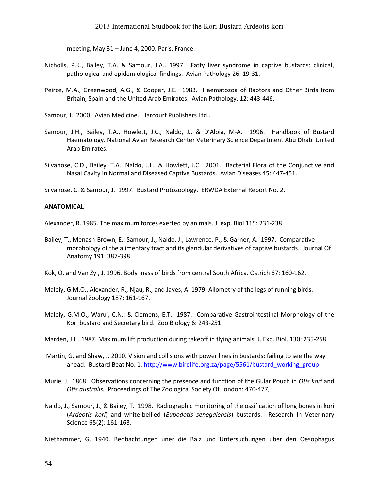meeting, May 31 – June 4, 2000. Paris, France.

- Nicholls, P.K., Bailey, T.A. & Samour, J.A.. 1997. Fatty liver syndrome in captive bustards: clinical, pathological and epidemiological findings. Avian Pathology 26: 19-31.
- Peirce, M.A., Greenwood, A.G., & Cooper, J.E. 1983. Haematozoa of Raptors and Other Birds from Britain, Spain and the United Arab Emirates. Avian Pathology, 12: 443-446.

Samour, J. 2000. Avian Medicine. Harcourt Publishers Ltd..

- Samour, J.H., Bailey, T.A., Howlett, J.C., Naldo, J., & D'Aloia, M-A. 1996. Handbook of Bustard Haematology. National Avian Research Center Veterinary Science Department Abu Dhabi United Arab Emirates.
- Silvanose, C.D., Bailey, T.A., Naldo, J.L., & Howlett, J.C. 2001. Bacterial Flora of the Conjunctive and Nasal Cavity in Normal and Diseased Captive Bustards. Avian Diseases 45: 447-451.

Silvanose, C. & Samour, J. 1997. Bustard Protozoology. ERWDA External Report No. 2.

#### ANATOMICAL

Alexander, R. 1985. The maximum forces exerted by animals. J. exp. Biol 115: 231-238.

- Bailey, T., Menash-Brown, E., Samour, J., Naldo, J., Lawrence, P., & Garner, A. 1997. Comparative morphology of the alimentary tract and its glandular derivatives of captive bustards. Journal Of Anatomy 191: 387-398.
- Kok, O. and Van Zyl, J. 1996. Body mass of birds from central South Africa. Ostrich 67: 160-162.
- Maloiy, G.M.O., Alexander, R., Njau, R., and Jayes, A. 1979. Allometry of the legs of running birds. Journal Zoology 187: 161-167.
- Maloiy, G.M.O., Warui, C.N., & Clemens, E.T. 1987. Comparative Gastrointestinal Morphology of the Kori bustard and Secretary bird. Zoo Biology 6: 243-251.
- Marden, J.H. 1987. Maximum lift production during takeoff in flying animals. J. Exp. Biol. 130: 235-258.
- Martin, G. and Shaw, J. 2010. Vision and collisions with power lines in bustards: failing to see the way ahead. Bustard Beat No. 1. http://www.birdlife.org.za/page/5561/bustard\_working\_group
- Murie, J. 1868. Observations concerning the presence and function of the Gular Pouch in Otis kori and Otis australis. Proceedings of The Zoological Society Of London: 470-477,
- Naldo, J., Samour, J., & Bailey, T. 1998. Radiographic monitoring of the ossification of long bones in kori (Ardeotis kori) and white-bellied (Eupodotis senegalensis) bustards. Research In Veterinary Science 65(2): 161-163.

Niethammer, G. 1940. Beobachtungen uner die Balz und Untersuchungen uber den Oesophagus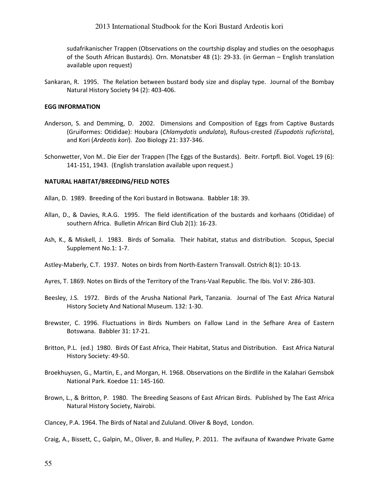sudafrikanischer Trappen (Observations on the courtship display and studies on the oesophagus of the South African Bustards). Orn. Monatsber 48 (1): 29-33. (in German – English translation available upon request)

Sankaran, R. 1995. The Relation between bustard body size and display type. Journal of the Bombay Natural History Society 94 (2): 403-406.

#### EGG INFORMATION

- Anderson, S. and Demming, D. 2002. Dimensions and Composition of Eggs from Captive Bustards (Gruiformes: Otididae): Houbara (Chlamydotis undulata), Rufous-crested (Eupodotis ruficrista), and Kori (Ardeotis kori). Zoo Biology 21: 337-346.
- Schonwetter, Von M.. Die Eier der Trappen (The Eggs of the Bustards). Beitr. Fortpfl. Biol. VogeL 19 (6): 141-151, 1943. (English translation available upon request.)

#### NATURAL HABITAT/BREEDING/FIELD NOTES

Allan, D. 1989. Breeding of the Kori bustard in Botswana. Babbler 18: 39.

- Allan, D., & Davies, R.A.G. 1995. The field identification of the bustards and korhaans (Otididae) of southern Africa. Bulletin African Bird Club 2(1): 16-23.
- Ash, K., & Miskell, J. 1983. Birds of Somalia. Their habitat, status and distribution. Scopus, Special Supplement No.1: 1-7.

Astley-Maberly, C.T. 1937. Notes on birds from North-Eastern Transvall. Ostrich 8(1): 10-13.

- Ayres, T. 1869. Notes on Birds of the Territory of the Trans-Vaal Republic. The Ibis. Vol V: 286-303.
- Beesley, J.S. 1972. Birds of the Arusha National Park, Tanzania. Journal of The East Africa Natural History Society And National Museum. 132: 1-30.
- Brewster, C. 1996. Fluctuations in Birds Numbers on Fallow Land in the Sefhare Area of Eastern Botswana. Babbler 31: 17-21.
- Britton, P.L. (ed.) 1980. Birds Of East Africa, Their Habitat, Status and Distribution. East Africa Natural History Society: 49-50.
- Broekhuysen, G., Martin, E., and Morgan, H. 1968. Observations on the Birdlife in the Kalahari Gemsbok National Park. Koedoe 11: 145-160.
- Brown, L., & Britton, P. 1980. The Breeding Seasons of East African Birds. Published by The East Africa Natural History Society, Nairobi.

Clancey, P.A. 1964. The Birds of Natal and Zululand. Oliver & Boyd, London.

Craig, A., Bissett, C., Galpin, M., Oliver, B. and Hulley, P. 2011. The avifauna of Kwandwe Private Game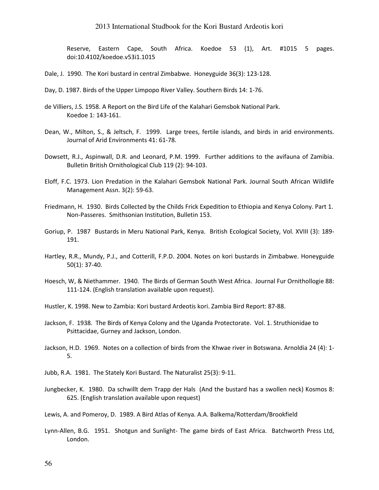Reserve, Eastern Cape, South Africa. Koedoe 53 (1), Art. #1015 5 pages. doi:10.4102/koedoe.v53i1.1015

Dale, J. 1990. The Kori bustard in central Zimbabwe. Honeyguide 36(3): 123-128.

- Day, D. 1987. Birds of the Upper Limpopo River Valley. Southern Birds 14: 1-76.
- de Villiers, J.S. 1958. A Report on the Bird Life of the Kalahari Gemsbok National Park. Koedoe 1: 143-161.
- Dean, W., Milton, S., & Jeltsch, F. 1999. Large trees, fertile islands, and birds in arid environments. Journal of Arid Environments 41: 61-78.
- Dowsett, R.J., Aspinwall, D.R. and Leonard, P.M. 1999. Further additions to the avifauna of Zamibia. Bulletin British Ornithological Club 119 (2): 94-103.
- Eloff, F.C. 1973. Lion Predation in the Kalahari Gemsbok National Park. Journal South African Wildlife Management Assn. 3(2): 59-63.
- Friedmann, H. 1930. Birds Collected by the Childs Frick Expedition to Ethiopia and Kenya Colony. Part 1. Non-Passeres. Smithsonian Institution, Bulletin 153.
- Goriup, P. 1987 Bustards in Meru National Park, Kenya. British Ecological Society, Vol. XVIII (3): 189- 191.
- Hartley, R.R., Mundy, P.J., and Cotterill, F.P.D. 2004. Notes on kori bustards in Zimbabwe. Honeyguide 50(1): 37-40.
- Hoesch, W, & Niethammer. 1940. The Birds of German South West Africa. Journal Fur Ornithollogie 88: 111-124. (English translation available upon request).
- Hustler, K. 1998. New to Zambia: Kori bustard Ardeotis kori. Zambia Bird Report: 87-88.
- Jackson, F. 1938. The Birds of Kenya Colony and the Uganda Protectorate. Vol. 1. Struthionidae to Psittacidae, Gurney and Jackson, London.
- Jackson, H.D. 1969. Notes on a collection of birds from the Khwae river in Botswana. Arnoldia 24 (4): 1- 5.
- Jubb, R.A. 1981. The Stately Kori Bustard. The Naturalist 25(3): 9-11.
- Jungbecker, K. 1980. Da schwillt dem Trapp der Hals (And the bustard has a swollen neck) Kosmos 8: 625. (English translation available upon request)
- Lewis, A. and Pomeroy, D. 1989. A Bird Atlas of Kenya. A.A. Balkema/Rotterdam/Brookfield
- Lynn-Allen, B.G. 1951. Shotgun and Sunlight- The game birds of East Africa. Batchworth Press Ltd, London.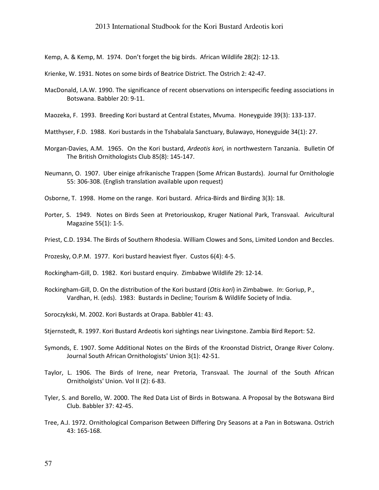Kemp, A. & Kemp, M. 1974. Don't forget the big birds. African Wildlife 28(2): 12-13.

- Krienke, W. 1931. Notes on some birds of Beatrice District. The Ostrich 2: 42-47.
- MacDonald, I.A.W. 1990. The significance of recent observations on interspecific feeding associations in Botswana. Babbler 20: 9-11.
- Maozeka, F. 1993. Breeding Kori bustard at Central Estates, Mvuma. Honeyguide 39(3): 133-137.
- Matthyser, F.D. 1988. Kori bustards in the Tshabalala Sanctuary, Bulawayo, Honeyguide 34(1): 27.
- Morgan-Davies, A.M. 1965. On the Kori bustard, Ardeotis kori, in northwestern Tanzania. Bulletin Of The British Ornithologists Club 85(8): 145-147.
- Neumann, O. 1907. Uber einige afrikanische Trappen (Some African Bustards). Journal fur Ornithologie 55: 306-308. (English translation available upon request)
- Osborne, T. 1998. Home on the range. Kori bustard. Africa-Birds and Birding 3(3): 18.
- Porter, S. 1949. Notes on Birds Seen at Pretoriouskop, Kruger National Park, Transvaal. Avicultural Magazine 55(1): 1-5.
- Priest, C.D. 1934. The Birds of Southern Rhodesia. William Clowes and Sons, Limited London and Beccles.

Prozesky, O.P.M. 1977. Kori bustard heaviest flyer. Custos 6(4): 4-5.

- Rockingham-Gill, D. 1982. Kori bustard enquiry. Zimbabwe Wildlife 29: 12-14.
- Rockingham-Gill, D. On the distribution of the Kori bustard (Otis kori) in Zimbabwe. In: Goriup, P., Vardhan, H. (eds). 1983: Bustards in Decline; Tourism & Wildlife Society of India.
- Soroczykski, M. 2002. Kori Bustards at Orapa. Babbler 41: 43.
- Stjernstedt, R. 1997. Kori Bustard Ardeotis kori sightings near Livingstone. Zambia Bird Report: 52.
- Symonds, E. 1907. Some Additional Notes on the Birds of the Kroonstad District, Orange River Colony. Journal South African Ornithologists' Union 3(1): 42-51.
- Taylor, L. 1906. The Birds of Irene, near Pretoria, Transvaal. The Journal of the South African Ornitholgists' Union. Vol II (2): 6-83.
- Tyler, S. and Borello, W. 2000. The Red Data List of Birds in Botswana. A Proposal by the Botswana Bird Club. Babbler 37: 42-45.
- Tree, A.J. 1972. Ornithological Comparison Between Differing Dry Seasons at a Pan in Botswana. Ostrich 43: 165-168.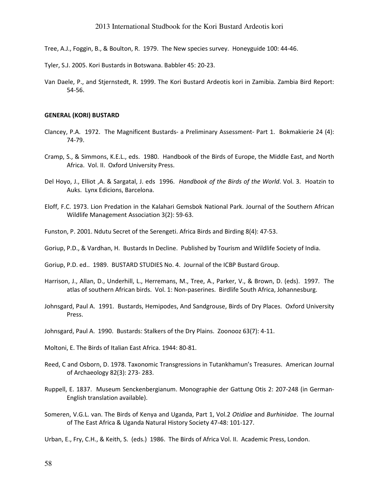- Tree, A.J., Foggin, B., & Boulton, R. 1979. The New species survey. Honeyguide 100: 44-46.
- Tyler, S.J. 2005. Kori Bustards in Botswana. Babbler 45: 20-23.
- Van Daele, P., and Stjernstedt, R. 1999. The Kori Bustard Ardeotis kori in Zamibia. Zambia Bird Report: 54-56.

#### GENERAL (KORI) BUSTARD

- Clancey, P.A. 1972. The Magnificent Bustards- a Preliminary Assessment- Part 1. Bokmakierie 24 (4): 74-79.
- Cramp, S., & Simmons, K.E.L., eds. 1980. Handbook of the Birds of Europe, the Middle East, and North Africa. Vol. II. Oxford University Press.
- Del Hoyo, J., Elliot ,A. & Sargatal, J. eds 1996. Handbook of the Birds of the World. Vol. 3. Hoatzin to Auks. Lynx Edicions, Barcelona.
- Eloff, F.C. 1973. Lion Predation in the Kalahari Gemsbok National Park. Journal of the Southern African Wildlife Management Association 3(2): 59-63.
- Funston, P. 2001. Ndutu Secret of the Serengeti. Africa Birds and Birding 8(4): 47-53.
- Goriup, P.D., & Vardhan, H. Bustards In Decline. Published by Tourism and Wildlife Society of India.
- Goriup, P.D. ed.. 1989. BUSTARD STUDIES No. 4. Journal of the ICBP Bustard Group.
- Harrison, J., Allan, D., Underhill, L., Herremans, M., Tree, A., Parker, V., & Brown, D. (eds). 1997. The atlas of southern African birds. Vol. 1: Non-paserines. Birdlife South Africa, Johannesburg.
- Johnsgard, Paul A. 1991. Bustards, Hemipodes, And Sandgrouse, Birds of Dry Places. Oxford University Press.
- Johnsgard, Paul A. 1990. Bustards: Stalkers of the Dry Plains. Zoonooz 63(7): 4-11.
- Moltoni, E. The Birds of Italian East Africa. 1944: 80-81.
- Reed, C and Osborn, D. 1978. Taxonomic Transgressions in Tutankhamun's Treasures. American Journal of Archaeology 82(3): 273- 283.
- Ruppell, E. 1837. Museum Senckenbergianum. Monographie der Gattung Otis 2: 207-248 (in German-English translation available).
- Someren, V.G.L. van. The Birds of Kenya and Uganda, Part 1, Vol.2 Otidiae and Burhinidae. The Journal of The East Africa & Uganda Natural History Society 47-48: 101-127.
- Urban, E., Fry, C.H., & Keith, S. (eds.) 1986. The Birds of Africa Vol. II. Academic Press, London.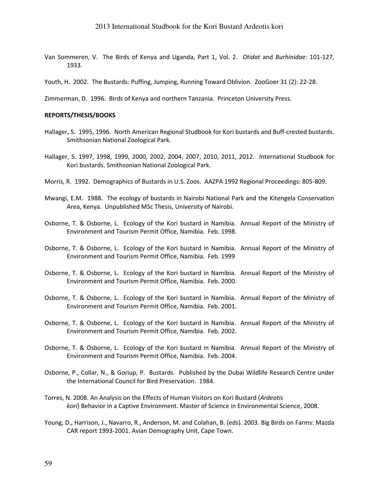- Van Sommeren, V. The Birds of Kenya and Uganda, Part 1, Vol. 2. Otidat and Burhinidae: 101-127, 1933.
- Youth, H. 2002. The Bustards: Puffing, Jumping, Running Toward Oblivion. ZooGoer 31 (2): 22-28.

Zimmerman, D. 1996. Birds of Kenya and northern Tanzania. Princeton University Press.

#### REPORTS/THESIS/BOOKS

- Hallager, S. 1995, 1996. North American Regional Studbook for Kori bustards and Buff-crested bustards. Smithsonian National Zoological Park.
- Hallager, S. 1997, 1998, 1999, 2000, 2002, 2004, 2007, 2010, 2011, 2012. International Studbook for Kori bustards. Smithsonian National Zoological Park.
- Morris, R. 1992. Demographics of Bustards in U.S. Zoos. AAZPA 1992 Regional Proceedings: 805-809.
- Mwangi, E.M. 1988. The ecology of bustards in Nairobi National Park and the Kitengela Conservation Area, Kenya. Unpublished MSc Thesis, University of Nairobi.
- Osborne, T. & Osborne, L. Ecology of the Kori bustard in Namibia. Annual Report of the Ministry of Environment and Tourism Permit Office, Namibia. Feb. 1998.
- Osborne, T. & Osborne, L. Ecology of the Kori bustard in Namibia. Annual Report of the Ministry of Environment and Tourism Permit Office, Namibia. Feb. 1999
- Osborne, T. & Osborne, L. Ecology of the Kori bustard in Namibia. Annual Report of the Ministry of Environment and Tourism Permit Office, Namibia. Feb. 2000.
- Osborne, T. & Osborne, L. Ecology of the Kori bustard in Namibia. Annual Report of the Ministry of Environment and Tourism Permit Office, Namibia. Feb. 2001.
- Osborne, T. & Osborne, L. Ecology of the Kori bustard in Namibia. Annual Report of the Ministry of Environment and Tourism Permit Office, Namibia. Feb. 2002.
- Osborne, T. & Osborne, L. Ecology of the Kori bustard in Namibia. Annual Report of the Ministry of Environment and Tourism Permit Office, Namibia. Feb. 2004.
- Osborne, P., Collar, N., & Goriup, P. Bustards. Published by the Dubai Wildlife Research Centre under the International Council for Bird Preservation. 1984.
- Torres, N. 2008. An Analysis on the Effects of Human Visitors on Kori Bustard (Ardeotis kori) Behavior in a Captive Environment. Master of Science in Environmental Science, 2008.
- Young, D., Harrison, J., Navarro, R., Anderson, M. and Colahan, B. (eds). 2003. Big Birds on Farms: Mazda CAR report 1993-2001. Avian Demography Unit, Cape Town.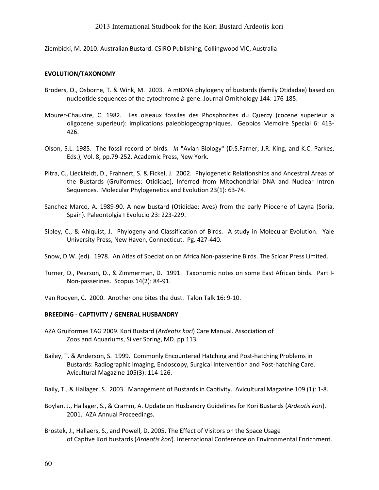Ziembicki, M. 2010. Australian Bustard. CSIRO Publishing, Collingwood VIC, Australia

#### EVOLUTION/TAXONOMY

- Broders, O., Osborne, T. & Wink, M. 2003. A mtDNA phylogeny of bustards (family Otidadae) based on nucleotide sequences of the cytochrome b-gene. Journal Ornithology 144: 176-185.
- Mourer-Chauvire, C. 1982. Les oiseaux fossiles des Phosphorites du Quercy (cocene superieur a oligocene superieur): implications paleobiogeographiques. Geobios Memoire Special 6: 413- 426.
- Olson, S.L. 1985. The fossil record of birds. In "Avian Biology" (D.S.Farner, J.R. King, and K.C. Parkes, Eds.), Vol. 8, pp.79-252, Academic Press, New York.
- Pitra, C., Lieckfeldt, D., Frahnert, S. & Fickel, J. 2002. Phylogenetic Relationships and Ancestral Areas of the Bustards (Gruiformes: Otididae), Inferred from Mitochondrial DNA and Nuclear Intron Sequences. Molecular Phylogenetics and Evolution 23(1): 63-74.
- Sanchez Marco, A. 1989-90. A new bustard (Otididae: Aves) from the early Pliocene of Layna (Soria, Spain). Paleontolgia I Evolucio 23: 223-229.
- Sibley, C., & Ahlquist, J. Phylogeny and Classification of Birds. A study in Molecular Evolution. Yale University Press, New Haven, Connecticut. Pg. 427-440.
- Snow, D.W. (ed). 1978. An Atlas of Speciation on Africa Non-passerine Birds. The Scloar Press Limited.
- Turner, D., Pearson, D., & Zimmerman, D. 1991. Taxonomic notes on some East African birds. Part I-Non-passerines. Scopus 14(2): 84-91.

Van Rooyen, C. 2000. Another one bites the dust. Talon Talk 16: 9-10.

### BREEDING - CAPTIVITY / GENERAL HUSBANDRY

- AZA Gruiformes TAG 2009. Kori Bustard (Ardeotis kori) Care Manual. Association of Zoos and Aquariums, Silver Spring, MD. pp.113.
- Bailey, T. & Anderson, S. 1999. Commonly Encountered Hatching and Post-hatching Problems in Bustards: Radiographic Imaging, Endoscopy, Surgical Intervention and Post-hatching Care. Avicultural Magazine 105(3): 114-126.

Baily, T., & Hallager, S. 2003. Management of Bustards in Captivity. Avicultural Magazine 109 (1): 1-8.

- Boylan, J., Hallager, S., & Cramm, A. Update on Husbandry Guidelines for Kori Bustards (Ardeotis kori). 2001. AZA Annual Proceedings.
- Brostek, J., Hallaers, S., and Powell, D. 2005. The Effect of Visitors on the Space Usage of Captive Kori bustards (Ardeotis kori). International Conference on Environmental Enrichment.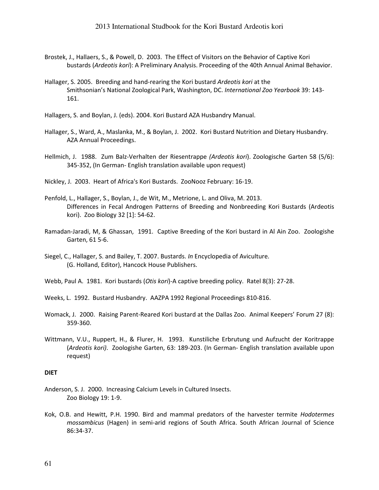- Brostek, J., Hallaers, S., & Powell, D. 2003. The Effect of Visitors on the Behavior of Captive Kori bustards (Ardeotis kori): A Preliminary Analysis. Proceeding of the 40th Annual Animal Behavior.
- Hallager, S. 2005. Breeding and hand-rearing the Kori bustard Ardeotis kori at the Smithsonian's National Zoological Park, Washington, DC. International Zoo Yearbook 39: 143- 161.
- Hallagers, S. and Boylan, J. (eds). 2004. Kori Bustard AZA Husbandry Manual.
- Hallager, S., Ward, A., Maslanka, M., & Boylan, J. 2002. Kori Bustard Nutrition and Dietary Husbandry. AZA Annual Proceedings.
- Hellmich, J. 1988. Zum Balz-Verhalten der Riesentrappe (Ardeotis kori). Zoologische Garten 58 (5/6): 345-352, (In German- English translation available upon request)
- Nickley, J. 2003. Heart of Africa's Kori Bustards. ZooNooz February: 16-19.
- Penfold, L., Hallager, S., Boylan, J., de Wit, M., Metrione, L. and Oliva, M. 2013. Differences in Fecal Androgen Patterns of Breeding and Nonbreeding Kori Bustards (Ardeotis kori). Zoo Biology 32 [1]: 54-62.
- Ramadan-Jaradi, M, & Ghassan, 1991. Captive Breeding of the Kori bustard in Al Ain Zoo. Zoologishe Garten, 61 5-6.
- Siegel, C., Hallager, S. and Bailey, T. 2007. Bustards. In Encyclopedia of Aviculture. (G. Holland, Editor), Hancock House Publishers.
- Webb, Paul A. 1981. Kori bustards (Otis kori)-A captive breeding policy. Ratel 8(3): 27-28.
- Weeks, L. 1992. Bustard Husbandry. AAZPA 1992 Regional Proceedings 810-816.
- Womack, J. 2000. Raising Parent-Reared Kori bustard at the Dallas Zoo. Animal Keepers' Forum 27 (8): 359-360.
- Wittmann, V.U., Ruppert, H., & Flurer, H. 1993. Kunstiliche Erbrutung und Aufzucht der Koritrappe (Ardeotis kori). Zoologishe Garten, 63: 189-203. (In German- English translation available upon request)

#### DIET

- Anderson, S. J. 2000. Increasing Calcium Levels in Cultured Insects. Zoo Biology 19: 1-9.
- Kok, O.B. and Hewitt, P.H. 1990. Bird and mammal predators of the harvester termite Hodotermes mossambicus (Hagen) in semi-arid regions of South Africa. South African Journal of Science 86:34-37.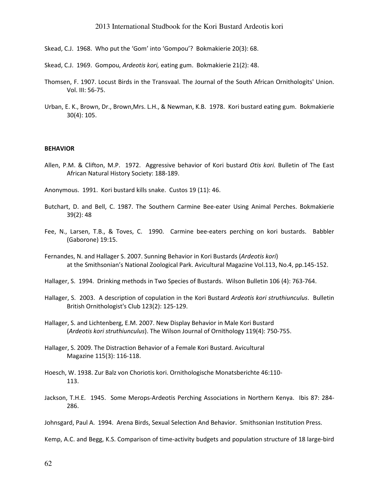- Skead, C.J. 1968. Who put the 'Gom' into 'Gompou'? Bokmakierie 20(3): 68.
- Skead, C.J. 1969. Gompou, Ardeotis kori, eating gum. Bokmakierie 21(2): 48.
- Thomsen, F. 1907. Locust Birds in the Transvaal. The Journal of the South African Ornithologits' Union. Vol. III: 56-75.
- Urban, E. K., Brown, Dr., Brown,Mrs. L.H., & Newman, K.B. 1978. Kori bustard eating gum. Bokmakierie 30(4): 105.

#### BEHAVIOR

- Allen, P.M. & Clifton, M.P. 1972. Aggressive behavior of Kori bustard Otis kori. Bulletin of The East African Natural History Society: 188-189.
- Anonymous. 1991. Kori bustard kills snake. Custos 19 (11): 46.
- Butchart, D. and Bell, C. 1987. The Southern Carmine Bee-eater Using Animal Perches. Bokmakierie 39(2): 48
- Fee, N., Larsen, T.B., & Toves, C. 1990. Carmine bee-eaters perching on kori bustards. Babbler (Gaborone) 19:15.
- Fernandes, N. and Hallager S. 2007. Sunning Behavior in Kori Bustards (Ardeotis kori) at the Smithsonian's National Zoological Park. Avicultural Magazine Vol.113, No.4, pp.145-152.
- Hallager, S. 1994. Drinking methods in Two Species of Bustards. Wilson Bulletin 106 (4): 763-764.
- Hallager, S. 2003. A description of copulation in the Kori Bustard Ardeotis kori struthiunculus. Bulletin British Ornithologist's Club 123(2): 125-129.
- Hallager, S. and Lichtenberg, E.M. 2007. New Display Behavior in Male Kori Bustard (Ardeotis kori struthiunculus). The Wilson Journal of Ornithology 119(4): 750-755.
- Hallager, S. 2009. The Distraction Behavior of a Female Kori Bustard. Avicultural Magazine 115(3): 116-118.
- Hoesch, W. 1938. Zur Balz von Choriotis kori. Ornithologische Monatsberichte 46:110- 113.
- Jackson, T.H.E. 1945. Some Merops-Ardeotis Perching Associations in Northern Kenya. Ibis 87: 284- 286.

Kemp, A.C. and Begg, K.S. Comparison of time-activity budgets and population structure of 18 large-bird

Johnsgard, Paul A. 1994. Arena Birds, Sexual Selection And Behavior. Smithsonian Institution Press.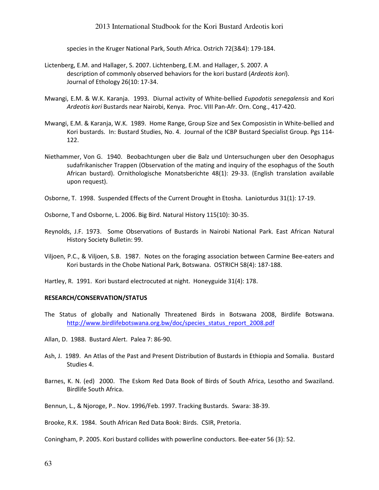species in the Kruger National Park, South Africa. Ostrich 72(3&4): 179-184.

- Lictenberg, E.M. and Hallager, S. 2007. Lichtenberg, E.M. and Hallager, S. 2007. A description of commonly observed behaviors for the kori bustard (Ardeotis kori). Journal of Ethology 26(10: 17-34.
- Mwangi, E.M. & W.K. Karanja. 1993. Diurnal activity of White-bellied Eupodotis senegalensis and Kori Ardeotis kori Bustards near Nairobi, Kenya. Proc. VIII Pan-Afr. Orn. Cong., 417-420.
- Mwangi, E.M. & Karanja, W.K. 1989. Home Range, Group Size and Sex Composistin in White-bellied and Kori bustards. In: Bustard Studies, No. 4. Journal of the ICBP Bustard Specialist Group. Pgs 114- 122.
- Niethammer, Von G. 1940. Beobachtungen uber die Balz und Untersuchungen uber den Oesophagus sudafrikanischer Trappen (Observation of the mating and inquiry of the esophagus of the South African bustard). Ornithologische Monatsberichte 48(1): 29-33. (English translation available upon request).
- Osborne, T. 1998. Suspended Effects of the Current Drought in Etosha. Lanioturdus 31(1): 17-19.

Osborne, T and Osborne, L. 2006. Big Bird. Natural History 115(10): 30-35.

- Reynolds, J.F. 1973. Some Observations of Bustards in Nairobi National Park. East African Natural History Society Bulletin: 99.
- Viljoen, P.C., & Viljoen, S.B. 1987. Notes on the foraging association between Carmine Bee-eaters and Kori bustards in the Chobe National Park, Botswana. OSTRICH 58(4): 187-188.

Hartley, R. 1991. Kori bustard electrocuted at night. Honeyguide 31(4): 178.

#### RESEARCH/CONSERVATION/STATUS

- The Status of globally and Nationally Threatened Birds in Botswana 2008, Birdlife Botswana. http://www.birdlifebotswana.org.bw/doc/species\_status\_report\_2008.pdf
- Allan, D. 1988. Bustard Alert. Palea 7: 86-90.
- Ash, J. 1989. An Atlas of the Past and Present Distribution of Bustards in Ethiopia and Somalia. Bustard Studies 4.
- Barnes, K. N. (ed) 2000. The Eskom Red Data Book of Birds of South Africa, Lesotho and Swaziland. Birdlife South Africa.

Bennun, L., & Njoroge, P.. Nov. 1996/Feb. 1997. Tracking Bustards. Swara: 38-39.

Brooke, R.K. 1984. South African Red Data Book: Birds. CSIR, Pretoria.

Coningham, P. 2005. Kori bustard collides with powerline conductors. Bee-eater 56 (3): 52.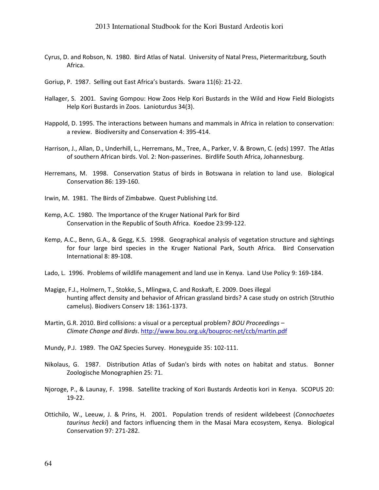- Cyrus, D. and Robson, N. 1980. Bird Atlas of Natal. University of Natal Press, Pietermaritzburg, South Africa.
- Goriup, P. 1987. Selling out East Africa's bustards. Swara 11(6): 21-22.
- Hallager, S. 2001. Saving Gompou: How Zoos Help Kori Bustards in the Wild and How Field Biologists Help Kori Bustards in Zoos. Lanioturdus 34(3).
- Happold, D. 1995. The interactions between humans and mammals in Africa in relation to conservation: a review. Biodiversity and Conservation 4: 395-414.
- Harrison, J., Allan, D., Underhill, L., Herremans, M., Tree, A., Parker, V. & Brown, C. (eds) 1997. The Atlas of southern African birds. Vol. 2: Non-passerines. Birdlife South Africa, Johannesburg.
- Herremans, M. 1998. Conservation Status of birds in Botswana in relation to land use. Biological Conservation 86: 139-160.
- Irwin, M. 1981. The Birds of Zimbabwe. Quest Publishing Ltd.
- Kemp, A.C. 1980. The Importance of the Kruger National Park for Bird Conservation in the Republic of South Africa. Koedoe 23:99-122.
- Kemp, A.C., Benn, G.A., & Gegg, K.S. 1998. Geographical analysis of vegetation structure and sightings for four large bird species in the Kruger National Park, South Africa. Bird Conservation International 8: 89-108.
- Lado, L. 1996. Problems of wildlife management and land use in Kenya. Land Use Policy 9: 169-184.
- Magige, F.J., Holmern, T., Stokke, S., Mlingwa, C. and Roskaft, E. 2009. Does illegal hunting affect density and behavior of African grassland birds? A case study on ostrich (Struthio camelus). Biodivers Conserv 18: 1361-1373.
- Martin, G.R. 2010. Bird collisions: a visual or a perceptual problem? BOU Proceedings -Climate Change and Birds. http://www.bou.org.uk/bouproc-net/ccb/martin.pdf
- Mundy, P.J. 1989. The OAZ Species Survey. Honeyguide 35: 102-111.
- Nikolaus, G. 1987. Distribution Atlas of Sudan's birds with notes on habitat and status. Bonner Zoologische Monographien 25: 71.
- Njoroge, P., & Launay, F. 1998. Satellite tracking of Kori Bustards Ardeotis kori in Kenya. SCOPUS 20: 19-22.
- Ottichilo, W., Leeuw, J. & Prins, H. 2001. Population trends of resident wildebeest (Connochaetes taurinus hecki) and factors influencing them in the Masai Mara ecosystem, Kenya. Biological Conservation 97: 271-282.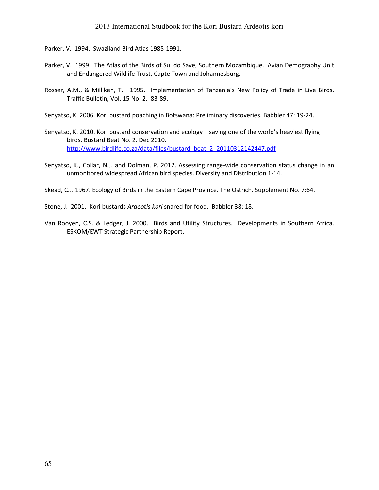Parker, V. 1994. Swaziland Bird Atlas 1985-1991.

- Parker, V. 1999. The Atlas of the Birds of Sul do Save, Southern Mozambique. Avian Demography Unit and Endangered Wildlife Trust, Capte Town and Johannesburg.
- Rosser, A.M., & Milliken, T.. 1995. Implementation of Tanzania's New Policy of Trade in Live Birds. Traffic Bulletin, Vol. 15 No. 2. 83-89.
- Senyatso, K. 2006. Kori bustard poaching in Botswana: Preliminary discoveries. Babbler 47: 19-24.
- Senyatso, K. 2010. Kori bustard conservation and ecology saving one of the world's heaviest flying birds. Bustard Beat No. 2. Dec 2010. http://www.birdlife.co.za/data/files/bustard\_beat\_2\_20110312142447.pdf
- Senyatso, K., Collar, N.J. and Dolman, P. 2012. Assessing range-wide conservation status change in an unmonitored widespread African bird species. Diversity and Distribution 1-14.
- Skead, C.J. 1967. Ecology of Birds in the Eastern Cape Province. The Ostrich. Supplement No. 7:64.
- Stone, J. 2001. Kori bustards Ardeotis kori snared for food. Babbler 38: 18.
- Van Rooyen, C.S. & Ledger, J. 2000. Birds and Utility Structures. Developments in Southern Africa. ESKOM/EWT Strategic Partnership Report.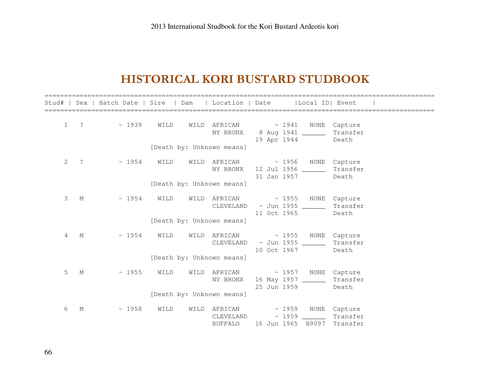# HISTORICAL KORI BUSTARD STUDBOOK

|              |                          | Stud#   Sex   Hatch Date   Sire   Dam   Location   Date   Local ID   Event |  |                           |                                                                                                                  |                   |
|--------------|--------------------------|----------------------------------------------------------------------------|--|---------------------------|------------------------------------------------------------------------------------------------------------------|-------------------|
| $\mathbf{1}$ | $\overline{\phantom{a}}$ | $\sim 1939$ WILD                                                           |  |                           | WILD AFRICAN $\sim$ 1941 NONE Capture<br>NY BRONX 8 Aug 1941 _______<br>19 Apr 1944                              | Transfer<br>Death |
|              |                          |                                                                            |  | [Death by: Unknown means] |                                                                                                                  |                   |
| 2            | $\cdot$ ?                |                                                                            |  |                           | $\sim$ 1954 WILD WILD AFRICAN $\sim$ 1956 NONE Capture<br>NY BRONX 12 Jul 1956 ______<br>31 Jan 1957             | Transfer<br>Death |
|              |                          |                                                                            |  | [Death by: Unknown means] |                                                                                                                  |                   |
| 3            | M                        |                                                                            |  |                           | $\sim$ 1954 WILD WILD AFRICAN $\sim$ 1955 NONE Capture<br>CLEVELAND ~ Jun 1955 _______<br>11 Oct 1965            | Transfer<br>Death |
|              |                          |                                                                            |  | [Death by: Unknown means] |                                                                                                                  |                   |
| 4            | M                        |                                                                            |  |                           | $\sim$ 1954 WILD WILD AFRICAN $\sim$ 1955 NONE Capture<br>CLEVELAND ~ Jun 1955 _________ Transfer<br>10 Oct 1967 | Death             |
|              |                          |                                                                            |  | [Death by: Unknown means] |                                                                                                                  |                   |
| 5            | M                        | $\sim 1955$ WILD                                                           |  | NY BRONX                  | WILD AFRICAN $\sim$ 1957 NONE Capture<br>16 May 1957 ________ Transfer<br>25 Jun 1959                            | Death             |
|              |                          |                                                                            |  | [Death by: Unknown means] |                                                                                                                  |                   |
| 6            | М                        | $\sim 1958$ WILD                                                           |  |                           | WILD AFRICAN $\sim$ 1959 NONE Capture<br>$CLEVELAND \sim 1959$<br>BUFFALO 16 Jun 1965 B9097 Transfer             | Transfer          |

66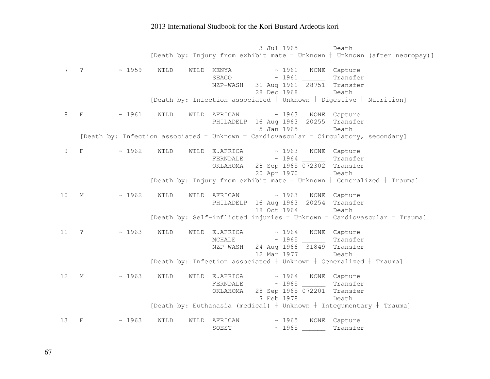3 Jul 1965 Death [Death by: Injury from exhibit mate  $\dagger$  Unknown  $\dagger$  Unknown (after necropsy)] 7 ? ~ 1959 WILD WILD KENYA ~ 1961 NONE Capture SEAGO ~ 1961 \_\_\_\_\_\_ Transfer NZP-WASH 31 Aug 1961 28751 Transfer 28 Dec 1968 Death [Death by: Infection associated  $\dagger$  Unknown  $\dagger$  Digestive  $\dagger$  Nutrition] 8 F ~ 1961 WILD WILD AFRICAN ~ 1963 NONE Capture PHILADELP 16 Aug 1963 20255 Transfer 5 Jan 1965 Death [Death by: Infection associated  $\dagger$  Unknown  $\dagger$  Cardiovascular  $\dagger$  Circulatory, secondary] 9 F  $\sim$  1962 WILD WILD E.AFRICA  $\sim$  1963 NONE Capture FERNDALE ~ 1964 \_\_\_\_\_\_ Transfer OKLAHOMA 28 Sep 1965 072302 Transfer 20 Apr 1970 Death [Death by: Injury from exhibit mate  $\dagger$  Unknown  $\dagger$  Generalized  $\dagger$  Trauma] 10 M ~ 1962 WILD WILD AFRICAN ~ 1963 NONE Capture PHILADELP 16 Aug 1963 20254 Transfer 18 Oct 1964 Death [Death by: Self-inflicted injuries  $\dagger$  Unknown  $\dagger$  Cardiovascular  $\dagger$  Trauma] 11 ? ~ 1963 WILD WILD E.AFRICA ~ 1964 NONE Capture MCHALE ~ 1965 \_\_\_\_\_\_ Transfer NZP-WASH 24 Aug 1966 31849 Transfer 12 Mar 1977 Death [Death by: Infection associated  $\dagger$  Unknown  $\dagger$  Generalized  $\dagger$  Trauma] 12 M ~ 1963 WILD WILD E.AFRICA ~ 1964 NONE Capture FERNDALE ~ 1965 \_\_\_\_\_\_ Transfer OKLAHOMA 28 Sep 1965 072201 Transfer 7 Feb 1978 Death [Death by: Euthanasia (medical)  $\dagger$  Unknown  $\dagger$  Integumentary  $\dagger$  Trauma] 13 F ~ 1963 WILD WILD AFRICAN ~ 1965 NONE Capture SOEST ~ 1965 \_\_\_\_\_\_ Transfer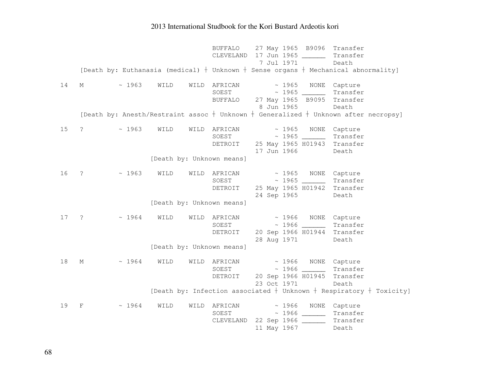|    |                |              |      |      | <b>BUFFALO</b><br>CLEVELAND                                                               |             | 27 May 1965 B9096<br>17 Jun 1965 ______ | Transfer<br>Transfer        |                                                                           |
|----|----------------|--------------|------|------|-------------------------------------------------------------------------------------------|-------------|-----------------------------------------|-----------------------------|---------------------------------------------------------------------------|
|    |                |              |      |      | [Death by: Euthanasia (medical) $+$ Unknown $+$ Sense organs $+$ Mechanical abnormality]  | 7 Jul 1971  |                                         | Death                       |                                                                           |
|    |                |              |      |      |                                                                                           |             |                                         |                             |                                                                           |
| 14 | М              | ~1963        | WILD | WILD | AFRICAN                                                                                   | ~1965       | NONE                                    | Capture                     |                                                                           |
|    |                |              |      |      | SOEST                                                                                     |             |                                         | Transfer                    |                                                                           |
|    |                |              |      |      | <b>BUFFALO</b>                                                                            | 8 Jun 1965  | 27 May 1965 B9095                       | Transfer                    |                                                                           |
|    |                |              |      |      | [Death by: Anesth/Restraint assoc $+$ Unknown $+$ Generalized $+$ Unknown after necropsy] |             |                                         | Death                       |                                                                           |
|    |                |              |      |      |                                                                                           |             |                                         |                             |                                                                           |
| 15 | $\ddot{\cdot}$ | ~1963        | WILD | WILD | AFRICAN                                                                                   | ~1965       | NONE                                    | Capture                     |                                                                           |
|    |                |              |      |      | SOEST                                                                                     |             |                                         | Transfer                    |                                                                           |
|    |                |              |      |      | DETROIT                                                                                   |             | 25 May 1965 H01943                      | Transfer                    |                                                                           |
|    |                |              |      |      |                                                                                           | 17 Jun 1966 |                                         | Death                       |                                                                           |
|    |                |              |      |      | [Death by: Unknown means]                                                                 |             |                                         |                             |                                                                           |
| 16 | $\ddot{\cdot}$ | ~1963        | WILD |      | WILD AFRICAN                                                                              | $\sim 1965$ | NONE                                    | Capture                     |                                                                           |
|    |                |              |      |      | SOEST                                                                                     |             |                                         | Transfer                    |                                                                           |
|    |                |              |      |      | DETROIT                                                                                   |             | 25 May 1965 H01942                      | Transfer                    |                                                                           |
|    |                |              |      |      |                                                                                           | 24 Sep 1965 |                                         | Death                       |                                                                           |
|    |                |              |      |      | [Death by: Unknown means]                                                                 |             |                                         |                             |                                                                           |
| 17 | $\cdot$ ?      | $\sim 1964$  | WILD | WILD | AFRICAN                                                                                   | ~1966       |                                         | NONE Capture                |                                                                           |
|    |                |              |      |      | SOEST                                                                                     |             | $\sim$ 1966 _____                       | Transfer                    |                                                                           |
|    |                |              |      |      | DETROIT                                                                                   |             | 20 Sep 1966 H01944                      | Transfer                    |                                                                           |
|    |                |              |      |      |                                                                                           | 28 Aug 1971 |                                         | Death                       |                                                                           |
|    |                |              |      |      | [Death by: Unknown means]                                                                 |             |                                         |                             |                                                                           |
| 18 | $M_{\odot}$    | $~\sim~1964$ | WILD | WILD | AFRICAN                                                                                   | $\sim 1966$ |                                         | NONE Capture                |                                                                           |
|    |                |              |      |      | SOEST                                                                                     |             |                                         | Transfer                    |                                                                           |
|    |                |              |      |      | DETROIT                                                                                   |             |                                         | 20 Sep 1966 H01945 Transfer |                                                                           |
|    |                |              |      |      |                                                                                           | 23 Oct 1971 |                                         | Death                       |                                                                           |
|    |                |              |      |      |                                                                                           |             |                                         |                             | [Death by: Infection associated $+$ Unknown $+$ Respiratory $+$ Toxicity] |
| 19 | F              | ~1964        | WILD | WILD | AFRICAN                                                                                   | ~1966       | NONE                                    | Capture                     |                                                                           |
|    |                |              |      |      | SOEST                                                                                     |             |                                         | Transfer                    |                                                                           |
|    |                |              |      |      | CLEVELAND 22 Sep 1966                                                                     |             |                                         | Transfer                    |                                                                           |
|    |                |              |      |      |                                                                                           | 11 May 1967 |                                         | Death                       |                                                                           |

68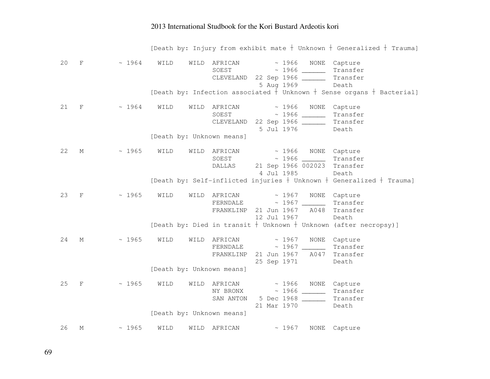|    |              |             |                           |                                  | [Death by: Injury from exhibit mate $+$ Unknown $+$ Generalized $+$ Trauma]                                        |
|----|--------------|-------------|---------------------------|----------------------------------|--------------------------------------------------------------------------------------------------------------------|
| 20 | $\rm F$      | ~1964       | WILD<br>WILD              | AFRICAN<br>SOEST<br>CLEVELAND    | ~ 1966 NONE Capture<br>Transfer<br>22 Sep 1966 ______<br>Transfer<br>5 Aug 1969<br>Death                           |
|    |              |             |                           |                                  | [Death by: Infection associated + Unknown + Sense organs + Bacterial]                                              |
| 21 | $\mathbf{F}$ | ~1964       | WILD<br>WILD              | AFRICAN<br>SOEST<br>CLEVELAND    | ~1966<br>NONE<br>Capture<br>Transfer<br>22 Sep 1966 ______<br>Transfer<br>5 Jul 1976<br>Death                      |
|    |              |             | [Death by: Unknown means] |                                  |                                                                                                                    |
| 22 | М            | ~1965       | WILD<br>WILD              | AFRICAN<br>SOEST<br>DALLAS       | ~1966<br>NONE Capture<br>$\sim 1966$<br>Transfer<br>21 Sep 1966 002023<br>Transfer<br>4 Jul 1985<br>Death          |
|    |              |             |                           |                                  | [Death by: Self-inflicted injuries + Unknown + Generalized + Trauma]                                               |
| 23 | $\mathbf{F}$ | ~1965       | WILD<br>WILD              | AFRICAN<br>FERNDALE<br>FRANKLINP | ~1967<br>NONE<br>Capture<br>Transfer<br>21 Jun 1967<br>A048<br>Transfer<br>12 Jul 1967<br>Death                    |
|    |              |             |                           |                                  | [Death by: Died in transit + Unknown + Unknown (after necropsy)]                                                   |
| 24 | M            | $\sim 1965$ | WILD<br>WILD              | AFRICAN<br>FERNDALE<br>FRANKLINP | ~1967<br>NONE<br>Capture<br>$\sim 1967$<br>Transfer<br>21 Jun 1967<br>A047<br>Transfer<br>25 Sep 1971<br>Death     |
|    |              |             | [Death by: Unknown means] |                                  |                                                                                                                    |
| 25 | $\mathbf{F}$ | ~1965       | WILD<br>WILD              | AFRICAN<br>NY BRONX<br>SAN ANTON | ~1966<br>NONE<br>Capture<br>$\sim$ 1966 _____<br>Transfer<br>5 Dec 1968 ______<br>Transfer<br>21 Mar 1970<br>Death |
|    |              |             | [Death by: Unknown means] |                                  |                                                                                                                    |
| 26 | М            | ~1965       | WILD<br>WILD              | AFRICAN                          | ~1967<br><b>NONE</b><br>Capture                                                                                    |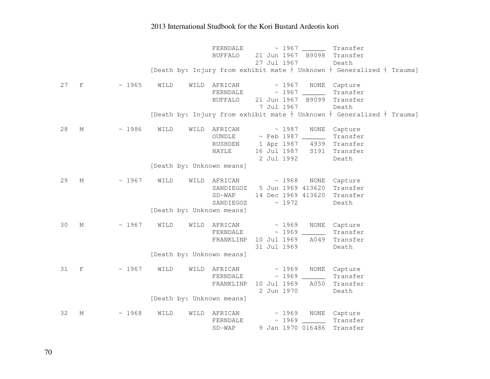|    |             |       |                           | FERNDALE<br>Transfer<br>21 Jun 1967 B9098<br><b>BUFFALO</b><br>Transfer<br>27 Jul 1967<br>Death<br>[Death by: Injury from exhibit mate $+$ Unknown $+$ Generalized $+$ Trauma]                |
|----|-------------|-------|---------------------------|-----------------------------------------------------------------------------------------------------------------------------------------------------------------------------------------------|
| 27 | $\mathbf F$ | ~1965 | WILD<br>WILD              | AFRICAN<br>~1967<br>NONE<br>Capture<br>Transfer<br>FERNDALE<br><b>BUFFALO</b><br>21 Jun 1967 B9099<br>Transfer<br>7 Jul 1967<br>Death                                                         |
|    |             |       |                           | [Death by: Injury from exhibit mate $+$ Unknown $+$ Generalized $+$ Trauma]                                                                                                                   |
| 28 | М           | ~1986 | WILD<br>WILD              | ~1987<br>NONE<br>AFRICAN<br>Capture<br>$\sim$ Feb 1987 ______<br>Transfer<br>OUNDLE<br>1 Apr 1987 4939<br>Transfer<br>RUSHDEN<br>16 Jul 1987 S191<br>HAYLE<br>Transfer<br>2 Jul 1992<br>Death |
|    |             |       | [Death by: Unknown means] |                                                                                                                                                                                               |
| 29 | М           | ~1967 | WILD                      | WILD AFRICAN<br>~1968<br>NONE<br>Capture<br>5 Jun 1969 413620<br>Transfer<br>SANDIEGOZ<br>$SD-WAP$<br>14 Dec 1969 413620<br>Transfer<br>~1972<br>SANDIEGOZ<br>Death                           |
|    |             |       | [Death by: Unknown means] |                                                                                                                                                                                               |
| 30 | М           | ~1967 | WILD                      | ~1969<br>WILD AFRICAN<br>NONE<br>Capture<br>Transfer<br>FERNDALE<br>10 Jul 1969<br>FRANKLINP<br>A049<br>Transfer<br>31 Jul 1969<br>Death                                                      |
|    |             |       | [Death by: Unknown means] |                                                                                                                                                                                               |
| 31 | $\mathbf F$ | ~1967 | WILD<br>WILD              | AFRICAN<br>~1969<br>NONE<br>Capture<br>FERNDALE<br>Transfer<br>10 Jul 1969<br>A050<br>Transfer<br>FRANKLINP<br>2 Jun 1970<br>Death                                                            |
|    |             |       | [Death by: Unknown means] |                                                                                                                                                                                               |
| 32 | М           | ~1968 | WILD<br>WILD              | ~1969<br>NONE Capture<br>AFRICAN<br>$\sim 1969$<br>Transfer<br>FERNDALE<br>9 Jan 1970 016486<br>$SD-WAP$<br>Transfer                                                                          |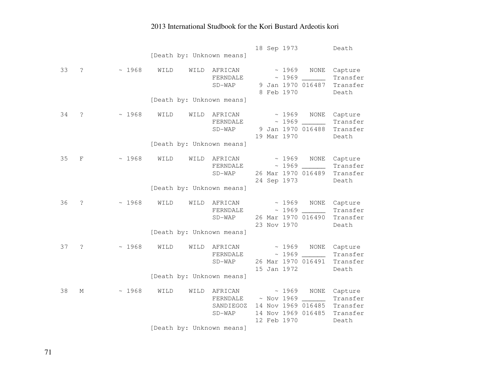|    |                      |       | [Death by: Unknown means]                 |                                              | 18 Sep 1973                                                                                  | Death                                                |
|----|----------------------|-------|-------------------------------------------|----------------------------------------------|----------------------------------------------------------------------------------------------|------------------------------------------------------|
| 33 | S.                   | ~1968 | WILD<br>WILD<br>[Death by: Unknown means] | AFRICAN<br>FERNDALE<br>$SD-WAP$              | ~1969<br><b>NONE</b><br>~1969<br>9 Jan 1970 016487<br>8 Feb 1970                             | Capture<br>Transfer<br>Transfer<br>Death             |
| 34 | $\ddot{\phantom{0}}$ | ~1968 | WILD<br>WILD                              | AFRICAN<br>FERNDALE<br>$SD-WAP$              | ~1969<br>NONE<br>~1969<br>$\sim$<br>9 Jan 1970 016488<br>19 Mar 1970                         | Capture<br>Transfer<br>Transfer<br>Death             |
|    |                      |       | [Death by: Unknown means]                 |                                              |                                                                                              |                                                      |
| 35 | $\mathbf F$          | ~1968 | WILD<br>WILD                              | AFRICAN<br>FERNDALE<br>$SD-WAP$              | ~1969<br><b>NONE</b><br>~1969<br>26 Mar 1970 016489<br>24 Sep 1973                           | Capture<br>Transfer<br>Transfer<br>Death             |
|    |                      |       | [Death by: Unknown means]                 |                                              |                                                                                              |                                                      |
| 36 | $\ddot{\cdot}$       | ~1968 | WILD<br>WILD                              | AFRICAN<br>FERNDALE<br>$SD-WAP$              | ~1969<br>NONE<br>~1969<br>26 Mar 1970 016490<br>23 Nov 1970                                  | Capture<br>Transfer<br>Transfer<br>Death             |
|    |                      |       | [Death by: Unknown means]                 |                                              |                                                                                              |                                                      |
| 37 | S.                   | ~1968 | WILD<br>WILD                              | AFRICAN<br>FERNDALE<br>$SD-WAP$              | ~1969<br><b>NONE</b><br>~1969<br>$\sim$ $-$<br>26 Mar 1970 016491<br>15 Jan 1972             | Capture<br>Transfer<br>Transfer<br>Death             |
|    |                      |       | [Death by: Unknown means]                 |                                              |                                                                                              |                                                      |
| 38 | М                    | ~1968 | WILD<br>WILD                              | AFRICAN<br>FERNDALE<br>SANDIEGOZ<br>$SD-WAP$ | ~1969<br>NONE<br>$~\sim$ Nov 1969<br>14 Nov 1969 016485<br>14 Nov 1969 016485<br>12 Feb 1970 | Capture<br>Transfer<br>Transfer<br>Transfer<br>Death |
|    |                      |       | [Death by: Unknown means]                 |                                              |                                                                                              |                                                      |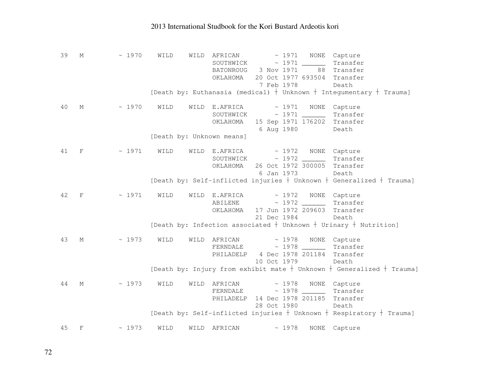| 39 | М            | ~1970 | WILD | WILD | AFRICAN<br>SOUTHWICK<br>BATONROUG 3 Nov 1971<br>OKLAHOMA                      | 7 Feb 1978                       |       | $\sim 1971$ NONE | Capture<br>Transfer<br>88 Transfer<br>20 Oct 1977 693504 Transfer<br>Death  |
|----|--------------|-------|------|------|-------------------------------------------------------------------------------|----------------------------------|-------|------------------|-----------------------------------------------------------------------------|
|    |              |       |      |      |                                                                               |                                  |       |                  | [Death by: Euthanasia (medical) $+$ Unknown $+$ Integumentary $+$ Trauma]   |
| 40 | М            | ~1970 | WILD |      | WILD E.AFRICA $\sim$ 1971 NONE<br>OKLAHOMA 15 Sep 1971 176202                 | 6 Aug 1980                       |       |                  | Capture<br>Transfer<br>Transfer<br>Death                                    |
|    |              |       |      |      | [Death by: Unknown means]                                                     |                                  |       |                  |                                                                             |
| 41 | $\mathbf{F}$ | ~1971 | WILD |      | WILD E.AFRICA $\sim$ 1972 NONE Capture<br>OKLAHOMA                            | 26 Oct 1972 300005<br>6 Jan 1973 |       |                  | Transfer<br>Transfer<br>Death                                               |
|    |              |       |      |      |                                                                               |                                  |       |                  | [Death by: Self-inflicted injuries $+$ Unknown $+$ Generalized $+$ Trauma]  |
| 42 | $\mathbf F$  | ~1971 | WILD |      | WILD E.AFRICA<br>ABILENE ~ 1972 ________<br>OKLAHOMA                          | 21 Dec 1984                      |       |                  | ~ 1972 NONE Capture<br>Transfer<br>17 Jun 1972 209603 Transfer<br>Death     |
|    |              |       |      |      |                                                                               |                                  |       |                  | [Death by: Infection associated $+$ Unknown $+$ Urinary $+$ Nutrition]      |
| 43 | М            | ~1973 | WILD |      | WILD AFRICAN<br>FERNDALE ~ 1978 _______<br>PHILADELP                          | 10 Oct 1979                      |       |                  | ~ 1978 NONE Capture<br>Transfer<br>4 Dec 1978 201184 Transfer<br>Death      |
|    |              |       |      |      |                                                                               |                                  |       |                  | [Death by: Injury from exhibit mate $+$ Unknown $+$ Generalized $+$ Trauma] |
| 44 | М            | ~1973 | WILD |      | WILD AFRICAN<br>$FERNDALE \sim 1978$<br>PHILADELP 14 Dec 1978 201185 Transfer | 28 Oct 1980                      |       |                  | ~ 1978 NONE Capture<br>Transfer<br>Death                                    |
|    |              |       |      |      |                                                                               |                                  |       |                  | [Death by: Self-inflicted injuries $+$ Unknown $+$ Respiratory $+$ Trauma]  |
| 45 | $_{\rm F}$   | ~1973 | WILD | WILD | AFRICAN                                                                       |                                  | ~1978 | NONE             | Capture                                                                     |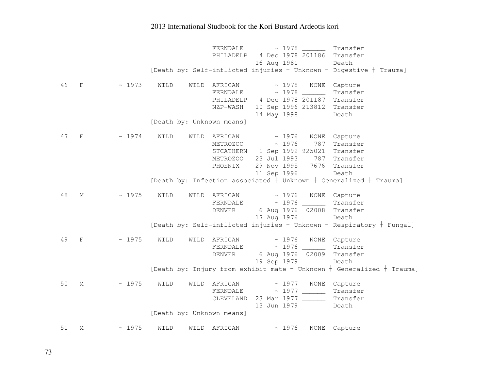FERNDALE ~ 1978 Transfer PHILADELP 4 Dec 1978 201186 Transfer 16 Aug 1981 Death [Death by: Self-inflicted injuries  $\dagger$  Unknown  $\dagger$  Digestive  $\dagger$  Trauma] 46 F ~ 1973 WILD WILD AFRICAN ~ 1978 NONE Capture Transfer FERNDALE ~ 1978 \_\_\_\_\_\_ Transfer PHILADELP 4 Dec 1978 201187 Transfer NZP-WASH 10 Sep 1996 213812 Transfer 14 May 1998 Death [Death by: Unknown means] 47 F ~ 1974 WILD WILD AFRICAN ~ 1976 NONE Capture 787 Transfer METROZOO ~ 1976 STCATHERN 1 Sep 1992 925021 Transfer METROZOO 23 Jul 1993 787 Transfer PHOENIX 29 Nov 1995 7676 Transfer 11 Sep 1996 Death [Death by: Infection associated  $\dagger$  Unknown  $\dagger$  Generalized  $\dagger$  Trauma] 48 M ~ 1975 WILD WILD AFRICAN ~ 1976 NONE Capture Transfer  $FERNDALE$   $\sim$  1976 DENVER 6 Aug 1976 02008 Transfer 17 Aug 1976 Death [Death by: Self-inflicted injuries  $\dagger$  Unknown  $\dagger$  Respiratory  $\dagger$  Fungal] 49 F ~ 1975 WILD WILD AFRICAN ~ 1976 NONE Capture FERNDALE ~ 1976 \_\_\_\_\_\_ Transfer DENVER 6 Aug 1976 02009 Transfer 19 Sep 1979 Death [Death by: Injury from exhibit mate  $\dagger$  Unknown  $\dagger$  Generalized  $\dagger$  Trauma] 50 M ~ 1975 WILD WILD AFRICAN ~ 1977 NONE Capture FERNDALE ~ 1977 \_\_\_\_\_\_ Transfer CLEVELAND 23 Mar 1977 \_\_\_\_\_\_ Transfer 13 Jun 1979 Death [Death by: Unknown means] 51 M ~ 1975 WILD WILD AFRICAN ~ 1976 NONE Capture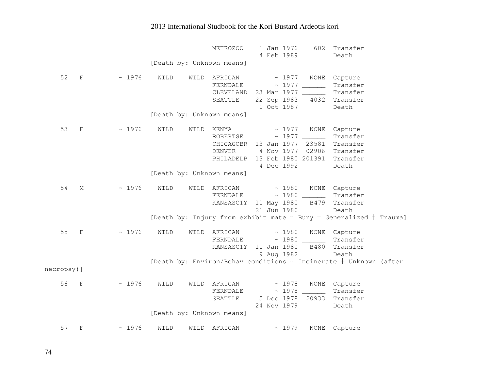|            |                           |             |      |      | METROZOO                  | 1 Jan 1976  |             | 602                | Transfer                                                                 |
|------------|---------------------------|-------------|------|------|---------------------------|-------------|-------------|--------------------|--------------------------------------------------------------------------|
|            |                           |             |      |      |                           | 4 Feb 1989  |             |                    | Death                                                                    |
|            |                           |             |      |      | [Death by: Unknown means] |             |             |                    |                                                                          |
|            |                           |             |      |      |                           |             |             |                    |                                                                          |
| 52         | $\mathbf F$               | ~1976       | WILD | WILD | AFRICAN                   |             | $\sim 1977$ | NONE               | Capture                                                                  |
|            |                           |             |      |      | FERNDALE                  |             |             |                    | Transfer                                                                 |
|            |                           |             |      |      | CLEVELAND 23 Mar 1977     |             |             |                    | Transfer                                                                 |
|            |                           |             |      |      | SEATTLE                   |             |             | 22 Sep 1983 4032   | Transfer                                                                 |
|            |                           |             |      |      |                           | 1 Oct 1987  |             |                    | Death                                                                    |
|            |                           |             |      |      | [Death by: Unknown means] |             |             |                    |                                                                          |
|            |                           |             |      |      |                           |             |             |                    |                                                                          |
| 53         | $\rm F$                   | ~1976       | WILD | WILD | KENYA                     |             | ~1977       | NONE               | Capture                                                                  |
|            |                           |             |      |      | ROBERTSE                  |             | ~1977       |                    | Transfer                                                                 |
|            |                           |             |      |      | CHICAGOBR 13 Jan 1977     |             |             | 23581              | Transfer                                                                 |
|            |                           |             |      |      | <b>DENVER</b>             |             |             | 4 Nov 1977 02906   | Transfer                                                                 |
|            |                           |             |      |      | PHILADELP                 |             |             | 13 Feb 1980 201391 | Transfer                                                                 |
|            |                           |             |      |      |                           | 4 Dec 1992  |             |                    | Death                                                                    |
|            |                           |             |      |      | [Death by: Unknown means] |             |             |                    |                                                                          |
| 54         | М                         | ~1976       | WILD | WILD | AFRICAN                   |             | $\sim 1980$ |                    | NONE Capture                                                             |
|            |                           |             |      |      | FERNDALE                  |             |             |                    | Transfer                                                                 |
|            |                           |             |      |      | KANSASCTY                 | 11 May 1980 |             | B479               | Transfer                                                                 |
|            |                           |             |      |      |                           | 21 Jun 1980 |             |                    | Death                                                                    |
|            |                           |             |      |      |                           |             |             |                    | [Death by: Injury from exhibit mate $+$ Bury $+$ Generalized $+$ Trauma] |
|            |                           |             |      |      |                           |             |             |                    |                                                                          |
| 55         | $\boldsymbol{\mathrm{F}}$ | $\sim 1976$ | WILD | WILD | AFRICAN                   |             | ~1980       |                    | NONE Capture                                                             |
|            |                           |             |      |      | FERNDALE                  |             |             |                    | Transfer                                                                 |
|            |                           |             |      |      | KANSASCTY                 | 11 Jan 1980 |             | B480               | Transfer                                                                 |
|            |                           |             |      |      |                           | 9 Aug 1982  |             |                    | Death                                                                    |
|            |                           |             |      |      |                           |             |             |                    | [Death by: Environ/Behav conditions $+$ Incinerate $+$ Unknown (after    |
| necropsy)] |                           |             |      |      |                           |             |             |                    |                                                                          |
|            |                           |             |      |      |                           |             |             |                    |                                                                          |
| 56         | $\mathbf{F}$              | ~1976       | WILD | WILD | AFRICAN                   |             | $\sim 1978$ | NONE               | Capture                                                                  |
|            |                           |             |      |      | FERNDALE                  |             | ~1978       |                    | Transfer                                                                 |
|            |                           |             |      |      | SEATTLE                   |             |             | 5 Dec 1978 20933   | Transfer                                                                 |
|            |                           |             |      |      |                           | 24 Nov 1979 |             |                    | Death                                                                    |
|            |                           |             |      |      | [Death by: Unknown means] |             |             |                    |                                                                          |
| 57         | F                         | ~1976       | WILD | WILD | AFRICAN                   |             | ~1979       | NONE               | Capture                                                                  |
|            |                           |             |      |      |                           |             |             |                    |                                                                          |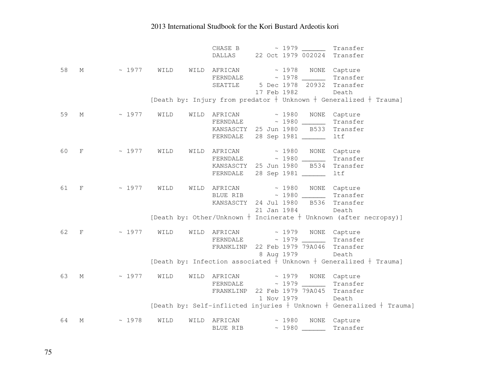|    |              |                                              |      | CHASE B                                                |  |             |                     | ~ 1979 ________ Transfer                                                                              |
|----|--------------|----------------------------------------------|------|--------------------------------------------------------|--|-------------|---------------------|-------------------------------------------------------------------------------------------------------|
|    |              |                                              |      | DALLAS 22 Oct 1979 002024 Transfer                     |  |             |                     |                                                                                                       |
|    |              |                                              |      |                                                        |  |             |                     |                                                                                                       |
| 58 | $M_{\odot}$  |                                              |      | $\sim$ 1977 WILD WILD AFRICAN $\sim$ 1978 NONE Capture |  |             |                     |                                                                                                       |
|    |              |                                              |      | FERNDALE ~ 1978 Transfer                               |  |             |                     |                                                                                                       |
|    |              |                                              |      | SEATTLE 5 Dec 1978 20932 Transfer                      |  |             |                     |                                                                                                       |
|    |              |                                              |      |                                                        |  | 17 Feb 1982 |                     | Death                                                                                                 |
|    |              |                                              |      |                                                        |  |             |                     | [Death by: Injury from predator $+$ Unknown $+$ Generalized $+$ Trauma]                               |
|    |              |                                              |      |                                                        |  |             |                     |                                                                                                       |
| 59 | М            | $\sim 1977$                                  | WILD | WILD AFRICAN                                           |  |             | ~ 1980 NONE Capture |                                                                                                       |
|    |              |                                              |      |                                                        |  |             |                     | Transfer                                                                                              |
|    |              |                                              |      | KANSASCTY 25 Jun 1980 B533 Transfer                    |  |             |                     |                                                                                                       |
|    |              |                                              |      | FERNDALE 28 Sep 1981 ______                            |  |             |                     | ltf                                                                                                   |
|    |              |                                              |      |                                                        |  |             |                     |                                                                                                       |
| 60 | $\mathbf{F}$ | ~ 1977 WILD WILD AFRICAN ~ 1980 NONE Capture |      |                                                        |  |             |                     |                                                                                                       |
|    |              |                                              |      | FERNDALE ~ 1980 Transfer                               |  |             |                     |                                                                                                       |
|    |              |                                              |      | KANSASCTY 25 Jun 1980 B534                             |  |             |                     | Transfer                                                                                              |
|    |              |                                              |      | FERNDALE 28 Sep 1981 ______                            |  |             |                     | ltf                                                                                                   |
|    |              |                                              |      |                                                        |  |             |                     |                                                                                                       |
| 61 | $\mathbf{F}$ | $\sim 1977$ WILD                             |      | WILD AFRICAN ~ 1980 NONE Capture                       |  |             |                     |                                                                                                       |
|    |              |                                              |      | BLUE RIB ~ 1980 Transfer                               |  |             |                     |                                                                                                       |
|    |              |                                              |      | KANSASCTY 24 Jul 1980 B536 Transfer                    |  |             |                     |                                                                                                       |
|    |              |                                              |      |                                                        |  | 21 Jan 1984 |                     | Death                                                                                                 |
|    |              |                                              |      |                                                        |  |             |                     | [Death by: Other/Unknown + Incinerate + Unknown (after necropsy)]                                     |
|    |              |                                              |      |                                                        |  |             |                     |                                                                                                       |
| 62 | $\mathbf F$  | $\sim 1977$ WILD                             |      | WILD AFRICAN ~ 1979 NONE Capture                       |  |             |                     |                                                                                                       |
|    |              |                                              |      | FERNDALE ~ 1979 Transfer                               |  |             |                     |                                                                                                       |
|    |              |                                              |      | FRANKLINP 22 Feb 1979 79A046 Transfer                  |  |             |                     |                                                                                                       |
|    |              |                                              |      |                                                        |  | 8 Aug 1979  |                     | Death                                                                                                 |
|    |              |                                              |      |                                                        |  |             |                     | [Death by: Infection associated $\frac{1}{2}$ Unknown $\frac{1}{2}$ Generalized $\frac{1}{2}$ Trauma] |
|    |              |                                              |      |                                                        |  |             |                     |                                                                                                       |
| 63 | М            | $\sim 1977$                                  | WILD | WILD AFRICAN                                           |  |             | ~ 1979 NONE Capture |                                                                                                       |
|    |              |                                              |      | FERNDALE ~ 1979 Transfer                               |  |             |                     |                                                                                                       |
|    |              |                                              |      | FRANKLINP 22 Feb 1979 79A045 Transfer                  |  |             |                     |                                                                                                       |
|    |              |                                              |      |                                                        |  | 1 Nov 1979  |                     | Death                                                                                                 |
|    |              |                                              |      |                                                        |  |             |                     | [Death by: Self-inflicted injuries $+$ Unknown $+$ Generalized $+$ Trauma]                            |
|    |              |                                              |      |                                                        |  |             |                     |                                                                                                       |
| 64 | М            | ~1978                                        | WILD | WILD AFRICAN ~ 1980 NONE Capture                       |  |             |                     |                                                                                                       |
|    |              |                                              |      | BLUE RIB $\sim 1980$                                   |  |             |                     | Transfer                                                                                              |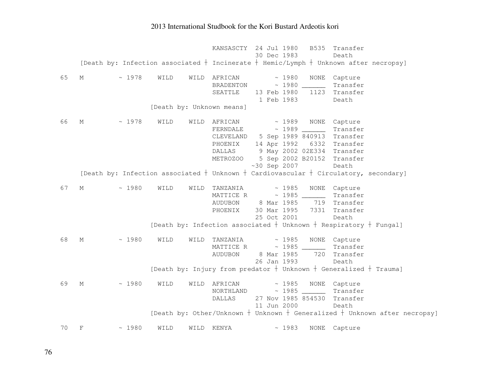KANSASCTY 24 Jul 1980 B535 Transfer 30 Dec 1983 Death [Death by: Infection associated  $\dagger$  Incinerate  $\dagger$  Hemic/Lymph  $\dagger$  Unknown after necropsy] 65 M ~ 1978 WILD WILD AFRICAN ~ 1980 NONE Capture Transfer BRADENTON  $\sim$  1980 SEATTLE 13 Feb 1980 1123 Transfer 1 Feb 1983 Death [Death by: Unknown means] 66 M ~ 1978 WILD WILD AFRICAN ~ 1989 NONE Capture FERNDALE ~ 1989 \_\_\_\_\_\_ Transfer CLEVELAND 5 Sep 1989 840913 Transfer PHOENIX 14 Apr 1992 6332 Transfer DALLAS 9 May 2002 02E334 Transfer METROZOO 5 Sep 2002 B20152 Transfer ~30 Sep 2007 Death [Death by: Infection associated  $\dagger$  Unknown  $\dagger$  Cardiovascular  $\dagger$  Circulatory, secondary] 67 M ~ 1980 WILD WILD TANZANIA ~ 1985 NONE Capture MATTICE R ~ 1985 \_\_\_\_\_\_ Transfer AUDUBON 8 Mar 1985 719 Transfer PHOENIX 30 Mar 1995 7331 Transfer 25 Oct 2001 Death [Death by: Infection associated  $\dagger$  Unknown  $\dagger$  Respiratory  $\dagger$  Fungal] 68 M ~ 1980 WILD WILD TANZANIA ~ 1985 NONE Capture MATTICE R ~ 1985 \_\_\_\_\_\_ Transfer AUDUBON 8 Mar 1985 720 Transfer 26 Jan 1993 Death [Death by: Injury from predator  $\dagger$  Unknown  $\dagger$  Generalized  $\dagger$  Trauma] 69 M ~ 1980 WILD WILD AFRICAN ~ 1985 NONE Capture NORTHLAND ~ 1985 \_\_\_\_\_\_ Transfer DALLAS 27 Nov 1985 854530 Transfer 11 Jun 2000 Death [Death by: Other/Unknown  $\dagger$  Unknown  $\dagger$  Generalized  $\dagger$  Unknown after necropsy] 70 F ~ 1980 WILD WILD KENYA ~ 1983 NONE Capture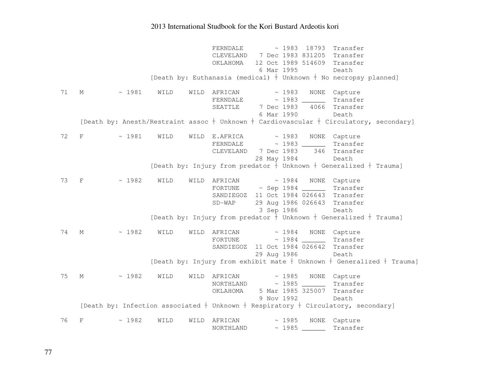FERNDALE ~ 1983 18793 Transfer CLEVELAND 7 Dec 1983 831205 Transfer OKLAHOMA 12 Oct 1989 514609 Transfer 6 Mar 1995 Death [Death by: Euthanasia (medical)  $\dagger$  Unknown  $\dagger$  No necropsy planned] 71 M  $\sim$  1981 WILD WILD AFRICAN  $\sim$  1983 NONE Capture FERNDALE ~ 1983 \_\_\_\_\_\_ Transfer SEATTLE 7 Dec 1983 4066 Transfer 6 Mar 1990 Death [Death by: Anesth/Restraint assoc  $\dagger$  Unknown  $\dagger$  Cardiovascular  $\dagger$  Circulatory, secondary] 72 F ~ 1981 WILD WILD E.AFRICA ~ 1983 NONE Capture FERNDALE ~ 1983 \_\_\_\_\_\_ Transfer CLEVELAND 7 Dec 1983 346 Transfer 28 May 1984 Death [Death by: Injury from predator  $\dagger$  Unknown  $\dagger$  Generalized  $\dagger$  Trauma] 73 F ~ 1982 WILD WILD AFRICAN ~ 1984 NONE Capture FORTUNE ~ Sep 1984 \_\_\_\_\_\_ Transfer SANDIEGOZ 11 Oct 1984 026643 Transfer SD-WAP 29 Aug 1986 026643 Transfer 3 Sep 1986 Death [Death by: Injury from predator  $\dagger$  Unknown  $\dagger$  Generalized  $\dagger$  Trauma] 74 M ~ 1982 WILD WILD AFRICAN ~ 1984 NONE Capture FORTUNE ~ 1984 \_\_\_\_\_\_ Transfer SANDIEGOZ 11 Oct 1984 026642 Transfer 29 Aug 1986 Death [Death by: Injury from exhibit mate  $\dagger$  Unknown  $\dagger$  Generalized  $\dagger$  Trauma] 75 M ~ 1982 WILD WILD AFRICAN ~ 1985 NONE Capture NORTHLAND ~ 1985 \_\_\_\_\_\_ Transfer OKLAHOMA 5 Mar 1985 325007 Transfer 9 Nov 1992 Death [Death by: Infection associated  $\dagger$  Unknown  $\dagger$  Respiratory  $\dagger$  Circulatory, secondary] 76 F ~ 1982 WILD WILD AFRICAN ~ 1985 NONE Capture NORTHLAND ~ 1985 \_\_\_\_\_\_ Transfer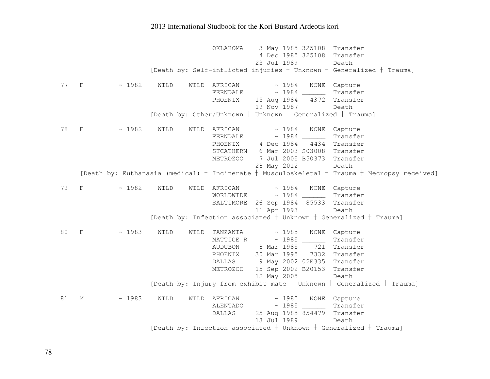OKLAHOMA 3 May 1985 325108 Transfer 4 Dec 1985 325108 Transfer 23 Jul 1989 Death [Death by: Self-inflicted injuries  $\dagger$  Unknown  $\dagger$  Generalized  $\dagger$  Trauma] 77 F ~ 1982 WILD WILD AFRICAN ~ 1984 NONE Capture Transfer  $FERNDALE$   $\sim$  1984 PHOENIX 15 Aug 1984 4372 Transfer 19 Nov 1987 Death [Death by: Other/Unknown  $\dagger$  Unknown  $\dagger$  Generalized  $\dagger$  Trauma] 78 F ~ 1982 WILD WILD AFRICAN ~ 1984 NONE Capture FERNDALE ~ 1984 \_\_\_\_\_\_ Transfer PHOENIX 4 Dec 1984 4434 Transfer STCATHERN 6 Mar 2003 S03008 Transfer METROZOO 7 Jul 2005 B50373 Transfer 28 May 2012 Death [Death by: Euthanasia (medical)  $\dagger$  Incinerate  $\dagger$  Musculoskeletal  $\dagger$  Trauma  $\dagger$  Necropsy received] 79 F ~ 1982 WILD WILD AFRICAN ~ 1984 NONE Capture WORLDWIDE ~ 1984 \_\_\_\_\_\_ Transfer BALTIMORE 26 Sep 1984 85533 Transfer 11 Apr 1993 Death [Death by: Infection associated  $\dagger$  Unknown  $\dagger$  Generalized  $\dagger$  Trauma] 80 F  $\sim$  1983 WILD WILD TANZANIA  $\sim$  1985 NONE Capture MATTICE R ~ 1985 \_\_\_\_\_\_ Transfer 721 Transfer AUDUBON 8 Mar 1985 PHOENIX 30 Mar 1995 7332 Transfer DALLAS 9 May 2002 02E335 Transfer METROZOO 15 Sep 2002 B20153 Transfer 12 May 2005 Death [Death by: Injury from exhibit mate  $\dagger$  Unknown  $\dagger$  Generalized  $\dagger$  Trauma] 81 M  $\sim$  1983 WILD WILD AFRICAN  $\sim$  1985 NONE Capture ALENTADO ~ 1985 \_\_\_\_\_\_ Transfer DALLAS 25 Aug 1985 854479 Transfer 13 Jul 1989 Death [Death by: Infection associated  $\dagger$  Unknown  $\dagger$  Generalized  $\dagger$  Trauma]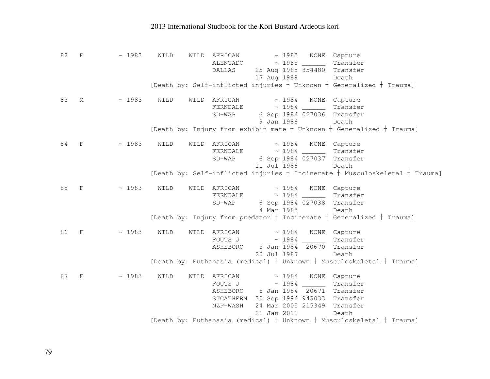82 F ~ 1983 WILD WILD AFRICAN ~ 1985 NONE Capture ALENTADO ~ 1985 \_\_\_\_\_\_ Transfer DALLAS 25 Aug 1985 854480 Transfer 17 Aug 1989 Death [Death by: Self-inflicted injuries  $\frac{1}{2}$  Unknown  $\frac{1}{2}$  Generalized  $\frac{1}{2}$  Trauma] 83 M  $\sim$  1983 WILD WILD AFRICAN  $\sim$  1984 NONE Capture Transfer  $FERNDALE$   $\sim$  1984 SD-WAP 6 Sep 1984 027036 Transfer 9 Jan 1986 Death [Death by: Injury from exhibit mate  $\dagger$  Unknown  $\dagger$  Generalized  $\dagger$  Trauma] 84 F  $\sim$  1983 WILD WILD AFRICAN  $\sim$  1984 NONE Capture FERNDALE ~ 1984 \_\_\_\_\_\_ Transfer SD-WAP 6 Sep 1984 027037 Transfer 11 Jul 1986 Death [Death by: Self-inflicted injuries  $\dagger$  Incinerate  $\dagger$  Musculoskeletal  $\dagger$  Trauma] 85 F  $\sim$  1983 WILD WILD AFRICAN  $\sim$  1984 NONE Capture FERNDALE ~ 1984 \_\_\_\_\_\_ Transfer SD-WAP 6 Sep 1984 027038 Transfer 4 Mar 1985 Death [Death by: Injury from predator  $\dagger$  Incinerate  $\dagger$  Generalized  $\dagger$  Trauma] 86 F  $\sim$  1983 WILD WILD AFRICAN  $\sim$  1984 NONE Capture Transfer FOUTS J  $\sim 1984$  ASHEBORO 5 Jan 1984 20670 Transfer 20 Jul 1987 Death [Death by: Euthanasia (medical)  $\dagger$  Unknown  $\dagger$  Musculoskeletal  $\dagger$  Trauma] 87 F  $\sim$  1983 WILD WILD AFRICAN  $\sim$  1984 NONE Capture FOUTS J ~ 1984 \_\_\_\_\_\_ Transfer ASHEBORO 5 Jan 1984 20671 Transfer STCATHERN 30 Sep 1994 945033 Transfer NZP-WASH 24 Mar 2005 215349 Transfer 21 Jan 2011 Death [Death by: Euthanasia (medical)  $\dagger$  Unknown  $\dagger$  Musculoskeletal  $\dagger$  Trauma]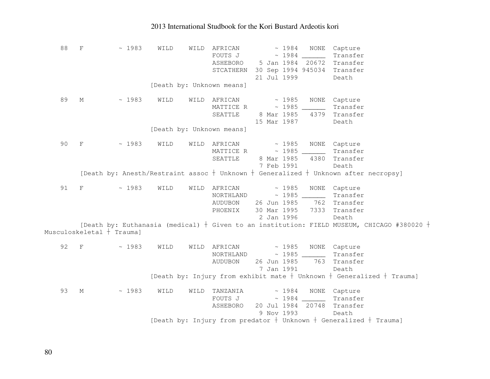| 88 | $\rm F$                   | ~1983                                                                                          | WILD | WILD | AFRICAN                                                                     |             | ~1984       | NONE                                                               | Capture                  |  |  |
|----|---------------------------|------------------------------------------------------------------------------------------------|------|------|-----------------------------------------------------------------------------|-------------|-------------|--------------------------------------------------------------------|--------------------------|--|--|
|    |                           |                                                                                                |      |      | FOUTS J                                                                     |             | $\sim 1984$ |                                                                    | Transfer                 |  |  |
|    |                           |                                                                                                |      |      | ASHEBORO                                                                    |             |             | 5 Jan 1984 20672                                                   | Transfer                 |  |  |
|    |                           |                                                                                                |      |      | STCATHERN 30 Sep 1994 945034 Transfer                                       |             |             |                                                                    |                          |  |  |
|    |                           |                                                                                                |      |      |                                                                             | 21 Jul 1999 |             |                                                                    | Death                    |  |  |
|    |                           |                                                                                                |      |      | [Death by: Unknown means]                                                   |             |             |                                                                    |                          |  |  |
| 89 | М                         | ~1983                                                                                          | WILD | WILD | AFRICAN                                                                     | $\sim 1985$ |             | NONE                                                               | Capture                  |  |  |
|    |                           |                                                                                                |      |      | MATTICE R                                                                   | $\sim 1985$ |             | $\mathcal{L}(\mathcal{L})$ . The set of $\mathcal{L}(\mathcal{L})$ | Transfer                 |  |  |
|    |                           |                                                                                                |      |      | SEATTLE                                                                     | 8 Mar 1985  |             | 4379                                                               | Transfer                 |  |  |
|    |                           |                                                                                                |      |      |                                                                             | 15 Mar 1987 |             |                                                                    | Death                    |  |  |
|    |                           |                                                                                                |      |      | [Death by: Unknown means]                                                   |             |             |                                                                    |                          |  |  |
|    |                           |                                                                                                |      |      |                                                                             |             |             |                                                                    |                          |  |  |
| 90 | $\rm F$                   | ~1983                                                                                          | WILD | WILD | AFRICAN                                                                     |             | $\sim 1985$ |                                                                    | NONE Capture             |  |  |
|    |                           |                                                                                                |      |      | MATTICE R                                                                   |             |             |                                                                    | Transfer                 |  |  |
|    |                           |                                                                                                |      |      | SEATTLE                                                                     | 8 Mar 1985  |             | 4380                                                               | Transfer                 |  |  |
|    |                           |                                                                                                |      |      |                                                                             | 7 Feb 1991  |             |                                                                    | Death                    |  |  |
|    |                           | [Death by: Anesth/Restraint assoc + Unknown + Generalized + Unknown after necropsy]            |      |      |                                                                             |             |             |                                                                    |                          |  |  |
| 91 | $\boldsymbol{\mathrm{F}}$ | ~1983                                                                                          | WILD |      | WILD AFRICAN                                                                |             | $\sim 1985$ |                                                                    | NONE Capture             |  |  |
|    |                           |                                                                                                |      |      |                                                                             |             |             |                                                                    | Transfer                 |  |  |
|    |                           |                                                                                                |      |      | AUDUBON                                                                     |             |             |                                                                    | 26 Jun 1985 762 Transfer |  |  |
|    |                           |                                                                                                |      |      | PHOENIX                                                                     | 30 Mar 1995 |             |                                                                    | 7333 Transfer            |  |  |
|    |                           |                                                                                                |      |      |                                                                             | 2 Jan 1996  |             |                                                                    | Death                    |  |  |
|    |                           | [Death by: Euthanasia (medical) $+$ Given to an institution: FIELD MUSEUM, CHICAGO #380020 $+$ |      |      |                                                                             |             |             |                                                                    |                          |  |  |
|    |                           | Musculoskeletal † Trauma]                                                                      |      |      |                                                                             |             |             |                                                                    |                          |  |  |
| 92 | $\;$ F                    | ~1983                                                                                          | WILD |      | WILD AFRICAN                                                                |             | $\sim 1985$ |                                                                    | NONE Capture             |  |  |
|    |                           |                                                                                                |      |      | NORTHLAND                                                                   |             |             |                                                                    | Transfer                 |  |  |
|    |                           |                                                                                                |      |      | AUDUBON                                                                     |             |             |                                                                    | 26 Jun 1985 763 Transfer |  |  |
|    |                           |                                                                                                |      |      |                                                                             | 7 Jan 1991  |             |                                                                    | Death                    |  |  |
|    |                           |                                                                                                |      |      | [Death by: Injury from exhibit mate $+$ Unknown $+$ Generalized $+$ Trauma] |             |             |                                                                    |                          |  |  |
| 93 | М                         | ~1983                                                                                          | WILD | WILD | TANZANIA                                                                    |             | ~1984       |                                                                    | NONE Capture             |  |  |
|    |                           |                                                                                                |      |      | FOUTS J                                                                     |             |             |                                                                    | Transfer                 |  |  |
|    |                           |                                                                                                |      |      | ASHEBORO                                                                    |             |             | 20 Jul 1984 20748                                                  | Transfer                 |  |  |
|    |                           |                                                                                                |      |      |                                                                             | 9 Nov 1993  |             |                                                                    | Death                    |  |  |
|    |                           |                                                                                                |      |      | [Death by: Injury from predator $+$ Unknown $+$ Generalized $+$ Trauma]     |             |             |                                                                    |                          |  |  |
|    |                           |                                                                                                |      |      |                                                                             |             |             |                                                                    |                          |  |  |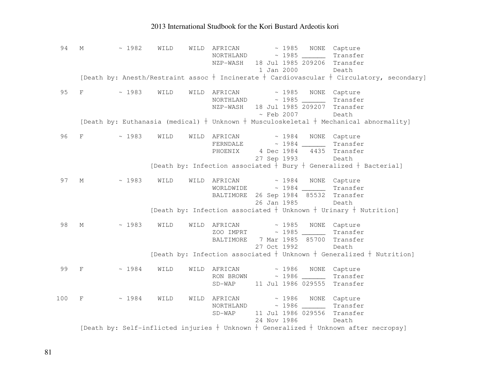94 M ~ 1982 WILD WILD AFRICAN ~ 1985 NONE Capture NORTHLAND ~ 1985 \_\_\_\_\_\_ Transfer NZP-WASH 18 Jul 1985 209206 Transfer 1 Jan 2000 Death [Death by: Anesth/Restraint assoc  $\dagger$  Incinerate  $\dagger$  Cardiovascular  $\dagger$  Circulatory, secondary] 95 F  $\sim$  1983 WILD WILD AFRICAN  $\sim$  1985 NONE Capture NORTHLAND ~ 1985 \_\_\_\_\_\_ Transfer NZP-WASH 18 Jul 1985 209207 Transfer ~ Feb 2007 Death [Death by: Euthanasia (medical)  $\dagger$  Unknown  $\dagger$  Musculoskeletal  $\dagger$  Mechanical abnormality] 96 F  $\sim$  1983 WILD WILD AFRICAN  $\sim$  1984 NONE Capture FERNDALE ~ 1984 \_\_\_\_\_\_ Transfer PHOENIX 4 Dec 1984 4435 Transfer 27 Sep 1993 Death [Death by: Infection associated  $\dagger$  Bury  $\dagger$  Generalized  $\dagger$  Bacterial] 97 M  $\sim$  1983 WILD WILD AFRICAN  $\sim$  1984 NONE Capture WORLDWIDE ~ 1984 \_\_\_\_\_\_ Transfer BALTIMORE 26 Sep 1984 85532 Transfer 26 Jan 1985 Death [Death by: Infection associated  $\dagger$  Unknown  $\dagger$  Urinary  $\dagger$  Nutrition] 98 M  $\sim$  1983 WILD WILD AFRICAN  $\sim$  1985 NONE Capture ZOO IMPRT ~ 1985 \_\_\_\_\_\_ Transfer BALTIMORE 7 Mar 1985 85700 Transfer 27 Oct 1992 Death [Death by: Infection associated  $\dagger$  Unknown  $\dagger$  Generalized  $\dagger$  Nutrition] 99 F ~ 1984 WILD WILD AFRICAN ~ 1986 NONE Capture RON BROWN  $\sim$  1986 \_\_\_\_\_\_ Transfer SD-WAP 11 Jul 1986 029555 Transfer 100 F ~ 1984 WILD WILD AFRICAN ~ 1986 NONE Capture NORTHLAND ~ 1986 \_\_\_\_\_\_ Transfer SD-WAP 11 Jul 1986 029556 Transfer 24 Nov 1986 Death [Death by: Self-inflicted injuries  $\dagger$  Unknown  $\dagger$  Generalized  $\dagger$  Unknown after necropsy]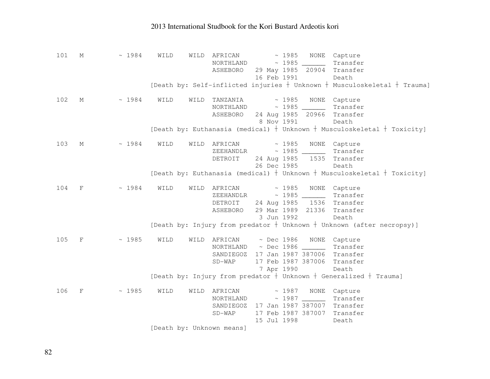101 M ~ 1984 WILD WILD AFRICAN ~ 1985 NONE Capture NORTHLAND ~ 1985 \_\_\_\_\_\_ Transfer ASHEBORO 29 May 1985 20904 Transfer 16 Feb 1991 Death [Death by: Self-inflicted injuries  $\dagger$  Unknown  $\dagger$  Musculoskeletal  $\dagger$  Trauma] 102 M ~ 1984 WILD WILD TANZANIA ~ 1985 NONE Capture Transfer NORTHLAND ~ 1985 ASHEBORO 24 Aug 1985 20966 Transfer 8 Nov 1991 Death [Death by: Euthanasia (medical)  $\dagger$  Unknown  $\dagger$  Musculoskeletal  $\dagger$  Toxicity] 103 M ~ 1984 WILD WILD AFRICAN ~ 1985 NONE Capture ZEEHANDLR ~ 1985 \_\_\_\_\_\_ Transfer DETROIT 24 Aug 1985 1535 Transfer 26 Dec 1985 Death [Death by: Euthanasia (medical)  $\dagger$  Unknown  $\dagger$  Musculoskeletal  $\dagger$  Toxicity] 104 F ~ 1984 WILD WILD AFRICAN ~ 1985 NONE Capture ZEEHANDLR ~ 1985 \_\_\_\_\_\_ Transfer DETROIT 24 Aug 1985 1536 Transfer ASHEBORO 29 Mar 1989 21336 Transfer 3 Jun 1992 Death [Death by: Injury from predator  $\dagger$  Unknown  $\dagger$  Unknown (after necropsy)] 105 F ~ 1985 WILD WILD AFRICAN ~ Dec 1986 NONE Capture NORTHLAND ~ Dec 1986 \_\_\_\_\_\_ Transfer SANDIEGOZ 17 Jan 1987 387006 Transfer SD-WAP 17 Feb 1987 387006 Transfer 7 Apr 1990 Death [Death by: Injury from predator  $\dagger$  Unknown  $\dagger$  Generalized  $\dagger$  Trauma] 106 F ~ 1985 WILD WILD AFRICAN ~ 1987 NONE Capture NORTHLAND ~ 1987 \_\_\_\_\_\_ Transfer SANDIEGOZ 17 Jan 1987 387007 Transfer SD-WAP 17 Feb 1987 387007 Transfer 15 Jul 1998 Death [Death by: Unknown means]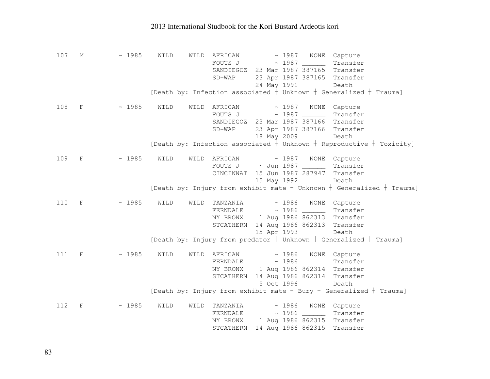107 M ~ 1985 WILD WILD AFRICAN ~ 1987 NONE Capture FOUTS J ~ 1987 \_\_\_\_\_\_ Transfer SANDIEGOZ 23 Mar 1987 387165 Transfer SD-WAP 23 Apr 1987 387165 Transfer 24 May 1991 Death [Death by: Infection associated  $\dagger$  Unknown  $\dagger$  Generalized  $\dagger$  Trauma] 108 F ~ 1985 WILD WILD AFRICAN ~ 1987 NONE Capture FOUTS J ~ 1987 \_\_\_\_\_\_ Transfer SANDIEGOZ 23 Mar 1987 387166 Transfer SD-WAP 23 Apr 1987 387166 Transfer 18 May 2009 Death [Death by: Infection associated  $\dagger$  Unknown  $\dagger$  Reproductive  $\dagger$  Toxicity] 109 F ~ 1985 WILD WILD AFRICAN ~ 1987 NONE Capture FOUTS J ~ Jun 1987 \_\_\_\_\_\_ Transfer CINCINNAT 15 Jun 1987 287947 Transfer 15 May 1992 Death [Death by: Injury from exhibit mate  $\frac{1}{2}$  Unknown  $\frac{1}{2}$  Generalized  $\frac{1}{2}$  Trauma] 110 F ~ 1985 WILD WILD TANZANIA ~ 1986 NONE Capture FERNDALE ~ 1986 \_\_\_\_\_\_ Transfer NY BRONX 1 Aug 1986 862313 Transfer STCATHERN 14 Aug 1986 862313 Transfer 15 Apr 1993 Death [Death by: Injury from predator  $\dagger$  Unknown  $\dagger$  Generalized  $\dagger$  Trauma] 111 F  $\sim$  1985 WILD WILD AFRICAN  $\sim$  1986 NONE Capture FERNDALE ~ 1986 \_\_\_\_\_\_ Transfer NY BRONX 1 Aug 1986 862314 Transfer STCATHERN 14 Aug 1986 862314 Transfer 5 Oct 1996 Death [Death by: Injury from exhibit mate  $\dagger$  Bury  $\dagger$  Generalized  $\dagger$  Trauma] 112 F ~ 1985 WILD WILD TANZANIA ~ 1986 NONE Capture FERNDALE ~ 1986 \_\_\_\_\_\_ Transfer NY BRONX 1 Aug 1986 862315 Transfer STCATHERN 14 Aug 1986 862315 Transfer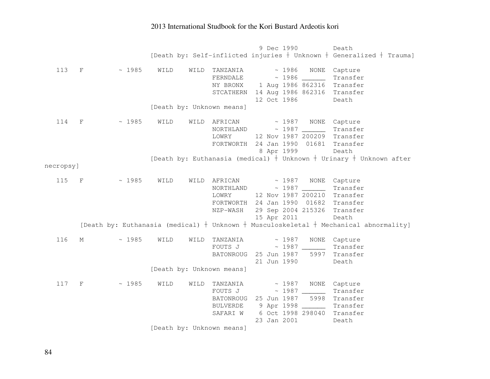9 Dec 1990 Death [Death by: Self-inflicted injuries  $\frac{1}{2}$  Unknown  $\frac{1}{2}$  Generalized  $\frac{1}{2}$  Trauma] 113 F  $\sim$  1985 WILD WILD TANZANIA  $\sim$  1986 NONE Capture Transfer  $FERNDALE \sim 1986$  NY BRONX 1 Aug 1986 862316 Transfer STCATHERN 14 Aug 1986 862316 Transfer 12 Oct 1986 Death [Death by: Unknown means] 114 F  $\sim$  1985 WILD WILD AFRICAN  $\sim$  1987 NONE Capture NORTHLAND ~ 1987 \_\_\_\_\_\_ Transfer LOWRY 12 Nov 1987 200209 Transfer FORTWORTH 24 Jan 1990 01681 Transfer 8 Apr 1999 Death [Death by: Euthanasia (medical)  $\dagger$  Unknown  $\dagger$  Urinary  $\dagger$  Unknown after necropsy] 115 F ~ 1985 WILD WILD AFRICAN ~ 1987 NONE Capture NORTHLAND ~ 1987 \_\_\_\_\_\_ Transfer LOWRY 12 Nov 1987 200210 Transfer FORTWORTH 24 Jan 1990 01682 Transfer NZP-WASH 29 Sep 2004 215326 Transfer 15 Apr 2011 Death [Death by: Euthanasia (medical)  $\dagger$  Unknown  $\dagger$  Musculoskeletal  $\dagger$  Mechanical abnormality] 116 M  $\sim$  1985 WILD WILD TANZANIA  $\sim$  1987 NONE Capture Transfer FOUTS J  $\sim$  1987 5997 Transfer BATONROUG 25 Jun 1987 21 Jun 1990 Death [Death by: Unknown means] 117 F  $\sim$  1985 WILD WILD TANZANIA  $\sim$  1987 NONE Capture FOUTS J ~ 1987 \_\_\_\_\_\_ Transfer BATONROUG 25 Jun 1987 5998 Transfer BULVERDE 9 Apr 1998 \_\_\_\_\_\_ Transfer SAFARI W 6 Oct 1998 298040 Transfer 23 Jan 2001 Death

[Death by: Unknown means]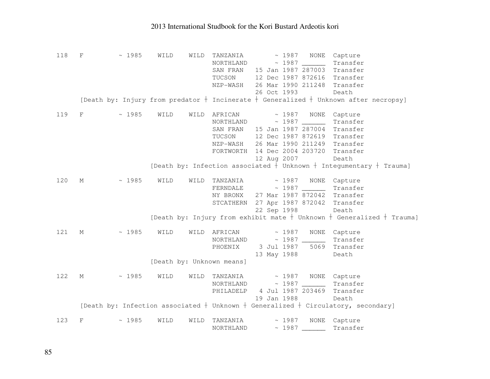118 F ~ 1985 WILD WILD TANZANIA ~ 1987 NONE Capture NORTHLAND ~ 1987 \_\_\_\_\_\_ Transfer SAN FRAN 15 Jan 1987 287003 Transfer TUCSON 12 Dec 1987 872616 Transfer NZP-WASH 26 Mar 1990 211248 Transfer 26 Oct 1993 Death [Death by: Injury from predator  $\dagger$  Incinerate  $\dagger$  Generalized  $\dagger$  Unknown after necropsy] 119 F  $\sim$  1985 WILD WILD AFRICAN  $\sim$  1987 NONE Capture NORTHLAND ~ 1987 \_\_\_\_\_\_ Transfer SAN FRAN 15 Jan 1987 287004 Transfer TUCSON 12 Dec 1987 872619 Transfer NZP-WASH 26 Mar 1990 211249 Transfer FORTWORTH 14 Dec 2004 203720 Transfer 12 Aug 2007 Death [Death by: Infection associated  $\dagger$  Unknown  $\dagger$  Integumentary  $\dagger$  Trauma] 120 M ~ 1985 WILD WILD TANZANIA ~ 1987 NONE Capture FERNDALE ~ 1987 \_\_\_\_\_\_ Transfer NY BRONX 27 Mar 1987 872042 Transfer STCATHERN 27 Apr 1987 872042 Transfer 22 Sep 1998 Death [Death by: Injury from exhibit mate  $\dagger$  Unknown  $\dagger$  Generalized  $\dagger$  Trauma] 121 M ~ 1985 WILD WILD AFRICAN ~ 1987 NONE Capture NORTHLAND ~ 1987 \_\_\_\_\_\_ Transfer PHOENIX 3 Jul 1987 5069 Transfer 13 May 1988 Death [Death by: Unknown means] 122 M  $\sim$  1985 WILD WILD TANZANIA  $\sim$  1987 NONE Capture NORTHLAND ~ 1987 \_\_\_\_\_\_ Transfer PHILADELP 4 Jul 1987 203469 Transfer 19 Jan 1988 Death [Death by: Infection associated  $\dagger$  Unknown  $\dagger$  Generalized  $\dagger$  Circulatory, secondary] 123 F  $\sim$  1985 WILD WILD TANZANIA  $\sim$  1987 NONE Capture NORTHLAND ~ 1987 \_\_\_\_\_\_ Transfer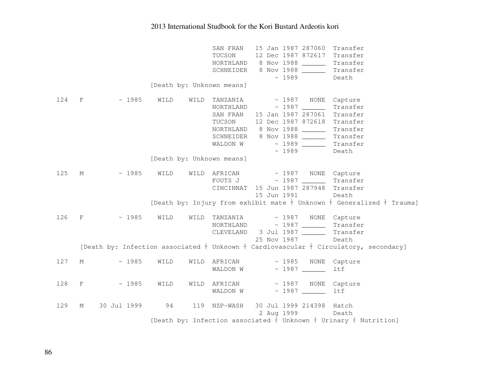|     |              |             |      |      | SAN FRAN<br>TUCSON        | 15 Jan 1987 287060 Transfer<br>12 Dec 1987 872617 Transfer<br>NORTHLAND 8 Nov 1988<br>Transfer<br>SCHNEIDER 8 Nov 1988<br>Transfer |
|-----|--------------|-------------|------|------|---------------------------|------------------------------------------------------------------------------------------------------------------------------------|
|     |              |             |      |      |                           | ~1989<br>Death                                                                                                                     |
|     |              |             |      |      | [Death by: Unknown means] |                                                                                                                                    |
| 124 | $\mathbf{F}$ | $\sim 1985$ | WILD | WILD | TANZANIA                  | ~ 1987 NONE Capture<br>$NORTHLAND \sim 1987$<br>Transfer                                                                           |
|     |              |             |      |      |                           | SAN FRAN 15 Jan 1987 287061<br>Transfer                                                                                            |
|     |              |             |      |      | TUCSON                    | 12 Dec 1987 872618 Transfer                                                                                                        |
|     |              |             |      |      |                           | NORTHLAND 8 Nov 1988<br>Transfer                                                                                                   |
|     |              |             |      |      |                           | SCHNEIDER 8 Nov 1988<br>Transfer                                                                                                   |
|     |              |             |      |      | WALDON W                  | Transfer                                                                                                                           |
|     |              |             |      |      |                           | ~1989<br>Death                                                                                                                     |
|     |              |             |      |      | [Death by: Unknown means] |                                                                                                                                    |
| 125 | $M_{\odot}$  | $\sim 1985$ | WILD |      |                           | WILD AFRICAN ~ 1987 NONE Capture<br>Transfer                                                                                       |
|     |              |             |      |      |                           | CINCINNAT 15 Jun 1987 287948<br>Transfer                                                                                           |
|     |              |             |      |      |                           | 15 Jun 1991<br>Death                                                                                                               |
|     |              |             |      |      |                           | [Death by: Injury from exhibit mate $+$ Unknown $+$ Generalized $+$ Trauma]                                                        |
|     |              |             |      |      |                           |                                                                                                                                    |
| 126 | F            | ~1985       | WILD |      |                           | WILD TANZANIA $\sim$ 1987 NONE Capture                                                                                             |
|     |              |             |      |      |                           | Transfer                                                                                                                           |
|     |              |             |      |      |                           | CLEVELAND 3 Jul 1987<br>Transfer                                                                                                   |
|     |              |             |      |      |                           | 25 Nov 1987<br>Death                                                                                                               |
|     |              |             |      |      |                           | [Death by: Infection associated $+$ Unknown $+$ Cardiovascular $+$ Circulatory, secondary]                                         |
| 127 | М            | ~1985       | WILD | WILD |                           | AFRICAN ~ 1985 NONE<br>Capture                                                                                                     |
|     |              |             |      |      | WALDON W                  | ltf                                                                                                                                |
| 128 | $\mathbf F$  | ~1985       | WILD | WILD | AFRICAN                   | ~1987<br>NONE<br>Capture                                                                                                           |
|     |              |             |      |      | WALDON W                  | <b>ltf</b>                                                                                                                         |
| 129 | $M_{\odot}$  | 30 Jul 1999 | 94   |      | 119 NZP-WASH              | 30 Jul 1999 214398 Hatch                                                                                                           |
|     |              |             |      |      |                           | 2 Aug 1999<br>Death                                                                                                                |
|     |              |             |      |      |                           | [Death by: Infection associated $+$ Unknown $+$ Urinary $+$ Nutrition]                                                             |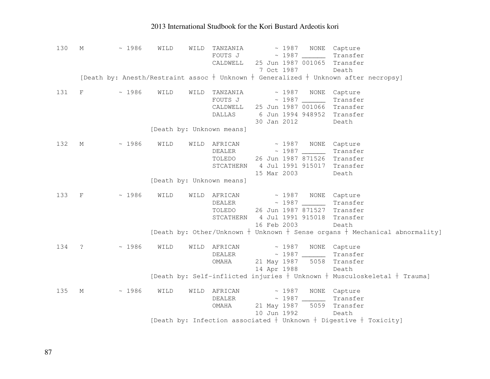| 130 | М            | ~1986 | WILD | WILD | TANZANIA<br>FOUTS J<br>CALDWELL                                         | $\sim 1987$ NONE<br>Capture<br>Transfer<br>25 Jun 1987 001065<br>Transfer<br>7 Oct 1987<br>Death                                                                |
|-----|--------------|-------|------|------|-------------------------------------------------------------------------|-----------------------------------------------------------------------------------------------------------------------------------------------------------------|
|     |              |       |      |      |                                                                         | [Death by: Anesth/Restraint assoc $+$ Unknown $+$ Generalized $+$ Unknown after necropsy]                                                                       |
| 131 | F            | ~1986 | WILD | WILD | TANZANIA<br>CALDWELL<br>DALLAS<br>[Death by: Unknown means]             | $\sim 1987$<br>NONE<br>Capture<br>$FOUTS J \sim 1987 \_$<br>Transfer<br>25 Jun 1987 001066<br>Transfer<br>6 Jun 1994 948952<br>Transfer<br>30 Jan 2012<br>Death |
| 132 | $M_{\odot}$  | ~1986 | WILD |      | WILD AFRICAN<br><b>DEALER</b><br>STCATHERN<br>[Death by: Unknown means] | $\sim 1987$<br>NONE<br>Capture<br>Transfer<br>TOLEDO 26 Jun 1987 871526<br>Transfer<br>4 Jul 1991 915017<br>Transfer<br>15 Mar 2003<br>Death                    |
| 133 | $\mathbf{F}$ | ~1986 | WILD |      | WILD AFRICAN<br>DEALER<br>TOLEDO<br>STCATHERN                           | ~1987<br>NONE Capture<br>Transfer<br>26 Jun 1987 871527<br>Transfer<br>4 Jul 1991 915018<br>Transfer<br>16 Feb 2003<br>Death                                    |
|     |              |       |      |      |                                                                         | [Death by: Other/Unknown $+$ Unknown $+$ Sense organs $+$ Mechanical abnormality]                                                                               |
| 134 | $\ddot{ }$ ? | ~1986 | WILD | WILD | AFRICAN<br>DEALER<br>OMAHA                                              | $\sim 1987$<br>NONE Capture<br>$\sim 1987$<br>Transfer<br>21 May 1987 5058<br>Transfer<br>14 Apr 1988<br>Death                                                  |
|     |              |       |      |      |                                                                         | [Death by: Self-inflicted injuries $+$ Unknown $+$ Musculoskeletal $+$ Trauma]                                                                                  |
| 135 | М            | ~1986 | WILD |      | WILD AFRICAN<br>DEALER<br>OMAHA                                         | $\sim 1987$<br>NONE Capture<br>$\sim 1987$<br>Transfer<br>21 May 1987<br>5059<br>Transfer<br>10 Jun 1992<br>Death                                               |
|     |              |       |      |      |                                                                         | [Death by: Infection associated $+$ Unknown $+$ Digestive $+$ Toxicity]                                                                                         |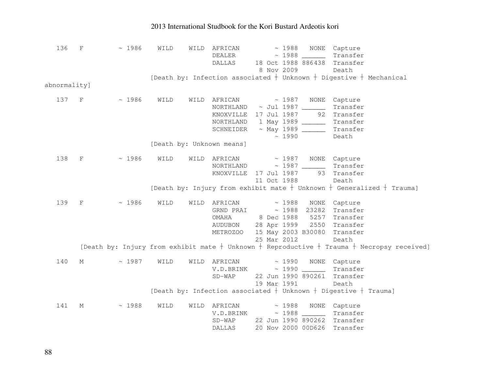| 136          | $\mathbf{F}$ | ~1986 | WILD | WILD | AFRICAN<br>DEALER<br>DALLAS 18 Oct 1988 886438 Transfer                                                                                                                  | 8 Nov 2009                |       | ~ 1988 NONE Capture<br>$\sim$ 1988 $\sim$ Transfer<br>Death                                    |                                                                                                    |
|--------------|--------------|-------|------|------|--------------------------------------------------------------------------------------------------------------------------------------------------------------------------|---------------------------|-------|------------------------------------------------------------------------------------------------|----------------------------------------------------------------------------------------------------|
|              |              |       |      |      | [Death by: Infection associated $+$ Unknown $+$ Digestive $+$ Mechanical                                                                                                 |                           |       |                                                                                                |                                                                                                    |
| abnormality] |              |       |      |      |                                                                                                                                                                          |                           |       |                                                                                                |                                                                                                    |
| 137 F        |              | ~1986 | WILD |      | WILD AFRICAN ~ 1987 NONE Capture<br>NORTHLAND ~ Jul 1987<br>KNOXVILLE 17 Jul 1987 92 Transfer<br>NORTHLAND  1 May 1989 _______<br>SCHNEIDER ~ May 1989 ________ Transfer |                           | ~1990 | Transfer<br>Transfer<br>Death                                                                  |                                                                                                    |
|              |              |       |      |      | [Death by: Unknown means]                                                                                                                                                |                           |       |                                                                                                |                                                                                                    |
| 138          | $\mathbf{F}$ | ~1986 | WILD |      | WILD AFRICAN ~ 1987 NONE Capture<br>NORTHLAND ~ 1987 Transfer<br>KNOXVILLE 17 Jul 1987                                                                                   | 11 Oct 1988               |       | 93 Transfer<br>Death                                                                           |                                                                                                    |
|              |              |       |      |      |                                                                                                                                                                          |                           |       |                                                                                                | [Death by: Injury from exhibit mate $+$ Unknown $+$ Generalized $+$ Trauma]                        |
|              | 139 F        | ~1986 | WILD |      | WILD AFRICAN<br>GRND PRAI<br>OMAHA<br>AUDUBON 28 Apr 1999 2550 Transfer<br>METROZOO                                                                                      | 8 Dec 1988<br>25 Mar 2012 | ~1988 | NONE Capture<br>~ 1988 23282 Transfer<br>5257 Transfer<br>15 May 2003 B30080 Transfer<br>Death |                                                                                                    |
|              |              |       |      |      |                                                                                                                                                                          |                           |       |                                                                                                | [Death by: Injury from exhibit mate $+$ Unknown $+$ Reproductive $+$ Trauma $+$ Necropsy received] |
| 140          | M            | ~1987 | WILD |      | WILD AFRICAN ~ 1990 NONE Capture<br>$V.D.BRINK \sim 1990$ Transfer<br>$SD-WAP$                                                                                           | 19 Mar 1991               |       | 22 Jun 1990 890261 Transfer<br>Death                                                           |                                                                                                    |
|              |              |       |      |      | [Death by: Infection associated $+$ Unknown $+$ Digestive $+$ Trauma]                                                                                                    |                           |       |                                                                                                |                                                                                                    |
| 141          | М            | ~1988 | WILD | WILD | AFRICAN<br>$V.D.BRINK \sim 1988$ Transfer<br>SD-WAP 22 Jun 1990 890262 Transfer<br><b>DALLAS</b>                                                                         |                           |       | ~ 1988 NONE Capture<br>20 Nov 2000 00D626 Transfer                                             |                                                                                                    |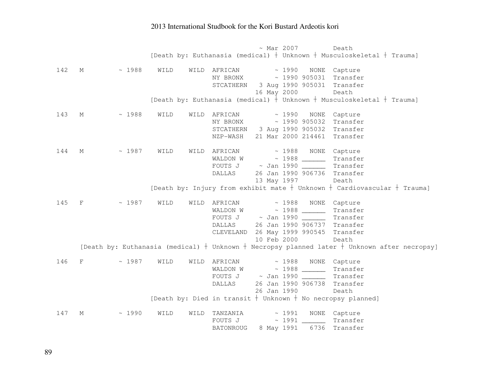~ Mar 2007 Death [Death by: Euthanasia (medical)  $\dagger$  Unknown  $\dagger$  Musculoskeletal  $\dagger$  Trauma] 142 M ~ 1988 WILD WILD AFRICAN ~ 1990 NONE Capture  $NY$  BRONX  $\sim$  1990 905031 <code>Transfer</code> STCATHERN 3 Aug 1990 905031 Transfer 16 May 2000 Death [Death by: Euthanasia (medical)  $\dagger$  Unknown  $\dagger$  Musculoskeletal  $\dagger$  Trauma] 143 M ~ 1988 WILD WILD AFRICAN ~ 1990 NONE Capture  $NY$  BRONX  $\sim$  1990 905032 <code>Transfer</code> STCATHERN 3 Aug 1990 905032 Transfer NZP-WASH 21 Mar 2000 214461 Transfer 144 M ~ 1987 WILD WILD AFRICAN ~ 1988 NONE Capture WALDON W ~ 1988 \_\_\_\_\_\_ Transfer FOUTS J ~ Jan 1990 \_\_\_\_\_\_ Transfer DALLAS 26 Jan 1990 906736 Transfer 13 May 1997 Death [Death by: Injury from exhibit mate  $\dagger$  Unknown  $\dagger$  Cardiovascular  $\dagger$  Trauma] 145 F  $\sim$  1987 WILD WILD AFRICAN  $\sim$  1988 NONE Capture WALDON W ~ 1988 \_\_\_\_\_\_ Transfer FOUTS J ~ Jan 1990 \_\_\_\_\_\_ Transfer DALLAS 26 Jan 1990 906737 Transfer CLEVELAND 26 May 1999 990545 Transfer 10 Feb 2000 Death [Death by: Euthanasia (medical)  $\dagger$  Unknown  $\dagger$  Necropsy planned later  $\dagger$  Unknown after necropsy] 146 F  $\sim$  1987 WILD WILD AFRICAN  $\sim$  1988 NONE Capture WALDON W ~ 1988 \_\_\_\_\_\_ Transfer FOUTS J ~ Jan 1990 \_\_\_\_\_\_ Transfer DALLAS 26 Jan 1990 906738 Transfer 26 Jan 1990 Death [Death by: Died in transit  $\dagger$  Unknown  $\dagger$  No necropsy planned] 147 M  $\sim$  1990 WILD WILD TANZANIA  $\sim$  1991 NONE Capture FOUTS J ~ 1991 \_\_\_\_\_\_ Transfer BATONROUG 8 May 1991 6736 Transfer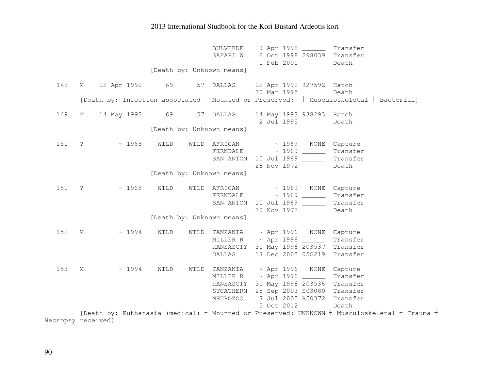|                    |                |                  |      |      | <b>BULVERDE</b><br>SAFARI W                                                                                                  |  | 1 Feb 2001                 |                          | 9 Apr 1998 ________ Transfer<br>6 Oct 1998 298039 Transfer<br>Death            |  |
|--------------------|----------------|------------------|------|------|------------------------------------------------------------------------------------------------------------------------------|--|----------------------------|--------------------------|--------------------------------------------------------------------------------|--|
|                    |                |                  |      |      | [Death by: Unknown means]                                                                                                    |  |                            |                          |                                                                                |  |
| 148                |                | M 22 Apr 1992 69 |      |      | 57 DALLAS                                                                                                                    |  | 30 Mar 1995                | 22 Apr 1992 927592 Hatch | Death                                                                          |  |
|                    |                |                  |      |      | [Death by: Infection associated $\dagger$ Mounted or Preserved: $\dagger$ Musculoskeletal $\dagger$ Bacterial]               |  |                            |                          |                                                                                |  |
| 149                | М              | 14 May 1993 69   |      |      | 57 DALLAS                                                                                                                    |  | 2 Jul 1995                 | 14 May 1993 938293 Hatch | Death                                                                          |  |
|                    |                |                  |      |      | [Death by: Unknown means]                                                                                                    |  |                            |                          |                                                                                |  |
| 150                | ?              | ~1968            | WILD |      | WILD AFRICAN ~ 1969 NONE Capture<br>FERNDALE ~ 1969 _______<br>SAN ANTON 10 Jul 1969                                         |  | 28 Nov 1972                |                          | Transfer<br>Transfer<br>Death                                                  |  |
|                    |                |                  |      |      | [Death by: Unknown means]                                                                                                    |  |                            |                          |                                                                                |  |
| 151                | $\ddot{\cdot}$ | ~1968            | WILD | WILD | AFRICAN<br>FERNDALE ~ 1969 ______<br>SAN ANTON                                                                               |  | $\sim 1969$<br>30 Nov 1972 | 10 Jul 1969 ______       | NONE Capture<br>Transfer<br>Transfer<br>Death                                  |  |
|                    |                |                  |      |      | [Death by: Unknown means]                                                                                                    |  |                            |                          |                                                                                |  |
| 152                | М              | ~1994            | WILD | WILD | TANZANIA ~ Apr 1996 NONE Capture<br>MILLER R ~ Apr 1996 ________ Transfer<br>KANSASCTY 30 May 1996 203537 Transfer<br>DALLAS |  |                            |                          | 17 Dec 2005 05G219 Transfer                                                    |  |
| 153                | M              | ~1994            | WILD | WILD | TANZANIA<br>MILLER R ~ Apr 1996 _______<br>KANSASCTY<br>STCATHERN 28 Sep 2003 S03080 Transfer<br><b>METROZOO</b>             |  | 5 Oct 2012                 | ~ Apr 1996 NONE Capture  | Transfer<br>30 May 1996 203536 Transfer<br>7 Jul 2005 B50372 Transfer<br>Death |  |
| Necropsy received] |                |                  |      |      | [Death by: Euthanasia (medical) + Mounted or Preserved: UNKNOWN + Musculoskeletal + Trauma +                                 |  |                            |                          |                                                                                |  |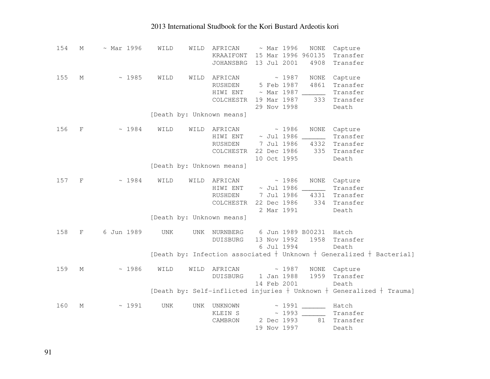| 154 | М                         | $~\sim$ Mar 1996 | WILD       | WILD | AFRICAN                   |  | $\sim$ Mar 1996      | NONE                    | Capture                                                                    |
|-----|---------------------------|------------------|------------|------|---------------------------|--|----------------------|-------------------------|----------------------------------------------------------------------------|
|     |                           |                  |            |      | KRAAIFONT                 |  |                      | 15 Mar 1996 960135      | Transfer                                                                   |
|     |                           |                  |            |      | JOHANSBRG                 |  | 13 Jul 2001          | 4908                    | Transfer                                                                   |
|     |                           |                  |            |      |                           |  |                      |                         |                                                                            |
| 155 | М                         | ~1985            | WILD       | WILD | AFRICAN                   |  | ~1987                | NONE                    | Capture                                                                    |
|     |                           |                  |            |      | RUSHDEN                   |  | 5 Feb 1987           | 4861                    | Transfer                                                                   |
|     |                           |                  |            |      | HIWI ENT                  |  |                      | $\sim$ Mar 1987 _______ | Transfer                                                                   |
|     |                           |                  |            |      | COLCHESTR                 |  | 19 Mar 1987          | 333                     | Transfer                                                                   |
|     |                           |                  |            |      |                           |  | 29 Nov 1998          |                         | Death                                                                      |
|     |                           |                  |            |      | [Death by: Unknown means] |  |                      |                         |                                                                            |
|     |                           |                  |            |      |                           |  |                      |                         |                                                                            |
| 156 | $\boldsymbol{\mathrm{F}}$ | ~1984            | WILD       | WILD | AFRICAN                   |  | ~1986                | NONE                    | Capture                                                                    |
|     |                           |                  |            |      | HIWI ENT                  |  | $\sim$ Jul 1986 $\_$ |                         | Transfer                                                                   |
|     |                           |                  |            |      | RUSHDEN                   |  | 7 Jul 1986           | 4332                    | Transfer                                                                   |
|     |                           |                  |            |      | COLCHESTR                 |  | 22 Dec 1986          | 335                     | Transfer                                                                   |
|     |                           |                  |            |      |                           |  | 10 Oct 1995          |                         | Death                                                                      |
|     |                           |                  |            |      | [Death by: Unknown means] |  |                      |                         |                                                                            |
|     |                           |                  |            |      |                           |  |                      |                         |                                                                            |
| 157 | $_{\rm F}$                | ~1984            | WILD       |      | WILD AFRICAN              |  | ~1986                | $\rm{NONE}$             | Capture                                                                    |
|     |                           |                  |            |      | HIWI ENT                  |  | $\sim$ Jul 1986      |                         | Transfer                                                                   |
|     |                           |                  |            |      | RUSHDEN                   |  | 7 Jul 1986           | 4331                    | Transfer                                                                   |
|     |                           |                  |            |      | COLCHESTR                 |  | 22 Dec 1986          | 334                     | Transfer                                                                   |
|     |                           |                  |            |      |                           |  | 2 Mar 1991           |                         | Death                                                                      |
|     |                           |                  |            |      | [Death by: Unknown means] |  |                      |                         |                                                                            |
|     |                           |                  |            |      |                           |  |                      |                         |                                                                            |
| 158 | $\mathbf F$               | 6 Jun 1989       | UNK        | UNK  | NURNBERG                  |  |                      | 6 Jun 1989 B00231 Hatch |                                                                            |
|     |                           |                  |            |      | <b>DUISBURG</b>           |  | 13 Nov 1992          | 1958                    | Transfer                                                                   |
|     |                           |                  |            |      |                           |  | 6 Jul 1994           |                         | Death                                                                      |
|     |                           |                  |            |      |                           |  |                      |                         | [Death by: Infection associated $+$ Unknown $+$ Generalized $+$ Bacterial] |
|     |                           |                  |            |      |                           |  |                      |                         |                                                                            |
| 159 | М                         | ~1986            | WILD       | WILD | AFRICAN                   |  | ~1987                | NONE                    | Capture                                                                    |
|     |                           |                  |            |      | <b>DUISBURG</b>           |  | 1 Jan 1988           | 1959                    | Transfer                                                                   |
|     |                           |                  |            |      |                           |  | 14 Feb 2001          |                         | Death                                                                      |
|     |                           |                  |            |      |                           |  |                      |                         | [Death by: Self-inflicted injuries $+$ Unknown $+$ Generalized $+$ Trauma] |
|     |                           |                  |            |      |                           |  |                      |                         |                                                                            |
| 160 | $\mathop{\rm M}\nolimits$ | ~1991            | <b>UNK</b> | UNK  | UNKNOWN                   |  | ~1991                |                         | Hatch                                                                      |
|     |                           |                  |            |      | KLEIN S                   |  | ~1993                |                         | Transfer                                                                   |
|     |                           |                  |            |      | CAMBRON                   |  | 2 Dec 1993           | 81                      | Transfer                                                                   |
|     |                           |                  |            |      |                           |  | 19 Nov 1997          |                         | Death                                                                      |
|     |                           |                  |            |      |                           |  |                      |                         |                                                                            |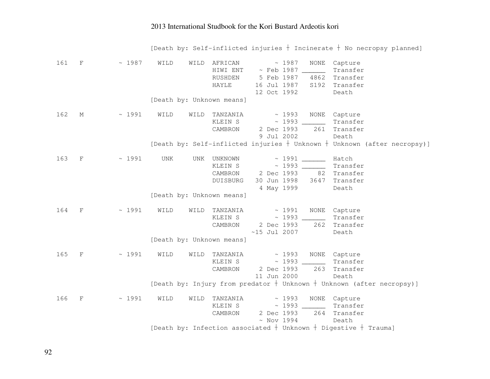|       |              |             |      |      |                                                                  |                                             |             |                     |                                                                                       | [Death by: Self-inflicted injuries $+$ Incinerate $+$ No necropsy planned]   |
|-------|--------------|-------------|------|------|------------------------------------------------------------------|---------------------------------------------|-------------|---------------------|---------------------------------------------------------------------------------------|------------------------------------------------------------------------------|
| 161 F |              | ~1987       | WILD | WILD | AFRICAN<br>HIWI ENT<br>RUSHDEN<br><b>HAYLE</b>                   | 12 Oct 1992                                 | ~1987       | NONE                | Capture<br>Transfer<br>5 Feb 1987 4862 Transfer<br>16 Jul 1987 S192 Transfer<br>Death |                                                                              |
|       |              |             |      |      | [Death by: Unknown means]                                        |                                             |             |                     |                                                                                       |                                                                              |
| 162   | $M \sim$     | $\sim 1991$ | WILD | WILD | TANZANIA<br>KLEIN S<br>CAMBRON                                   | 2 Dec 1993<br>9 Jul 2002                    |             | ~ 1993 NONE Capture | Transfer<br>261 Transfer<br>Death                                                     |                                                                              |
|       |              |             |      |      |                                                                  |                                             |             |                     |                                                                                       | [Death by: Self-inflicted injuries $+$ Unknown $+$ Unknown (after necropsy)] |
| 163   | $\mathbf{F}$ | ~1991       | UNK  | UNK  | UNKNOWN<br>KLEIN S<br>CAMBRON 2 Dec 1993 82 Transfer<br>DUISBURG | $\sim$ 1991<br>4 May 1999                   |             |                     | Hatch<br>Transfer<br>30 Jun 1998 3647 Transfer<br>Death                               |                                                                              |
|       |              |             |      |      | [Death by: Unknown means]                                        |                                             |             |                     |                                                                                       |                                                                              |
| 164   | $-F$         | ~1991       | WILD | WILD | TANZANIA<br>KLEIN S<br>CAMBRON                                   | $\sim 1991$<br>2 Dec 1993<br>$~15$ Jul 2007 |             | 262                 | NONE Capture<br>Transfer<br>Transfer<br>Death                                         |                                                                              |
|       |              |             |      |      | [Death by: Unknown means]                                        |                                             |             |                     |                                                                                       |                                                                              |
| 165   | $\mathbf{F}$ | ~1991       | WILD | WILD | TANZANIA<br>KLEIN S<br>CAMBRON                                   | 2 Dec 1993<br>11 Jun 2000                   | $\sim 1993$ |                     | NONE Capture<br>Transfer<br>263 Transfer<br>Death                                     |                                                                              |
|       |              |             |      |      |                                                                  |                                             |             |                     | [Death by: Injury from predator + Unknown + Unknown (after necropsy)]                 |                                                                              |
| 166   | $_{\rm F}$   | ~1991       | WILD | WILD | TANZANIA<br>KLEIN S ~ 1993 ________<br>CAMBRON                   | $~\sim$ Nov 1994                            | $\sim 1993$ |                     | NONE Capture<br>Transfer<br>2 Dec 1993 264 Transfer<br>Death                          |                                                                              |
|       |              |             |      |      |                                                                  |                                             |             |                     | [Death by: Infection associated $+$ Unknown $+$ Digestive $+$ Trauma]                 |                                                                              |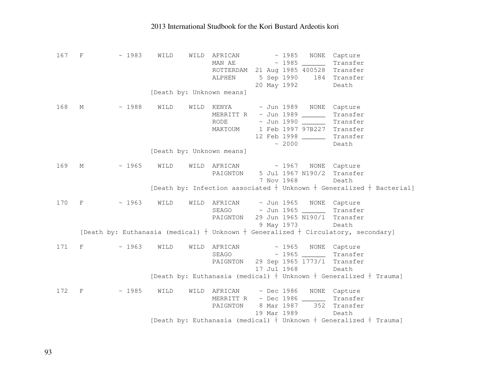| 167 | $\mathbf{F}$ | ~1983                                                                                   | WILD | WILD | AFRICAN                                                                 |  | ~1985       | NONE                   | Capture                    |                                                                            |
|-----|--------------|-----------------------------------------------------------------------------------------|------|------|-------------------------------------------------------------------------|--|-------------|------------------------|----------------------------|----------------------------------------------------------------------------|
|     |              |                                                                                         |      |      | MAN AE                                                                  |  | ~1985       |                        | Transfer                   |                                                                            |
|     |              |                                                                                         |      |      | ROTTERDAM 21 Aug 1985 400528 Transfer                                   |  |             |                        |                            |                                                                            |
|     |              |                                                                                         |      |      | ALPHEN                                                                  |  |             |                        | 5 Sep 1990 184 Transfer    |                                                                            |
|     |              |                                                                                         |      |      |                                                                         |  | 20 May 1992 |                        | Death                      |                                                                            |
|     |              |                                                                                         |      |      | [Death by: Unknown means]                                               |  |             |                        |                            |                                                                            |
|     |              |                                                                                         |      |      |                                                                         |  |             |                        |                            |                                                                            |
| 168 | М            | $\sim 1988$                                                                             | WILD | WILD | KENYA                                                                   |  |             |                        | ~ Jun 1989 NONE Capture    |                                                                            |
|     |              |                                                                                         |      |      | MERRITT R ~ Jun 1989                                                    |  |             |                        | Transfer                   |                                                                            |
|     |              |                                                                                         |      |      | <b>RODE</b>                                                             |  |             | ~ Jun 1990 ______      | Transfer                   |                                                                            |
|     |              |                                                                                         |      |      | MAKTOUM                                                                 |  |             |                        | 1 Feb 1997 97B227 Transfer |                                                                            |
|     |              |                                                                                         |      |      |                                                                         |  |             | 12 Feb 1998 _______    | Transfer                   |                                                                            |
|     |              |                                                                                         |      |      |                                                                         |  | ~2000       |                        | Death                      |                                                                            |
|     |              |                                                                                         |      |      | [Death by: Unknown means]                                               |  |             |                        |                            |                                                                            |
|     |              |                                                                                         |      |      |                                                                         |  |             |                        |                            |                                                                            |
| 169 | M            | $\sim 1965$                                                                             | WILD |      | WILD AFRICAN                                                            |  |             |                        | ~ 1967 NONE Capture        |                                                                            |
|     |              |                                                                                         |      |      | PAIGNTON                                                                |  |             | 5 Jul 1967 N190/2      | Transfer                   |                                                                            |
|     |              |                                                                                         |      |      |                                                                         |  | 7 Nov 1968  |                        | Death                      |                                                                            |
|     |              |                                                                                         |      |      |                                                                         |  |             |                        |                            | [Death by: Infection associated $+$ Unknown $+$ Generalized $+$ Bacterial] |
|     |              |                                                                                         |      |      |                                                                         |  |             |                        |                            |                                                                            |
| 170 | F            | $\sim 1963$                                                                             | WILD |      | WILD AFRICAN                                                            |  |             |                        | ~ Jun 1965 NONE Capture    |                                                                            |
|     |              |                                                                                         |      |      | SEAGO                                                                   |  |             | $\sim$ Jun 1965 ______ | Transfer                   |                                                                            |
|     |              |                                                                                         |      |      | PAIGNTON                                                                |  |             | 29 Jun 1965 N190/1     | Transfer                   |                                                                            |
|     |              |                                                                                         |      |      |                                                                         |  | 9 May 1973  |                        | Death                      |                                                                            |
|     |              | [Death by: Euthanasia (medical) $+$ Unknown $+$ Generalized $+$ Circulatory, secondary] |      |      |                                                                         |  |             |                        |                            |                                                                            |
|     |              |                                                                                         |      |      |                                                                         |  |             |                        |                            |                                                                            |
| 171 | F            | ~1963                                                                                   | WILD |      | WILD AFRICAN                                                            |  |             |                        | ~ 1965 NONE Capture        |                                                                            |
|     |              |                                                                                         |      |      | SEAGO                                                                   |  |             | $\sim$ 1965 _____      | Transfer                   |                                                                            |
|     |              |                                                                                         |      |      | PAIGNTON                                                                |  |             | 29 Sep 1965 1773/1     | Transfer                   |                                                                            |
|     |              |                                                                                         |      |      |                                                                         |  | 17 Jul 1968 |                        | Death                      |                                                                            |
|     |              |                                                                                         |      |      | [Death by: Euthanasia (medical) $+$ Unknown $+$ Generalized $+$ Trauma] |  |             |                        |                            |                                                                            |
|     |              |                                                                                         |      |      |                                                                         |  |             |                        |                            |                                                                            |
| 172 | $\rm F$      | ~1985                                                                                   | WILD |      | WILD AFRICAN                                                            |  |             |                        | ~ Dec 1986 NONE Capture    |                                                                            |
|     |              |                                                                                         |      |      | MERRITT R ~ Dec 1986 ______                                             |  |             |                        | Transfer                   |                                                                            |
|     |              |                                                                                         |      |      | PAIGNTON                                                                |  |             |                        | 8 Mar 1987 352 Transfer    |                                                                            |
|     |              |                                                                                         |      |      |                                                                         |  |             | 19 Mar 1989            | Death                      |                                                                            |
|     |              |                                                                                         |      |      | [Death by: Euthanasia (medical) $+$ Unknown $+$ Generalized $+$ Trauma] |  |             |                        |                            |                                                                            |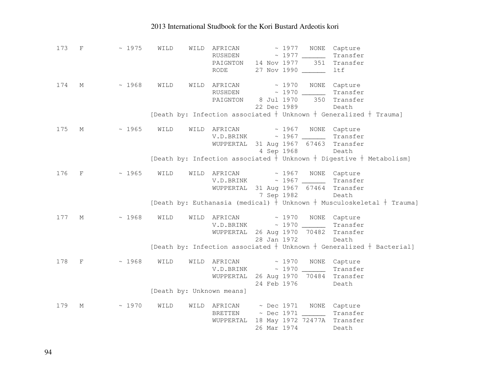| 173 | F          | $~\sim~1975$ | WILD | WILD | AFRICAN<br>RUSHDEN<br>PAIGNTON 14 Nov 1977<br>RODE |                           | ~ 1977<br>NONE<br>351<br>27 Nov 1990 | Capture<br>Transfer<br>Transfer<br>ltf                                                                                   |
|-----|------------|--------------|------|------|----------------------------------------------------|---------------------------|--------------------------------------|--------------------------------------------------------------------------------------------------------------------------|
| 174 | М          | ~1968        | WILD | WILD | AFRICAN<br>RUSHDEN<br>PAIGNTON                     | 8 Jul 1970<br>22 Dec 1989 | ~1970<br>350                         | NONE Capture<br>Transfer<br>Transfer<br>Death<br>[Death by: Infection associated $+$ Unknown $+$ Generalized $+$ Trauma] |
|     |            |              |      |      |                                                    |                           |                                      |                                                                                                                          |
| 175 | М          | ~1965        | WILD |      | WILD AFRICAN<br>V.D.BRINK                          | 4 Sep 1968                | ~1967<br>WUPPERTAL 31 Aug 1967 67463 | NONE Capture<br>Transfer<br>Transfer<br>Death                                                                            |
|     |            |              |      |      |                                                    |                           |                                      | [Death by: Infection associated $+$ Unknown $+$ Digestive $+$ Metabolism]                                                |
|     |            |              |      |      |                                                    |                           |                                      |                                                                                                                          |
| 176 | F          | ~1965        | WILD | WILD | AFRICAN<br>V.D.BRINK<br>WUPPERTAL                  | 7 Sep 1982                | ~1967<br>31 Aug 1967 67464           | NONE Capture<br>Transfer<br>Transfer<br>Death                                                                            |
|     |            |              |      |      |                                                    |                           |                                      | [Death by: Euthanasia (medical) $+$ Unknown $+$ Musculoskeletal $+$ Trauma]                                              |
|     |            |              |      |      |                                                    |                           |                                      |                                                                                                                          |
| 177 | М          | ~1968        | WILD |      | WILD AFRICAN                                       |                           | ~1970                                | NONE Capture                                                                                                             |
|     |            |              |      |      | V.D.BRINK                                          |                           | $\sim$ 1970 _____                    | Transfer                                                                                                                 |
|     |            |              |      |      |                                                    |                           | WUPPERTAL 26 Aug 1970 70482 Transfer |                                                                                                                          |
|     |            |              |      |      |                                                    | 28 Jan 1972               |                                      | Death                                                                                                                    |
|     |            |              |      |      |                                                    |                           |                                      | [Death by: Infection associated $+$ Unknown $+$ Generalized $+$ Bacterial]                                               |
| 178 | $_{\rm F}$ | ~1968        | WILD | WILD | AFRICAN<br>V.D.BRINK<br>WUPPERTAL                  | 24 Feb 1976               | ~1970<br>26 Aug 1970 70484           | NONE Capture<br>Transfer<br>Transfer                                                                                     |
|     |            |              |      |      | [Death by: Unknown means]                          |                           |                                      | Death                                                                                                                    |
|     |            |              |      |      |                                                    |                           |                                      |                                                                                                                          |
| 179 | М          | ~1970        | WILD | WILD | AFRICAN                                            | $\sim$ Dec 1971           |                                      | NONE Capture                                                                                                             |
|     |            |              |      |      | <b>BRETTEN</b>                                     | $\sim$ Dec 1971           | $\overline{\phantom{a}}$             | Transfer                                                                                                                 |
|     |            |              |      |      | WUPPERTAL                                          |                           | 18 May 1972 72477A Transfer          |                                                                                                                          |
|     |            |              |      |      |                                                    | 26 Mar 1974               |                                      | Death                                                                                                                    |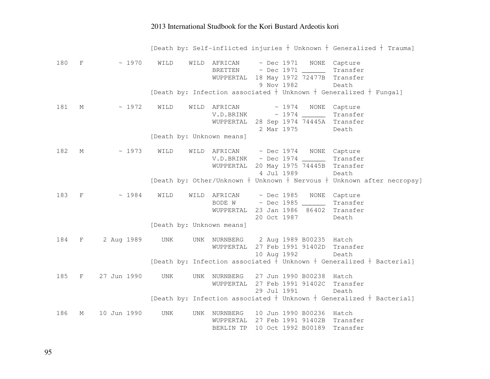|     |             |             |                                           |                                                               |                                                                                              | [Death by: Self-inflicted injuries + Unknown + Generalized + Trauma]         |
|-----|-------------|-------------|-------------------------------------------|---------------------------------------------------------------|----------------------------------------------------------------------------------------------|------------------------------------------------------------------------------|
| 180 | $\mathbf F$ | ~1970       | WILD<br>WILD                              | AFRICAN<br>BRETTEN<br>WUPPERTAL                               | $~\sim$ Dec 1971<br>~ Dec 1971 _______ Transfer<br>18 May 1972 72477B Transfer<br>9 Nov 1982 | NONE Capture<br>Death                                                        |
|     |             |             |                                           |                                                               |                                                                                              | [Death by: Infection associated $+$ Unknown $+$ Generalized $+$ Fungal]      |
| 181 | М           | ~1972       | WILD<br>WILD<br>[Death by: Unknown means] | AFRICAN<br>V.D.BRINK<br>WUPPERTAL 28 Sep 1974 74445A Transfer | $\sim 1974$<br>NONE<br>2 Mar 1975                                                            | Capture<br>Transfer<br>Death                                                 |
| 182 | М           | ~1973       | WILD<br>WILD                              | AFRICAN<br>V.D.BRINK<br>WUPPERTAL                             | $~\sim$ Dec 1974<br>20 May 1975 74445B<br>4 Jul 1989                                         | NONE Capture<br>Transfer<br>Transfer<br>Death                                |
|     |             |             |                                           |                                                               |                                                                                              | [Death by: Other/Unknown $+$ Unknown $+$ Nervous $+$ Unknown after necropsy] |
| 183 | $\mathbf F$ | ~1984       | WILD<br>WILD                              | AFRICAN<br>BODE W<br>WUPPERTAL<br>20 Oct 1987                 | $~\sim$ Dec 1985<br>NONE<br>23 Jan 1986                                                      | Capture<br>Transfer<br>86402 Transfer<br>Death                               |
|     |             |             | [Death by: Unknown means]                 |                                                               |                                                                                              |                                                                              |
| 184 | $\mathbf F$ | 2 Aug 1989  | <b>UNK</b><br>UNK                         | NURNBERG<br>WUPPERTAL<br>10 Aug 1992                          | 2 Aug 1989 B00235 Hatch<br>27 Feb 1991 91402D Transfer                                       | Death                                                                        |
|     |             |             |                                           |                                                               |                                                                                              | [Death by: Infection associated $+$ Unknown $+$ Generalized $+$ Bacterial]   |
| 185 | F           | 27 Jun 1990 | <b>UNK</b><br><b>UNK</b>                  | NURNBERG<br>WUPPERTAL<br>29 Jul 1991                          | 27 Jun 1990 B00238<br>27 Feb 1991 91402C                                                     | Hatch<br>Transfer<br>Death                                                   |
|     |             |             |                                           |                                                               |                                                                                              | [Death by: Infection associated $+$ Unknown $+$ Generalized $+$ Bacterial]   |
| 186 | М           | 10 Jun 1990 | <b>UNK</b><br><b>UNK</b>                  | NURNBERG<br>WUPPERTAL<br>BERLIN TP                            | 10 Jun 1990 B00236<br>27 Feb 1991 91402B Transfer<br>10 Oct 1992 B00189                      | Hatch<br>Transfer                                                            |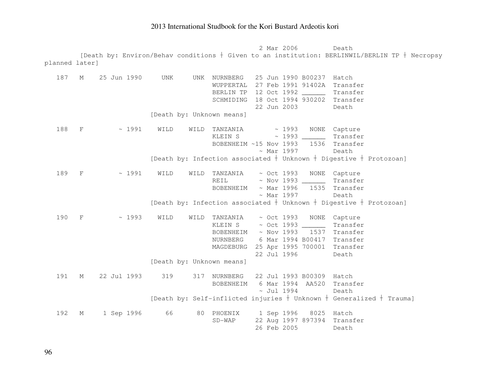2 Mar 2006 Death [Death by: Environ/Behav conditions  $\dagger$  Given to an institution: BERLINWIL/BERLIN TP  $\dagger$  Necropsy planned later] 187 M 25 Jun 1990 UNK UNK NURNBERG 25 Jun 1990 B00237 Hatch WUPPERTAL 27 Feb 1991 91402A Transfer BERLIN TP 12 Oct 1992 \_\_\_\_\_\_ Transfer SCHMIDING 18 Oct 1994 930202 Transfer 22 Jun 2003 Death [Death by: Unknown means] 188 F  $\sim$  1991 WILD WILD TANZANIA  $\sim$  1993 NONE Capture KLEIN S ~ 1993 \_\_\_\_\_\_ Transfer BOBENHEIM ~15 Nov 1993 1536 Transfer ~ Mar 1997 Death [Death by: Infection associated  $\dagger$  Unknown  $\dagger$  Digestive  $\dagger$  Protozoan] 189 F ~ 1991 WILD WILD TANZANIA ~ Oct 1993 NONE Capture REIL ~ Nov 1993 \_\_\_\_\_\_ Transfer BOBENHEIM ~ Mar 1996 1535 Transfer ~ Mar 1997 Death [Death by: Infection associated  $\dagger$  Unknown  $\dagger$  Digestive  $\dagger$  Protozoan] 190 F  $\sim$  1993 WILD WILD TANZANIA ~ Oct 1993 NONE Capture KLEIN S ~ Oct 1993 \_\_\_\_\_\_ Transfer BOBENHEIM ~ Nov 1993 1537 Transfer NURNBERG 6 Mar 1994 B00417 Transfer MAGDEBURG 25 Apr 1995 700001 Transfer 22 Jul 1996 Death [Death by: Unknown means] 191 M 22 Jul 1993 319 317 NURNBERG 22 Jul 1993 B00309 Hatch BOBENHEIM 6 Mar 1994 AA520 Transfer  $~\sim$  Jul 1994 Death [Death by: Self-inflicted injuries  $\dagger$  Unknown  $\dagger$  Generalized  $\dagger$  Trauma] 192 M 1 Sep 1996 66 80 PHOENIX 1 Sep 1996 8025 Hatch SD-WAP 22 Aug 1997 897394 Transfer 26 Feb 2005 Death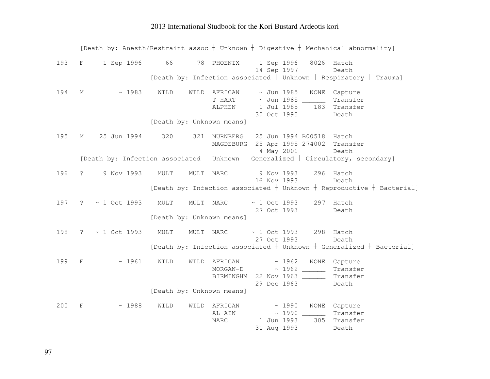|     |                              |                           | [Death by: Anesth/Restraint assoc + Unknown + Digestive + Mechanical abnormality]                   |                          |                                                                                   |
|-----|------------------------------|---------------------------|-----------------------------------------------------------------------------------------------------|--------------------------|-----------------------------------------------------------------------------------|
| 193 | 1 Sep 1996 66<br>$\mathbf F$ |                           | 78 PHOENIX<br>1 Sep 1996<br>14 Sep 1997                                                             | 8026                     | Hatch<br>Death                                                                    |
|     |                              |                           |                                                                                                     |                          | [Death by: Infection associated $\frac{1}{1}$ Unknown $+$ Respiratory $+$ Trauma] |
| 194 | ~1983<br>М                   | WILD                      | WILD AFRICAN<br>$\sim$ Jun 1985<br>T HART ~ Jun 1985 _______<br>1 Jul 1985<br>ALPHEN<br>30 Oct 1995 | NONE<br>183              | Capture<br>Transfer<br>Transfer<br>Death                                          |
|     |                              | [Death by: Unknown means] |                                                                                                     |                          |                                                                                   |
| 195 | 25 Jun 1994<br>М             | 320                       | 321 NURNBERG<br>MAGDEBURG 25 Apr 1995 274002 Transfer<br>4 May 2001                                 | 25 Jun 1994 B00518 Hatch | Death                                                                             |
|     |                              |                           | [Death by: Infection associated $+$ Unknown $+$ Generalized $+$ Circulatory, secondary]             |                          |                                                                                   |
| 196 | 9 Nov 1993<br>$\mathcal{S}$  | MULT                      | MULT NARC<br>9 Nov 1993<br>16 Nov 1993                                                              | 296                      | Hatch<br>Death                                                                    |
|     |                              |                           |                                                                                                     |                          | [Death by: Infection associated $+$ Unknown $+$ Reproductive $+$ Bacterial]       |
| 197 | ~ 1 Oct 1993<br>$\tilde{S}$  | MULT                      | $~1$ Oct 1993<br>MULT NARC<br>27 Oct 1993                                                           |                          | 297 Hatch<br>Death                                                                |
|     |                              | [Death by: Unknown means] |                                                                                                     |                          |                                                                                   |
| 198 | $~1$ Oct 1993<br>$\ddot{ }$  | MULT                      | MULT NARC<br>27 Oct 1993                                                                            | $\sim$ 1 Oct 1993        | 298 Hatch<br>Death                                                                |
|     |                              |                           |                                                                                                     |                          | [Death by: Infection associated $+$ Unknown $+$ Generalized $+$ Bacterial]        |
| 199 | ~1961<br>$_{\rm F}$          | WILD<br>WILD              | AFRICAN<br>MORGAN-D<br>BIRMINGHM 22 Nov 1963<br>29 Dec 1963                                         | $\sim 1962$ NONE         | Capture<br>Transfer<br>Transfer<br>Death                                          |
|     |                              | [Death by: Unknown means] |                                                                                                     |                          |                                                                                   |
| 200 | ~1988<br>F                   | WILD<br>WILD              | AFRICAN<br>AL AIN<br>1 Jun 1993<br><b>NARC</b><br>31 Aug 1993                                       | ~1990<br>~1990<br>305    | NONE Capture<br>Transfer<br>Transfer<br>Death                                     |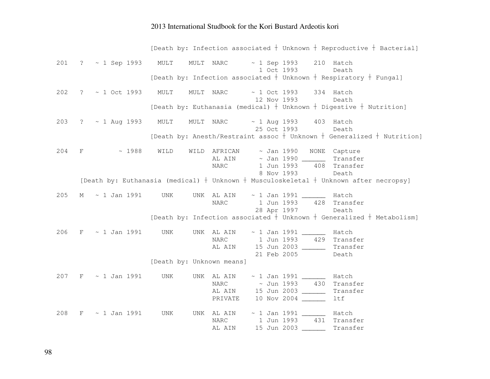[Death by: Infection associated  $\dagger$  Unknown  $\dagger$  Reproductive  $\dagger$  Bacterial] 201 ? ~ 1 Sep 1993 MULT MULT NARC ~ 1 Sep 1993 210 Hatch Death 1 Oct 1993 [Death by: Infection associated  $\dagger$  Unknown  $\dagger$  Respiratory  $\dagger$  Fungal] 202 ? ~ 1 Oct 1993 MULT MULT NARC ~ 1 Oct 1993 334 Hatch Death 12 Nov 1993 [Death by: Euthanasia (medical)  $\dagger$  Unknown  $\dagger$  Digestive  $\dagger$  Nutrition] 203 ? ~ 1 Aug 1993 MULT MULT NARC ~ 1 Aug 1993 403 Hatch Death 25 Oct 1993 [Death by: Anesth/Restraint assoc  $\dagger$  Unknown  $\dagger$  Generalized  $\dagger$  Nutrition] 204 F ~ 1988 WILD WILD AFRICAN ~ Jan 1990 NONE Capture AL AIN ~ Jan 1990 \_\_\_\_\_\_ Transfer 408 Transfer NARC 1 Jun 1993 8 Nov 1993 Death [Death by: Euthanasia (medical)  $\dagger$  Unknown  $\dagger$  Musculoskeletal  $\dagger$  Unknown after necropsy] 205 M ~ 1 Jan 1991 UNK UNK AL AIN ~ 1 Jan 1991 \_\_\_\_\_\_ Hatch 428 Transfer NARC 1 Jun 1993 28 Apr 1997 Death [Death by: Infection associated  $\dagger$  Unknown  $\dagger$  Generalized  $\dagger$  Metabolism] 206 F  $\sim$  1 Jan 1991 UNK UNK AL AIN  $\sim$  1 Jan 1991 Hatch 429 Transfer NARC 1 Jun 1993 AL AIN 15 Jun 2003 \_\_\_\_\_\_ Transfer 21 Feb 2005 Death [Death by: Unknown means] 207 F ~ 1 Jan 1991 UNK UNK AL AIN ~ 1 Jan 1991 \_\_\_\_\_\_ Hatch NARC ~ Jun 1993 430 Transfer AL AIN 15 Jun 2003 \_\_\_\_\_\_ Transfer PRIVATE 10 Nov 2004 ltf 208 F  $\sim$  1 Jan 1991 UNK UNK AL AIN  $\sim$  1 Jan 1991 Hatch NARC 1 Jun 1993 431 Transfer AL AIN 15 Jun 2003 \_\_\_\_\_\_ Transfer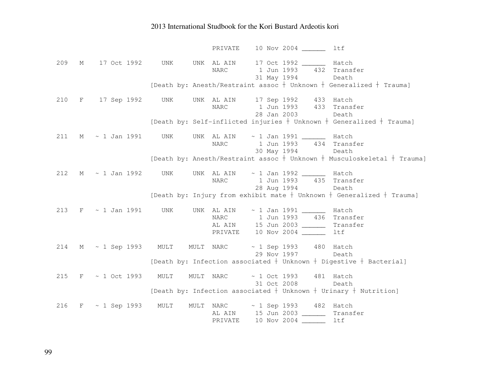PRIVATE 10 Nov 2004 ltf 209 M 17 Oct 1992 UNK UNK AL AIN 17 Oct 1992 \_\_\_\_\_\_ Hatch NARC 1 Jun 1993 432 Transfer 31 May 1994 Death [Death by: Anesth/Restraint assoc  $\dagger$  Unknown  $\dagger$  Generalized  $\dagger$  Trauma] 210 F 17 Sep 1992 UNK UNK AL AIN 17 Sep 1992 433 Hatch NARC 1 Jun 1993 433 Transfer 28 Jan 2003 Death [Death by: Self-inflicted injuries  $\dagger$  Unknown  $\dagger$  Generalized  $\dagger$  Trauma] 211 M  $\sim$  1 Jan 1991 UNK UNK AL AIN  $\sim$  1 Jan 1991 Hatch NARC 1 Jun 1993 434 Transfer 30 May 1994 Death [Death by: Anesth/Restraint assoc  $\dagger$  Unknown  $\dagger$  Musculoskeletal  $\dagger$  Trauma] 212 M ~ 1 Jan 1992 UNK UNK AL AIN ~ 1 Jan 1992 \_\_\_\_\_\_ Hatch NARC 1 Jun 1993 435 Transfer 28 Aug 1994 Death [Death by: Injury from exhibit mate  $\dagger$  Unknown  $\dagger$  Generalized  $\dagger$  Trauma] 213 F ~ 1 Jan 1991 UNK UNK AL AIN ~ 1 Jan 1991 \_\_\_\_\_\_ Hatch NARC 1 Jun 1993 436 Transfer AL AIN 15 Jun 2003 \_\_\_\_\_\_ Transfer PRIVATE 10 Nov 2004 \_\_\_\_\_\_ ltf 214 M ~ 1 Sep 1993 MULT MULT NARC ~ 1 Sep 1993 480 Hatch Death 29 Nov 1997 [Death by: Infection associated  $\dagger$  Unknown  $\dagger$  Digestive  $\dagger$  Bacterial] 215 F ~ 1 Oct 1993 MULT MULT NARC ~ 1 Oct 1993 481 Hatch Death 31 Oct 2008 [Death by: Infection associated  $\dagger$  Unknown  $\dagger$  Urinary  $\dagger$  Nutrition] 216 F ~ 1 Sep 1993 MULT MULT NARC ~ 1 Sep 1993 482 Hatch AL AIN 15 Jun 2003 \_\_\_\_\_\_ Transfer PRIVATE 10 Nov 2004 \_\_\_\_\_\_ ltf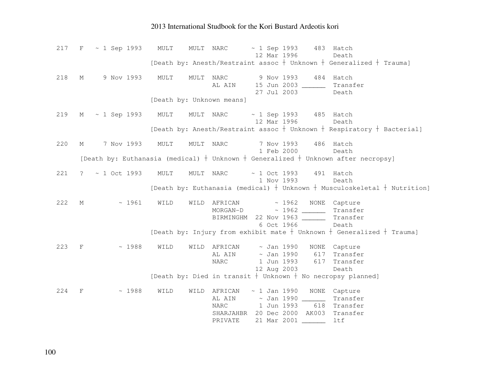217 F ~ 1 Sep 1993 MULT MULT NARC ~ 1 Sep 1993 483 Hatch Death 12 Mar 1996 [Death by: Anesth/Restraint assoc  $\frac{1}{2}$  Unknown  $\frac{1}{2}$  Generalized  $\frac{1}{2}$  Trauma] 218 M 9 Nov 1993 MULT MULT NARC 9 Nov 1993 484 Hatch AL AIN 15 Jun 2003 \_\_\_\_\_\_ Transfer 27 Jul 2003 Death [Death by: Unknown means] 219 M ~ 1 Sep 1993 MULT MULT NARC ~ 1 Sep 1993 485 Hatch Death 12 Mar 1996 [Death by: Anesth/Restraint assoc  $\dagger$  Unknown  $\dagger$  Respiratory  $\dagger$  Bacterial] 220 M 7 Nov 1993 MULT MULT NARC 7 Nov 1993 486 Hatch 1 Feb 2000 Death [Death by: Euthanasia (medical)  $\dagger$  Unknown  $\dagger$  Generalized  $\dagger$  Unknown after necropsy] 221 ? ~ 1 Oct 1993 MULT MULT NARC ~ 1 Oct 1993 491 Hatch Death 1 Nov 1993 [Death by: Euthanasia (medical)  $\dagger$  Unknown  $\dagger$  Musculoskeletal  $\dagger$  Nutrition] 222 M ~ 1961 WILD WILD AFRICAN ~ 1962 NONE Capture MORGAN-D ~ 1962 \_\_\_\_\_\_ Transfer BIRMINGHM 22 Nov 1963 \_\_\_\_\_\_ Transfer 6 Oct 1966 Death [Death by: Injury from exhibit mate  $\dagger$  Unknown  $\dagger$  Generalized  $\dagger$  Trauma] 223 F ~ 1988 WILD WILD AFRICAN ~ Jan 1990 NONE Capture AL AIN ~ Jan 1990 617 Transfer NARC 1 Jun 1993 617 Transfer 12 Aug 2003 Death [Death by: Died in transit  $\dagger$  Unknown  $\dagger$  No necropsy planned]  $224$  F  $\sim$  1988 WILD WILD AFRICAN  $\sim$  1 Jan 1990 NONE Capture AL AIN ~ Jan 1990 \_\_\_\_\_\_ Transfer NARC 1 Jun 1993 618 Transfer SHARJAHBR 20 Dec 2000 AK003 Transfer PRIVATE 21 Mar 2001 \_\_\_\_\_\_ ltf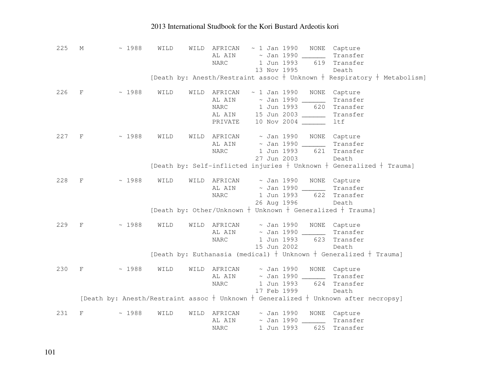| 225 | М           | ~1988 | WILD | WILD | AFRICAN                             |  | $\sim$ 1 Jan 1990      |                         | NONE Capture                                                                              |
|-----|-------------|-------|------|------|-------------------------------------|--|------------------------|-------------------------|-------------------------------------------------------------------------------------------|
|     |             |       |      |      | AL AIN                              |  |                        | $\sim$ Jan 1990 _______ | Transfer                                                                                  |
|     |             |       |      |      | NARC                                |  | 1 Jun 1993             | 619                     | Transfer                                                                                  |
|     |             |       |      |      |                                     |  | 13 Nov 1995            |                         | Death                                                                                     |
|     |             |       |      |      |                                     |  |                        |                         | [Death by: Anesth/Restraint assoc $+$ Unknown $+$ Respiratory $+$ Metabolism]             |
| 226 | $\mathbf F$ | ~1988 | WILD | WILD | AFRICAN                             |  | $\sim$ 1 Jan 1990      | NONE                    | Capture                                                                                   |
|     |             |       |      |      | AL AIN                              |  |                        | $\sim$ Jan 1990 _____   | Transfer                                                                                  |
|     |             |       |      |      | NARC                                |  | 1 Jun 1993             | 620                     | Transfer                                                                                  |
|     |             |       |      |      | AL AIN 15 Jun 2003                  |  |                        |                         | Transfer                                                                                  |
|     |             |       |      |      | PRIVATE                             |  |                        | 10 Nov 2004 _____       | ltf                                                                                       |
| 227 | F           | ~1988 | WILD | WILD | AFRICAN                             |  |                        |                         | ~ Jan 1990 NONE Capture                                                                   |
|     |             |       |      |      | AL AIN                              |  |                        | $\sim$ Jan 1990 ______  | Transfer                                                                                  |
|     |             |       |      |      | NARC                                |  | 1 Jun 1993             | 621                     | Transfer                                                                                  |
|     |             |       |      |      |                                     |  | 27 Jun 2003            |                         | Death                                                                                     |
|     |             |       |      |      |                                     |  |                        |                         | [Death by: Self-inflicted injuries $+$ Unknown $+$ Generalized $+$ Trauma]                |
|     |             |       |      |      |                                     |  |                        |                         |                                                                                           |
| 228 | $_{\rm F}$  | ~1988 | WILD | WILD | AFRICAN                             |  | ~ Jan 1990             | NONE                    | Capture                                                                                   |
|     |             |       |      |      | AL AIN                              |  | $\sim$ Jan 1990 $\_\_$ |                         | Transfer                                                                                  |
|     |             |       |      |      | NARC                                |  | 1 Jun 1993             | 622                     | Transfer                                                                                  |
|     |             |       |      |      |                                     |  | 26 Aug 1996            |                         | Death                                                                                     |
|     |             |       |      |      |                                     |  |                        |                         | [Death by: Other/Unknown $+$ Unknown $+$ Generalized $+$ Trauma]                          |
| 229 | $_{\rm F}$  | ~1988 | WILD | WILD | AFRICAN                             |  | ~ Jan 1990             |                         | NONE Capture                                                                              |
|     |             |       |      |      | AL AIN                              |  |                        |                         | Transfer                                                                                  |
|     |             |       |      |      | <b>NARC</b>                         |  | 1 Jun 1993             | 623                     | Transfer                                                                                  |
|     |             |       |      |      |                                     |  | 15 Jun 2002            |                         | Death                                                                                     |
|     |             |       |      |      |                                     |  |                        |                         | [Death by: Euthanasia (medical) $+$ Unknown $+$ Generalized $+$ Trauma]                   |
| 230 | $_{\rm F}$  | ~1988 | WILD | WILD | AFRICAN                             |  | $\sim$ Jan 1990        |                         | NONE Capture                                                                              |
|     |             |       |      |      | AL AIN                              |  |                        | $\sim$ Jan 1990 _______ | Transfer                                                                                  |
|     |             |       |      |      | <b>NARC</b>                         |  | 1 Jun 1993             | 624                     | Transfer                                                                                  |
|     |             |       |      |      |                                     |  | 17 Feb 1999            |                         | Death                                                                                     |
|     |             |       |      |      |                                     |  |                        |                         | [Death by: Anesth/Restraint assoc $+$ Unknown $+$ Generalized $+$ Unknown after necropsy] |
|     |             |       |      |      |                                     |  |                        |                         |                                                                                           |
| 231 | F           | ~1988 | WILD | WILD | AFRICAN                             |  | $\sim$ Jan 1990        | NONE                    | Capture                                                                                   |
|     |             |       |      |      | AL AIN                              |  | $\sim$ Jan 1990        |                         | Transfer                                                                                  |
|     |             |       |      |      | $\ensuremath{\mathsf{NARC}}\xspace$ |  | 1 Jun 1993             | 625                     | Transfer                                                                                  |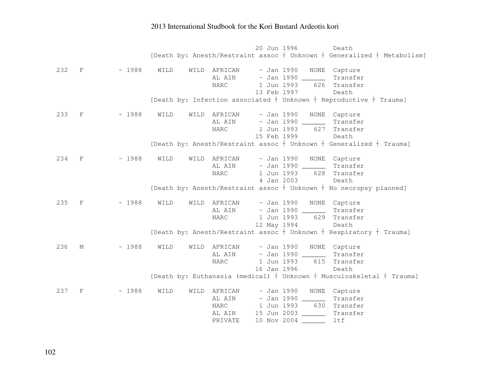20 Jun 1996 Death [Death by: Anesth/Restraint assoc  $\dagger$  Unknown  $\dagger$  Generalized  $\dagger$  Metabolism] 232 F ~ 1988 WILD WILD AFRICAN ~ Jan 1990 NONE Capture AL AIN ~ Jan 1990 \_\_\_\_\_\_ Transfer NARC 1 Jun 1993 626 Transfer 13 Feb 1997 Death [Death by: Infection associated  $\dagger$  Unknown  $\dagger$  Reproductive  $\dagger$  Trauma] 233 F ~ 1988 WILD WILD AFRICAN ~ Jan 1990 NONE Capture Transfer AL AIN  $\sim$  Jan 1990 \_\_\_\_\_\_ 627 Transfer NARC 1 Jun 1993 15 Feb 1999 Death [Death by: Anesth/Restraint assoc  $\dagger$  Unknown  $\dagger$  Generalized  $\dagger$  Trauma] 234 F ~ 1988 WILD WILD AFRICAN ~ Jan 1990 NONE Capture AL AIN ~ Jan 1990 \_\_\_\_\_\_ Transfer NARC 1 Jun 1993 628 Transfer 4 Jan 2003 Death [Death by: Anesth/Restraint assoc  $\dagger$  Unknown  $\dagger$  No necropsy planned] 235 F ~ 1988 WILD WILD AFRICAN ~ Jan 1990 NONE Capture AL AIN ~ Jan 1990 \_\_\_\_\_\_ Transfer NARC 1 Jun 1993 629 Transfer 12 May 1994 Death [Death by: Anesth/Restraint assoc  $+$  Unknown  $+$  Respiratory  $+$  Trauma] 236 M ~ 1988 WILD WILD AFRICAN ~ Jan 1990 NONE Capture AL AIN ~ Jan 1990 \_\_\_\_\_\_ Transfer NARC 1 Jun 1993 615 Transfer 16 Jan 1996 Death [Death by: Euthanasia (medical)  $\dagger$  Unknown  $\dagger$  Musculoskeletal  $\dagger$  Trauma] 237 F ~ 1988 WILD WILD AFRICAN ~ Jan 1990 NONE Capture AL AIN ~ Jan 1990 \_\_\_\_\_\_ Transfer NARC 1 Jun 1993 630 Transfer AL AIN 15 Jun 2003 \_\_\_\_\_\_ Transfer PRIVATE 10 Nov 2004 \_\_\_\_\_\_ ltf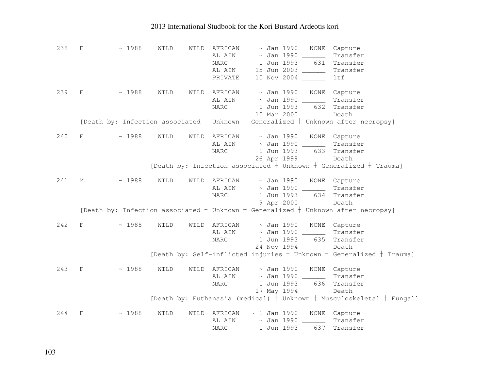| 238 | F                         | ~1988 | WILD | WILD | AFRICAN<br>AL AIN<br>$\ensuremath{\mathsf{NARC}}\xspace$<br>AL AIN<br>PRIVATE | $\sim$ Jan 1990 NONE<br>$\sim$ Jan 1990 ______<br>1 Jun 1993<br>15 Jun 2003 ______<br>10 Nov 2004 ___ | 631 | Capture<br>Transfer<br>Transfer<br>Transfer<br>ltf                                       |
|-----|---------------------------|-------|------|------|-------------------------------------------------------------------------------|-------------------------------------------------------------------------------------------------------|-----|------------------------------------------------------------------------------------------|
| 239 | $\mathbf{F}$              | ~1988 | WILD |      | WILD AFRICAN<br>AL AIN<br><b>NARC</b>                                         | $\sim$ Jan 1990 NONE<br>$\sim$ Jan 1990 _______<br>1 Jun 1993<br>10 Mar 2000                          | 632 | Capture<br>Transfer<br>Transfer<br>Death                                                 |
|     |                           |       |      |      |                                                                               |                                                                                                       |     | [Death by: Infection associated $+$ Unknown $+$ Generalized $+$ Unknown after necropsy]  |
| 240 | $_{\rm F}$                | ~1988 | WILD |      | WILD AFRICAN<br>AL AIN<br><b>NARC</b>                                         | ~ Jan 1990<br>$\sim$ Jan 1990 ______<br>1 Jun 1993<br>26 Apr 1999                                     | 633 | NONE Capture<br>Transfer<br>Transfer<br>Death                                            |
|     |                           |       |      |      |                                                                               |                                                                                                       |     | [Death by: Infection associated $+$ Unknown $+$ Generalized $+$ Trauma]                  |
| 241 | М                         | ~1988 | WILD |      | WILD AFRICAN<br>AL AIN<br><b>NARC</b>                                         | ~ Jan 1990<br>~ Jan 1990 ______<br>1 Jun 1993<br>9 Apr 2000                                           |     | NONE Capture<br>Transfer<br>634 Transfer<br>Death                                        |
|     |                           |       |      |      |                                                                               |                                                                                                       |     | [Death by: Infection associated $+$ Unknown $+$ Generalized $+$ Unknown after necropsy]  |
| 242 | $_{\rm F}$                | ~1988 | WILD |      | WILD AFRICAN<br>AL AIN<br><b>NARC</b>                                         | ~ Jan 1990<br>1 Jun 1993<br>24 Nov 1994                                                               |     | NONE Capture<br>Transfer<br>635 Transfer<br>Death                                        |
|     |                           |       |      |      |                                                                               |                                                                                                       |     | [Death by: Self-inflicted injuries $+$ Unknown $+$ Generalized $+$ Trauma]               |
| 243 | $\mathbf F$               | ~1988 | WILD |      | WILD AFRICAN<br>AL AIN<br>$\ensuremath{\mathsf{NARC}}\xspace$                 | $\sim$ Jan 1990<br>~ Jan 1990 ______<br>1 Jun 1993<br>17 May 1994                                     | 636 | NONE Capture<br>Transfer<br>Transfer<br>Death                                            |
|     |                           |       |      |      |                                                                               |                                                                                                       |     | [Death by: Euthanasia (medical) $\frac{1}{\tau}$ Unknown $+$ Musculoskeletal $+$ Fungal] |
| 244 | $\boldsymbol{\mathrm{F}}$ | ~1988 | WILD | WILD | AFRICAN<br>AL AIN<br><b>NARC</b>                                              | ~ 1 Jan 1990 NONE Capture<br>$\sim$ Jan 1990 ______<br>1 Jun 1993                                     | 637 | Transfer<br>Transfer                                                                     |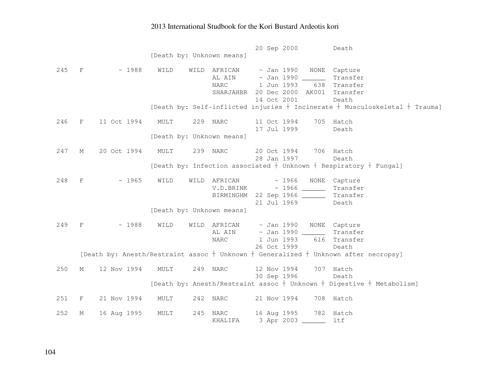|     |              |             |      |      |                               | 20 Sep 2000            |       |                      | Death                                                                               |
|-----|--------------|-------------|------|------|-------------------------------|------------------------|-------|----------------------|-------------------------------------------------------------------------------------|
|     |              |             |      |      | [Death by: Unknown means]     |                        |       |                      |                                                                                     |
|     |              |             |      |      |                               |                        |       |                      |                                                                                     |
| 245 | $F$ and $F$  | ~1988       | WILD |      | WILD AFRICAN                  |                        |       | $\sim$ Jan 1990 NONE | Capture                                                                             |
|     |              |             |      |      | AL AIN                        |                        |       |                      | Transfer                                                                            |
|     |              |             |      |      | NARC                          | 1 Jun 1993             |       | 638                  | Transfer                                                                            |
|     |              |             |      |      | SHARJAHBR 20 Dec 2000 AK001   |                        |       |                      | Transfer                                                                            |
|     |              |             |      |      |                               | 14 Oct 2001            |       |                      | Death                                                                               |
|     |              |             |      |      |                               |                        |       |                      | [Death by: Self-inflicted injuries $+$ Incinerate $+$ Musculoskeletal $+$ Trauma]   |
|     |              |             |      |      |                               |                        |       |                      |                                                                                     |
| 246 | F            | 11 Oct 1994 | MULT |      | 229 NARC                      | 11 Oct 1994            |       |                      | 705 Hatch                                                                           |
|     |              |             |      |      |                               | 17 Jul 1999            |       |                      | Death                                                                               |
|     |              |             |      |      | [Death by: Unknown means]     |                        |       |                      |                                                                                     |
|     |              |             |      |      |                               |                        |       |                      |                                                                                     |
| 247 | М            | 20 Oct 1994 | MULT |      | 239 NARC                      | 20 Oct 1994            |       |                      | 706 Hatch                                                                           |
|     |              |             |      |      |                               | 28 Jan 1997            |       |                      | Death                                                                               |
|     |              |             |      |      |                               |                        |       |                      | [Death by: Infection associated $+$ Unknown $+$ Respiratory $+$ Fungal]             |
|     |              |             |      |      |                               |                        |       |                      |                                                                                     |
| 248 | F            | ~1965       | WILD | WILD | AFRICAN                       |                        | ~1966 | NONE                 | Capture                                                                             |
|     |              |             |      |      |                               |                        |       |                      | Transfer                                                                            |
|     |              |             |      |      | BIRMINGHM 22 Sep 1966 _______ |                        |       |                      | Transfer                                                                            |
|     |              |             |      |      |                               | 21 Jul 1969            |       |                      | Death                                                                               |
|     |              |             |      |      | [Death by: Unknown means]     |                        |       |                      |                                                                                     |
|     |              |             |      |      |                               |                        |       |                      |                                                                                     |
| 249 | $-F$         | ~1988       | WILD | WILD | AFRICAN                       | $\sim$ Jan 1990        |       | NONE                 | Capture                                                                             |
|     |              |             |      |      | AL AIN                        | $\sim$ Jan 1990 $\_\_$ |       |                      | Transfer                                                                            |
|     |              |             |      |      | <b>NARC</b>                   | 1 Jun 1993             |       | 616                  | Transfer                                                                            |
|     |              |             |      |      |                               | 26 Oct 1999            |       |                      | Death                                                                               |
|     |              |             |      |      |                               |                        |       |                      | [Death by: Anesth/Restraint assoc + Unknown + Generalized + Unknown after necropsy] |
|     |              |             |      |      |                               |                        |       |                      |                                                                                     |
| 250 | $M_{\odot}$  | 12 Nov 1994 | MULT |      | 249 NARC                      | 12 Nov 1994            |       |                      | 707 Hatch                                                                           |
|     |              |             |      |      |                               | 30 Sep 1996            |       |                      | Death                                                                               |
|     |              |             |      |      |                               |                        |       |                      | [Death by: Anesth/Restraint assoc $+$ Unknown $+$ Digestive $+$ Metabolism]         |
|     |              |             |      |      |                               |                        |       |                      |                                                                                     |
| 251 | $\mathbf{F}$ | 21 Nov 1994 | MULT |      | 242 NARC                      | 21 Nov 1994            |       |                      | 708 Hatch                                                                           |
|     |              |             |      |      |                               |                        |       |                      |                                                                                     |
| 252 | М            | 16 Aug 1995 | MULT |      | 245 NARC                      | 16 Aug 1995            |       |                      | 782 Hatch                                                                           |
|     |              |             |      |      | KHALIFA                       | 3 Apr 2003             |       |                      | ltf                                                                                 |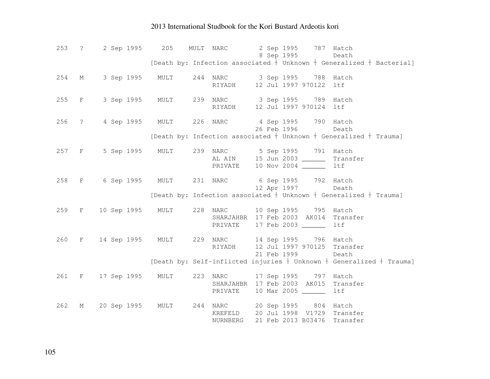| 253 | $\ddot{\text{?}}$ | 2 Sep 1995 205                                  |                                               | MULT NARC                                                              |  |             | 2 Sep 1995 787 Hatch<br>8 Sep 1995 |                                                                                               |
|-----|-------------------|-------------------------------------------------|-----------------------------------------------|------------------------------------------------------------------------|--|-------------|------------------------------------|-----------------------------------------------------------------------------------------------|
|     |                   |                                                 |                                               |                                                                        |  |             |                                    | Death<br>[Death by: Infection associated $\frac{1}{t}$ Unknown $+$ Generalized $+$ Bacterial] |
|     |                   |                                                 |                                               |                                                                        |  |             |                                    |                                                                                               |
| 254 | M                 | 3 Sep 1995 MULT                                 |                                               | 244 NARC 3 Sep 1995 788 Hatch                                          |  |             |                                    |                                                                                               |
|     |                   |                                                 |                                               | RIYADH                                                                 |  |             | 12 Jul 1997 970122 ltf             |                                                                                               |
| 255 | $F$ and $F$       | 3 Sep 1995 MULT 239 NARC 3 Sep 1995 789 Hatch   |                                               |                                                                        |  |             |                                    |                                                                                               |
|     |                   |                                                 |                                               | RIYADH                                                                 |  |             | 12 Jul 1997 970124 ltf             |                                                                                               |
|     |                   |                                                 |                                               |                                                                        |  |             |                                    |                                                                                               |
|     | 256 ?             |                                                 | 4 Sep 1995 MULT                               | 226 NARC 4 Sep 1995 790 Hatch                                          |  |             |                                    |                                                                                               |
|     |                   |                                                 |                                               |                                                                        |  |             | 26 Feb 1996                        | Death                                                                                         |
|     |                   |                                                 |                                               |                                                                        |  |             |                                    | [Death by: Infection associated $+$ Unknown $+$ Generalized $+$ Trauma]                       |
|     | 257 F             |                                                 | 5 Sep 1995 MULT 239 NARC 5 Sep 1995 791 Hatch |                                                                        |  |             |                                    |                                                                                               |
|     |                   |                                                 |                                               | AL AIN 15 Jun 2003 ________ Transfer                                   |  |             |                                    |                                                                                               |
|     |                   |                                                 |                                               | PRIVATE                                                                |  |             | 10 Nov 2004 ______                 | ltf                                                                                           |
|     |                   |                                                 |                                               |                                                                        |  |             |                                    |                                                                                               |
| 258 | $F \sim 1$        | 6 Sep 1995 MULT 231 NARC 6 Sep 1995 792 Hatch   |                                               |                                                                        |  |             |                                    |                                                                                               |
|     |                   |                                                 |                                               |                                                                        |  |             | 12 Apr 1997                        | Death<br>[Death by: Infection associated + Unknown + Generalized + Trauma]                    |
|     |                   |                                                 |                                               |                                                                        |  |             |                                    |                                                                                               |
| 259 | $F$ and $F$       | 10 Sep 1995 MULT 228 NARC 10 Sep 1995 795 Hatch |                                               |                                                                        |  |             |                                    |                                                                                               |
|     |                   |                                                 |                                               | SHARJAHBR 17 Feb 2003 AK014 Transfer                                   |  |             |                                    |                                                                                               |
|     |                   |                                                 |                                               | PRIVATE                                                                |  |             | 17 Feb 2003 ______                 | ltf                                                                                           |
| 260 |                   | F 14 Sep 1995 MULT                              |                                               | 229 NARC 14 Sep 1995 796 Hatch                                         |  |             |                                    |                                                                                               |
|     |                   |                                                 |                                               | RIYADH                                                                 |  |             |                                    | 12 Jul 1997 970125 Transfer                                                                   |
|     |                   |                                                 |                                               |                                                                        |  | 21 Feb 1999 |                                    | Death                                                                                         |
|     |                   |                                                 |                                               |                                                                        |  |             |                                    | [Death by: Self-inflicted injuries $+$ Unknown $+$ Generalized $+$ Trauma]                    |
|     |                   |                                                 |                                               |                                                                        |  |             |                                    |                                                                                               |
| 261 |                   | F 17 Sep 1995 MULT                              |                                               | 223 NARC 17 Sep 1995 797 Hatch<br>SHARJAHBR 17 Feb 2003 AK015 Transfer |  |             |                                    |                                                                                               |
|     |                   |                                                 |                                               | PRIVATE                                                                |  |             | 10 Mar 2005 ______                 | ltf                                                                                           |
|     |                   |                                                 |                                               |                                                                        |  |             |                                    |                                                                                               |
| 262 | $M_{\odot}$       | 20 Sep 1995 MULT                                |                                               | 244 NARC 20 Sep 1995 804 Hatch                                         |  |             |                                    |                                                                                               |
|     |                   |                                                 |                                               | KREFELD                                                                |  |             | 20 Jul 1998 V1729                  | Transfer                                                                                      |
|     |                   |                                                 |                                               | NURNBERG                                                               |  |             | 21 Feb 2013 B03476                 | Transfer                                                                                      |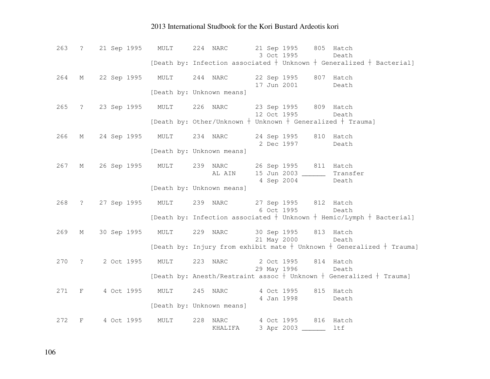| 263   |                   | ? 21 Sep 1995 MULT        |      | 21 Sep 1995 805 Hatch<br>224 NARC<br>3 Oct 1995<br>Death                                             |
|-------|-------------------|---------------------------|------|------------------------------------------------------------------------------------------------------|
|       |                   |                           |      | [Death by: Infection associated $+$ Unknown $+$ Generalized $+$ Bacterial]                           |
| 264   | $M_{\odot}$       | 22 Sep 1995 MULT 244 NARC |      | 22 Sep 1995 807 Hatch<br>17 Jun 2001<br>Death                                                        |
|       |                   |                           |      | [Death by: Unknown means]                                                                            |
| 265   | $\ddot{\text{?}}$ | 23 Sep 1995 MULT 226 NARC |      | 23 Sep 1995 809 Hatch<br>12 Oct 1995<br>Death                                                        |
|       |                   |                           |      | [Death by: Other/Unknown $+$ Unknown $+$ Generalized $+$ Trauma]                                     |
| 266   | М                 | 24 Sep 1995 MULT 234 NARC |      | 24 Sep 1995 810 Hatch<br>2 Dec 1997<br>Death                                                         |
|       |                   |                           |      | [Death by: Unknown means]                                                                            |
| 267   | М                 | 26 Sep 1995 MULT          |      | 239 NARC<br>26 Sep 1995 811 Hatch<br>15 Jun 2003 ______<br>AL AIN<br>Transfer<br>4 Sep 2004<br>Death |
|       |                   |                           |      | [Death by: Unknown means]                                                                            |
| 268   |                   | ? 27 Sep 1995 MULT        |      | 27 Sep 1995 812 Hatch<br>239 NARC<br>6 Oct 1995<br>Death                                             |
|       |                   |                           |      | [Death by: Infection associated $+$ Unknown $+$ Hemic/Lymph $+$ Bacterial]                           |
| 269   | М                 | 30 Sep 1995 MULT 229 NARC |      | 30 Sep 1995 813 Hatch<br>21 May 2000 Death                                                           |
|       |                   |                           |      | [Death by: Injury from exhibit mate $+$ Unknown $+$ Generalized $+$ Trauma]                          |
| 270   | $\ddot{\text{?}}$ | 2 Oct 1995 MULT           |      | 223 NARC<br>2 Oct 1995 814 Hatch<br>29 May 1996<br>Death                                             |
|       |                   |                           |      | [Death by: Anesth/Restraint assoc + Unknown + Generalized + Trauma]                                  |
| 271 F |                   | 4 Oct 1995                | MULT | 4 Oct 1995 815 Hatch<br>245 NARC<br>4 Jan 1998<br>Death                                              |
|       |                   |                           |      | [Death by: Unknown means]                                                                            |
| 272   | $\mathbf F$       | 4 Oct 1995                | MULT | 228 NARC<br>4 Oct 1995 816 Hatch<br>3 Apr 2003<br>ltf<br>KHALIFA                                     |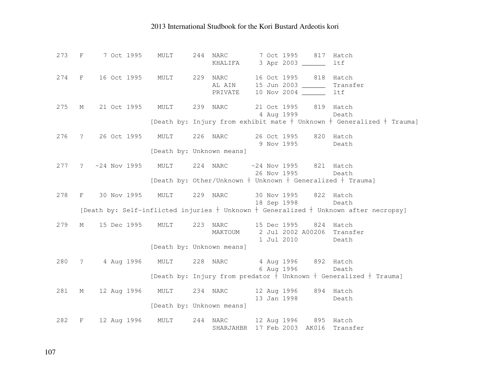| 273 | $\mathbf{F}$ | 7 Oct 1995                                          | MULT                      | 244 NARC<br>KHALIFA 3 Apr 2003                                       |  | 7 Oct 1995 817                       | Hatch<br>ltf                                                                                                              |
|-----|--------------|-----------------------------------------------------|---------------------------|----------------------------------------------------------------------|--|--------------------------------------|---------------------------------------------------------------------------------------------------------------------------|
| 274 |              | F 16 Oct 1995 MULT 229 NARC 16 Oct 1995 818         |                           | AL AIN 15 Jun 2003<br>PRIVATE 10 Nov 2004 _______                    |  |                                      | Hatch<br>Transfer<br><b>ltf</b>                                                                                           |
| 275 | М            | 21 Oct 1995 MULT 239 NARC 21 Oct 1995 819 Hatch     |                           |                                                                      |  | 4 Aug 1999                           | Death<br>[Death by: Injury from exhibit mate $+$ Unknown $+$ Generalized $+$ Trauma]                                      |
| 276 |              | ? 26 Oct 1995 MULT 226 NARC                         | [Death by: Unknown means] |                                                                      |  | 26 Oct 1995 820 Hatch<br>9 Nov 1995  | Death                                                                                                                     |
| 277 |              | ? ~24 Nov 1995 MULT 224 NARC ~24 Nov 1995 821 Hatch |                           |                                                                      |  | 26 Nov 1995                          | Death<br>[Death by: Other/Unknown $+$ Unknown $+$ Generalized $+$ Trauma]                                                 |
| 278 |              | F 30 Nov 1995 MULT                                  |                           | 229 NARC                                                             |  | 30 Nov 1995 822 Hatch<br>18 Sep 1998 | Death<br>[Death by: Self-inflicted injuries $+$ Unknown $+$ Generalized $+$ Unknown after necropsy]                       |
| 279 | M            | 15 Dec 1995 MULT                                    |                           | 223 NARC 15 Dec 1995 824 Hatch<br>MAKTOUM 2 Jul 2002 A00206 Transfer |  | 1 Jul 2010                           | Death                                                                                                                     |
|     |              |                                                     | [Death by: Unknown means] |                                                                      |  |                                      |                                                                                                                           |
|     |              | 280 ? 4 Aug 1996 MULT 228 NARC 4 Aug 1996 892 Hatch |                           |                                                                      |  |                                      | 6 Aug 1996 Death<br>[Death by: Injury from predator $\frac{1}{7}$ Unknown $\frac{1}{7}$ Generalized $\frac{1}{7}$ Trauma] |
|     |              |                                                     |                           |                                                                      |  |                                      |                                                                                                                           |
| 281 |              | M 12 Aug 1996 MULT 234 NARC 12 Aug 1996 894 Hatch   |                           |                                                                      |  | 13 Jan 1998                          | Death                                                                                                                     |
|     |              |                                                     | [Death by: Unknown means] |                                                                      |  |                                      |                                                                                                                           |
| 282 |              | F 12 Aug 1996 MULT 244 NARC 12 Aug 1996 895 Hatch   |                           | SHARJAHBR 17 Feb 2003 AK016 Transfer                                 |  |                                      |                                                                                                                           |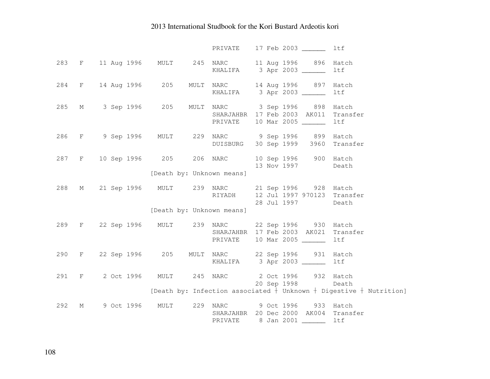|     |       |                   |                           | PRIVATE 17 Feb 2003 _______ ltf                                                                                                          |
|-----|-------|-------------------|---------------------------|------------------------------------------------------------------------------------------------------------------------------------------|
|     |       |                   |                           | 283 F 11 Aug 1996 MULT 245 NARC 11 Aug 1996 896 Hatch<br>KHALIFA 3 Apr 2003<br>ltf                                                       |
| 284 |       | F 14 Aug 1996 205 |                           | MULT NARC 14 Aug 1996 897 Hatch<br>KHALIFA 3 Apr 2003<br>ltf                                                                             |
| 285 |       | M 3 Sep 1996 205  |                           | MULT NARC 3 Sep 1996 898 Hatch<br>SHARJAHBR 17 Feb 2003 AK011 Transfer<br>PRIVATE 10 Mar 2005 _______<br>ltf                             |
| 286 |       |                   |                           | F 9 Sep 1996 MULT 229 NARC 9 Sep 1996 899 Hatch<br>DUISBURG 30 Sep 1999 3960 Transfer                                                    |
|     |       |                   |                           | 287 F 10 Sep 1996 205 206 NARC 10 Sep 1996 900 Hatch<br>13 Nov 1997 Death                                                                |
|     |       |                   | [Death by: Unknown means] |                                                                                                                                          |
| 288 |       |                   |                           | M 21 Sep 1996 MULT 239 NARC 21 Sep 1996 928 Hatch<br>RIYADH 12 Jul 1997 970123 Transfer<br>28 Jul 1997<br>Death                          |
|     |       |                   | [Death by: Unknown means] |                                                                                                                                          |
| 289 |       |                   |                           | F 22 Sep 1996 MULT 239 NARC 22 Sep 1996 930 Hatch<br>SHARJAHBR 17 Feb 2003 AK021 Transfer<br>PRIVATE 10 Mar 2005 ______<br>ltf           |
|     |       |                   |                           | 290 F 22 Sep 1996 205 MULT NARC 22 Sep 1996 931 Hatch<br>KHALIFA 3 Apr 2003<br>ltf                                                       |
|     | 291 F |                   |                           | 2 Oct 1996 MULT 245 NARC 2 Oct 1996 932 Hatch<br>20 Sep 1998 Death<br>[Death by: Infection associated + Unknown + Digestive + Nutrition] |
|     |       |                   |                           |                                                                                                                                          |
| 292 | М     | 9 Oct 1996 MULT   |                           | 229 NARC 9 Oct 1996 933 Hatch<br>SHARJAHBR 20 Dec 2000 AK004 Transfer<br>PRIVATE 8 Jan 2001 ________ ltf                                 |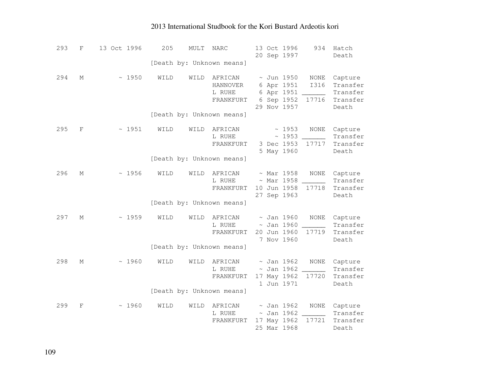| 293 | $\mathbf{F}$ | 13 Oct 1996 | 205  | MULT | NARC                                       | 13 Oct 1996<br>20 Sep 1997                                               | 934                                            | Hatch<br>Death                                       |
|-----|--------------|-------------|------|------|--------------------------------------------|--------------------------------------------------------------------------|------------------------------------------------|------------------------------------------------------|
|     |              |             |      |      | [Death by: Unknown means]                  |                                                                          |                                                |                                                      |
| 294 | М            | ~1950       | WILD | WILD | AFRICAN<br>HANNOVER<br>L RUHE<br>FRANKFURT | $\sim$ Jun 1950<br>6 Apr 1951<br>6 Apr 1951<br>6 Sep 1952<br>29 Nov 1957 | NONE<br><b>I316</b><br>$\overline{a}$<br>17716 | Capture<br>Transfer<br>Transfer<br>Transfer<br>Death |
|     |              |             |      |      | [Death by: Unknown means]                  |                                                                          |                                                |                                                      |
| 295 | F            | ~1951       | WILD | WILD | AFRICAN<br>L RUHE<br>FRANKFURT             | ~1953<br>~1953<br>3 Dec 1953<br>5 May 1960                               | <b>NONE</b><br>17717                           | Capture<br>Transfer<br>Transfer<br>Death             |
|     |              |             |      |      | [Death by: Unknown means]                  |                                                                          |                                                |                                                      |
| 296 | М            | ~1956       | WILD | WILD | AFRICAN<br>L RUHE<br>FRANKFURT             | $~\sim$ Mar 1958<br>$~\sim$ Mar 1958<br>10 Jun 1958<br>27 Sep 1963       | NONE<br>17718                                  | Capture<br>Transfer<br>Transfer<br>Death             |
|     |              |             |      |      | [Death by: Unknown means]                  |                                                                          |                                                |                                                      |
| 297 | М            | ~1959       | WILD | WILD | AFRICAN<br>L RUHE<br>FRANKFURT             | $\sim$ Jan 1960<br>$\sim$ Jan 1960<br>20 Jun 1960<br>7 Nov 1960          | <b>NONE</b><br>17719                           | Capture<br>Transfer<br>Transfer<br>Death             |
|     |              |             |      |      | [Death by: Unknown means]                  |                                                                          |                                                |                                                      |
| 298 | М            | ~1960       | WILD | WILD | AFRICAN<br>L RUHE<br>FRANKFURT             | $\sim$ Jan 1962<br>$\sim$ Jan 1962<br>17 May 1962<br>1 Jun 1971          | <b>NONE</b><br>17720                           | Capture<br>Transfer<br>Transfer<br>Death             |
|     |              |             |      |      | [Death by: Unknown means]                  |                                                                          |                                                |                                                      |
| 299 | F            | ~1960       | WILD | WILD | AFRICAN<br>L RUHE<br>FRANKFURT             | $\sim$ Jan 1962<br>$\sim$ Jan 1962<br>17 May 1962<br>25 Mar 1968         | <b>NONE</b><br>17721                           | Capture<br>Transfer<br>Transfer<br>Death             |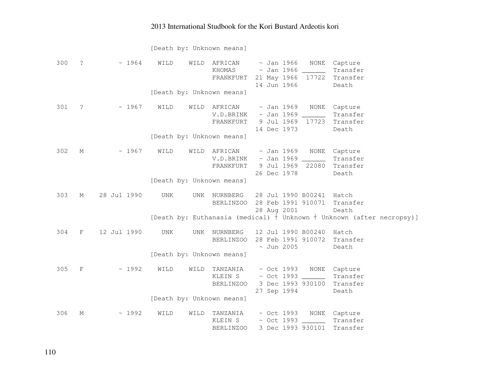[Death by: Unknown means]

| 300 | $\ddot{\cdot}$ | ~1964       | WILD<br>WILD              | AFRICAN<br>KHOMAS<br>FRANKFURT         | $\sim$ Jan 1966<br>~ Jan 1966<br>21 May 1966<br>14 Jun 1966 | NONE                                                                          | Capture<br>Transfer<br>17722 Transfer<br>Death                            |
|-----|----------------|-------------|---------------------------|----------------------------------------|-------------------------------------------------------------|-------------------------------------------------------------------------------|---------------------------------------------------------------------------|
|     |                |             | [Death by: Unknown means] |                                        |                                                             |                                                                               |                                                                           |
| 301 | $\ddot{\cdot}$ | ~1967       | WILD<br>WILD              | AFRICAN<br>V.D.BRINK<br>FRANKFURT      | 14 Dec 1973                                                 | $\sim$ Jan 1969<br>NONE<br>$\sim$ Jan 1969 ______<br>9 Jul 1969<br>17723      | Capture<br>Transfer<br>Transfer<br>Death                                  |
|     |                |             | [Death by: Unknown means] |                                        |                                                             |                                                                               |                                                                           |
| 302 | М              | ~1967       | WILD                      | WILD AFRICAN<br>V.D.BRINK<br>FRANKFURT | 26 Dec 1978                                                 | ~ Jan 1969<br>NONE<br>$\sim$ Jan 1969 ______<br>9 Jul 1969 22080              | Capture<br>Transfer<br>Transfer<br>Death                                  |
|     |                |             | [Death by: Unknown means] |                                        |                                                             |                                                                               |                                                                           |
| 303 | М              | 28 Jul 1990 | UNK                       | UNK NURNBERG<br>BERLINZOO              | 28 Aug 2001                                                 | 28 Jul 1990 B00241 Hatch<br>28 Feb 1991 910071                                | Transfer<br>Death                                                         |
|     |                |             |                           |                                        |                                                             |                                                                               | [Death by: Euthanasia (medical) $+$ Unknown $+$ Unknown (after necropsy)] |
| 304 | $\mathbf{F}$   | 12 Jul 1990 | UNK                       | UNK NURNBERG<br>BERLINZOO              | $\sim$ Jun 2005                                             | 12 Jul 1990 B00240<br>28 Feb 1991 910072                                      | Hatch<br>Transfer<br>Death                                                |
|     |                |             | [Death by: Unknown means] |                                        |                                                             |                                                                               |                                                                           |
| 305 | $\mathbf{F}$   | ~1992       | WILD<br>WILD              | TANZANIA<br>KLEIN S<br>BERLINZOO       | 27 Sep 1994                                                 | ~ Oct 1993 NONE Capture<br>$\sim$ Oct 1993 $\frac{1}{2}$<br>3 Dec 1993 930100 | Transfer<br>Transfer<br>Death                                             |
|     |                |             | [Death by: Unknown means] |                                        |                                                             |                                                                               |                                                                           |
| 306 | М              | ~1992       | WILD<br>WILD              | TANZANIA<br>KLEIN S<br>BERLINZOO       | $\sim$ Oct 1993                                             | ~ Oct 1993 NONE Capture<br>3 Dec 1993 930101                                  | Transfer<br>Transfer                                                      |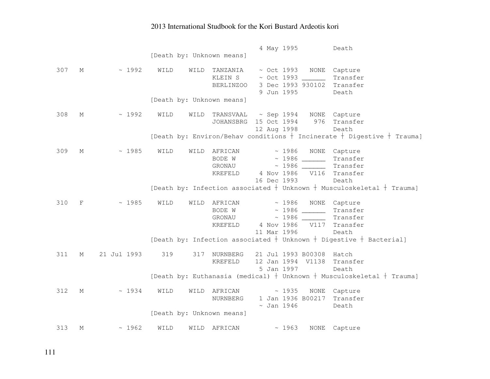|     |              |             | [Death by: Unknown means] |                                             | 4 May 1995                 |                                                                                               | Death                                                                                |
|-----|--------------|-------------|---------------------------|---------------------------------------------|----------------------------|-----------------------------------------------------------------------------------------------|--------------------------------------------------------------------------------------|
| 307 | М            | ~1992       | WILD<br>WILD              | TANZANIA<br>KLEIN S<br>BERLINZOO            | 9 Jun 1995                 | $\sim$ Oct 1993<br>3 Dec 1993 930102 Transfer                                                 | NONE Capture<br>Transfer<br>Death                                                    |
|     |              |             | [Death by: Unknown means] |                                             |                            |                                                                                               |                                                                                      |
| 308 | М            | ~1992       | WILD<br>WILD              | JOHANSBRG 15 Oct 1994                       | 12 Aug 1998                | TRANSVAAL ~ Sep 1994 NONE Capture                                                             | 976 Transfer<br>Death                                                                |
|     |              |             |                           |                                             |                            |                                                                                               | [Death by: Environ/Behav conditions $+$ Incinerate $+$ Digestive $+$ Trauma]         |
| 309 | М            | ~1985       | WILD                      | WILD AFRICAN<br>BODE W<br>GRONAU<br>KREFELD | 16 Dec 1993                | $\sim 1986$<br>$\sim$ 1986 ______<br>$\sim$ 1986 _______ Transfer<br>4 Nov 1986 V116 Transfer | NONE Capture<br>Transfer<br>Death                                                    |
|     |              |             |                           |                                             |                            |                                                                                               | [Death by: Infection associated $+$ Unknown $+$ Musculoskeletal $+$ Trauma]          |
| 310 | $\mathbf{F}$ | ~1985       | WILD                      | WILD AFRICAN<br>GRONAU<br>KREFELD           | $\sim 1986$<br>11 Mar 1996 | NONE<br>BODE W $\sim$ 1986 ______<br>4 Nov 1986 V117 Transfer                                 | Capture<br>Transfer<br>Transfer<br>Death                                             |
|     |              |             |                           |                                             |                            |                                                                                               | [Death by: Infection associated $+$ Unknown $+$ Digestive $+$ Bacterial]             |
| 311 | М            | 21 Jul 1993 | 319<br>317                | NURNBERG<br>KREFELD                         | 5 Jan 1997                 | 21 Jul 1993 B00308 Hatch<br>12 Jan 1994 V1138 Transfer                                        | Death<br>[Death by: Euthanasia (medical) $+$ Unknown $+$ Musculoskeletal $+$ Trauma] |
| 312 | М            | ~1934       | WILD<br>WILD              | AFRICAN<br>NURNBERG                         | $\sim$ Jan 1946            | ~1935<br>1 Jan 1936 B00217 Transfer                                                           | NONE Capture<br>Death                                                                |
|     |              |             | [Death by: Unknown means] |                                             |                            |                                                                                               |                                                                                      |
| 313 | М            | ~1962       | WILD<br>WILD              | AFRICAN                                     |                            | ~1963<br><b>NONE</b>                                                                          | Capture                                                                              |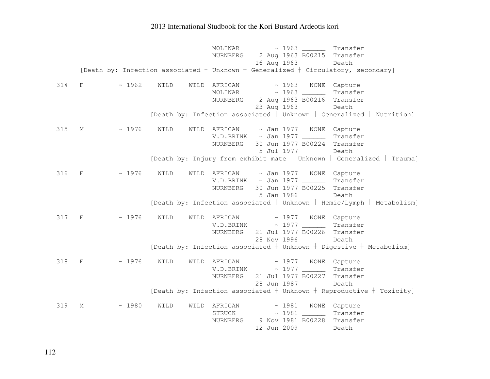MOLINAR  $\sim$  1963 Transfer NURNBERG 2 Aug 1963 B00215 Transfer 16 Aug 1963 Death [Death by: Infection associated  $\dagger$  Unknown  $\dagger$  Generalized  $\dagger$  Circulatory, secondary] 314 F ~ 1962 WILD WILD AFRICAN ~ 1963 NONE Capture MOLINAR ~ 1963 \_\_\_\_\_\_ Transfer NURNBERG 2 Aug 1963 B00216 Transfer 23 Aug 1963 Death [Death by: Infection associated  $\dagger$  Unknown  $\dagger$  Generalized  $\dagger$  Nutrition] 315 M ~ 1976 WILD WILD AFRICAN ~ Jan 1977 NONE Capture V.D.BRINK ~ Jan 1977 \_\_\_\_\_\_ Transfer NURNBERG 30 Jun 1977 B00224 Transfer 5 Jul 1977 Death [Death by: Injury from exhibit mate  $\dagger$  Unknown  $\dagger$  Generalized  $\dagger$  Trauma] 316 F ~ 1976 WILD WILD AFRICAN ~ Jan 1977 NONE Capture V.D.BRINK ~ Jan 1977 \_\_\_\_\_\_ Transfer NURNBERG 30 Jun 1977 B00225 Transfer 5 Jan 1986 Death [Death by: Infection associated  $\dagger$  Unknown  $\dagger$  Hemic/Lymph  $\dagger$  Metabolism] 317 F ~ 1976 WILD WILD AFRICAN ~ 1977 NONE Capture  $V.D.BRINK$   $\sim$  1977  $\sim$   $\sim$  Transfer NURNBERG 21 Jul 1977 B00226 Transfer 28 Nov 1996 Death [Death by: Infection associated  $\dagger$  Unknown  $\dagger$  Digestive  $\dagger$  Metabolism] 318 F ~ 1976 WILD WILD AFRICAN ~ 1977 NONE Capture Transfer V.D.BRINK ~ 1977 \_\_\_\_\_\_ Transfer NURNBERG 21 Jul 1977 B00227 Transfer 28 Jun 1987 Death [Death by: Infection associated  $\dagger$  Unknown  $\dagger$  Reproductive  $\dagger$  Toxicity] 319 M ~ 1980 WILD WILD AFRICAN ~ 1981 NONE Capture STRUCK ~ 1981 \_\_\_\_\_\_ Transfer NURNBERG 9 Nov 1981 B00228 Transfer 12 Jun 2009 Death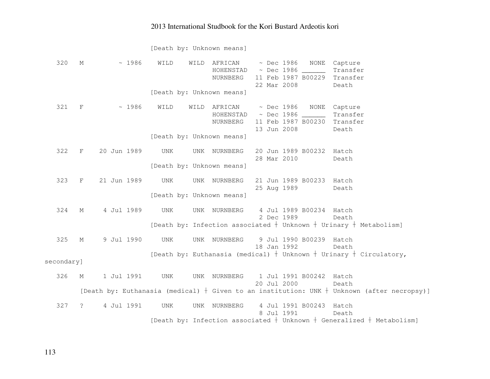[Death by: Unknown means]

| 320        | М           | ~1986       | WILD                      | WILD | AFRICAN      |  | $~\sim$ Dec 1986 | NONE                     | Capture                                                                                        |
|------------|-------------|-------------|---------------------------|------|--------------|--|------------------|--------------------------|------------------------------------------------------------------------------------------------|
|            |             |             |                           |      | HOHENSTAD    |  |                  | $\sim$ Dec 1986 $\_\_$   | Transfer                                                                                       |
|            |             |             |                           |      | NURNBERG     |  |                  |                          | 11 Feb 1987 B00229 Transfer                                                                    |
|            |             |             |                           |      |              |  | 22 Mar 2008      |                          | Death                                                                                          |
|            |             |             | [Death by: Unknown means] |      |              |  |                  |                          |                                                                                                |
| 321        | $_{\rm F}$  | ~1986       | WILD                      | WILD | AFRICAN      |  |                  | $\sim$ Dec 1986 NONE     | Capture                                                                                        |
|            |             |             |                           |      |              |  |                  |                          | Transfer                                                                                       |
|            |             |             |                           |      | NURNBERG     |  |                  | 11 Feb 1987 B00230       | Transfer                                                                                       |
|            |             |             |                           |      |              |  | 13 Jun 2008      |                          | Death                                                                                          |
|            |             |             | [Death by: Unknown means] |      |              |  |                  |                          |                                                                                                |
|            |             |             |                           |      |              |  |                  |                          |                                                                                                |
| 322        | F           | 20 Jun 1989 | UNK                       |      | UNK NURNBERG |  |                  | 20 Jun 1989 B00232 Hatch |                                                                                                |
|            |             |             |                           |      |              |  | 28 Mar 2010      |                          | Death                                                                                          |
|            |             |             | [Death by: Unknown means] |      |              |  |                  |                          |                                                                                                |
| 323        | F           | 21 Jun 1989 | UNK                       |      | UNK NURNBERG |  |                  | 21 Jun 1989 B00233 Hatch |                                                                                                |
|            |             |             |                           |      |              |  | 25 Aug 1989      |                          | Death                                                                                          |
|            |             |             | [Death by: Unknown means] |      |              |  |                  |                          |                                                                                                |
|            |             |             |                           |      |              |  |                  |                          |                                                                                                |
| 324        | $M_{\odot}$ | 4 Jul 1989  | UNK                       |      | UNK NURNBERG |  |                  | 4 Jul 1989 B00234 Hatch  |                                                                                                |
|            |             |             |                           |      |              |  | 2 Dec 1989       |                          | Death                                                                                          |
|            |             |             |                           |      |              |  |                  |                          | [Death by: Infection associated $+$ Unknown $+$ Urinary $+$ Metabolism]                        |
| 325        | $M_{\odot}$ | 9 Jul 1990  | UNK                       |      | UNK NURNBERG |  |                  | 9 Jul 1990 B00239 Hatch  |                                                                                                |
|            |             |             |                           |      |              |  | 18 Jan 1992      |                          | Death                                                                                          |
|            |             |             |                           |      |              |  |                  |                          | [Death by: Euthanasia (medical) + Unknown + Urinary + Circulatory,                             |
| secondary] |             |             |                           |      |              |  |                  |                          |                                                                                                |
|            |             |             |                           |      |              |  |                  |                          |                                                                                                |
| 326        | М           | 1 Jul 1991  | UNK                       |      | UNK NURNBERG |  |                  | 1 Jul 1991 B00242 Hatch  |                                                                                                |
|            |             |             |                           |      |              |  | 20 Jul 2000      |                          | Death                                                                                          |
|            |             |             |                           |      |              |  |                  |                          | [Death by: Euthanasia (medical) $+$ Given to an institution: UNK $+$ Unknown (after necropsy)] |
|            |             |             |                           |      |              |  |                  |                          |                                                                                                |
| 327        | $\tilde{S}$ | 4 Jul 1991  | UNK                       | UNK  | NURNBERG     |  | 8 Jul 1991       | 4 Jul 1991 B00243 Hatch  |                                                                                                |
|            |             |             |                           |      |              |  |                  |                          | Death<br>[Death by: Infection associated $+$ Unknown $+$ Generalized $+$ Metabolism]           |
|            |             |             |                           |      |              |  |                  |                          |                                                                                                |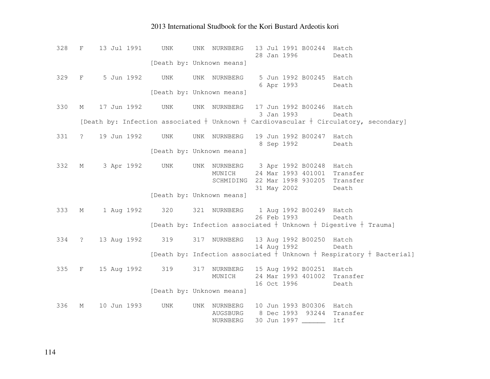| 328 | $\mathbf{F}$                  | 13 Jul 1991     | UNK | 13 Jul 1991 B00244 Hatch<br>UNK NURNBERG<br>28 Jan 1996<br>Death                                                  |
|-----|-------------------------------|-----------------|-----|-------------------------------------------------------------------------------------------------------------------|
|     |                               |                 |     | [Death by: Unknown means]                                                                                         |
| 329 | $\mathbf F$                   | 5 Jun 1992      | UNK | 5 Jun 1992 B00245 Hatch<br>UNK NURNBERG                                                                           |
|     |                               |                 |     | 6 Apr 1993<br>Death                                                                                               |
|     |                               |                 |     | [Death by: Unknown means]                                                                                         |
| 330 | М                             | 17 Jun 1992     | UNK | UNK NURNBERG<br>17 Jun 1992 B00246 Hatch                                                                          |
|     |                               |                 |     | 3 Jan 1993<br>Death<br>[Death by: Infection associated $+$ Unknown $+$ Cardiovascular $+$ Circulatory, secondary] |
|     |                               |                 |     |                                                                                                                   |
| 331 | $\overline{?}$                | 19 Jun 1992     | UNK | 19 Jun 1992 B00247 Hatch<br>UNK NURNBERG                                                                          |
|     |                               |                 |     | 8 Sep 1992<br>Death                                                                                               |
|     |                               |                 |     | [Death by: Unknown means]                                                                                         |
| 332 | М                             | 3 Apr 1992      | UNK | UNK NURNBERG 3 Apr 1992 B00248 Hatch                                                                              |
|     |                               |                 |     | 24 Mar 1993 401001<br>Transfer<br>MUNICH                                                                          |
|     |                               |                 |     | 22 Mar 1998 930205<br>Transfer<br>SCHMIDING                                                                       |
|     |                               |                 |     | 31 May 2002<br>Death                                                                                              |
|     |                               |                 |     | [Death by: Unknown means]                                                                                         |
| 333 | М                             | 1 Aug 1992      | 320 | 321 NURNBERG<br>1 Aug 1992 B00249 Hatch                                                                           |
|     |                               |                 |     | 26 Feb 1993<br>Death                                                                                              |
|     |                               |                 |     | [Death by: Infection associated $+$ Unknown $+$ Digestive $+$ Trauma]                                             |
| 334 | $\ddot{?}$                    | 13 Aug 1992     | 319 | 317 NURNBERG 13 Aug 1992 B00250 Hatch                                                                             |
|     |                               |                 |     | 14 Aug 1992<br>Death                                                                                              |
|     |                               |                 |     | [Death by: Infection associated $\frac{1}{1}$ Unknown $\frac{1}{1}$ Respiratory $\frac{1}{1}$ Bacterial]          |
| 335 | $\mathbf{F}$ and $\mathbf{F}$ | 15 Aug 1992 319 |     | 15 Aug 1992 B00251 Hatch<br>317 NURNBERG                                                                          |
|     |                               |                 |     | 24 Mar 1993 401002<br>MUNICH<br>Transfer                                                                          |
|     |                               |                 |     | 16 Oct 1996<br>Death                                                                                              |
|     |                               |                 |     | [Death by: Unknown means]                                                                                         |
| 336 | М                             | 10 Jun 1993     | UNK | 10 Jun 1993 B00306 Hatch<br>UNK NURNBERG                                                                          |
|     |                               |                 |     | 8 Dec 1993 93244 Transfer<br>AUGSBURG                                                                             |
|     |                               |                 |     | 30 Jun 1997<br>ltf<br>NURNBERG                                                                                    |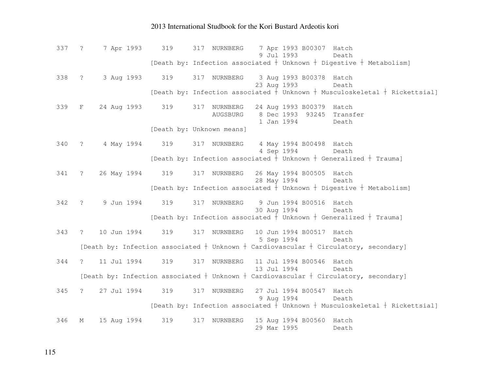337 ? 7 Apr 1993 319 317 NURNBERG 7 Apr 1993 B00307 Hatch Death 9 Jul 1993 [Death by: Infection associated  $\frac{1}{2}$  Unknown  $\frac{1}{2}$  Digestive  $\frac{1}{2}$  Metabolism] 338 ? 3 Aug 1993 319 317 NURNBERG 3 Aug 1993 B00378 Hatch Death 23 Aug 1993 [Death by: Infection associated  $\dagger$  Unknown  $\dagger$  Musculoskeletal  $\dagger$  Rickettsial] 339 F 24 Aug 1993 319 317 NURNBERG 24 Aug 1993 B00379 Hatch AUGSBURG 8 Dec 1993 93245 Transfer 1 Jan 1994 Death [Death by: Unknown means] 340 ? 4 May 1994 319 317 NURNBERG 4 May 1994 B00498 Hatch Death 4 Sep 1994 [Death by: Infection associated  $\dagger$  Unknown  $\dagger$  Generalized  $\dagger$  Trauma] 341 ? 26 May 1994 319 317 NURNBERG 26 May 1994 B00505 Hatch Death 28 May 1994 [Death by: Infection associated  $\dagger$  Unknown  $\dagger$  Digestive  $\dagger$  Metabolism] 342 ? 9 Jun 1994 319 317 NURNBERG 9 Jun 1994 B00516 Hatch Death 30 Aug 1994 [Death by: Infection associated  $\dagger$  Unknown  $\dagger$  Generalized  $\dagger$  Trauma] 343 ? 10 Jun 1994 319 317 NURNBERG 10 Jun 1994 B00517 Hatch 5 Sep 1994 Death [Death by: Infection associated  $\dagger$  Unknown  $\dagger$  Cardiovascular  $\dagger$  Circulatory, secondary] 344 ? 11 Jul 1994 319 317 NURNBERG 11 Jul 1994 B00546 Hatch Death 13 Jul 1994 [Death by: Infection associated  $\dagger$  Unknown  $\dagger$  Cardiovascular  $\dagger$  Circulatory, secondary] 345 ? 27 Jul 1994 319 317 NURNBERG 27 Jul 1994 B00547 Hatch Death 9 Aug 1994 [Death by: Infection associated  $\dagger$  Unknown  $\dagger$  Musculoskeletal  $\dagger$  Rickettsial] 346 M 15 Aug 1994 319 317 NURNBERG 15 Aug 1994 B00560 Hatch 29 Mar 1995 Death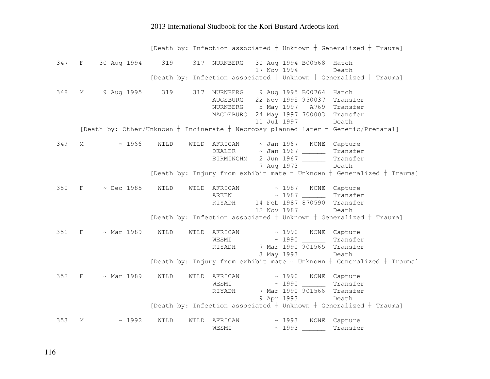[Death by: Infection associated  $\dagger$  Unknown  $\dagger$  Generalized  $\dagger$  Trauma] 347 F 30 Aug 1994 319 317 NURNBERG 30 Aug 1994 B00568 Hatch Death 17 Nov 1994 [Death by: Infection associated  $\dagger$  Unknown  $\dagger$  Generalized  $\dagger$  Trauma] 348 M 9 Aug 1995 319 317 NURNBERG 9 Aug 1995 B00764 Hatch AUGSBURG 22 Nov 1995 950037 Transfer NURNBERG 5 May 1997 A769 Transfer MAGDEBURG 24 May 1997 700003 Transfer 11 Jul 1997 Death [Death by: Other/Unknown  $\dagger$  Incinerate  $\dagger$  Necropsy planned later  $\dagger$  Genetic/Prenatal] 349 M ~ 1966 WILD WILD AFRICAN ~ Jan 1967 NONE Capture DEALER ~ Jan 1967 \_\_\_\_\_\_ Transfer BIRMINGHM 2 Jun 1967 \_\_\_\_\_\_\_\_ Transfer 7 Aug 1973 Death [Death by: Injury from exhibit mate  $\dagger$  Unknown  $\dagger$  Generalized  $\dagger$  Trauma] 350 F ~ Dec 1985 WILD WILD AFRICAN ~ 1987 NONE Capture AREEN ~ 1987 \_\_\_\_\_\_ Transfer RIYADH 14 Feb 1987 870590 Transfer 12 Nov 1987 Death [Death by: Infection associated  $\dagger$  Unknown  $\dagger$  Generalized  $\dagger$  Trauma] 351 F ~ Mar 1989 WILD WILD AFRICAN ~ 1990 NONE Capture WESMI ~ 1990 \_\_\_\_\_\_ Transfer RIYADH 7 Mar 1990 901565 Transfer 3 May 1993 Death [Death by: Injury from exhibit mate  $\dagger$  Unknown  $\dagger$  Generalized  $\dagger$  Trauma] 352 F ~ Mar 1989 WILD WILD AFRICAN ~ 1990 NONE Capture WESMI ~ 1990 \_\_\_\_\_\_ Transfer RIYADH 7 Mar 1990 901566 Transfer 9 Apr 1993 Death [Death by: Infection associated  $\dagger$  Unknown  $\dagger$  Generalized  $\dagger$  Trauma] 353 M ~ 1992 WILD WILD AFRICAN ~ 1993 NONE Capture WESMI ~ 1993 \_\_\_\_\_\_ Transfer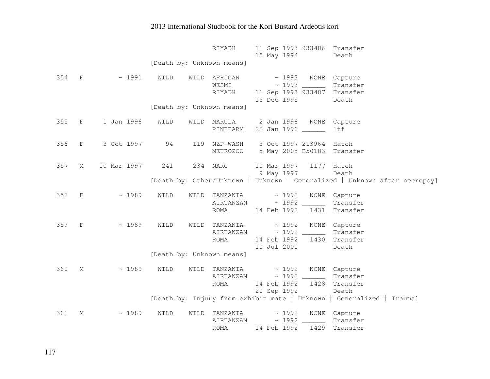|       |              |             |      | RIYADH                                                                  | 15 May 1994 |                    | 11 Sep 1993 933486 Transfer                                                      |
|-------|--------------|-------------|------|-------------------------------------------------------------------------|-------------|--------------------|----------------------------------------------------------------------------------|
|       |              |             |      | [Death by: Unknown means]                                               |             |                    | Death                                                                            |
|       |              |             |      |                                                                         |             |                    |                                                                                  |
| 354 F |              | ~1991       | WILD | WILD AFRICAN                                                            |             |                    | ~ 1993 NONE Capture                                                              |
|       |              |             |      | WESMI ~ 1993                                                            |             |                    | Transfer                                                                         |
|       |              |             |      | RIYADH 11 Sep 1993 933487 Transfer                                      |             |                    |                                                                                  |
|       |              |             |      |                                                                         | 15 Dec 1995 |                    | Death                                                                            |
|       |              |             |      | [Death by: Unknown means]                                               |             |                    |                                                                                  |
| 355   | $\mathbf{F}$ | 1 Jan 1996  | WILD | WILD MARULA 2 Jan 1996 NONE Capture                                     |             |                    |                                                                                  |
|       |              |             |      | PINEFARM                                                                |             | 22 Jan 1996 ______ | ltf                                                                              |
|       |              |             |      |                                                                         |             |                    |                                                                                  |
| 356   | $\mathbf{F}$ | 3 Oct 1997  | 94   | 119 NZP-WASH 3 Oct 1997 213964 Hatch                                    |             |                    |                                                                                  |
|       |              |             |      | METROZOO                                                                |             |                    | 5 May 2005 B50183 Transfer                                                       |
|       |              |             |      |                                                                         |             |                    |                                                                                  |
| 357   | М            | 10 Mar 1997 | 241  | 234 NARC                                                                | 10 Mar 1997 |                    | 1177 Hatch                                                                       |
|       |              |             |      |                                                                         |             | 9 May 1997         | Death                                                                            |
|       |              |             |      |                                                                         |             |                    | [Death by: Other/Unknown $+$ Unknown $+$ Generalized $+$ Unknown after necropsy] |
| 358 F |              | ~1989       | WILD | WILD TANZANIA $\sim$ 1992                                               |             |                    | NONE Capture                                                                     |
|       |              |             |      | AIRTANZAN                                                               |             |                    | Transfer                                                                         |
|       |              |             |      | ROMA                                                                    | 14 Feb 1992 |                    | 1431 Transfer                                                                    |
| 359 F |              | ~1989       | WILD | WILD TANZANIA                                                           | $\sim 1992$ |                    | NONE Capture                                                                     |
|       |              |             |      | AIRTANZAN                                                               |             |                    | $\sim$ 1992 $\sim$ Transfer                                                      |
|       |              |             |      | ROMA                                                                    | 14 Feb 1992 |                    | 1430 Transfer                                                                    |
|       |              |             |      |                                                                         | 10 Jul 2001 |                    | Death                                                                            |
|       |              |             |      | [Death by: Unknown means]                                               |             |                    |                                                                                  |
|       |              |             |      |                                                                         |             |                    |                                                                                  |
| 360   | $M_{\odot}$  | ~1989       | WILD | WILD TANZANIA ~ 1992                                                    |             |                    | NONE Capture                                                                     |
|       |              |             |      | AIRTANZAN ~ 1992 ________                                               |             |                    | Transfer                                                                         |
|       |              |             |      | ROMA                                                                    |             |                    | 14 Feb 1992 1428 Transfer                                                        |
|       |              |             |      |                                                                         |             | 20 Sep 1992        | Death                                                                            |
|       |              |             |      |                                                                         |             |                    | [Death by: Injury from exhibit mate $+$ Unknown $+$ Generalized $+$ Trauma]      |
| 361   | М            | ~1989       | WILD | $\verb WILD TANZANIA ~\sim 1992 \quad \text{NONE} \quad \text{Capture}$ |             |                    |                                                                                  |
|       |              |             |      | AIRTANZAN ~ 1992 Transfer                                               |             |                    |                                                                                  |
|       |              |             |      | ROMA                                                                    | 14 Feb 1992 | 1429               | Transfer                                                                         |
|       |              |             |      |                                                                         |             |                    |                                                                                  |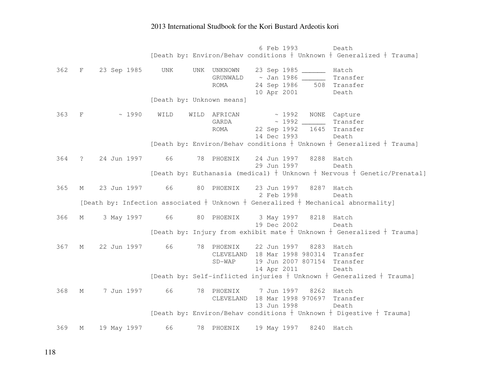6 Feb 1993 Death [Death by: Environ/Behav conditions  $\frac{1}{2}$  Unknown  $\frac{1}{2}$  Generalized  $\frac{1}{2}$  Trauma] 362 F 23 Sep 1985 UNK UNK UNKNOWN 23 Sep 1985 \_\_\_\_\_\_ Hatch GRUNWALD ~ Jan 1986 \_\_\_\_\_\_ Transfer 508 Transfer ROMA 24 Sep 1986 10 Apr 2001 Death [Death by: Unknown means] 363 F ~ 1990 WILD WILD AFRICAN ~ 1992 NONE Capture Transfer GARDA  $\sim$  1992 ROMA 22 Sep 1992 1645 Transfer 14 Dec 1993 Death [Death by: Environ/Behav conditions  $\dagger$  Unknown  $\dagger$  Generalized  $\dagger$  Trauma] 364 ? 24 Jun 1997 66 78 PHOENIX 24 Jun 1997 8288 Hatch Death 29 Jun 1997 [Death by: Euthanasia (medical)  $\dagger$  Unknown  $\dagger$  Nervous  $\dagger$  Genetic/Prenatal] 365 M 23 Jun 1997 66 80 PHOENIX 23 Jun 1997 8287 Hatch Death 2 Feb 1998 [Death by: Infection associated  $\dagger$  Unknown  $\dagger$  Generalized  $\dagger$  Mechanical abnormality] 366 M 3 May 1997 66 80 PHOENIX 3 May 1997 8218 Hatch Death 19 Dec 2002 [Death by: Injury from exhibit mate  $\dagger$  Unknown  $\dagger$  Generalized  $\dagger$  Trauma] 367 M 22 Jun 1997 66 78 PHOENIX 22 Jun 1997 8283 Hatch CLEVELAND 18 Mar 1998 980314 Transfer SD-WAP 19 Jun 2007 807154 Transfer 14 Apr 2011 Death [Death by: Self-inflicted injuries  $\dagger$  Unknown  $\dagger$  Generalized  $\dagger$  Trauma] 368 M 7 Jun 1997 66 78 PHOENIX 7 Jun 1997 8262 Hatch CLEVELAND 18 Mar 1998 970697 Transfer 13 Jun 1998 Death [Death by: Environ/Behav conditions  $\dagger$  Unknown  $\dagger$  Digestive  $\dagger$  Trauma] 369 M 19 May 1997 66 78 PHOENIX 19 May 1997 8240 Hatch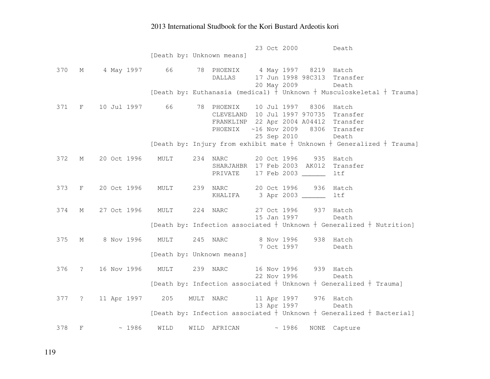23 Oct 2000 Death [Death by: Unknown means] 370 M 4 May 1997 66 78 PHOENIX 4 May 1997 8219 Hatch DALLAS 17 Jun 1998 98C313 Transfer 20 May 2009 Death [Death by: Euthanasia (medical)  $\dagger$  Unknown  $\dagger$  Musculoskeletal  $\dagger$  Trauma] 371 F 10 Jul 1997 66 78 PHOENIX 10 Jul 1997 8306 Hatch CLEVELAND 10 Jul 1997 970735 Transfer FRANKLINP 22 Apr 2004 A04412 Transfer PHOENIX ~16 Nov 2009 8306 Transfer 25 Sep 2010 Death [Death by: Injury from exhibit mate  $\dagger$  Unknown  $\dagger$  Generalized  $\dagger$  Trauma] 372 M 20 Oct 1996 MULT 234 NARC 20 Oct 1996 935 Hatch SHARJAHBR 17 Feb 2003 AK012 Transfer PRIVATE 17 Feb 2003 \_\_\_\_\_\_ ltf 373 F 20 Oct 1996 MULT 239 NARC 20 Oct 1996 936 Hatch KHALIFA 3 Apr 2003 \_\_\_\_\_\_ ltf 374 M 27 Oct 1996 MULT 224 NARC 27 Oct 1996 937 Hatch Death 15 Jan 1997 [Death by: Infection associated  $\dagger$  Unknown  $\dagger$  Generalized  $\dagger$  Nutrition] 375 M 8 Nov 1996 MULT 245 NARC 8 Nov 1996 938 Hatch Death 7 Oct 1997 [Death by: Unknown means] 376 ? 16 Nov 1996 MULT 239 NARC 16 Nov 1996 939 Hatch Death 22 Nov 1996 [Death by: Infection associated  $\dagger$  Unknown  $\dagger$  Generalized  $\dagger$  Trauma] 377 ? 11 Apr 1997 205 MULT NARC 11 Apr 1997 976 Hatch Death 13 Apr 1997 [Death by: Infection associated  $\dagger$  Unknown  $\dagger$  Generalized  $\dagger$  Bacterial] 378 F ~ 1986 WILD WILD AFRICAN ~ 1986 NONE Capture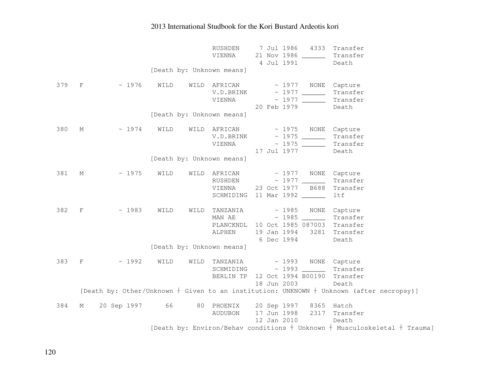|       |                                          |                |      |      | RUSHDEN<br>VIENNA                                                                                              | 4 Jul 1991  | 21 Nov 1986 ______ | 7 Jul 1986 4333 Transfer<br>Transfer<br>Death                                               |
|-------|------------------------------------------|----------------|------|------|----------------------------------------------------------------------------------------------------------------|-------------|--------------------|---------------------------------------------------------------------------------------------|
|       |                                          |                |      |      | [Death by: Unknown means]                                                                                      |             |                    |                                                                                             |
| 379 F |                                          | ~1976          | WILD |      | WILD AFRICAN ~ 1977 NONE Capture<br>VIENNA                                                                     | 20 Feb 1979 |                    | Transfer<br>Transfer<br>Death                                                               |
|       |                                          |                |      |      | [Death by: Unknown means]                                                                                      |             |                    |                                                                                             |
| 380   | М                                        | ~1974          | WILD |      | WILD AFRICAN<br>VIENNA                                                                                         |             | 17 Jul 1977        | ~ 1975 NONE Capture<br>Transfer<br>Transfer<br>Death                                        |
|       |                                          |                |      |      | [Death by: Unknown means]                                                                                      |             |                    |                                                                                             |
| 381   | $M$ and $M$                              | ~1975          | WILD |      | WILD AFRICAN ~ 1977 NONE Capture<br>RUSHDEN ~ 1977<br>VIENNA 23 Oct 1977 B688<br>SCHMIDING 11 Mar 1992         |             |                    | Transfer<br>Transfer<br>ltf                                                                 |
| 382   | $\mathbf{F}$ and the set of $\mathbf{F}$ | $\sim 1983$    | WILD | WILD | TANZANIA ~ 1985 NONE Capture<br>MAN AE $\sim 1985$ Transfer<br>PLANCKNDL 10 Oct 1985 087003 Transfer<br>ALPHEN | 6 Dec 1994  |                    | 19 Jan 1994 3281 Transfer<br>Death                                                          |
|       |                                          |                |      |      | [Death by: Unknown means]                                                                                      |             |                    |                                                                                             |
| 383   | $\mathbf{F}$ and the set of $\mathbf{F}$ | ~1992          | WILD | WILD | TANZANIA ~ 1993 NONE Capture<br>BERLIN TP 12 Oct 1994 B00190 Transfer                                          | 18 Jun 2003 |                    | Transfer<br>Death                                                                           |
|       |                                          |                |      |      |                                                                                                                |             |                    | [Death by: Other/Unknown $+$ Given to an institution: UNKNOWN $+$ Unknown (after necropsy)] |
| 384   | М                                        | 20 Sep 1997 66 |      |      | 80 PHOENIX 20 Sep 1997 8365 Hatch<br>AUDUBON                                                                   | 12 Jan 2010 |                    | 17 Jun 1998 2317 Transfer<br>Death                                                          |
|       |                                          |                |      |      |                                                                                                                |             |                    | [Death by: Environ/Behav conditions $+$ Unknown $+$ Musculoskeletal $+$ Trauma]             |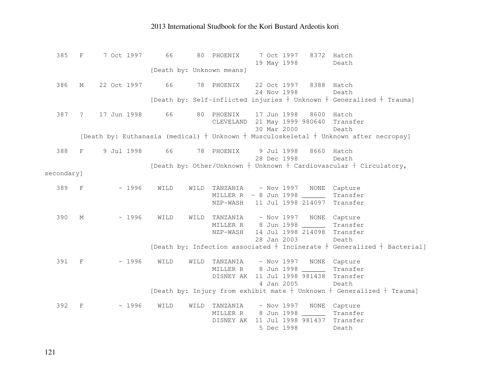385 F 7 Oct 1997 66 80 PHOENIX 7 Oct 1997 8372 Hatch Death 19 May 1998 [Death by: Unknown means] 386 M 22 Oct 1997 66 78 PHOENIX 22 Oct 1997 8388 Hatch Death 24 Nov 1998 [Death by: Self-inflicted injuries  $\dagger$  Unknown  $\dagger$  Generalized  $\dagger$  Trauma] 387 ? 17 Jun 1998 66 80 PHOENIX 17 Jun 1998 8600 Hatch CLEVELAND 21 May 1999 980640 Transfer 30 Mar 2000 Death [Death by: Euthanasia (medical)  $\dagger$  Unknown  $\dagger$  Musculoskeletal  $\dagger$  Unknown after necropsy] 388 F 9 Jul 1998 66 78 PHOENIX 9 Jul 1998 8660 Hatch Death 28 Dec 1998 [Death by: Other/Unknown  $\dagger$  Unknown  $\dagger$  Cardiovascular  $\dagger$  Circulatory, secondary] 389 F ~ 1996 WILD WILD TANZANIA ~ Nov 1997 NONE Capture MILLER R ~ 8 Jun 1998 \_\_\_\_\_\_ Transfer NZP-WASH 11 Jul 1998 214097 Transfer 390 M ~ 1996 WILD WILD TANZANIA ~ Nov 1997 NONE Capture MILLER R 8 Jun 1998 \_\_\_\_\_\_ Transfer NZP-WASH 14 Jul 1998 214098 Transfer 28 Jan 2003 Death [Death by: Infection associated  $\dagger$  Incinerate  $\dagger$  Generalized  $\dagger$  Bacterial] 391 F ~ 1996 WILD WILD TANZANIA ~ Nov 1997 NONE Capture Transfer MILLER R 8 Jun 1998 DISNEY AK 11 Jul 1998 981438 Transfer 4 Jan 2005 Death [Death by: Injury from exhibit mate  $\frac{1}{2}$  Unknown  $\frac{1}{2}$  Generalized  $\frac{1}{2}$  Trauma] 392 F ~ 1996 WILD WILD TANZANIA ~ Nov 1997 NONE Capture MILLER R 8 Jun 1998 \_\_\_\_\_\_ Transfer DISNEY AK 11 Jul 1998 981437 Transfer 5 Dec 1998 Death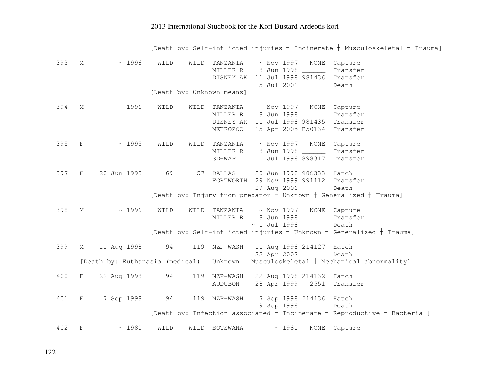[Death by: Self-inflicted injuries  $\dagger$  Incinerate  $\dagger$  Musculoskeletal  $\dagger$  Trauma]

| 393   | M | ~1996       | WILD | WILD | TANZANIA                              | $\sim$ Nov 1997 – NONE |       |                          | Capture                                                                                     |
|-------|---|-------------|------|------|---------------------------------------|------------------------|-------|--------------------------|---------------------------------------------------------------------------------------------|
|       |   |             |      |      | MILLER R 8 Jun 1998                   |                        |       |                          | Transfer                                                                                    |
|       |   |             |      |      | DISNEY AK 11 Jul 1998 981436 Transfer |                        |       |                          |                                                                                             |
|       |   |             |      |      |                                       | 5 Jul 2001             |       |                          | Death                                                                                       |
|       |   |             |      |      | [Death by: Unknown means]             |                        |       |                          |                                                                                             |
| 394   | M | ~1996       | WILD | WILD | TANZANIA                              |                        |       |                          | ~ Nov 1997 NONE Capture                                                                     |
|       |   |             |      |      | MILLER R 8 Jun 1998 ______            |                        |       |                          | Transfer                                                                                    |
|       |   |             |      |      | DISNEY AK 11 Jul 1998 981435          |                        |       |                          | Transfer                                                                                    |
|       |   |             |      |      | METROZOO                              |                        |       | 15 Apr 2005 B50134       | Transfer                                                                                    |
| 395 F |   | ~1995       | WILD | WILD | TANZANIA                              |                        |       | $\sim$ Nov 1997 – NONE   | Capture                                                                                     |
|       |   |             |      |      | MILLER R 8 Jun 1998 ______            |                        |       |                          | Transfer                                                                                    |
|       |   |             |      |      | $SD-WAP$                              |                        |       | 11 Jul 1998 898317       | Transfer                                                                                    |
| 397   | F | 20 Jun 1998 | 69   |      | 57 DALLAS                             |                        |       | 20 Jun 1998 98C333 Hatch |                                                                                             |
|       |   |             |      |      | FORTWORTH                             |                        |       | 29 Nov 1999 991112       | Transfer                                                                                    |
|       |   |             |      |      |                                       | 29 Aug 2006            |       |                          | Death                                                                                       |
|       |   |             |      |      |                                       |                        |       |                          | [Death by: Injury from predator $+$ Unknown $+$ Generalized $+$ Trauma]                     |
| 398   | M | ~1996       | WILD | WILD | TANZANIA ~ Nov 1997 NONE Capture      |                        |       |                          |                                                                                             |
|       |   |             |      |      | MILLER R 8 Jun 1998 ______            |                        |       |                          | Transfer                                                                                    |
|       |   |             |      |      |                                       | $\sim$ 1 Jul 1998      |       |                          | Death                                                                                       |
|       |   |             |      |      |                                       |                        |       |                          | [Death by: Self-inflicted injuries $+$ Unknown $+$ Generalized $+$ Trauma]                  |
| 399   | М | 11 Aug 1998 | 94   |      | 119 NZP-WASH 11 Aug 1998 214127 Hatch |                        |       |                          |                                                                                             |
|       |   |             |      |      |                                       |                        |       | 22 Apr 2002              | Death                                                                                       |
|       |   |             |      |      |                                       |                        |       |                          | [Death by: Euthanasia (medical) $+$ Unknown $+$ Musculoskeletal $+$ Mechanical abnormality] |
| 400   | F | 22 Aug 1998 | 94   |      | 119 NZP-WASH 22 Aug 1998 214132 Hatch |                        |       |                          |                                                                                             |
|       |   |             |      |      | AUDUBON                               |                        |       |                          | 28 Apr 1999 2551 Transfer                                                                   |
| 401   | F | 7 Sep 1998  | 94   |      | 119 NZP-WASH                          |                        |       | 7 Sep 1998 214136 Hatch  |                                                                                             |
|       |   |             |      |      |                                       | 9 Sep 1998             |       |                          | Death                                                                                       |
|       |   |             |      |      |                                       |                        |       |                          | [Death by: Infection associated $+$ Incinerate $+$ Reproductive $+$ Bacterial]              |
| 402   | F | ~1980       | WILD | WILD | BOTSWANA                              |                        | ~1981 | <b>NONE</b>              | Capture                                                                                     |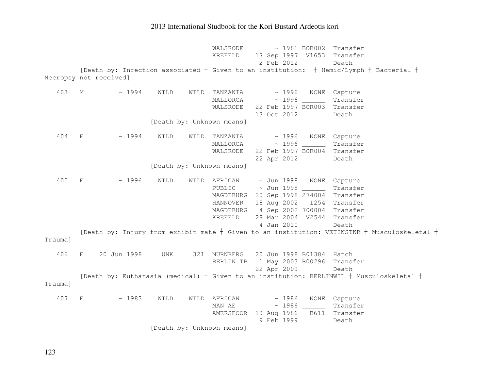WALSRODE ~ 1981 BOR002 Transfer KREFELD 17 Sep 1997 V1653 Transfer 2 Feb 2012 Death [Death by: Infection associated  $\dagger$  Given to an institution:  $\dagger$  Hemic/Lymph  $\dagger$  Bacterial  $\dagger$ Necropsy not received] 403 M ~ 1994 WILD WILD TANZANIA ~ 1996 NONE Capture MALLORCA ~ 1996 \_\_\_\_\_\_ Transfer WALSRODE 22 Feb 1997 BOR003 Transfer 13 Oct 2012 Death [Death by: Unknown means] 404 F ~ 1994 WILD WILD TANZANIA ~ 1996 NONE Capture MALLORCA ~ 1996 \_\_\_\_\_\_ Transfer WALSRODE 22 Feb 1997 BOR004 Transfer 22 Apr 2012 Death [Death by: Unknown means] 405 F ~ 1996 WILD WILD AFRICAN ~ Jun 1998 NONE Capture PUBLIC ~ Jun 1998 \_\_\_\_\_\_ Transfer MAGDEBURG 20 Sep 1998 274004 Transfer HANNOVER 18 Aug 2002 I254 Transfer MAGDEBURG 4 Sep 2002 700004 Transfer KREFELD 28 Mar 2004 V2544 Transfer 4 Jan 2010 Death [Death by: Injury from exhibit mate  $\dagger$  Given to an institution: VETINSTKR  $\dagger$  Musculoskeletal  $\dagger$ Trauma] 406 F 20 Jun 1998 UNK 321 NURNBERG 20 Jun 1998 B01384 Hatch BERLIN TP 1 May 2003 B00296 Transfer 22 Apr 2009 Death [Death by: Euthanasia (medical)  $\dagger$  Given to an institution: BERLINWIL  $\dagger$  Musculoskeletal  $\dagger$ Trauma] 407 F ~ 1983 WILD WILD AFRICAN ~ 1986 NONE Capture MAN AE ~ 1986 \_\_\_\_\_\_ Transfer AMERSFOOR 19 Aug 1986 B611 Transfer 9 Feb 1999 Death [Death by: Unknown means]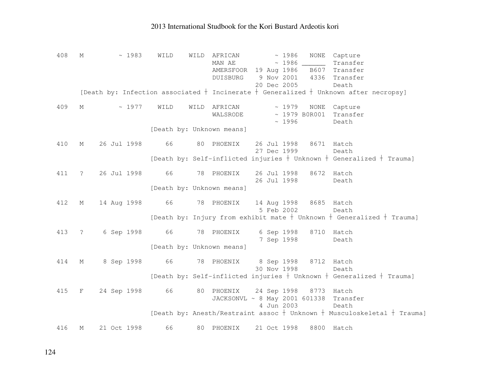| 408 | М           | ~1983          | WILD                      | WILD | AFRICAN<br>MAN AE<br>AMERSFOOR 19 Aug 1986 | ~1986       |                        | NONE Capture<br>Transfer<br>B607 Transfer                                                  |
|-----|-------------|----------------|---------------------------|------|--------------------------------------------|-------------|------------------------|--------------------------------------------------------------------------------------------|
|     |             |                |                           |      | DUISBURG                                   | 9 Nov 2001  | 4336                   | Transfer                                                                                   |
|     |             |                |                           |      |                                            | 20 Dec 2005 |                        | Death                                                                                      |
|     |             |                |                           |      |                                            |             |                        | [Death by: Infection associated $+$ Incinerate $+$ Generalized $+$ Unknown after necropsy] |
| 409 | $M \sim$    | ~1977          | WILD                      |      | WILD AFRICAN                               | $\sim 1979$ |                        | NONE Capture                                                                               |
|     |             |                |                           |      | WALSRODE                                   | ~1996       | $\sim$ 1979 B0R001     | Transfer<br>Death                                                                          |
|     |             |                | [Death by: Unknown means] |      |                                            |             |                        |                                                                                            |
| 410 | М           | 26 Jul 1998    | 66                        |      | 80 PHOENIX                                 | 26 Jul 1998 |                        | 8671 Hatch                                                                                 |
|     |             |                |                           |      |                                            | 27 Dec 1999 |                        | Death                                                                                      |
|     |             |                |                           |      |                                            |             |                        | [Death by: Self-inflicted injuries $+$ Unknown $+$ Generalized $+$ Trauma]                 |
| 411 | $\ddot{?}$  | 26 Jul 1998    | 66                        |      | 78 PHOENIX                                 | 26 Jul 1998 |                        | 8672 Hatch                                                                                 |
|     |             |                |                           |      |                                            | 26 Jul 1998 |                        | Death                                                                                      |
|     |             |                | [Death by: Unknown means] |      |                                            |             |                        |                                                                                            |
| 412 | М           | 14 Aug 1998 66 |                           |      | 78 PHOENIX                                 |             | 14 Aug 1998 8685 Hatch |                                                                                            |
|     |             |                |                           |      |                                            | 5 Feb 2002  |                        | Death                                                                                      |
|     |             |                |                           |      |                                            |             |                        | [Death by: Injury from exhibit mate $+$ Unknown $+$ Generalized $+$ Trauma]                |
| 413 | $\ddot{?}$  | 6 Sep 1998     | 66 78 PHOENIX             |      |                                            |             | 6 Sep 1998 8710 Hatch  |                                                                                            |
|     |             |                |                           |      |                                            | 7 Sep 1998  |                        | Death                                                                                      |
|     |             |                | [Death by: Unknown means] |      |                                            |             |                        |                                                                                            |
| 414 | М           | 8 Sep 1998     | 66                        |      | 78 PHOENIX 8 Sep 1998 8712 Hatch           |             |                        |                                                                                            |
|     |             |                |                           |      |                                            | 30 Nov 1998 |                        | Death                                                                                      |
|     |             |                |                           |      |                                            |             |                        | [Death by: Self-inflicted injuries $+$ Unknown $+$ Generalized $+$ Trauma]                 |
| 415 | $F$ and $F$ | 24 Sep 1998 66 |                           |      | 80 PHOENIX 24 Sep 1998 8773 Hatch          |             |                        |                                                                                            |
|     |             |                |                           |      | JACKSONVL ~ 8 May 2001 601338 Transfer     |             |                        |                                                                                            |
|     |             |                |                           |      |                                            | 4 Jun 2003  |                        | Death                                                                                      |
|     |             |                |                           |      |                                            |             |                        | [Death by: Anesth/Restraint assoc + Unknown + Musculoskeletal + Trauma]                    |
| 416 | М           | 21 Oct 1998    | 66                        |      | 80 PHOENIX                                 | 21 Oct 1998 |                        | 8800 Hatch                                                                                 |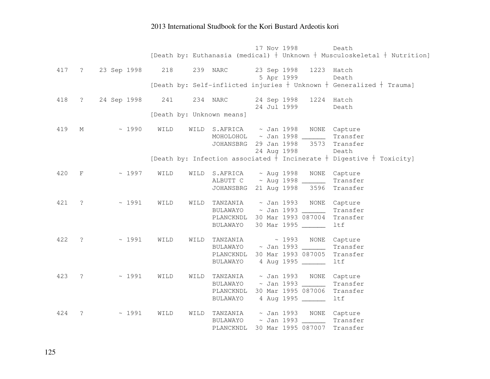|       |                |                       |      |      |                                       | 17 Nov 1998            |                        | Death                                                                          |
|-------|----------------|-----------------------|------|------|---------------------------------------|------------------------|------------------------|--------------------------------------------------------------------------------|
|       |                |                       |      |      |                                       |                        |                        | [Death by: Euthanasia (medical) $+$ Unknown $+$ Musculoskeletal $+$ Nutrition] |
|       |                |                       |      |      |                                       |                        |                        |                                                                                |
|       |                | 417 ? 23 Sep 1998 218 |      |      | 239 NARC                              |                        | 23 Sep 1998 1223 Hatch |                                                                                |
|       |                |                       |      |      |                                       | 5 Apr 1999             |                        | Death                                                                          |
|       |                |                       |      |      |                                       |                        |                        | [Death by: Self-inflicted injuries $+$ Unknown $+$ Generalized $+$ Trauma]     |
|       |                |                       |      |      |                                       |                        |                        |                                                                                |
| 418   | $\overline{?}$ | 24 Sep 1998           | 241  |      | 234 NARC                              | 24 Jul 1999            | 24 Sep 1998 1224 Hatch | Death                                                                          |
|       |                |                       |      |      | [Death by: Unknown means]             |                        |                        |                                                                                |
|       |                |                       |      |      |                                       |                        |                        |                                                                                |
| 419   | М              | ~1990                 | WILD | WILD | S.AFRICA ~ Jan 1998 NONE Capture      |                        |                        |                                                                                |
|       |                |                       |      |      | MOHOLOHOL ~ Jan 1998 _______          |                        |                        | Transfer                                                                       |
|       |                |                       |      |      | JOHANSBRG 29 Jan 1998 3573 Transfer   |                        |                        |                                                                                |
|       |                |                       |      |      |                                       | 24 Aug 1998            |                        | Death                                                                          |
|       |                |                       |      |      |                                       |                        |                        | [Death by: Infection associated $+$ Incinerate $+$ Digestive $+$ Toxicity]     |
|       |                |                       |      |      |                                       |                        |                        |                                                                                |
| 420   | F              | ~1997                 | WILD | WILD | S.AFRICA ~ Aug 1998 NONE              |                        |                        | Capture                                                                        |
|       |                |                       |      |      | ALBUTT C ~ Aug 1998 _______           |                        |                        | Transfer                                                                       |
|       |                |                       |      |      | JOHANSBRG 21 Aug 1998 3596            |                        |                        | Transfer                                                                       |
|       |                |                       |      |      |                                       |                        |                        |                                                                                |
| 421 ? |                | ~1991                 | WILD | WILD | TANZANIA                              |                        | ~ Jan 1993 NONE        | Capture                                                                        |
|       |                |                       |      |      | BULAWAYO                              | $\sim$ Jan 1993 ______ |                        | Transfer                                                                       |
|       |                |                       |      |      | PLANCKNDL 30 Mar 1993 087004 Transfer |                        |                        |                                                                                |
|       |                |                       |      |      | BULAWAYO                              |                        | 30 Mar 1995 ______     | <b>ltf</b>                                                                     |
| 422   | $\ddot{\cdot}$ | ~1991                 | WILD | WILD |                                       |                        |                        | ~ 1993 NONE Capture                                                            |
|       |                |                       |      |      | TANZANIA<br>BULAWAYO                  |                        |                        | Transfer                                                                       |
|       |                |                       |      |      | PLANCKNDL                             |                        |                        | 30 Mar 1993 087005 Transfer                                                    |
|       |                |                       |      |      | BULAWAYO                              |                        | 4 Aug 1995             | ltf                                                                            |
|       |                |                       |      |      |                                       |                        |                        |                                                                                |
| 423   | $\tilde{S}$    | ~1991                 | WILD | WILD | TANZANIA                              | $\sim$ Jan 1993 NONE   |                        | Capture                                                                        |
|       |                |                       |      |      | BULAWAYO                              | $\sim$ Jan 1993 ______ |                        | Transfer                                                                       |
|       |                |                       |      |      | PLANCKNDL 30 Mar 1995 087006          |                        |                        | Transfer                                                                       |
|       |                |                       |      |      | BULAWAYO                              |                        | 4 Aug 1995             | ltf                                                                            |
|       |                |                       |      |      |                                       |                        |                        |                                                                                |
| 424   | ?              | ~1991                 | WILD | WILD | TANZANIA                              |                        |                        | ~ Jan 1993 NONE Capture                                                        |
|       |                |                       |      |      | BULAWAYO ~ Jan 1993 ________          |                        |                        | Transfer                                                                       |
|       |                |                       |      |      | PLANCKNDL                             |                        | 30 Mar 1995 087007     | Transfer                                                                       |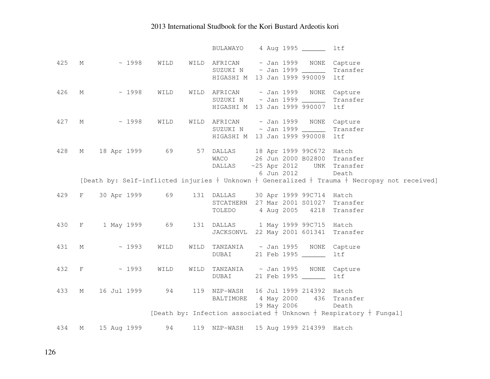|     |   |                                                   |      |      | BULAWAYO                                                                                                           |  | 4 Aug 1995 ______        | ltf                                                                                                  |
|-----|---|---------------------------------------------------|------|------|--------------------------------------------------------------------------------------------------------------------|--|--------------------------|------------------------------------------------------------------------------------------------------|
| 425 |   | M<br>~1998                                        | WILD |      | WILD AFRICAN ~ Jan 1999 NONE Capture<br>SUZUKI N ~ Jan 1999 _______<br>HIGASHI M 13 Jan 1999 990009 ltf            |  |                          | Transfer                                                                                             |
| 426 | M | $\sim 1998$                                       | WILD |      | WILD AFRICAN $\sim$ Jan 1999 NONE Capture<br>SUZUKI N ~ Jan 1999 _______<br>HIGASHI M 13 Jan 1999 990007 ltf       |  |                          | Transfer                                                                                             |
| 427 |   | $M \sim 1998$                                     | WILD |      | WILD AFRICAN ~ Jan 1999 NONE Capture<br>SUZUKI N ~ Jan 1999 _________ Transfer<br>HIGASHI M 13 Jan 1999 990008 ltf |  |                          |                                                                                                      |
| 428 | M | 18 Apr 1999 69 57 DALLAS 18 Apr 1999 99C672 Hatch |      |      | WACO<br>DALLAS ~25 Apr 2012 UNK Transfer                                                                           |  | 6 Jun 2012               | 26 Jun 2000 B02800 Transfer<br>Death                                                                 |
|     |   |                                                   |      |      |                                                                                                                    |  |                          | [Death by: Self-inflicted injuries $+$ Unknown $+$ Generalized $+$ Trauma $+$ Necropsy not received] |
| 429 |   | F 30 Apr 1999 69                                  |      |      | 131 DALLAS 30 Apr 1999 99C714 Hatch<br>STCATHERN 27 Mar 2001 S01027 Transfer<br>TOLEDO                             |  |                          | 4 Aug 2005 4218 Transfer                                                                             |
|     |   | 430 F 1 May 1999 69                               |      |      | 131 DALLAS 1 May 1999 99C715 Hatch<br>JACKSONVL 22 May 2001 601341 Transfer                                        |  |                          |                                                                                                      |
|     |   | 431 M ~ 1993                                      | WILD | WILD | TANZANIA ~ Jan 1995 NONE Capture<br><b>DUBAI</b>                                                                   |  | 21 Feb 1995 ______       | ltf                                                                                                  |
|     |   | 432 F ~ 1993                                      | WILD | WILD | TANZANIA ~ Jan 1995 NONE Capture<br>DUBAI                                                                          |  | 21 Feb 1995 ______       | ltf                                                                                                  |
| 433 | M | 16 Jul 1999 94                                    |      |      | 119 NZP-WASH 16 Jul 1999 214392 Hatch<br>BALTIMORE 4 May 2000 436 Transfer                                         |  | 19 May 2006              | Death                                                                                                |
|     |   |                                                   |      |      |                                                                                                                    |  |                          | [Death by: Infection associated $+$ Unknown $+$ Respiratory $+$ Fungal]                              |
| 434 | М | 15 Aug 1999 94                                    |      |      | 119 NZP-WASH                                                                                                       |  | 15 Aug 1999 214399 Hatch |                                                                                                      |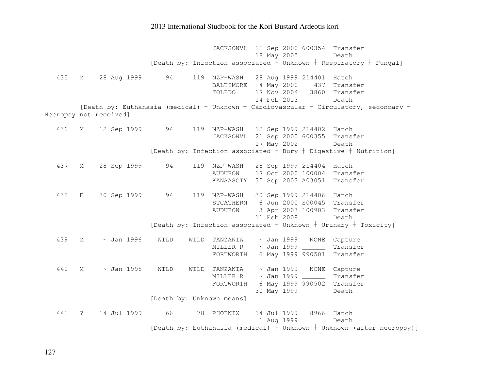JACKSONVL 21 Sep 2000 600354 Transfer 18 May 2005 Death [Death by: Infection associated  $\dagger$  Unknown  $\dagger$  Respiratory  $\dagger$  Fungal] 435 M 28 Aug 1999 94 119 NZP-WASH 28 Aug 1999 214401 Hatch 437 Transfer BALTIMORE 4 May 2000 TOLEDO 17 Nov 2004 3860 Transfer 14 Feb 2013 Death [Death by: Euthanasia (medical)  $\dagger$  Unknown  $\dagger$  Cardiovascular  $\dagger$  Circulatory, secondary  $\dagger$ Necropsy not received] 436 M 12 Sep 1999 94 119 NZP-WASH 12 Sep 1999 214402 Hatch JACKSONVL 21 Sep 2000 600355 Transfer 17 May 2002 Death [Death by: Infection associated  $\dagger$  Bury  $\dagger$  Digestive  $\dagger$  Nutrition] 437 M 28 Sep 1999 94 119 NZP-WASH 28 Sep 1999 214404 Hatch AUDUBON 17 Oct 2000 100004 Transfer KANSASCTY 30 Sep 2003 A03051 Transfer 438 F 30 Sep 1999 94 119 NZP-WASH 30 Sep 1999 214406 Hatch STCATHERN 6 Jun 2000 S00045 Transfer AUDUBON 3 Apr 2003 100903 Transfer 11 Feb 2008 Death [Death by: Infection associated  $\dagger$  Unknown  $\dagger$  Urinary  $\dagger$  Toxicity] 439 M ~ Jan 1996 WILD WILD TANZANIA ~ Jan 1999 NONE Capture MILLER R ~ Jan 1999 \_\_\_\_\_\_ Transfer FORTWORTH 6 May 1999 990501 Transfer 440 M ~ Jan 1998 WILD WILD TANZANIA ~ Jan 1999 NONE Capture MILLER R ~ Jan 1999 \_\_\_\_\_\_ Transfer FORTWORTH 6 May 1999 990502 Transfer 30 May 1999 Death [Death by: Unknown means] 441 ? 14 Jul 1999 66 78 PHOENIX 14 Jul 1999 8966 Hatch Death 1 Aug 1999 [Death by: Euthanasia (medical)  $\dagger$  Unknown  $\dagger$  Unknown (after necropsy)]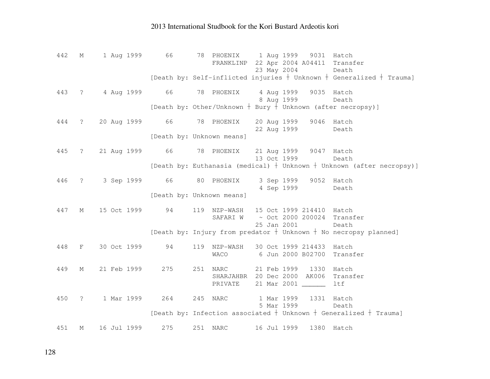| 442 |                   | M 1 Aug 1999 66 |     | 78 PHOENIX 1 Aug 1999 9031 Hatch<br>FRANKLINP 22 Apr 2004 A04411 Transfer<br>23 May 2004<br>Death |  |
|-----|-------------------|-----------------|-----|---------------------------------------------------------------------------------------------------|--|
|     |                   |                 |     | [Death by: Self-inflicted injuries $+$ Unknown $+$ Generalized $+$ Trauma]                        |  |
| 443 | $\ddot{\text{?}}$ |                 |     | 4 Aug 1999 66 78 PHOENIX 4 Aug 1999 9035 Hatch<br>8 Aug 1999<br>Death                             |  |
|     |                   |                 |     | [Death by: Other/Unknown + Bury + Unknown (after necropsy)]                                       |  |
| 444 | $\ddot{\text{?}}$ |                 |     | 20 Aug 1999 66 78 PHOENIX 20 Aug 1999 9046 Hatch<br>22 Aug 1999<br>Death                          |  |
|     |                   |                 |     | [Death by: Unknown means]                                                                         |  |
| 445 | $\ddot{?}$        |                 |     | 21 Aug 1999 66 78 PHOENIX 21 Aug 1999 9047 Hatch<br>13 Oct 1999<br>Death                          |  |
|     |                   |                 |     | [Death by: Euthanasia (medical) $+$ Unknown $+$ Unknown (after necropsy)]                         |  |
| 446 |                   |                 |     | ? 3 Sep 1999 66 80 PHOENIX 3 Sep 1999 9052 Hatch<br>4 Sep 1999<br>Death                           |  |
|     |                   |                 |     | [Death by: Unknown means]                                                                         |  |
| 447 | $M_{\odot}$       | 15 Oct 1999 94  |     | 119 NZP-WASH 15 Oct 1999 214410 Hatch<br>~ Oct 2000 200024 Transfer<br>SAFARI W                   |  |
|     |                   |                 |     | 25 Jan 2001<br>Death                                                                              |  |
|     |                   |                 |     | [Death by: Injury from predator $+$ Unknown $+$ No necropsy planned]                              |  |
| 448 | $F$ and $F$       | 30 Oct 1999 94  |     | 119 NZP-WASH 30 Oct 1999 214433 Hatch<br>WACO 6 Jun 2000 B02700 Transfer                          |  |
| 449 | $M_{\odot}$       | 21 Feb 1999 275 |     | 251 NARC<br>21 Feb 1999 1330<br>Hatch                                                             |  |
|     |                   |                 |     | SHARJAHBR 20 Dec 2000 AK006 Transfer<br>21 Mar 2001 _______<br>ltf<br>PRIVATE                     |  |
| 450 |                   |                 |     | ? 1 Mar 1999 264 245 NARC<br>1 Mar 1999 1331 Hatch<br>5 Mar 1999<br>Death                         |  |
|     |                   |                 |     | [Death by: Infection associated $+$ Unknown $+$ Generalized $+$ Trauma]                           |  |
| 451 | М                 | 16 Jul 1999     | 275 | 251 NARC<br>16 Jul 1999<br>1380 Hatch                                                             |  |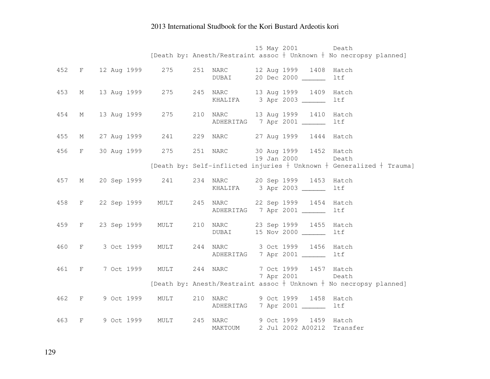|     |              |                    |                 |                     |  | 15 May 2001                                | Death                                                                      |
|-----|--------------|--------------------|-----------------|---------------------|--|--------------------------------------------|----------------------------------------------------------------------------|
|     |              |                    |                 |                     |  |                                            | [Death by: Anesth/Restraint assoc $+$ Unknown $+$ No necropsy planned]     |
| 452 |              | F 12 Aug 1999 275  |                 | 251 NARC            |  | 12 Aug 1999 1408 Hatch                     |                                                                            |
|     |              |                    |                 | <b>DUBAI</b>        |  | 20 Dec 2000 ______                         | ltf                                                                        |
|     |              |                    |                 |                     |  |                                            |                                                                            |
| 453 | M            | 13 Aug 1999 275    |                 |                     |  | 245 NARC 13 Aug 1999 1409 Hatch            |                                                                            |
|     |              |                    |                 |                     |  | KHALIFA 3 Apr 2003 ________                | ltf                                                                        |
| 454 | М            | 13 Aug 1999        | 275             |                     |  | 210 NARC 13 Aug 1999 1410 Hatch            |                                                                            |
|     |              |                    |                 |                     |  | ADHERITAG 7 Apr 2001 ______                | ltf                                                                        |
|     |              |                    |                 |                     |  |                                            |                                                                            |
| 455 | М            | 27 Aug 1999 241    |                 | 229 NARC            |  | 27 Aug 1999 1444 Hatch                     |                                                                            |
| 456 | F            | 30 Aug 1999 275    |                 | 251 NARC            |  | 30 Aug 1999 1452 Hatch                     |                                                                            |
|     |              |                    |                 |                     |  | 19 Jan 2000                                | Death                                                                      |
|     |              |                    |                 |                     |  |                                            | [Death by: Self-inflicted injuries $+$ Unknown $+$ Generalized $+$ Trauma] |
| 457 | M            | 20 Sep 1999 241    |                 | 234 NARC            |  | 20 Sep 1999 1453 Hatch                     |                                                                            |
|     |              |                    |                 |                     |  | KHALIFA 3 Apr 2003                         | ltf                                                                        |
|     |              |                    |                 |                     |  |                                            |                                                                            |
| 458 |              | F 22 Sep 1999 MULT |                 |                     |  | 245 NARC 22 Sep 1999 1454 Hatch            |                                                                            |
|     |              |                    |                 |                     |  | ADHERITAG 7 Apr 2001 ______                | ltf                                                                        |
| 459 |              | F 23 Sep 1999 MULT |                 | 210 NARC            |  | 23 Sep 1999 1455 Hatch                     |                                                                            |
|     |              |                    |                 | DUBAI               |  | 15 Nov 2000 ______                         | ltf                                                                        |
| 460 | $\mathbf{F}$ | 3 Oct 1999         | MULT            | 244 NARC            |  | 3 Oct 1999 1456 Hatch                      |                                                                            |
|     |              |                    |                 |                     |  | ADHERITAG 7 Apr 2001 _____                 | ltf                                                                        |
|     |              |                    |                 |                     |  |                                            |                                                                            |
| 461 | $_{\rm F}$   |                    | 7 Oct 1999 MULT | 244 NARC            |  | 7 Oct 1999 1457 Hatch                      |                                                                            |
|     |              |                    |                 |                     |  | 7 Apr 2001                                 | Death                                                                      |
|     |              |                    |                 |                     |  |                                            | [Death by: Anesth/Restraint assoc $+$ Unknown $+$ No necropsy planned]     |
| 462 | $\mathbf{F}$ | 9 Oct 1999 MULT    |                 |                     |  | 210 NARC 9 Oct 1999 1458 Hatch             |                                                                            |
|     |              |                    |                 |                     |  | ADHERITAG 7 Apr 2001 ______                | ltf                                                                        |
|     |              |                    |                 |                     |  |                                            |                                                                            |
| 463 | F            | 9 Oct 1999         | MULT            | 245 NARC<br>MAKTOUM |  | 9 Oct 1999 1459 Hatch<br>2 Jul 2002 A00212 | Transfer                                                                   |
|     |              |                    |                 |                     |  |                                            |                                                                            |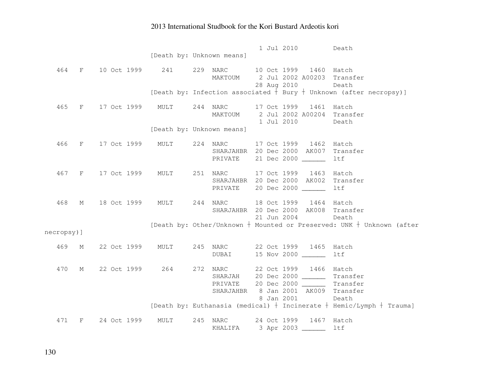|            |   |                                 |      |                           | 1 Jul 2010<br>Death                                                                               |
|------------|---|---------------------------------|------|---------------------------|---------------------------------------------------------------------------------------------------|
|            |   |                                 |      | [Death by: Unknown means] |                                                                                                   |
|            |   |                                 |      |                           |                                                                                                   |
| 464        |   | F 10 Oct 1999 241               |      |                           | 229 NARC 10 Oct 1999 1460 Hatch                                                                   |
|            |   |                                 |      | MAKTOUM                   | 2 Jul 2002 A00203 Transfer                                                                        |
|            |   |                                 |      |                           | 28 Aug 2010<br>Death                                                                              |
|            |   |                                 |      |                           | [Death by: Infection associated $+$ Bury $+$ Unknown (after necropsy)]                            |
|            |   |                                 |      |                           |                                                                                                   |
| 465        |   | F 17 Oct 1999 MULT              |      | 244 NARC                  | 17 Oct 1999 1461 Hatch                                                                            |
|            |   |                                 |      |                           | MAKTOUM 2 Jul 2002 A00204 Transfer                                                                |
|            |   |                                 |      |                           | 1 Jul 2010<br>Death                                                                               |
|            |   |                                 |      | [Death by: Unknown means] |                                                                                                   |
|            |   |                                 |      |                           |                                                                                                   |
| 466        |   | F 17 Oct 1999 MULT              |      | 224 NARC                  | 17 Oct 1999 1462 Hatch                                                                            |
|            |   |                                 |      |                           | SHARJAHBR 20 Dec 2000 AK007 Transfer                                                              |
|            |   |                                 |      |                           | PRIVATE 21 Dec 2000 _______<br>ltf                                                                |
|            |   |                                 |      |                           |                                                                                                   |
|            |   | 467 F 17 Oct 1999 MULT 251 NARC |      |                           | 17 Oct 1999 1463 Hatch                                                                            |
|            |   |                                 |      |                           | SHARJAHBR 20 Dec 2000 AK002<br>Transfer                                                           |
|            |   |                                 |      |                           | PRIVATE 20 Dec 2000 _______<br>ltf                                                                |
|            |   |                                 |      |                           |                                                                                                   |
| 468        |   |                                 |      |                           | M 18 Oct 1999 MULT 244 NARC 18 Oct 1999 1464 Hatch                                                |
|            |   |                                 |      |                           | SHARJAHBR 20 Dec 2000 AK008 Transfer                                                              |
|            |   |                                 |      |                           | 21 Jun 2004<br>Death                                                                              |
|            |   |                                 |      |                           | [Death by: Other/Unknown $+$ Mounted or Preserved: UNK $+$ Unknown (after                         |
| necropsy)] |   |                                 |      |                           |                                                                                                   |
|            |   |                                 |      |                           |                                                                                                   |
| 469        | М |                                 |      | 22 Oct 1999 MULT 245 NARC | 22 Oct 1999 1465 Hatch                                                                            |
|            |   |                                 |      | <b>DUBAI</b>              | 15 Nov 2000<br>ltf                                                                                |
|            |   |                                 |      |                           |                                                                                                   |
| 470        |   | M 22 Oct 1999 264 272 NARC      |      |                           | 22 Oct 1999 1466 Hatch                                                                            |
|            |   |                                 |      |                           | SHARJAH 20 Dec 2000 ________ Transfer                                                             |
|            |   |                                 |      |                           | PRIVATE 20 Dec 2000 ________ Transfer                                                             |
|            |   |                                 |      |                           | SHARJAHBR 8 Jan 2001 AK009 Transfer                                                               |
|            |   |                                 |      |                           | 8 Jan 2001<br>Death<br>[Death by: Euthanasia (medical) $+$ Incinerate $+$ Hemic/Lymph $+$ Trauma] |
|            |   |                                 |      |                           |                                                                                                   |
| 471        |   | F 24 Oct 1999                   | MULT | 245 NARC                  | 24 Oct 1999 1467 Hatch                                                                            |
|            |   |                                 |      |                           | KHALIFA 3 Apr 2003 ________ ltf                                                                   |
|            |   |                                 |      |                           |                                                                                                   |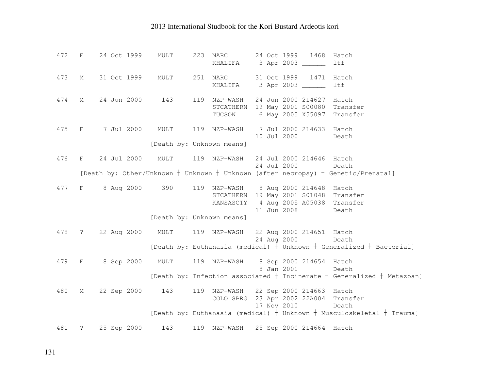| 472 |   | F 24 Oct 1999                                                | MULT |                           | 223 NARC 24 Oct 1999 1468<br>KHALIFA 3 Apr 2003                               |                   | Hatch<br>ltf                                                                                             |
|-----|---|--------------------------------------------------------------|------|---------------------------|-------------------------------------------------------------------------------|-------------------|----------------------------------------------------------------------------------------------------------|
| 473 |   | M 31 Oct 1999                                                |      |                           | MULT 251 NARC 31 Oct 1999 1471 Hatch<br>KHALIFA 3 Apr 2003                    |                   | ltf                                                                                                      |
| 474 |   | M 24 Jun 2000 143 119 NZP-WASH 24 Jun 2000 214627 Hatch      |      |                           | STCATHERN 19 May 2001 S00080 Transfer<br>TUCSON 6 May 2005 X55097 Transfer    |                   |                                                                                                          |
|     |   | 475 F 7 Jul 2000 MULT 119 NZP-WASH 7 Jul 2000 214633 Hatch   |      |                           |                                                                               | 10 Jul 2000 Death |                                                                                                          |
|     |   |                                                              |      | [Death by: Unknown means] |                                                                               |                   |                                                                                                          |
| 476 |   | F 24 Jul 2000 MULT                                           |      |                           | 119 NZP-WASH 24 Jul 2000 214646 Hatch<br>24 Jul 2000                          | Death             |                                                                                                          |
|     |   |                                                              |      |                           |                                                                               |                   | [Death by: Other/Unknown $+$ Unknown $+$ Unknown (after necropsy) $+$ Genetic/Prenatal]                  |
| 477 |   | F 8 Aug 2000 390 119 NZP-WASH 8 Aug 2000 214648 Hatch        |      |                           | STCATHERN 19 May 2001 S01048 Transfer<br>KANSASCTY 4 Aug 2005 A05038 Transfer |                   |                                                                                                          |
|     |   |                                                              |      | [Death by: Unknown means] |                                                                               | 11 Jun 2008 Death |                                                                                                          |
|     |   | 478 ? 22 Aug 2000 MULT 119 NZP-WASH 22 Aug 2000 214651 Hatch |      |                           | 24 Aug 2000                                                                   | Death             |                                                                                                          |
|     |   |                                                              |      |                           |                                                                               |                   | [Death by: Euthanasia (medical) $\frac{1}{2}$ Unknown $\frac{1}{2}$ Generalized $\frac{1}{2}$ Bacterial] |
|     |   | 479 F 8 Sep 2000 MULT 119 NZP-WASH 8 Sep 2000 214654 Hatch   |      |                           | 8 Jan 2001                                                                    | Death             | [Death by: Infection associated $+$ Incinerate $+$ Generalized $+$ Metazoan]                             |
|     |   |                                                              |      |                           |                                                                               |                   |                                                                                                          |
| 480 | M | 22 Sep 2000 143 119 NZP-WASH 22 Sep 2000 214663 Hatch        |      |                           | COLO SPRG 23 Apr 2002 22A004 Transfer<br>17 Nov 2010                          | Death             |                                                                                                          |
|     |   |                                                              |      |                           |                                                                               |                   | [Death by: Euthanasia (medical) $+$ Unknown $+$ Musculoskeletal $+$ Trauma]                              |
| 481 |   | ? 25 Sep 2000 143 119 NZP-WASH 25 Sep 2000 214664 Hatch      |      |                           |                                                                               |                   |                                                                                                          |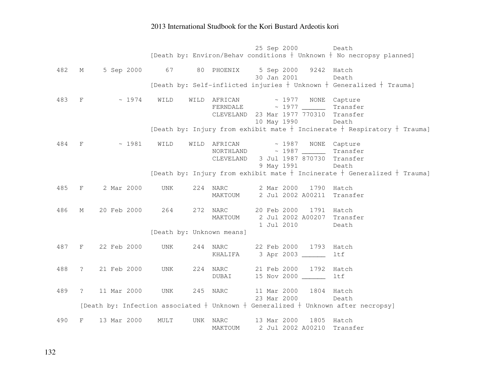25 Sep 2000 Death [Death by: Environ/Behav conditions  $\dagger$  Unknown  $\dagger$  No necropsy planned] 482 M 5 Sep 2000 67 80 PHOENIX 5 Sep 2000 9242 Hatch Death 30 Jan 2001 [Death by: Self-inflicted injuries  $\dagger$  Unknown  $\dagger$  Generalized  $\dagger$  Trauma] 483 F ~ 1974 WILD WILD AFRICAN ~ 1977 NONE Capture Transfer  $FERNDALE$  ~ 1977 CLEVELAND 23 Mar 1977 770310 Transfer 10 May 1990 Death [Death by: Injury from exhibit mate  $\dagger$  Incinerate  $\dagger$  Respiratory  $\dagger$  Trauma] 484 F ~ 1981 WILD WILD AFRICAN ~ 1987 NONE Capture NORTHLAND ~ 1987 \_\_\_\_\_\_ Transfer CLEVELAND 3 Jul 1987 870730 Transfer 9 May 1991 Death [Death by: Injury from exhibit mate  $\dagger$  Incinerate  $\dagger$  Generalized  $\dagger$  Trauma] 485 F 2 Mar 2000 UNK 224 NARC 2 Mar 2000 1790 Hatch MAKTOUM 2 Jul 2002 A00211 Transfer 486 M 20 Feb 2000 264 272 NARC 20 Feb 2000 1791 Hatch MAKTOUM 2 Jul 2002 A00207 Transfer 1 Jul 2010 Death [Death by: Unknown means] 487 F 22 Feb 2000 UNK 244 NARC 22 Feb 2000 1793 Hatch KHALIFA 3 Apr 2003 \_\_\_\_\_\_ ltf 488 ? 21 Feb 2000 UNK 224 NARC 21 Feb 2000 1792 Hatch DUBAI 15 Nov 2000 \_\_\_\_\_\_ ltf 489 ? 11 Mar 2000 UNK 245 NARC 11 Mar 2000 1804 Hatch Death 23 Mar 2000 [Death by: Infection associated  $\dagger$  Unknown  $\dagger$  Generalized  $\dagger$  Unknown after necropsy] 490 F 13 Mar 2000 MULT UNK NARC 13 Mar 2000 1805 Hatch MAKTOUM 2 Jul 2002 A00210 Transfer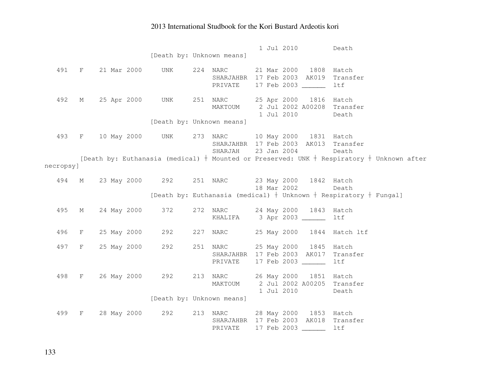|           |             |                   | [Death by: Unknown means] | 1 Jul 2010<br>Death                                                                                                                   |
|-----------|-------------|-------------------|---------------------------|---------------------------------------------------------------------------------------------------------------------------------------|
|           |             |                   |                           | 491 F 21 Mar 2000 UNK 224 NARC 21 Mar 2000 1808 Hatch<br>SHARJAHBR 17 Feb 2003 AK019 Transfer<br>PRIVATE<br>17 Feb 2003 ______<br>ltf |
| 492       |             | M 25 Apr 2000 UNK |                           | 251 NARC 25 Apr 2000 1816 Hatch<br>MAKTOUM 2 Jul 2002 A00208 Transfer<br>1 Jul 2010<br>Death                                          |
|           |             |                   | [Death by: Unknown means] |                                                                                                                                       |
| 493       |             |                   |                           | F 10 May 2000 UNK 273 NARC 10 May 2000 1831 Hatch<br>SHARJAHBR 17 Feb 2003 AK013 Transfer<br>SHARJAH 23 Jan 2004<br>Death             |
| necropsy] |             |                   |                           | [Death by: Euthanasia (medical) $+$ Mounted or Preserved: UNK $+$ Respiratory $+$ Unknown after                                       |
|           |             |                   |                           |                                                                                                                                       |
| 494       | M           |                   |                           | 23 May 2000 292 251 NARC 23 May 2000 1842 Hatch<br>18 Mar 2002<br>Death                                                               |
|           |             |                   |                           | [Death by: Euthanasia (medical) $+$ Unknown $+$ Respiratory $+$ Fungal]                                                               |
| 495       | $M_{\odot}$ | 24 May 2000 372   |                           | 272 NARC 24 May 2000 1843 Hatch<br>KHALIFA 3 Apr 2003 ________ ltf                                                                    |
| 496       | F           |                   |                           | 25 May 2000 292 227 NARC 25 May 2000 1844 Hatch ltf                                                                                   |
| 497       | F           |                   |                           | 25 May 2000 292 251 NARC 25 May 2000 1845 Hatch<br>SHARJAHBR 17 Feb 2003 AK017 Transfer<br>17 Feb 2003 ______<br>PRIVATE<br>ltf       |
| 498       |             |                   |                           | F 26 May 2000 292 213 NARC 26 May 2000 1851 Hatch<br>MAKTOUM 2 Jul 2002 A00205 Transfer<br>1 Jul 2010<br>Death                        |
|           |             |                   | [Death by: Unknown means] |                                                                                                                                       |
| 499       |             |                   |                           | F 28 May 2000 292 213 NARC 28 May 2000 1853 Hatch<br>SHARJAHBR 17 Feb 2003 AK018 Transfer<br>17 Feb 2003 _______ ltf<br>PRIVATE       |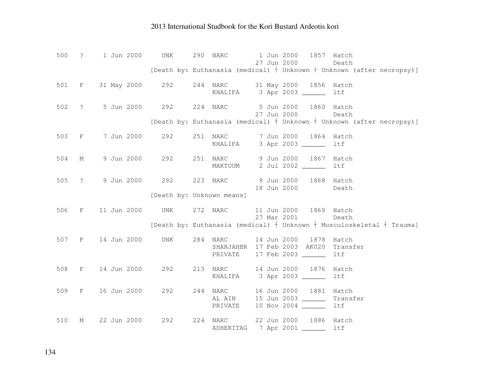| 500   |                   | ? 1 Jun 2000                                          | UNK                       | 290 NARC            | 1 Jun 2000<br>27 Jun 2000 |                                                                                | 1857 Hatch<br>Death                                                         |
|-------|-------------------|-------------------------------------------------------|---------------------------|---------------------|---------------------------|--------------------------------------------------------------------------------|-----------------------------------------------------------------------------|
|       |                   |                                                       |                           |                     |                           |                                                                                | [Death by: Euthanasia (medical) $+$ Unknown $+$ Unknown (after necropsy)]   |
|       |                   | 501 F 31 May 2000 292 244 NARC 31 May 2000 1856 Hatch |                           |                     |                           | KHALIFA 3 Apr 2003                                                             | ltf                                                                         |
| 502   | $\ddot{\text{?}}$ | 5 Jun 2000 292                                        |                           | 224 NARC            |                           | 5 Jun 2000 1860 Hatch<br>27 Jun 2000                                           | Death                                                                       |
|       |                   |                                                       |                           |                     |                           |                                                                                | [Death by: Euthanasia (medical) $+$ Unknown $+$ Unknown (after necropsy)]   |
| 503   | $F$ and $F$       | 7 Jun 2000                                            | 292                       | KHALIFA             |                           | 251 NARC 7 Jun 2000 1864<br>3 Apr 2003 _____                                   | Hatch<br>1tf                                                                |
| 504   | М                 | 9 Jun 2000 292 251 NARC                               |                           |                     |                           | 9 Jun 2000 1867<br>MAKTOUM 2 Jul 2002                                          | Hatch<br>ltf                                                                |
| 505   | $\ddot{\text{?}}$ | 9 Jun 2000 292                                        |                           | 223 NARC            |                           | 9 Jun 2000 1868 Hatch<br>18 Jun 2000                                           | Death                                                                       |
|       |                   |                                                       | [Death by: Unknown means] |                     |                           |                                                                                |                                                                             |
| 506 F |                   | 11 Jun 2000 UNK 272 NARC                              |                           |                     | 27 Mar 2001               | 11 Jun 2000 1869 Hatch                                                         | Death                                                                       |
|       |                   |                                                       |                           |                     |                           |                                                                                | [Death by: Euthanasia (medical) $+$ Unknown $+$ Musculoskeletal $+$ Trauma] |
|       |                   | 507 F 14 Jun 2000 UNK                                 |                           | 284 NARC<br>PRIVATE |                           | 14 Jun 2000 1878<br>SHARJAHBR 17 Feb 2003 AK020 Transfer<br>17 Feb 2003 ______ | Hatch<br><b>ltf</b>                                                         |
| 508   |                   | F 14 Jun 2000                                         | 292                       |                     |                           | 213 NARC 14 Jun 2000 1876<br>KHALIFA 3 Apr 2003                                | Hatch<br>ltf                                                                |
| 509   |                   | F 16 Jun 2000                                         | 292                       |                     |                           | 244 NARC 16 Jun 2000 1881<br>AL AIN 15 Jun 2003                                | Hatch<br>Transfer<br>ltf                                                    |
| 510   | М                 | 22 Jun 2000                                           | 292                       | 224 NARC            |                           | 22 Jun 2000 1886<br>ADHERITAG 7 Apr 2001                                       | Hatch<br>ltf                                                                |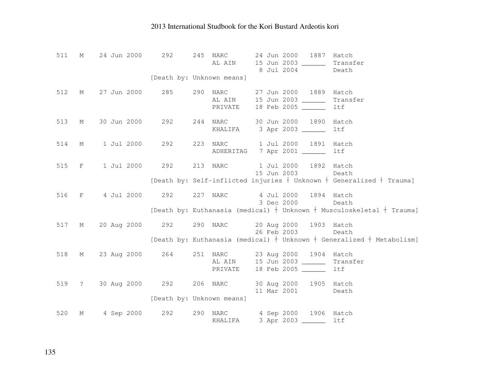| 511 | M                 | 24 Jun 2000              | 292                       | 245 | NARC<br>AL AIN  | 24 Jun 2000 1887<br>Hatch<br>15 Jun 2003 ______<br>Transfer<br>8 Jul 2004<br>Death                                                                  |  |
|-----|-------------------|--------------------------|---------------------------|-----|-----------------|-----------------------------------------------------------------------------------------------------------------------------------------------------|--|
|     |                   |                          | [Death by: Unknown means] |     |                 |                                                                                                                                                     |  |
| 512 | М                 | 27 Jun 2000              | 285                       | 290 | NARC<br>PRIVATE | 27 Jun 2000 1889<br>Hatch<br>AL AIN 15 Jun 2003<br>Transfer<br>18 Feb 2005 ______<br>ltf                                                            |  |
| 513 | М                 | 30 Jun 2000 292          |                           |     | 244 NARC        | 30 Jun 2000 1890<br>Hatch<br>KHALIFA 3 Apr 2003<br>ltf                                                                                              |  |
| 514 | $M_{\odot}$       | 1 Jul 2000 292           |                           |     |                 | 223 NARC 1 Jul 2000 1891<br>Hatch<br>ADHERITAG 7 Apr 2001 ______<br>ltf                                                                             |  |
| 515 | F                 | 1 Jul 2000 292           |                           |     | 213 NARC        | 1 Jul 2000 1892 Hatch<br>15 Jun 2003<br>Death<br>[Death by: Self-inflicted injuries $+$ Unknown $+$ Generalized $+$ Trauma]                         |  |
| 516 | F                 |                          |                           |     |                 | 4 Jul 2000 292 227 NARC 4 Jul 2000 1894 Hatch<br>3 Dec 2000<br>Death<br>[Death by: Euthanasia (medical) $+$ Unknown $+$ Musculoskeletal $+$ Trauma] |  |
| 517 | М                 | 20 Aug 2000 292 290 NARC |                           |     |                 | 20 Aug 2000 1903 Hatch<br>26 Feb 2003<br>Death<br>[Death by: Euthanasia (medical) $+$ Unknown $+$ Generalized $+$ Metabolism]                       |  |
| 518 | $M \sim$          | 23 Aug 2000 264          |                           |     |                 | 251 NARC 23 Aug 2000 1904 Hatch<br>AL AIN 15 Jun 2003<br>Transfer<br>PRIVATE 18 Feb 2005 _______<br>ltf                                             |  |
| 519 | $\ddot{\text{?}}$ | 30 Aug 2000 292 206 NARC | [Death by: Unknown means] |     |                 | 30 Aug 2000 1905 Hatch<br>11 Mar 2001<br>Death                                                                                                      |  |
| 520 | М                 | 4 Sep 2000 292           |                           |     | 290 NARC        | 4 Sep 2000 1906 Hatch<br>KHALIFA 3 Apr 2003<br>ltf                                                                                                  |  |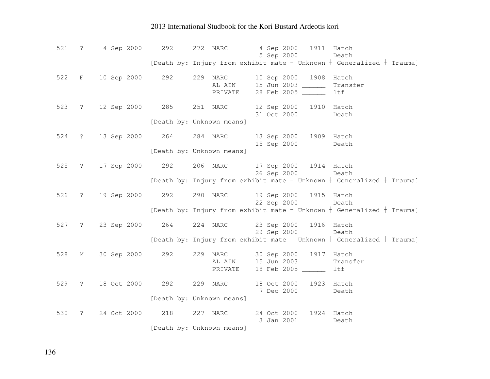|     |                      | 521 ? 4 Sep 2000 292       |     | 4 Sep 2000 1911 Hatch<br>272 NARC<br>5 Sep 2000<br>Death                                                                                  |
|-----|----------------------|----------------------------|-----|-------------------------------------------------------------------------------------------------------------------------------------------|
|     |                      |                            |     | [Death by: Injury from exhibit mate $+$ Unknown $+$ Generalized $+$ Trauma]                                                               |
| 522 |                      | F 10 Sep 2000 292          |     | 229 NARC<br>10 Sep 2000 1908<br>Hatch<br>AL AIN 15 Jun 2003 _______<br>Transfer<br>28 Feb 2005 ______<br>PRIVATE<br>ltf                   |
| 523 |                      | ? 12 Sep 2000 285          |     | 251 NARC<br>12 Sep 2000 1910 Hatch<br>31 Oct 2000<br>Death<br>[Death by: Unknown means]                                                   |
| 524 |                      | ? 13 Sep 2000 264          |     | 284 NARC<br>13 Sep 2000 1909 Hatch<br>15 Sep 2000<br>Death<br>[Death by: Unknown means]                                                   |
| 525 |                      | ? 17 Sep 2000 292          |     | 206 NARC<br>17 Sep 2000 1914 Hatch<br>26 Sep 2000<br>Death<br>[Death by: Injury from exhibit mate $+$ Unknown $+$ Generalized $+$ Trauma] |
| 526 |                      | ? 19 Sep 2000 292 290 NARC |     | 19 Sep 2000 1915 Hatch<br>22 Sep 2000<br>Death<br>[Death by: Injury from exhibit mate $+$ Unknown $+$ Generalized $+$ Trauma]             |
| 527 | $\ddot{?}$           | 23 Sep 2000 264            |     | 23 Sep 2000 1916 Hatch<br>224 NARC<br>29 Sep 2000<br>Death<br>[Death by: Injury from exhibit mate $+$ Unknown $+$ Generalized $+$ Trauma] |
| 528 | М                    | 30 Sep 2000 292            |     | 229<br>30 Sep 2000 1917<br>NARC<br>Hatch<br>AL AIN 15 Jun 2003<br>Transfer<br>18 Feb 2005 ______<br>PRIVATE<br>ltf                        |
| 529 | $\ddot{\phantom{0}}$ | 18 Oct 2000 292            |     | 229 NARC<br>18 Oct 2000<br>1923<br>Hatch<br>7 Dec 2000<br>Death<br>[Death by: Unknown means]                                              |
| 530 | $\mathcal{E}$        | 24 Oct 2000                | 218 | 24 Oct 2000 1924 Hatch<br>227 NARC<br>3 Jan 2001<br>Death<br>[Death by: Unknown means]                                                    |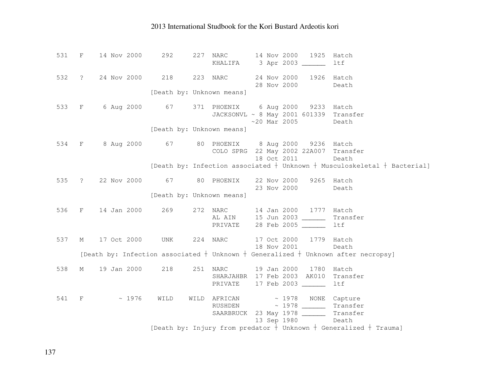| 531 F |             | 14 Nov 2000                                       | 292                       | 227  | NARC<br>KHALIFA 3 Apr 2003 _______                                                                | 14 Nov 2000 1925 |                        | Hatch<br>ltf                                                                            |
|-------|-------------|---------------------------------------------------|---------------------------|------|---------------------------------------------------------------------------------------------------|------------------|------------------------|-----------------------------------------------------------------------------------------|
| 532   |             | ? 24 Nov 2000                                     | 218                       |      | 223 NARC 24 Nov 2000 1926                                                                         | 28 Nov 2000      |                        | Hatch<br>Death                                                                          |
|       |             |                                                   | [Death by: Unknown means] |      |                                                                                                   |                  |                        |                                                                                         |
| 533   |             | F 6 Aug 2000 67 371 PHOENIX 6 Aug 2000 9233 Hatch |                           |      | JACKSONVL ~ 8 May 2001 601339 Transfer                                                            | $~20$ Mar 2005   |                        | Death                                                                                   |
|       |             |                                                   | [Death by: Unknown means] |      |                                                                                                   |                  |                        |                                                                                         |
|       |             | 534 F 8 Aug 2000                                  | 67                        |      | 80 PHOENIX 8 Aug 2000 9236 Hatch<br>COLO SPRG 22 May 2002 22A007 Transfer                         | 18 Oct 2011      |                        | Death                                                                                   |
|       |             |                                                   |                           |      |                                                                                                   |                  |                        | [Death by: Infection associated $+$ Unknown $+$ Musculoskeletal $+$ Bacterial]          |
|       |             | 535 ? 22 Nov 2000                                 | 67                        |      | 80 PHOENIX                                                                                        | 23 Nov 2000      | 22 Nov 2000 9265 Hatch | Death                                                                                   |
|       |             |                                                   | [Death by: Unknown means] |      |                                                                                                   |                  |                        |                                                                                         |
| 536   |             | F 14 Jan 2000                                     | 269                       |      | 272 NARC 14 Jan 2000 1777 Hatch<br>AL AIN 15 Jun 2003<br>PRIVATE 28 Feb 2005 ______               |                  |                        | Transfer<br>ltf                                                                         |
| 537   | $M$ and $M$ | 17 Oct 2000                                       | UNK                       |      | 224 NARC                                                                                          | 18 Nov 2001      | 17 Oct 2000 1779 Hatch | Death                                                                                   |
|       |             |                                                   |                           |      |                                                                                                   |                  |                        | [Death by: Infection associated $+$ Unknown $+$ Generalized $+$ Unknown after necropsy] |
| 538   | M           | 19 Jan 2000                                       | 218                       |      | 251 NARC<br>SHARJAHBR 17 Feb 2003 AK010 Transfer<br>PRIVATE 17 Feb 2003 ______                    |                  | 19 Jan 2000 1780 Hatch | ltf                                                                                     |
|       |             | 541 F<br>~1976                                    | WILD                      | WILD | AFRICAN ~ 1978 NONE Capture<br>RUSHDEN ~ 1978 Transfer<br>SAARBRUCK 23 May 1978 ________ Transfer |                  | 13 Sep 1980            | Death                                                                                   |
|       |             |                                                   |                           |      |                                                                                                   |                  |                        | [Death by: Injury from predator $+$ Unknown $+$ Generalized $+$ Trauma]                 |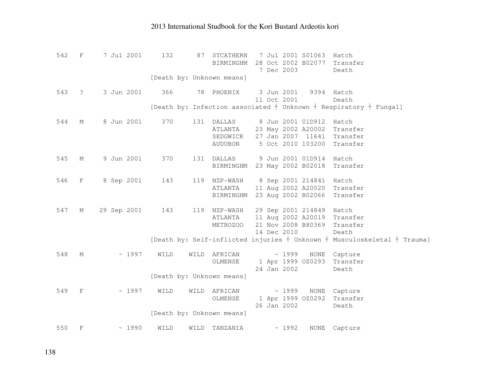| 542 | $_{\rm F}$     | 7 Jul 2001  | 132  | 87   | STCATHERN<br>BIRMINGHM    |  |                           | 7 Jul 2001 S01063<br>28 Oct 2002 B02077 | Hatch<br>Transfer                                                              |
|-----|----------------|-------------|------|------|---------------------------|--|---------------------------|-----------------------------------------|--------------------------------------------------------------------------------|
|     |                |             |      |      | [Death by: Unknown means] |  | 7 Dec 2003                |                                         | Death                                                                          |
| 543 | $\ddot{\cdot}$ | 3 Jun 2001  | 366  |      | 78 PHOENIX                |  | 3 Jun 2001<br>11 Oct 2001 | 9394 Hatch                              | Death                                                                          |
|     |                |             |      |      |                           |  |                           |                                         | [Death by: Infection associated $+$ Unknown $+$ Respiratory $+$ Fungal]        |
| 544 | М              | 8 Jun 2001  | 370  |      | 131 DALLAS                |  |                           | 8 Jun 2001 01D912                       | Hatch                                                                          |
|     |                |             |      |      | ATLANTA                   |  |                           | 23 May 2002 A20002                      | Transfer                                                                       |
|     |                |             |      |      | SEDGWICK                  |  |                           | 27 Jan 2007 11641                       | Transfer                                                                       |
|     |                |             |      |      | <b>AUDUBON</b>            |  |                           | 5 Oct 2010 103200                       | Transfer                                                                       |
| 545 | М              | 9 Jun 2001  | 370  | 131  | DALLAS                    |  |                           | 9 Jun 2001 01D914                       | Hatch                                                                          |
|     |                |             |      |      | BIRMINGHM                 |  |                           | 23 May 2002 B02018                      | Transfer                                                                       |
|     |                |             |      |      |                           |  |                           |                                         |                                                                                |
| 546 | $\mathbf{F}$   | 8 Sep 2001  | 143  |      | 119 NZP-WASH              |  |                           | 8 Sep 2001 214841                       | Hatch                                                                          |
|     |                |             |      |      | ATLANTA                   |  |                           | 11 Aug 2002 A20020                      | Transfer                                                                       |
|     |                |             |      |      | BIRMINGHM                 |  |                           | 23 Aug 2002 B02066                      | Transfer                                                                       |
| 547 | М              | 29 Sep 2001 | 143  |      | 119 NZP-WASH              |  |                           | 29 Sep 2001 214849 Hatch                |                                                                                |
|     |                |             |      |      | ATLANTA                   |  |                           | 11 Aug 2002 A20019                      | Transfer                                                                       |
|     |                |             |      |      | METROZOO                  |  |                           |                                         | 21 Nov 2008 B80369 Transfer                                                    |
|     |                |             |      |      |                           |  | 14 Dec 2010               |                                         | Death                                                                          |
|     |                |             |      |      |                           |  |                           |                                         | [Death by: Self-inflicted injuries $+$ Unknown $+$ Musculoskeletal $+$ Trauma] |
| 548 | М              | ~1997       | WILD | WILD | AFRICAN                   |  | ~1999                     |                                         | NONE Capture                                                                   |
|     |                |             |      |      | OLMENSE                   |  |                           | 1 Apr 1999 OZ0293                       | Transfer                                                                       |
|     |                |             |      |      |                           |  | 24 Jan 2002               |                                         | Death                                                                          |
|     |                |             |      |      | [Death by: Unknown means] |  |                           |                                         |                                                                                |
| 549 | $\mathbf{F}$   | ~1997       | WILD | WILD | AFRICAN                   |  | ~1999                     |                                         | NONE Capture                                                                   |
|     |                |             |      |      | OLMENSE                   |  |                           | 1 Apr 1999 OZ0292                       | Transfer                                                                       |
|     |                |             |      |      |                           |  | 26 Jan 2002               |                                         | Death                                                                          |
|     |                |             |      |      | [Death by: Unknown means] |  |                           |                                         |                                                                                |
| 550 | $\mathbf{F}$   | ~1990       | WILD | WILD | TANZANIA                  |  | ~1992                     | <b>NONE</b>                             | Capture                                                                        |
|     |                |             |      |      |                           |  |                           |                                         |                                                                                |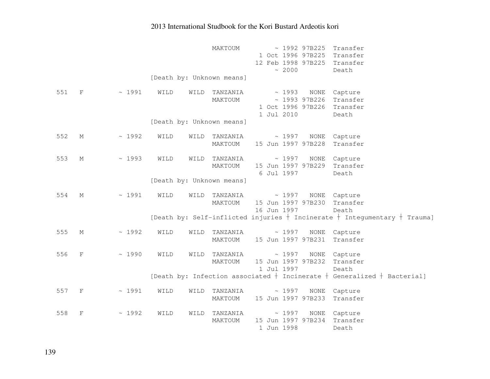|     |              |       |      |      | MAKTOUM                   |  | ~2000                | ~1992~97B225<br>1 Oct 1996 97B225<br>12 Feb 1998 97B225 | Transfer<br>Transfer<br>Transfer<br>Death                                       |
|-----|--------------|-------|------|------|---------------------------|--|----------------------|---------------------------------------------------------|---------------------------------------------------------------------------------|
|     |              |       |      |      | [Death by: Unknown means] |  |                      |                                                         |                                                                                 |
| 551 | $\mathbf F$  | ~1991 | WILD | WILD | TANZANIA<br>MAKTOUM       |  | ~1993<br>1 Jul 2010  | NONE<br>~1993~97B226<br>1 Oct 1996 97B226               | Capture<br>Transfer<br>Transfer<br>Death                                        |
|     |              |       |      |      | [Death by: Unknown means] |  |                      |                                                         |                                                                                 |
| 552 | М            | ~1992 | WILD | WILD | TANZANIA<br>MAKTOUM       |  |                      | $\sim$ 1997 NONE<br>15 Jun 1997 97B228                  | Capture<br>Transfer                                                             |
| 553 | М            | ~1993 | WILD | WILD | TANZANIA<br>MAKTOUM       |  | 6 Jul 1997           | $\sim$ 1997 NONE<br>15 Jun 1997 97B229                  | Capture<br>Transfer<br>Death                                                    |
|     |              |       |      |      | [Death by: Unknown means] |  |                      |                                                         |                                                                                 |
| 554 | М            | ~1991 | WILD | WILD | TANZANIA<br>MAKTOUM       |  | ~1997<br>16 Jun 1997 | NONE<br>15 Jun 1997 97B230                              | Capture<br>Transfer<br>Death                                                    |
|     |              |       |      |      |                           |  |                      |                                                         | [Death by: Self-inflicted injuries $+$ Incinerate $+$ Integumentary $+$ Trauma] |
| 555 | М            | ~1992 | WILD | WILD | TANZANIA<br>MAKTOUM       |  | ~1997                | NONE<br>15 Jun 1997 97B231                              | Capture<br>Transfer                                                             |
| 556 | F            | ~1990 | WILD | WILD | TANZANIA<br>MAKTOUM       |  | ~1997<br>1 Jul 1997  | <b>NONE</b><br>15 Jun 1997 97B232                       | Capture<br>Transfer<br>Death                                                    |
|     |              |       |      |      |                           |  |                      |                                                         | [Death by: Infection associated $+$ Incinerate $+$ Generalized $+$ Bacterial]   |
| 557 | $\mathbf{F}$ | ~1991 | WILD | WILD | TANZANIA<br>MAKTOUM       |  | ~1997                | NONE<br>15 Jun 1997 97B233                              | Capture<br>Transfer                                                             |
| 558 | F            | ~1992 | WILD | WILD | TANZANIA<br>MAKTOUM       |  | ~1997<br>1 Jun 1998  | NONE<br>15 Jun 1997 97B234                              | Capture<br>Transfer<br>Death                                                    |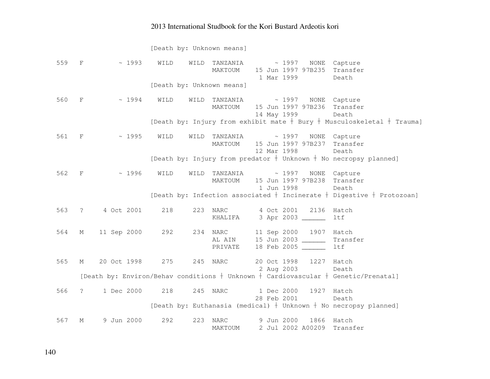[Death by: Unknown means] 559 F ~ 1993 WILD WILD TANZANIA ~ 1997 NONE Capture MAKTOUM 15 Jun 1997 97B235 Transfer 1 Mar 1999 Death [Death by: Unknown means] 560 F ~ 1994 WILD WILD TANZANIA ~ 1997 NONE Capture MAKTOUM 15 Jun 1997 97B236 Transfer 14 May 1999 Death [Death by: Injury from exhibit mate  $\dagger$  Bury  $\dagger$  Musculoskeletal  $\dagger$  Trauma] 561 F ~ 1995 WILD WILD TANZANIA ~ 1997 NONE Capture MAKTOUM 15 Jun 1997 97B237 Transfer 12 Mar 1998 Death [Death by: Injury from predator  $\dagger$  Unknown  $\dagger$  No necropsy planned] 562 F ~ 1996 WILD WILD TANZANIA ~ 1997 NONE Capture MAKTOUM 15 Jun 1997 97B238 Transfer 1 Jun 1998 Death [Death by: Infection associated  $\dagger$  Incinerate  $\dagger$  Digestive  $\dagger$  Protozoan] 563 ? 4 Oct 2001 218 223 NARC 4 Oct 2001 2136 Hatch KHALIFA 3 Apr 2003 ltf 564 M 11 Sep 2000 292 234 NARC 11 Sep 2000 1907 Hatch Transfer AL AIN 15 Jun 2003 \_\_\_\_\_\_ PRIVATE 18 Feb 2005 ltf 565 M 20 Oct 1998 275 245 NARC 20 Oct 1998 1227 Hatch Death 2 Aug 2003 [Death by: Environ/Behav conditions  $\dagger$  Unknown  $\dagger$  Cardiovascular  $\dagger$  Genetic/Prenatal] 566 ? 1 Dec 2000 218 245 NARC 1 Dec 2000 1927 Hatch Death 28 Feb 2001 [Death by: Euthanasia (medical)  $\dagger$  Unknown  $\dagger$  No necropsy planned]

 567 M 9 Jun 2000 292 223 NARC 9 Jun 2000 1866 Hatch MAKTOUM 2 Jul 2002 A00209 Transfer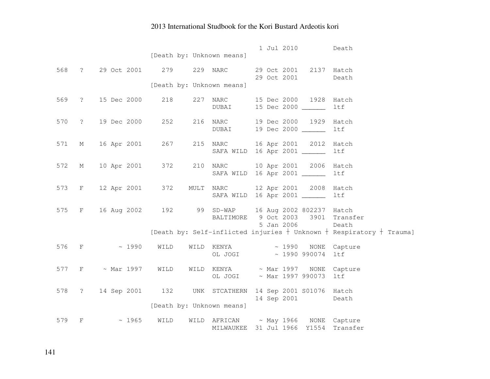|     |                   |                                                              |      | [Death by: Unknown means]            |  |             | 1 Jul 2010             | Death                                                                      |
|-----|-------------------|--------------------------------------------------------------|------|--------------------------------------|--|-------------|------------------------|----------------------------------------------------------------------------|
|     |                   |                                                              |      |                                      |  |             |                        |                                                                            |
| 568 |                   | ? 29 Oct 2001 279                                            |      | 229 NARC                             |  | 29 Oct 2001 | 29 Oct 2001 2137 Hatch | Death                                                                      |
|     |                   |                                                              |      | [Death by: Unknown means]            |  |             |                        |                                                                            |
|     |                   |                                                              |      |                                      |  |             |                        |                                                                            |
| 569 | $\ddot{\text{?}}$ | 15 Dec 2000                                                  | 218  | 227 NARC                             |  |             | 15 Dec 2000 1928 Hatch |                                                                            |
|     |                   |                                                              |      | DUBAI                                |  |             | 15 Dec 2000 _____      | ltf                                                                        |
| 570 |                   | ? 19 Dec 2000 252                                            |      | 216 NARC                             |  |             | 19 Dec 2000 1929 Hatch |                                                                            |
|     |                   |                                                              |      | DUBAI                                |  |             | 19 Dec 2000 ______     | ltf                                                                        |
|     |                   |                                                              |      |                                      |  |             |                        |                                                                            |
| 571 | M                 | 16 Apr 2001 267                                              |      | 215 NARC                             |  |             | 16 Apr 2001 2012 Hatch |                                                                            |
|     |                   |                                                              |      | SAFA WILD 16 Apr 2001 _______        |  |             |                        | ltf                                                                        |
| 572 | M                 | 10 Apr 2001 372                                              |      | 210 NARC                             |  |             | 10 Apr 2001 2006 Hatch |                                                                            |
|     |                   |                                                              |      | SAFA WILD 16 Apr 2001 _______        |  |             |                        | ltf                                                                        |
|     |                   |                                                              |      |                                      |  |             |                        |                                                                            |
| 573 |                   | F 12 Apr 2001 372 MULT NARC 12 Apr 2001 2008 Hatch           |      |                                      |  |             |                        |                                                                            |
|     |                   |                                                              |      | SAFA WILD 16 Apr 2001 ______         |  |             |                        | ltf                                                                        |
| 575 |                   | F 16 Aug 2002 192 99 SD-WAP 16 Aug 2002 802237 Hatch         |      |                                      |  |             |                        |                                                                            |
|     |                   |                                                              |      | BALTIMORE 9 Oct 2003 3901            |  |             |                        | Transfer                                                                   |
|     |                   |                                                              |      |                                      |  | 5 Jan 2006  |                        | Death                                                                      |
|     |                   |                                                              |      |                                      |  |             |                        | [Death by: Self-inflicted injuries $+$ Unknown $+$ Respiratory $+$ Trauma] |
| 576 |                   | $F \sim 1990$                                                | WILD | WILD KENYA ~ 1990 NONE Capture       |  |             |                        |                                                                            |
|     |                   |                                                              |      | OL JOGI ~ 1990 990074                |  |             |                        | ltf                                                                        |
|     |                   |                                                              |      |                                      |  |             |                        |                                                                            |
|     |                   | 577 F ~ Mar 1997                                             |      | WILD WILD KENYA $\sim$ Mar 1997 NONE |  |             |                        | Capture                                                                    |
|     |                   |                                                              |      | OL JOGI ~ Mar 1997 990073            |  |             |                        | ltf                                                                        |
|     |                   | 578 ? 14 Sep 2001 132 UNK STCATHERN 14 Sep 2001 S01076 Hatch |      |                                      |  |             |                        |                                                                            |
|     |                   |                                                              |      |                                      |  |             | 14 Sep 2001            | Death                                                                      |
|     |                   |                                                              |      | [Death by: Unknown means]            |  |             |                        |                                                                            |
| 579 | F                 | ~1965                                                        | WILD | WILD AFRICAN ~ May 1966 NONE Capture |  |             |                        |                                                                            |
|     |                   |                                                              |      | MILWAUKEE 31 Jul 1966 Y1554          |  |             |                        | Transfer                                                                   |
|     |                   |                                                              |      |                                      |  |             |                        |                                                                            |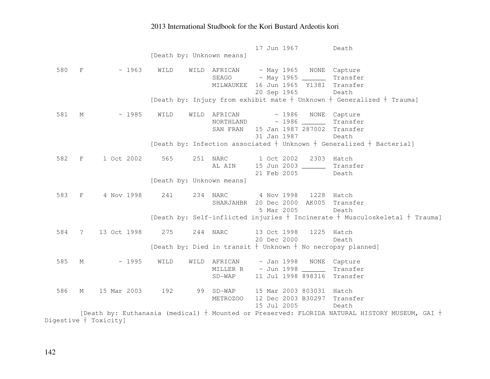17 Jun 1967 Death [Death by: Unknown means] 580 F ~ 1963 WILD WILD AFRICAN ~ May 1965 NONE Capture Transfer  $SEAGO \sim \text{May } 1965$  MILWAUKEE 16 Jun 1965 Y1381 Transfer 20 Sep 1965 Death [Death by: Injury from exhibit mate  $\dagger$  Unknown  $\dagger$  Generalized  $\dagger$  Trauma] 581 M ~ 1985 WILD WILD AFRICAN ~ 1986 NONE Capture Transfer  $NORTHLAND \sim 1986$  SAN FRAN 15 Jan 1987 287002 Transfer 31 Jan 1987 Death [Death by: Infection associated  $\dagger$  Unknown  $\dagger$  Generalized  $\dagger$  Bacterial] 582 F 1 Oct 2002 565 251 NARC 1 Oct 2002 2303 Hatch Transfer AL AIN 15 Jun 2003 \_\_\_\_\_\_ Transfer 21 Feb 2005 Death [Death by: Unknown means] 583 F 4 Nov 1998 241 234 NARC 4 Nov 1998 1228 Hatch SHARJAHBR 20 Dec 2000 AK005 Transfer 5 Mar 2005 Death [Death by: Self-inflicted injuries  $\dagger$  Incinerate  $\dagger$  Musculoskeletal  $\dagger$  Trauma] 584 ? 13 Oct 1998 275 244 NARC 13 Oct 1998 1225 Hatch Death 20 Dec 2000 [Death by: Died in transit  $\dagger$  Unknown  $\dagger$  No necropsy planned] 585 M ~ 1995 WILD WILD AFRICAN ~ Jan 1998 NONE Capture Transfer MILLER R  $\sim$  Jun 1998 SD-WAP 11 Jul 1998 898316 Transfer 586 M 15 Mar 2003 192 99 SD-WAP 15 Mar 2003 803031 Hatch METROZOO 12 Dec 2003 B30297 Transfer 15 Jul 2005 Death [Death by: Euthanasia (medical)  $^+$  Mounted or Preserved: FLORIDA NATURAL HISTORY MUSEUM, GAI  $^+$ Digestive  $+$  Toxicity]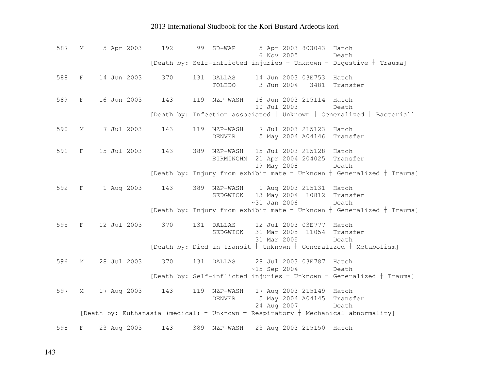587 M 5 Apr 2003 192 99 SD-WAP 5 Apr 2003 803043 Hatch Death 6 Nov 2005 [Death by: Self-inflicted injuries  $\dagger$  Unknown  $\dagger$  Digestive  $\dagger$  Trauma] 588 F 14 Jun 2003 370 131 DALLAS 14 Jun 2003 03E753 Hatch TOLEDO 3 Jun 2004 3481 Transfer 589 F 16 Jun 2003 143 119 NZP-WASH 16 Jun 2003 215114 Hatch Death 10 Jul 2003 [Death by: Infection associated  $\dagger$  Unknown  $\dagger$  Generalized  $\dagger$  Bacterial] 590 M 7 Jul 2003 143 119 NZP-WASH 7 Jul 2003 215123 Hatch DENVER 5 May 2004 A04146 Transfer 591 F 15 Jul 2003 143 389 NZP-WASH 15 Jul 2003 215128 Hatch BIRMINGHM 21 Apr 2004 204025 Transfer 19 May 2008 Death [Death by: Injury from exhibit mate  $\dagger$  Unknown  $\dagger$  Generalized  $\dagger$  Trauma] 592 F 1 Aug 2003 143 389 NZP-WASH 1 Aug 2003 215131 Hatch SEDGWICK 13 May 2004 10812 Transfer ~31 Jan 2006 Death [Death by: Injury from exhibit mate  $\dagger$  Unknown  $\dagger$  Generalized  $\dagger$  Trauma] 595 F 12 Jul 2003 370 131 DALLAS 12 Jul 2003 03E777 Hatch SEDGWICK 31 Mar 2005 11054 Transfer 31 Mar 2005 Death [Death by: Died in transit  $\dagger$  Unknown  $\dagger$  Generalized  $\dagger$  Metabolism] 596 M 28 Jul 2003 370 131 DALLAS 28 Jul 2003 03E787 Hatch Death  $~15$  Sep 2004 [Death by: Self-inflicted injuries  $\dagger$  Unknown  $\dagger$  Generalized  $\dagger$  Trauma] 597 M 17 Aug 2003 143 119 NZP-WASH 17 Aug 2003 215149 Hatch DENVER 5 May 2004 A04145 Transfer 24 Aug 2007 Death [Death by: Euthanasia (medical)  $\dagger$  Unknown  $\dagger$  Respiratory  $\dagger$  Mechanical abnormality] 598 F 23 Aug 2003 143 389 NZP-WASH 23 Aug 2003 215150 Hatch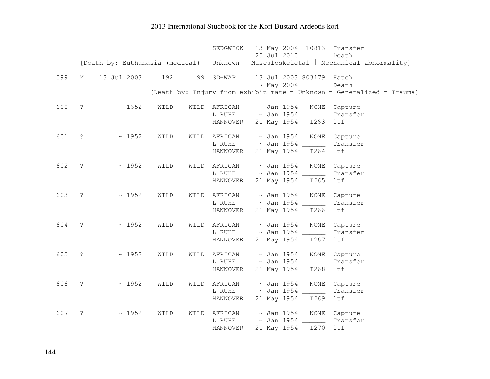|     |                     |             |      |      |              | SEDGWICK 13 May 2004 10813 Transfer                                                         |  |
|-----|---------------------|-------------|------|------|--------------|---------------------------------------------------------------------------------------------|--|
|     |                     |             |      |      |              | 20 Jul 2010<br>Death                                                                        |  |
|     |                     |             |      |      |              | [Death by: Euthanasia (medical) $+$ Unknown $+$ Musculoskeletal $+$ Mechanical abnormality] |  |
| 599 | М                   | 13 Jul 2003 | 192  | 99   | $SD-WAP$     | 13 Jul 2003 803179 Hatch                                                                    |  |
|     |                     |             |      |      |              | 7 May 2004<br>Death                                                                         |  |
|     |                     |             |      |      |              | [Death by: Injury from exhibit mate $+$ Unknown $+$ Generalized $+$ Trauma]                 |  |
| 600 | $\ddot{\cdot}$      | ~1652       | WILD | WILD |              | AFRICAN ~ Jan 1954<br>NONE<br>Capture                                                       |  |
|     |                     |             |      |      |              | L RUHE ~ Jan 1954 ______<br>Transfer                                                        |  |
|     |                     |             |      |      | HANNOVER     | 21 May 1954 1263<br>ltf                                                                     |  |
| 601 | $\ddot{\cdot}$      | ~1952       | WILD |      | WILD AFRICAN | $\sim$ Jan 1954<br><b>NONE</b><br>Capture                                                   |  |
|     |                     |             |      |      | L RUHE       | $\sim$ Jan 1954 ______<br>Transfer                                                          |  |
|     |                     |             |      |      | HANNOVER     | 21 May 1954<br>I264<br>ltf                                                                  |  |
| 602 | $\ddot{\cdot}$      | ~1952       | WILD | WILD | AFRICAN      | $\sim$ Jan 1954<br>NONE<br>Capture                                                          |  |
|     |                     |             |      |      |              | L RUHE ~ Jan 1954 _______<br>Transfer                                                       |  |
|     |                     |             |      |      | HANNOVER     | 21 May 1954<br>ltf<br>I265                                                                  |  |
|     |                     |             |      |      |              |                                                                                             |  |
| 603 | $\ddot{\mathbf{c}}$ | ~1952       | WILD | WILD | AFRICAN      | $\sim$ Jan 1954<br>NONE<br>Capture<br>L RUHE ~ Jan 1954 _______                             |  |
|     |                     |             |      |      | HANNOVER     | Transfer<br>21 May 1954<br>ltf<br>I266                                                      |  |
|     |                     |             |      |      |              |                                                                                             |  |
| 604 | $\ddot{\cdot}$      | ~1952       | WILD | WILD | AFRICAN      | $\sim$ Jan 1954<br>NONE<br>Capture                                                          |  |
|     |                     |             |      |      | L RUHE       | $\sim$ Jan 1954 ______<br>Transfer                                                          |  |
|     |                     |             |      |      | HANNOVER     | 21 May 1954<br>I267<br>ltf                                                                  |  |
| 605 | $\ddot{\cdot}$      | ~1952       | WILD | WILD | AFRICAN      | $\sim$ Jan 1954<br>NONE<br>Capture                                                          |  |
|     |                     |             |      |      | L RUHE       | $\sim$ Jan 1954 ______<br>Transfer                                                          |  |
|     |                     |             |      |      | HANNOVER     | 21 May 1954<br>I268<br>ltf                                                                  |  |
| 606 | $\tilde{\cdot}$     | ~1952       | WILD | WILD |              | AFRICAN ~ Jan 1954<br>NONE<br>Capture                                                       |  |
|     |                     |             |      |      |              | L RUHE ~ Jan 1954 _______<br>Transfer                                                       |  |
|     |                     |             |      |      | HANNOVER     | 21 May 1954 1269<br>ltf                                                                     |  |
| 607 | ?                   | ~1952       | WILD | WILD | AFRICAN      | ~ Jan 1954<br>NONE Capture                                                                  |  |
|     |                     |             |      |      | L RUHE       | $\sim$ Jan 1954 ______<br>Transfer                                                          |  |
|     |                     |             |      |      | HANNOVER     | I270<br>ltf<br>21 May 1954                                                                  |  |
|     |                     |             |      |      |              |                                                                                             |  |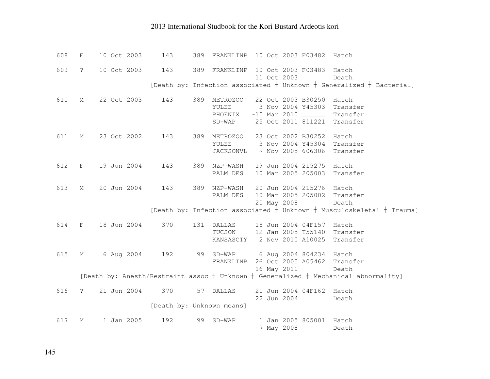| 608 | $\rm F$      | 10 Oct 2003 | 143                       | 389 | FRANKLINP       |             | 10 Oct 2003 F03482                | Hatch                                                                                     |
|-----|--------------|-------------|---------------------------|-----|-----------------|-------------|-----------------------------------|-------------------------------------------------------------------------------------------|
| 609 | $\tilde{S}$  | 10 Oct 2003 | 143                       |     | 389 FRANKLINP   |             | 10 Oct 2003 F03483                | Hatch                                                                                     |
|     |              |             |                           |     |                 | 11 Oct 2003 |                                   | Death                                                                                     |
|     |              |             |                           |     |                 |             |                                   | [Death by: Infection associated $+$ Unknown $+$ Generalized $+$ Bacterial]                |
| 610 | М            | 22 Oct 2003 | 143                       | 389 | <b>METROZOO</b> |             | 22 Oct 2003 B30250                | Hatch                                                                                     |
|     |              |             |                           |     | YULEE           |             | 3 Nov 2004 Y45303                 | Transfer                                                                                  |
|     |              |             |                           |     | PHOENIX         |             |                                   | Transfer                                                                                  |
|     |              |             |                           |     | $SD-WAP$        |             | 25 Oct 2011 811221                | Transfer                                                                                  |
| 611 | М            | 23 Oct 2002 | 143                       |     | 389 METROZOO    |             | 23 Oct 2002 B30252                | Hatch                                                                                     |
|     |              |             |                           |     |                 |             | YULEE 3 Nov 2004 Y45304           | Transfer                                                                                  |
|     |              |             |                           |     | JACKSONVL       |             | $~\sim$ Nov 2005 606306           | Transfer                                                                                  |
| 612 | F            | 19 Jun 2004 | 143                       | 389 | NZP-WASH        |             | 19 Jun 2004 215275                | Hatch                                                                                     |
|     |              |             |                           |     | PALM DES        |             | 10 Mar 2005 205003                | Transfer                                                                                  |
| 613 | М            | 20 Jun 2004 | 143                       | 389 | NZP-WASH        |             | 20 Jun 2004 215276                | Hatch                                                                                     |
|     |              |             |                           |     | PALM DES        |             | 10 Mar 2005 205002                | Transfer                                                                                  |
|     |              |             |                           |     |                 | 20 May 2008 |                                   | Death                                                                                     |
|     |              |             |                           |     |                 |             |                                   | [Death by: Infection associated $+$ Unknown $+$ Musculoskeletal $+$ Trauma]               |
| 614 | $\mathbf{F}$ | 18 Jun 2004 | 370                       |     | 131 DALLAS      |             | 18 Jun 2004 04F157 Hatch          |                                                                                           |
|     |              |             |                           |     | TUCSON          |             | 12 Jan 2005 T55140 Transfer       |                                                                                           |
|     |              |             |                           |     | KANSASCTY       |             | 2 Nov 2010 A10025                 | Transfer                                                                                  |
| 615 | М            | 6 Aug 2004  | 192                       |     |                 |             | 99 SD-WAP 6 Aug 2004 804234 Hatch |                                                                                           |
|     |              |             |                           |     | FRANKLINP       |             | 26 Oct 2005 A05462 Transfer       |                                                                                           |
|     |              |             |                           |     |                 |             | 16 May 2011                       | Death                                                                                     |
|     |              |             |                           |     |                 |             |                                   | [Death by: Anesth/Restraint assoc $+$ Unknown $+$ Generalized $+$ Mechanical abnormality] |
| 616 | $\mathsf{?}$ | 21 Jun 2004 | 370                       |     | 57 DALLAS       |             | 21 Jun 2004 04F162 Hatch          |                                                                                           |
|     |              |             |                           |     |                 | 22 Jun 2004 |                                   | Death                                                                                     |
|     |              |             | [Death by: Unknown means] |     |                 |             |                                   |                                                                                           |
| 617 | М            | 1 Jan 2005  | 192                       | 99  | $SD-WAP$        |             | 1 Jan 2005 805001 Hatch           |                                                                                           |
|     |              |             |                           |     |                 | 7 May 2008  |                                   | Death                                                                                     |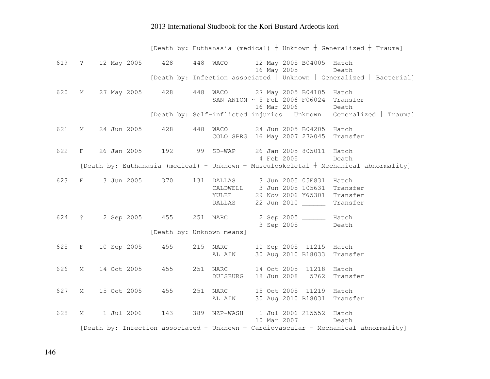|       |         |                                                      |     |     |                           |             |                                                                           | [Death by: Euthanasia (medical) $+$ Unknown $+$ Generalized $+$ Trauma]                          |
|-------|---------|------------------------------------------------------|-----|-----|---------------------------|-------------|---------------------------------------------------------------------------|--------------------------------------------------------------------------------------------------|
| 619   |         | ? 12 May 2005 428                                    |     |     |                           |             | 448 WACO 12 May 2005 B04005 Hatch                                         |                                                                                                  |
|       |         |                                                      |     |     |                           | 16 May 2005 |                                                                           | Death                                                                                            |
|       |         |                                                      |     |     |                           |             |                                                                           | [Death by: Infection associated $\frac{1}{1}$ Unknown $\dagger$ Generalized $\dagger$ Bacterial] |
| 620   | М       | 27 May 2005 428 448                                  |     |     |                           |             | WACO 27 May 2005 B04105 Hatch                                             |                                                                                                  |
|       |         |                                                      |     |     |                           |             | SAN ANTON $\sim$ 5 Feb 2006 F06024 Transfer                               |                                                                                                  |
|       |         |                                                      |     |     |                           | 16 Mar 2006 |                                                                           | Death                                                                                            |
|       |         |                                                      |     |     |                           |             |                                                                           | [Death by: Self-inflicted injuries $+$ Unknown $+$ Generalized $+$ Trauma]                       |
| 621   | М       | 24 Jun 2005                                          | 428 |     |                           |             | 448 WACO 24 Jun 2005 B04205 Hatch                                         |                                                                                                  |
|       |         |                                                      |     |     |                           |             | COLO SPRG 16 May 2007 27A045 Transfer                                     |                                                                                                  |
| 622   |         | F 26 Jan 2005 192 99 SD-WAP 26 Jan 2005 805011 Hatch |     |     |                           |             |                                                                           |                                                                                                  |
|       |         |                                                      |     |     |                           | 4 Feb 2005  |                                                                           | Death                                                                                            |
|       |         |                                                      |     |     |                           |             |                                                                           | [Death by: Euthanasia (medical) $+$ Unknown $+$ Musculoskeletal $+$ Mechanical abnormality]      |
|       |         |                                                      |     |     |                           |             |                                                                           |                                                                                                  |
| 623   | $F = 1$ | 3 Jun 2005 370                                       |     |     |                           |             | 131 DALLAS 3 Jun 2005 05F831 Hatch<br>CALDWELL 3 Jun 2005 105631 Transfer |                                                                                                  |
|       |         |                                                      |     |     |                           |             | YULEE 29 Nov 2006 Y65301 Transfer                                         |                                                                                                  |
|       |         |                                                      |     |     | DALLAS                    |             | 22 Jun 2010 ______ Transfer                                               |                                                                                                  |
|       |         |                                                      |     |     |                           |             |                                                                           |                                                                                                  |
| 624 ? |         | 2 Sep 2005 455 251 NARC                              |     |     |                           |             | 2 Sep 2005 _______ Hatch                                                  |                                                                                                  |
|       |         |                                                      |     |     |                           |             | 3 Sep 2005                                                                | Death                                                                                            |
|       |         |                                                      |     |     | [Death by: Unknown means] |             |                                                                           |                                                                                                  |
| 625   |         | F 10 Sep 2005                                        | 455 |     | 215 NARC                  |             | 10 Sep 2005 11215 Hatch                                                   |                                                                                                  |
|       |         |                                                      |     |     | AL AIN                    |             | 30 Aug 2010 B18033 Transfer                                               |                                                                                                  |
| 626   | М       | 14 Oct 2005 455                                      |     | 251 | NARC                      |             | 14 Oct 2005 11218 Hatch                                                   |                                                                                                  |
|       |         |                                                      |     |     | DUISBURG                  |             | 18 Jun 2008 5762                                                          | Transfer                                                                                         |
|       |         |                                                      |     |     |                           |             |                                                                           |                                                                                                  |
| 627   | М       | 15 Oct 2005                                          | 455 |     | 251 NARC                  |             | 15 Oct 2005 11219 Hatch                                                   |                                                                                                  |
|       |         |                                                      |     |     | AL AIN                    |             | 30 Aug 2010 B18031 Transfer                                               |                                                                                                  |
| 628   | М       | 1 Jul 2006                                           | 143 |     |                           |             | 389 NZP-WASH  1 Jul 2006 215552 Hatch                                     |                                                                                                  |
|       |         |                                                      |     |     |                           | 10 Mar 2007 |                                                                           | Death                                                                                            |
|       |         |                                                      |     |     |                           |             |                                                                           | [Death by: Infection associated $+$ Unknown $+$ Cardiovascular $+$ Mechanical abnormality]       |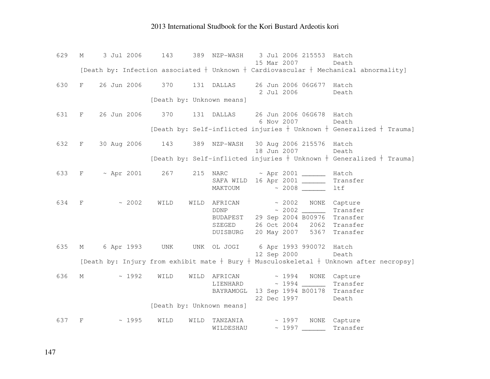| 629 | М           | 3 Jul 2006        | 143                       | 389 NZP-WASH | 3 Jul 2006 215553 Hatch<br>15 Mar 2007                                                     | Death                                                                                        |
|-----|-------------|-------------------|---------------------------|--------------|--------------------------------------------------------------------------------------------|----------------------------------------------------------------------------------------------|
|     |             |                   |                           |              | [Death by: Infection associated $+$ Unknown $+$ Cardiovascular $+$ Mechanical abnormality] |                                                                                              |
|     |             |                   |                           |              |                                                                                            |                                                                                              |
| 630 |             |                   |                           |              | F 26 Jun 2006 370 131 DALLAS 26 Jun 2006 06G677 Hatch                                      |                                                                                              |
|     |             |                   |                           |              | 2 Jul 2006                                                                                 | Death                                                                                        |
|     |             |                   | [Death by: Unknown means] |              |                                                                                            |                                                                                              |
| 631 |             | F 26 Jun 2006 370 |                           |              | 131 DALLAS 26 Jun 2006 06G678 Hatch                                                        |                                                                                              |
|     |             |                   |                           |              | 6 Nov 2007                                                                                 | Death                                                                                        |
|     |             |                   |                           |              |                                                                                            | [Death by: Self-inflicted injuries $+$ Unknown $+$ Generalized $+$ Trauma]                   |
|     |             |                   |                           |              |                                                                                            |                                                                                              |
| 632 |             |                   |                           |              | F 30 Aug 2006 143 389 NZP-WASH 30 Aug 2006 215576 Hatch                                    |                                                                                              |
|     |             |                   |                           |              | 18 Jun 2007                                                                                | Death                                                                                        |
|     |             |                   |                           |              |                                                                                            | [Death by: Self-inflicted injuries $+$ Unknown $+$ Generalized $+$ Trauma]                   |
| 633 |             |                   |                           |              | $F \sim$ Apr 2001 267 215 NARC $\sim$ Apr 2001 _______ Hatch                               |                                                                                              |
|     |             |                   |                           |              | SAFA WILD 16 Apr 2001 __________ Transfer                                                  |                                                                                              |
|     |             |                   |                           | MAKTOUM      |                                                                                            | ltf                                                                                          |
|     |             |                   |                           |              |                                                                                            |                                                                                              |
| 634 | $F$ and $F$ | ~2002             | WILD                      |              | WILD AFRICAN ~ 2002 NONE Capture                                                           |                                                                                              |
|     |             |                   |                           |              | $DDNP$ $\sim$ 2002 $\frac{1}{\sqrt{1-\frac{1}{2}}}\$                                       | Transfer                                                                                     |
|     |             |                   |                           |              | BUDAPEST 29 Sep 2004 B00976 Transfer                                                       |                                                                                              |
|     |             |                   |                           |              | SZEGED 26 Oct 2004 2062                                                                    | Transfer                                                                                     |
|     |             |                   |                           | DUISBURG     | 20 May 2007 5367                                                                           | Transfer                                                                                     |
| 635 | $M \sim$    |                   |                           |              | 6 Apr 1993 UNK UNK OL JOGI 6 Apr 1993 990072 Hatch                                         |                                                                                              |
|     |             |                   |                           |              | 12 Sep 2000                                                                                | Death                                                                                        |
|     |             |                   |                           |              |                                                                                            | [Death by: Injury from exhibit mate $+$ Bury $+$ Musculoskeletal $+$ Unknown after necropsy] |
|     |             |                   |                           |              |                                                                                            |                                                                                              |
| 636 | $M \sim$    | ~1992             | WILD                      |              | $\verb WILD AFRICAN + \sim 1994 \quad \text{NONE} \quad \text{Capture}$                    |                                                                                              |
|     |             |                   |                           |              | LIENHARD ~ 1994 Transfer                                                                   |                                                                                              |
|     |             |                   |                           |              | BAYRAMOGL 13 Sep 1994 B00178 Transfer                                                      |                                                                                              |
|     |             |                   |                           |              | 22 Dec 1997                                                                                | Death                                                                                        |
|     |             |                   | [Death by: Unknown means] |              |                                                                                            |                                                                                              |
| 637 | F           | ~1995             | WILD<br>WILD              | TANZANIA     | ~ 1997 NONE Capture                                                                        |                                                                                              |
|     |             |                   |                           | WILDESHAU    | $\sim 1997$                                                                                | Transfer                                                                                     |
|     |             |                   |                           |              |                                                                                            |                                                                                              |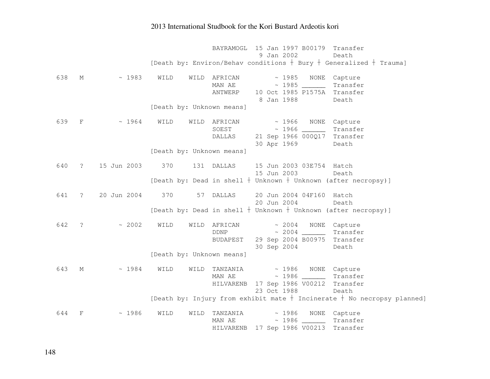BAYRAMOGL 15 Jan 1997 B00179 Transfer 9 Jan 2002 Death [Death by: Environ/Behav conditions  $\mathrm{~}$  Bury  $\mathrm{~}$  Generalized  $\mathrm{~}$  Trauma] 638 M ~ 1983 WILD WILD AFRICAN ~ 1985 NONE Capture MAN AE ~ 1985 \_\_\_\_\_\_ Transfer ANTWERP 10 Oct 1985 P1575A Transfer 8 Jan 1988 Death [Death by: Unknown means] 639 F ~ 1964 WILD WILD AFRICAN ~ 1966 NONE Capture SOEST ~ 1966 \_\_\_\_\_\_ Transfer DALLAS 21 Sep 1966 000Q17 Transfer 30 Apr 1969 Death [Death by: Unknown means] 640 ? 15 Jun 2003 370 131 DALLAS 15 Jun 2003 03E754 Hatch Death 15 Jun 2003 [Death by: Dead in shell  $\dagger$  Unknown  $\dagger$  Unknown (after necropsy)] 641 ? 20 Jun 2004 370 57 DALLAS 20 Jun 2004 04F160 Hatch Death 20 Jun 2004 [Death by: Dead in shell  $\dagger$  Unknown  $\dagger$  Unknown (after necropsy)] 642 ? ~ 2002 WILD WILD AFRICAN ~ 2004 NONE Capture Transfer  $DDNP$   $\sim 2004$  BUDAPEST 29 Sep 2004 B00975 Transfer 30 Sep 2004 Death [Death by: Unknown means] 643 M ~ 1984 WILD WILD TANZANIA ~ 1986 NONE Capture MAN AE ~ 1986 \_\_\_\_\_\_ Transfer HILVARENB 17 Sep 1986 V00212 Transfer 23 Oct 1988 Death [Death by: Injury from exhibit mate  $\dagger$  Incinerate  $\dagger$  No necropsy planned] 644 F ~ 1986 WILD WILD TANZANIA ~ 1986 NONE Capture MAN AE ~ 1986 \_\_\_\_\_\_ Transfer HILVARENB 17 Sep 1986 V00213 Transfer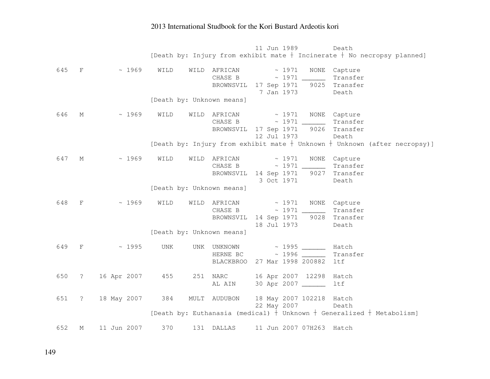|     |                                          |             |      |      |                           | 11 Jun 1989 |                                       | Death                                                                       |
|-----|------------------------------------------|-------------|------|------|---------------------------|-------------|---------------------------------------|-----------------------------------------------------------------------------|
|     |                                          |             |      |      |                           |             |                                       | [Death by: Injury from exhibit mate $+$ Incinerate $+$ No necropsy planned] |
|     |                                          |             |      |      |                           |             |                                       |                                                                             |
| 645 | $F$ and the set of $F$                   | ~1969       | WILD | WILD | $AFRICAN \sim 1971$       |             |                                       | NONE Capture                                                                |
|     |                                          |             |      |      |                           |             | CHASE B ~ 1971 _________ Transfer     |                                                                             |
|     |                                          |             |      |      |                           |             | BROWNSVIL 17 Sep 1971 9025 Transfer   |                                                                             |
|     |                                          |             |      |      |                           |             | 7 Jan 1973                            | Death                                                                       |
|     |                                          |             |      |      | [Death by: Unknown means] |             |                                       |                                                                             |
| 646 | M                                        | ~1969       | WILD |      | WILD AFRICAN              |             | ~ 1971 NONE Capture                   |                                                                             |
|     |                                          |             |      |      |                           |             |                                       | Transfer                                                                    |
|     |                                          |             |      |      |                           |             | BROWNSVIL 17 Sep 1971 9026 Transfer   |                                                                             |
|     |                                          |             |      |      |                           | 12 Jul 1973 |                                       | Death                                                                       |
|     |                                          |             |      |      |                           |             |                                       | [Death by: Injury from exhibit mate + Unknown + Unknown (after necropsy)]   |
|     |                                          |             |      |      |                           |             |                                       |                                                                             |
| 647 | M                                        | ~1969       | WILD | WILD | $AFRICAN$ ~ 1971          |             |                                       | NONE Capture                                                                |
|     |                                          |             |      |      |                           |             |                                       | Transfer                                                                    |
|     |                                          |             |      |      |                           |             | BROWNSVIL 14 Sep 1971 9027 Transfer   |                                                                             |
|     |                                          |             |      |      |                           |             | 3 Oct 1971                            | Death                                                                       |
|     |                                          |             |      |      | [Death by: Unknown means] |             |                                       |                                                                             |
| 648 | $\mathbf{F}$ and $\mathbf{F}$            | ~1969       | WILD |      |                           |             | WILD AFRICAN ~ 1971 NONE Capture      |                                                                             |
|     |                                          |             |      |      | CHASE B                   |             |                                       | Transfer                                                                    |
|     |                                          |             |      |      |                           |             | BROWNSVIL 14 Sep 1971 9028 Transfer   |                                                                             |
|     |                                          |             |      |      |                           | 18 Jul 1973 |                                       | Death                                                                       |
|     |                                          |             |      |      | [Death by: Unknown means] |             |                                       |                                                                             |
|     |                                          |             |      |      |                           |             |                                       |                                                                             |
| 649 | $\mathbf{F}$ and the set of $\mathbf{F}$ | ~1995       | UNK  | UNK  |                           |             | UNKNOWN ~ 1995                        | Hatch                                                                       |
|     |                                          |             |      |      |                           |             | HERNE BC $\sim$ 1996 ______           | Transfer                                                                    |
|     |                                          |             |      |      |                           |             | BLACKBROO 27 Mar 1998 200882          | ltf                                                                         |
| 650 | $\ddot{\text{?}}$                        | 16 Apr 2007 | 455  | 251  | <b>NARC</b>               |             | 16 Apr 2007 12298                     | Hatch                                                                       |
|     |                                          |             |      |      | AL AIN                    |             | 30 Apr 2007 _____                     | 1tf                                                                         |
|     |                                          |             |      |      |                           |             |                                       |                                                                             |
| 651 | $\ddot{\text{?}}$                        | 18 May 2007 | 384  |      |                           |             | MULT AUDUBON 18 May 2007 102218 Hatch |                                                                             |
|     |                                          |             |      |      |                           | 22 May 2007 |                                       | Death                                                                       |
|     |                                          |             |      |      |                           |             |                                       | [Death by: Euthanasia (medical) $+$ Unknown $+$ Generalized $+$ Metabolism] |
| 652 | М                                        | 11 Jun 2007 | 370  |      | 131 DALLAS                |             | 11 Jun 2007 07H263 Hatch              |                                                                             |
|     |                                          |             |      |      |                           |             |                                       |                                                                             |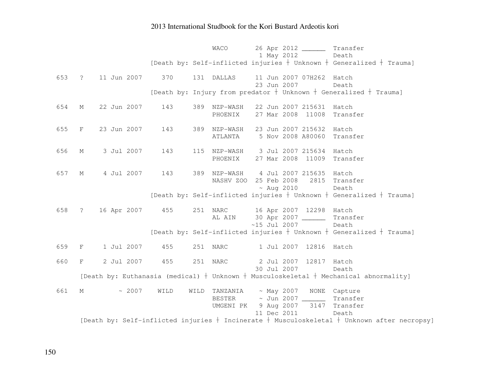|     |             |                   |      | WACO                                    | 26 Apr 2012 _________ Transfer                                                                                   |                                                                                     |
|-----|-------------|-------------------|------|-----------------------------------------|------------------------------------------------------------------------------------------------------------------|-------------------------------------------------------------------------------------|
|     |             |                   |      |                                         | 1 May 2012                                                                                                       | Death                                                                               |
|     |             |                   |      |                                         |                                                                                                                  | [Death by: Self-inflicted injuries $+$ Unknown $+$ Generalized $+$ Trauma]          |
|     |             | 653 ? 11 Jun 2007 | 370  | 131 DALLAS                              | 11 Jun 2007 07H262 Hatch<br>23 Jun 2007                                                                          | Death                                                                               |
|     |             |                   |      |                                         | [Death by: Injury from predator $+$ Unknown $+$ Generalized $+$ Trauma]                                          |                                                                                     |
| 654 | М           | 22 Jun 2007       | 143  | 389 NZP-WASH<br>PHOENIX                 | 22 Jun 2007 215631<br>27 Mar 2008 11008                                                                          | Hatch<br>Transfer                                                                   |
| 655 | F           | 23 Jun 2007       | 143  | 389 NZP-WASH<br>ATLANTA                 | 23 Jun 2007 215632 Hatch<br>5 Nov 2008 A80060                                                                    | Transfer                                                                            |
| 656 | $M_{\odot}$ | 3 Jul 2007        | 143  | PHOENIX                                 | 115 NZP-WASH 3 Jul 2007 215634 Hatch<br>27 Mar 2008 11009                                                        | Transfer                                                                            |
| 657 | M           | 4 Jul 2007        | 143  |                                         | 389 NZP-WASH 4 Jul 2007 215635 Hatch<br>NASHV ZOO 25 Feb 2008                                                    | 2815 Transfer                                                                       |
|     |             |                   |      |                                         | $~\sim$ Aug 2010                                                                                                 | Death<br>[Death by: Self-inflicted injuries $+$ Unknown $+$ Generalized $+$ Trauma] |
| 658 | $\ddot{?}$  | 16 Apr 2007       | 455  | AL AIN                                  | 251 NARC 16 Apr 2007 12298 Hatch<br>30 Apr 2007 ______<br>$~15$ Jul 2007                                         | Transfer<br>Death                                                                   |
|     |             |                   |      |                                         |                                                                                                                  | [Death by: Self-inflicted injuries $+$ Unknown $+$ Generalized $+$ Trauma]          |
| 659 | $F$ and $F$ | 1 Jul 2007        | 455  | 251 NARC                                | 1 Jul 2007 12816 Hatch                                                                                           |                                                                                     |
| 660 | F           | 2 Jul 2007        | 455  | 251 NARC                                | 2 Jul 2007 12817 Hatch                                                                                           |                                                                                     |
|     |             |                   |      |                                         | 30 Jul 2007<br>[Death by: Euthanasia (medical) $+$ Unknown $+$ Musculoskeletal $+$ Mechanical abnormality]       | Death                                                                               |
| 661 | $M_{\odot}$ | ~2007             | WILD | TANZANIA<br>WILD<br>BESTER<br>UMGENI PK | ~ May 2007 NONE Capture<br>~ Jun 2007 ________ Transfer<br>9 Aug 2007 3147 Transfer                              |                                                                                     |
|     |             |                   |      |                                         | 11 Dec 2011<br>[Death by: Self-inflicted injuries $+$ Incinerate $+$ Musculoskeletal $+$ Unknown after necropsy] | Death                                                                               |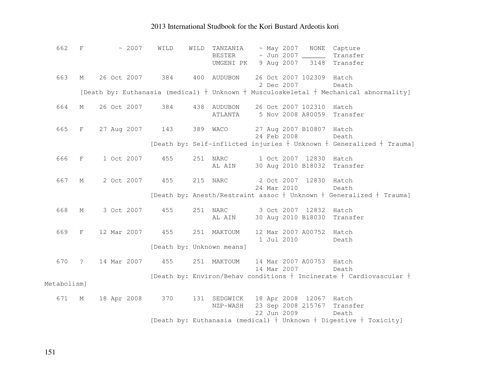| 662         | $\mathbf{F}$      | $~\sim~2007$ | WILD | TANZANIA<br>~ May 2007<br>WILD<br>NONE Capture                                              |
|-------------|-------------------|--------------|------|---------------------------------------------------------------------------------------------|
|             |                   |              |      | $\sim$ Jun 2007 ______<br>BESTER<br>Transfer                                                |
|             |                   |              |      | UMGENI PK 9 Aug 2007<br>3148<br>Transfer                                                    |
| 663         | М                 | 26 Oct 2007  | 384  | 400 AUDUBON<br>26 Oct 2007 102309 Hatch                                                     |
|             |                   |              |      | 2 Dec 2007<br>Death                                                                         |
|             |                   |              |      | [Death by: Euthanasia (medical) $+$ Unknown $+$ Musculoskeletal $+$ Mechanical abnormality] |
| 664         | $M_{\odot}$       | 26 Oct 2007  | 384  | 438 AUDUBON 26 Oct 2007 102310 Hatch                                                        |
|             |                   |              |      | 5 Nov 2008 A80059<br>Transfer<br>ATLANTA                                                    |
|             |                   |              |      |                                                                                             |
| 665         | F                 | 27 Aug 2007  | 143  | 27 Aug 2007 B10807 Hatch<br>389 WACO                                                        |
|             |                   |              |      | 24 Feb 2008<br>Death                                                                        |
|             |                   |              |      | [Death by: Self-inflicted injuries + Unknown + Generalized + Trauma]                        |
| 666         | F                 | 1 Oct 2007   | 455  | 251 NARC<br>1 Oct 2007 12830 Hatch                                                          |
|             |                   |              |      | 30 Aug 2010 B18032<br>Transfer<br>AL AIN                                                    |
|             |                   |              |      |                                                                                             |
| 667         | М                 | 2 Oct 2007   | 455  | 215 NARC<br>2 Oct 2007 12830 Hatch                                                          |
|             |                   |              |      | 24 Mar 2010<br>Death                                                                        |
|             |                   |              |      | [Death by: Anesth/Restraint assoc $+$ Unknown $+$ Generalized $+$ Trauma]                   |
| 668         | $M_{\odot}$       | 3 Oct 2007   | 455  | 3 Oct 2007 12832 Hatch<br>251 NARC                                                          |
|             |                   |              |      | 30 Aug 2010 B18030 Transfer<br>AL AIN                                                       |
|             |                   |              |      |                                                                                             |
| 669         | $F^-$             | 12 Mar 2007  | 455  | 251 MAKTOUM<br>12 Mar 2007 A00752 Hatch                                                     |
|             |                   |              |      | 1 Jul 2010<br>Death                                                                         |
|             |                   |              |      | [Death by: Unknown means]                                                                   |
| 670         | $\ddot{\text{?}}$ | 14 Mar 2007  | 455  | 251 MAKTOUM<br>14 Mar 2007 A00753 Hatch                                                     |
|             |                   |              |      | 14 Mar 2007<br>Death                                                                        |
|             |                   |              |      | [Death by: Environ/Behav conditions $+$ Incinerate $+$ Cardiovascular $+$                   |
| Metabolism] |                   |              |      |                                                                                             |
| 671         | $M_{\odot}$       | 18 Apr 2008  | 370  | SEDGWICK 18 Apr 2008 12067 Hatch<br>131                                                     |
|             |                   |              |      | 23 Sep 2008 215767<br>NZP-WASH<br>Transfer                                                  |
|             |                   |              |      | 22 Jun 2009<br>Death                                                                        |
|             |                   |              |      | [Death by: Euthanasia (medical) $+$ Unknown $+$ Digestive $+$ Toxicity]                     |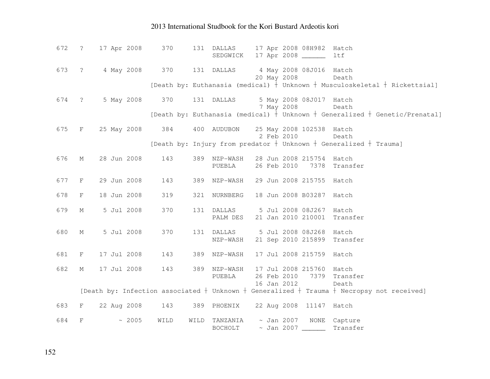|       |             | 672 ? 17 Apr 2008 | 370             |      |                            |             | 131 DALLAS 17 Apr 2008 08H982 Hatch<br>SEDGWICK 17 Apr 2008 _______ | ltf                                                                                                        |
|-------|-------------|-------------------|-----------------|------|----------------------------|-------------|---------------------------------------------------------------------|------------------------------------------------------------------------------------------------------------|
|       |             | 673 ? 4 May 2008  | 370             |      |                            | 20 May 2008 | 131 DALLAS 4 May 2008 08J016 Hatch                                  | Death                                                                                                      |
|       |             |                   |                 |      |                            |             |                                                                     | [Death by: Euthanasia (medical) $\frac{1}{1}$ Unknown $+$ Musculoskeletal $+$ Rickettsial]                 |
| 674 ? |             | 5 May 2008        | 370             |      | 131 DALLAS                 | 7 May 2008  | 5 May 2008 08J017 Hatch                                             | Death                                                                                                      |
|       |             |                   |                 |      |                            |             |                                                                     | [Death by: Euthanasia (medical) $\frac{1}{t}$ Unknown $+$ Generalized $+$ Genetic/Prenatal]                |
| 675   | F           | 25 May 2008       | 384             |      | 400 AUDUBON                | 2 Feb 2010  | 25 May 2008 102538 Hatch                                            | Death                                                                                                      |
|       |             |                   |                 |      |                            |             |                                                                     | [Death by: Injury from predator $+$ Unknown $+$ Generalized $+$ Trauma]                                    |
| 676   | $M_{\odot}$ | 28 Jun 2008       | 143             |      | 389 NZP-WASH<br>PUEBLA     |             | 28 Jun 2008 215754 Hatch<br>26 Feb 2010 7378                        | Transfer                                                                                                   |
| 677 F |             | 29 Jun 2008       | 143             |      | 389 NZP-WASH               |             | 29 Jun 2008 215755 Hatch                                            |                                                                                                            |
| 678   | F           | 18 Jun 2008       | 319             |      | 321 NURNBERG               |             | 18 Jun 2008 B03287 Hatch                                            |                                                                                                            |
| 679   | М           | 5 Jul 2008        | 370             |      | 131 DALLAS<br>PALM DES     |             | 5 Jul 2008 08J267<br>21 Jan 2010 210001                             | Hatch<br>Transfer                                                                                          |
| 680   | $M_{\odot}$ | 5 Jul 2008        | 370             |      | 131 DALLAS                 |             | 5 Jul 2008 08J268 Hatch                                             |                                                                                                            |
|       |             |                   |                 |      | NZP-WASH                   |             | 21 Sep 2010 215899                                                  | Transfer                                                                                                   |
| 681   | F           | 17 Jul 2008       | 143             |      | 389 NZP-WASH               |             | 17 Jul 2008 215759 Hatch                                            |                                                                                                            |
| 682   | $M_{\odot}$ | 17 Jul 2008       | 143             |      | 389 NZP-WASH<br>PUEBLA     | 26 Feb 2010 | 17 Jul 2008 215760<br>7379                                          | Hatch<br>Transfer                                                                                          |
|       |             |                   |                 |      |                            | 16 Jan 2012 |                                                                     | Death<br>[Death by: Infection associated $+$ Unknown $+$ Generalized $+$ Trauma $+$ Necropsy not received] |
| 683   | F           |                   | 22 Aug 2008 143 |      |                            |             | 389 PHOENIX 22 Aug 2008 11147 Hatch                                 |                                                                                                            |
| 684   | F           | ~2005             | WILD            | WILD | TANZANIA<br><b>BOCHOLT</b> |             | $\sim$ Jan 2007 NONE                                                | Capture<br>Transfer                                                                                        |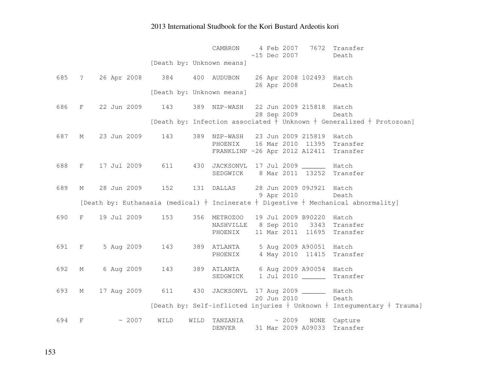|       |              |                   |                                   | 4 Feb 2007<br>7672 Transfer<br>CAMBRON<br>$~15$ Dec 2007<br>Death                        |
|-------|--------------|-------------------|-----------------------------------|------------------------------------------------------------------------------------------|
|       |              |                   | [Death by: Unknown means]         |                                                                                          |
|       |              |                   | 685 ? 26 Apr 2008 384 400 AUDUBON | 26 Apr 2008 102493 Hatch                                                                 |
|       |              |                   | [Death by: Unknown means]         | 26 Apr 2008 Death                                                                        |
| 686   | F            | 22 Jun 2009       | 143                               | 22 Jun 2009 215818 Hatch<br>389 NZP-WASH                                                 |
|       |              |                   |                                   | 28 Sep 2009<br>Death                                                                     |
|       |              |                   |                                   | [Death by: Infection associated $+$ Unknown $+$ Generalized $+$ Protozoan]               |
| 687   | M            | 23 Jun 2009       | 143                               | 389 NZP-WASH 23 Jun 2009 215819 Hatch                                                    |
|       |              |                   |                                   | PHOENIX 16 Mar 2010 11395 Transfer                                                       |
|       |              |                   |                                   | FRANKLINP ~26 Apr 2012 A12411 Transfer                                                   |
| 688   |              |                   | F 17 Jul 2009 611 430             | JACKSONVL 17 Jul 2009 _______ Hatch                                                      |
|       |              |                   |                                   | SEDGWICK 8 Mar 2011 13252 Transfer                                                       |
| 689   | М            |                   | 28 Jun 2009 152 131 DALLAS        | 28 Jun 2009 09J921 Hatch                                                                 |
|       |              |                   |                                   | 9 Apr 2010 Death                                                                         |
|       |              |                   |                                   | [Death by: Euthanasia (medical) $+$ Incinerate $+$ Digestive $+$ Mechanical abnormality] |
| 690   |              | F 19 Jul 2009 153 |                                   | 356 METROZOO 19 Jul 2009 B90220 Hatch                                                    |
|       |              |                   |                                   | NASHVILLE 8 Sep 2010 3343 Transfer                                                       |
|       |              |                   |                                   | 11 Mar 2011 11695 Transfer<br>PHOENIX                                                    |
| 691 F |              | 5 Aug 2009 143    |                                   | 389 ATLANTA 5 Aug 2009 A90051 Hatch                                                      |
|       |              |                   |                                   | 4 May 2010 11415 Transfer<br>PHOENIX                                                     |
| 692   | М            |                   |                                   | 6 Aug 2009 143 389 ATLANTA 6 Aug 2009 A90054 Hatch                                       |
|       |              |                   |                                   | SEDGWICK 1 Jul 2010 ______<br>Transfer                                                   |
|       |              |                   |                                   |                                                                                          |
| 693   | М            | 17 Aug 2009 611   |                                   | 430 JACKSONVL 17 Aug 2009 ________ Hatch<br>20 Jun 2010<br>Death                         |
|       |              |                   |                                   | [Death by: Self-inflicted injuries $+$ Unknown $+$ Integumentary $+$ Trauma]             |
|       |              |                   |                                   |                                                                                          |
| 694   | $\mathbf{F}$ | ~2007             | WILD                              | $\sim 2009$<br>WILD TANZANIA<br>NONE Capture                                             |
|       |              |                   |                                   | 31 Mar 2009 A09033 Transfer<br>DENVER                                                    |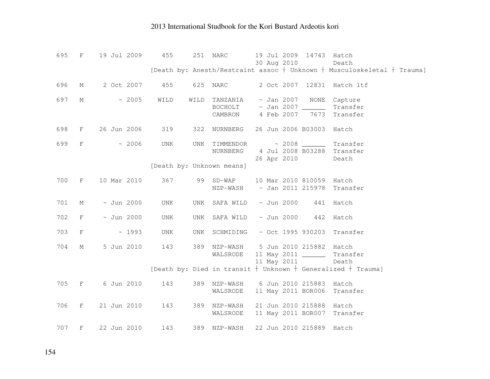|     |              |                 |      |      |                                      |  | 30 Aug 2010     |                          | Death<br>[Death by: Anesth/Restraint assoc $+$ Unknown $+$ Musculoskeletal $+$ Trauma] |
|-----|--------------|-----------------|------|------|--------------------------------------|--|-----------------|--------------------------|----------------------------------------------------------------------------------------|
|     |              |                 |      |      |                                      |  |                 |                          |                                                                                        |
| 696 | $M_{\odot}$  | 2 Oct 2007      | 455  |      | 625 NARC                             |  |                 |                          | 2 Oct 2007 12831 Hatch ltf                                                             |
|     |              |                 |      |      |                                      |  |                 |                          |                                                                                        |
| 697 | М            | ~2005           | WILD | WILD | TANZANIA                             |  | $\sim$ Jan 2007 | NONE                     | Capture                                                                                |
|     |              |                 |      |      | $BOCHOLT$ ~ Jan 2007 ________        |  |                 |                          | Transfer                                                                               |
|     |              |                 |      |      | CAMBRON 4 Feb 2007                   |  |                 | 7673                     | Transfer                                                                               |
|     |              |                 |      |      |                                      |  |                 |                          |                                                                                        |
| 698 | F            | 26 Jun 2006     | 319  |      | 322 NURNBERG                         |  |                 | 26 Jun 2006 B03003       | Hatch                                                                                  |
| 699 | $\mathbf{F}$ | ~2006           | UNK  |      | UNK TIMMENDOR ~ 2008 ______          |  |                 |                          | Transfer                                                                               |
|     |              |                 |      |      | NURNBERG 4 Jul 2008 B03288 Transfer  |  |                 |                          |                                                                                        |
|     |              |                 |      |      |                                      |  |                 | 26 Apr 2010              | Death                                                                                  |
|     |              |                 |      |      | [Death by: Unknown means]            |  |                 |                          |                                                                                        |
|     |              |                 |      |      |                                      |  |                 |                          |                                                                                        |
| 700 | F            | 10 Mar 2010     | 367  |      | 99 SD-WAP                            |  |                 | 10 Mar 2010 810059 Hatch |                                                                                        |
|     |              |                 |      |      | NZP-WASH                             |  |                 |                          | ~ Jan 2011 215978 Transfer                                                             |
|     |              |                 |      |      |                                      |  |                 |                          |                                                                                        |
| 701 | М            | $\sim$ Jun 2000 | UNK  | UNK  | SAFA WILD                            |  | $\sim$ Jun 2000 | 441                      | Hatch                                                                                  |
|     |              |                 |      |      |                                      |  |                 |                          |                                                                                        |
| 702 | F            | $\sim$ Jun 2000 | UNK  | UNK  | SAFA WILD                            |  | ~ Jun 2000      | 442                      | Hatch                                                                                  |
|     |              |                 |      |      |                                      |  |                 |                          |                                                                                        |
| 703 | $\rm F$      | ~1993           | UNK  |      | UNK SCHMIDING                        |  |                 | $\sim$ Oct 1995 930203   | Transfer                                                                               |
| 704 | М            | 5 Jun 2010      | 143  |      | 389 NZP-WASH 5 Jun 2010 215882 Hatch |  |                 |                          |                                                                                        |
|     |              |                 |      |      | WALSRODE                             |  |                 | 11 May 2011 _______      | Transfer                                                                               |
|     |              |                 |      |      |                                      |  |                 | 11 May 2011              | Death                                                                                  |
|     |              |                 |      |      |                                      |  |                 |                          | [Death by: Died in transit $+$ Unknown $+$ Generalized $+$ Trauma]                     |
|     |              |                 |      |      |                                      |  |                 |                          |                                                                                        |
| 705 | $F$ and $F$  | 6 Jun 2010      | 143  |      | 389 NZP-WASH 6 Jun 2010 215883       |  |                 |                          | Hatch                                                                                  |
|     |              |                 |      |      | WALSRODE                             |  |                 | 11 May 2011 BOR006       | Transfer                                                                               |
|     |              |                 |      |      |                                      |  |                 |                          |                                                                                        |
| 706 | F            | 21 Jun 2010     | 143  |      | 389 NZP-WASH                         |  |                 | 21 Jun 2010 215888       | Hatch                                                                                  |
|     |              |                 |      |      | WALSRODE                             |  |                 | 11 May 2011 BOR007       | Transfer                                                                               |
|     |              |                 |      |      |                                      |  |                 |                          |                                                                                        |
| 707 | $\mathbf{F}$ | 22 Jun 2010     | 143  |      | 389 NZP-WASH                         |  |                 | 22 Jun 2010 215889 Hatch |                                                                                        |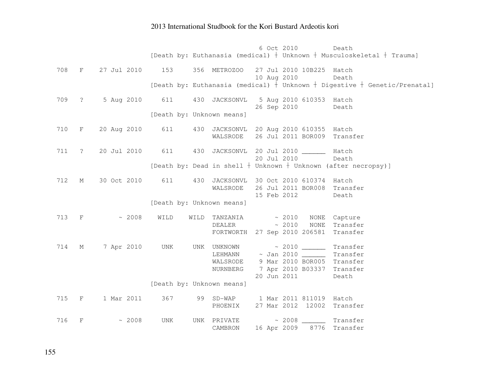|     |                   |                  |      |                                          | 6 Oct 2010  |                                             | Death<br>[Death by: Euthanasia (medical) $+$ Unknown $+$ Musculoskeletal $+$ Trauma]     |
|-----|-------------------|------------------|------|------------------------------------------|-------------|---------------------------------------------|------------------------------------------------------------------------------------------|
|     |                   |                  |      |                                          |             |                                             |                                                                                          |
|     | 708 F             | 27 Jul 2010      | 153  | 356 METROZOO                             |             | 27 Jul 2010 10B225 Hatch                    |                                                                                          |
|     |                   |                  |      |                                          | 10 Aug 2010 |                                             | Death<br>[Death by: Euthanasia (medical) $+$ Unknown $+$ Digestive $+$ Genetic/Prenatal] |
|     |                   |                  |      |                                          |             |                                             |                                                                                          |
|     |                   | 709 ? 5 Aug 2010 | 611  | 430 JACKSONVL                            |             | 5 Aug 2010 610353 Hatch                     |                                                                                          |
|     |                   |                  |      | [Death by: Unknown means]                |             | 26 Sep 2010                                 | Death                                                                                    |
|     |                   |                  |      |                                          |             |                                             |                                                                                          |
| 710 | $F$ and $F$       | 20 Aug 2010      | 611  | 430 JACKSONVL 20 Aug 2010 610355 Hatch   |             | 26 Jul 2011 BOR009 Transfer                 |                                                                                          |
|     |                   |                  |      | WALSRODE                                 |             |                                             |                                                                                          |
| 711 | $\ddot{\text{?}}$ | 20 Jul 2010      | 611  | 430 JACKSONVL 20 Jul 2010 ________ Hatch |             |                                             |                                                                                          |
|     |                   |                  |      |                                          | 20 Jul 2010 |                                             | Death                                                                                    |
|     |                   |                  |      |                                          |             |                                             | [Death by: Dead in shell + Unknown + Unknown (after necropsy)]                           |
| 712 | М                 | 30 Oct 2010      | 611  | 430                                      |             | JACKSONVL 30 Oct 2010 610374 Hatch          |                                                                                          |
|     |                   |                  |      | WALSRODE                                 |             | 26 Jul 2011 BOR008                          | Transfer                                                                                 |
|     |                   |                  |      | [Death by: Unknown means]                | 15 Feb 2012 |                                             | Death                                                                                    |
|     |                   |                  |      |                                          |             |                                             |                                                                                          |
|     | 713 F             | ~2008            | WILD | TANZANIA<br>WILD                         |             | ~2010                                       | NONE Capture                                                                             |
|     |                   |                  |      | DEALER                                   | $\sim 2010$ | <b>NONE</b><br>FORTWORTH 27 Sep 2010 206581 | Transfer<br>Transfer                                                                     |
|     |                   |                  |      |                                          |             |                                             |                                                                                          |
| 714 | М                 | 7 Apr 2010       | UNK  | UNK UNKNOWN                              |             |                                             | Transfer                                                                                 |
|     |                   |                  |      | LEHMANN<br>WALSRODE                      |             | 9 Mar 2010 BOR005 Transfer                  | Transfer                                                                                 |
|     |                   |                  |      | NURNBERG                                 |             | 7 Apr 2010 B03337 Transfer                  |                                                                                          |
|     |                   |                  |      |                                          | 20 Jun 2011 |                                             | Death                                                                                    |
|     |                   |                  |      | [Death by: Unknown means]                |             |                                             |                                                                                          |
| 715 | F                 | 1 Mar 2011       | 367  | 99 SD-WAP 1 Mar 2011 811019              |             |                                             | Hatch                                                                                    |
|     |                   |                  |      | PHOENIX                                  |             | 27 Mar 2012 12002                           | Transfer                                                                                 |
| 716 | F                 | ~2008            | UNK  | UNK PRIVATE                              |             | $\sim$ 2008 ________ Transfer               |                                                                                          |
|     |                   |                  |      | CAMBRON                                  | 16 Apr 2009 | 8776                                        | Transfer                                                                                 |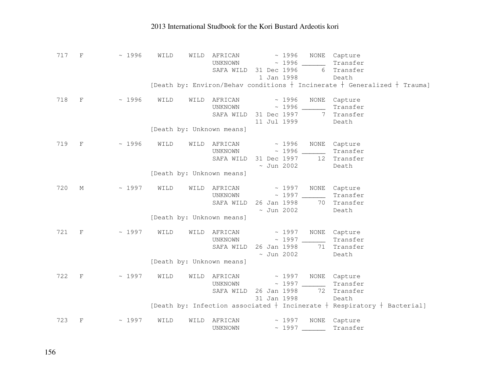| 717 F |                               | ~1996 | WILD | AFRICAN<br>WILD                                               | 1 Jan 1998      | ~ 1996 NONE Capture<br>UNKNOWN ~ 1996 Transfer<br>SAFA WILD 31 Dec 1996 6 Transfer         | Death                                                                                              |
|-------|-------------------------------|-------|------|---------------------------------------------------------------|-----------------|--------------------------------------------------------------------------------------------|----------------------------------------------------------------------------------------------------|
|       |                               |       |      |                                                               |                 |                                                                                            | [Death by: Environ/Behav conditions $+$ Incinerate $+$ Generalized $+$ Trauma]                     |
| 718   | $\mathbf{F}$ and $\mathbf{F}$ | ~1996 | WILD | WILD AFRICAN ~ 1996 NONE Capture<br>[Death by: Unknown means] |                 | UNKNOWN ~ 1996 Transfer<br>SAFA WILD 31 Dec 1997 7 Transfer<br>11 Jul 1999                 | Death                                                                                              |
| 719 F |                               | ~1996 | WILD | WILD<br>[Death by: Unknown means]                             | $\sim$ Jun 2002 | AFRICAN ~ 1996 NONE Capture<br>UNKNOWN ~ 1996 _______<br>SAFA WILD 31 Dec 1997 12 Transfer | Transfer<br>Death                                                                                  |
| 720   | М                             | ~1997 | WILD | WILD<br>[Death by: Unknown means]                             | $\sim$ Jun 2002 | AFRICAN ~ 1997 NONE Capture<br>UNKNOWN ~ 1997 _______<br>SAFA WILD 26 Jan 1998 70 Transfer | Transfer<br>Death                                                                                  |
| 721 F |                               | ~1997 | WILD | WILD                                                          | $\sim$ Jun 2002 | AFRICAN ~ 1997 NONE Capture<br>UNKNOWN $\sim$ 1997<br>SAFA WILD 26 Jan 1998 71 Transfer    | Transfer<br>Death                                                                                  |
|       |                               |       |      | [Death by: Unknown means]                                     |                 |                                                                                            |                                                                                                    |
| 722   | $-$ F $-$                     | ~1997 | WILD | WILD                                                          |                 | AFRICAN ~ 1997 NONE Capture<br>SAFA WILD 26 Jan 1998 72 Transfer<br>31 Jan 1998            | Transfer<br>Death<br>[Death by: Infection associated $+$ Incinerate $+$ Respiratory $+$ Bacterial] |
| 723   | $\mathbf{F}$                  | ~1997 | WILD | AFRICAN<br>WILD<br>UNKNOWN                                    |                 | ~ 1997 NONE Capture<br>~ 1997 ________ Transfer                                            |                                                                                                    |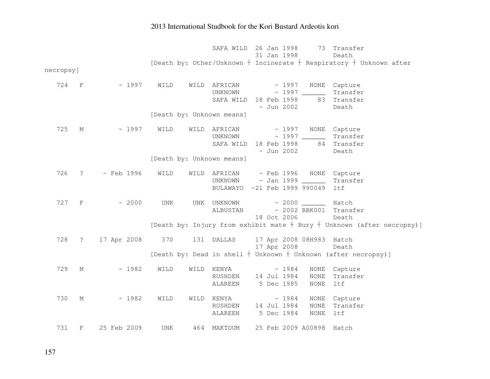|           |                   |              |                           | SAFA WILD 26 Jan 1998<br>73 Transfer                                       |
|-----------|-------------------|--------------|---------------------------|----------------------------------------------------------------------------|
|           |                   |              |                           | 31 Jan 1998<br>Death                                                       |
|           |                   |              |                           | [Death by: Other/Unknown $+$ Incinerate $+$ Respiratory $+$ Unknown after  |
| necropsy] |                   |              |                           |                                                                            |
| 724 F     |                   | ~1997        | WILD                      | WILD AFRICAN<br>$\sim 1997$<br>NONE Capture                                |
|           |                   |              |                           | Transfer                                                                   |
|           |                   |              |                           | SAFA WILD 18 Feb 1998<br>83 Transfer                                       |
|           |                   |              |                           | $\sim$ Jun 2002<br>Death                                                   |
|           |                   |              | [Death by: Unknown means] |                                                                            |
| 725       | М                 | ~1997        | WILD                      | WILD AFRICAN<br>$\sim 1997$<br>NONE Capture                                |
|           |                   |              |                           | UNKNOWN ~ 1997 Transfer                                                    |
|           |                   |              |                           | SAFA WILD 18 Feb 1998 84 Transfer                                          |
|           |                   |              |                           | $\sim$ Jun 2002<br>Death                                                   |
|           |                   |              | [Death by: Unknown means] |                                                                            |
| 726       |                   | ? ~ Feb 1996 | WILD                      | WILD AFRICAN ~ Feb 1996 NONE Capture                                       |
|           |                   |              |                           | UNKNOWN ~ Jan 1999 _______<br>Transfer                                     |
|           |                   |              |                           | BULAWAYO ~21 Feb 1999 990049<br>ltf                                        |
|           |                   |              |                           |                                                                            |
| 727       | $\overline{F}$    | $\sim 2000$  | UNK                       | $\sim 2000$ Hatch<br>UNK UNKNOWN                                           |
|           |                   |              |                           | ~ 2002 BBK001 Transfer<br>ALBUSTAN                                         |
|           |                   |              |                           | 18 Oct 2006<br>Death                                                       |
|           |                   |              |                           | [Death by: Injury from exhibit mate $+$ Bury $+$ Unknown (after necropsy)] |
| 728       | $\ddot{\text{?}}$ |              |                           | 17 Apr 2008 370 131 DALLAS 17 Apr 2008 08H983 Hatch                        |
|           |                   |              |                           | 17 Apr 2008<br>Death                                                       |
|           |                   |              |                           | [Death by: Dead in shell $+$ Unknown $+$ Unknown (after necropsy)]         |
| 729       | М                 | ~1982        | WILD<br>WILD              | $KENYA \sim 1984$<br>NONE<br>Capture                                       |
|           |                   |              |                           | RUSHDEN 14 Jul 1984<br><b>NONE</b><br>Transfer                             |
|           |                   |              |                           | 5 Dec 1985<br>ltf<br>ALAREEN<br><b>NONE</b>                                |
| 730       | М                 | ~1982        | WILD                      | WILD KENYA $\sim 1984$<br>NONE Capture                                     |
|           |                   |              |                           | RUSHDEN 14 Jul 1984<br>Transfer<br>NONE                                    |
|           |                   |              |                           | 5 Dec 1984<br>$\rm{NONE}$<br>ltf<br>ALAREEN                                |
| 731       | F                 | 25 Feb 2009  | UNK                       | 464 MAKTOUM<br>25 Feb 2009 A00898<br>Hatch                                 |
|           |                   |              |                           |                                                                            |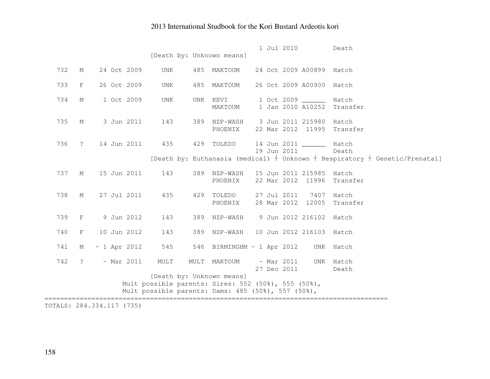|     |                     |                   |                                                                                                                                        |      | [Death by: Unknown means]  |  | 1 Jul 2010                      |                                         | Death                                                                             |
|-----|---------------------|-------------------|----------------------------------------------------------------------------------------------------------------------------------------|------|----------------------------|--|---------------------------------|-----------------------------------------|-----------------------------------------------------------------------------------|
| 732 | $M_{\odot}$         | 24 Oct 2009       | <b>UNK</b>                                                                                                                             |      | 485 MAKTOUM                |  |                                 | 24 Oct 2009 A00899 Hatch                |                                                                                   |
| 733 | $\rm F$             | 26 Oct 2009       | UNK                                                                                                                                    | 485  | MAKTOUM                    |  |                                 | 26 Oct 2009 A00900                      | Hatch                                                                             |
| 734 | $M_{\odot}$         | 1 Oct 2009        | <b>UNK</b>                                                                                                                             | UNK  | KEVI<br>MAKTOUM            |  |                                 | 1 Oct 2009 _____<br>1 Jan 2010 A10252   | Hatch<br>Transfer                                                                 |
| 735 | $M_{\odot}$         | 3 Jun 2011        | 143                                                                                                                                    |      | 389 NZP-WASH<br>PHOENIX    |  |                                 | 3 Jun 2011 215980<br>22 Mar 2012 11995  | Hatch<br>Transfer                                                                 |
| 736 | $\overline{?}$      | 14 Jun 2011       | 435                                                                                                                                    | 429  | TOLEDO                     |  | 19 Jun 2011                     | 14 Jun 2011 _______                     | Hatch<br>Death                                                                    |
|     |                     |                   |                                                                                                                                        |      |                            |  |                                 |                                         | [Death by: Euthanasia (medical) $+$ Unknown $+$ Respiratory $+$ Genetic/Prenatal] |
| 737 | $M_{\odot}$         | 15 Jun 2011       | 143                                                                                                                                    |      | 389 NZP-WASH<br>PHOENIX    |  |                                 | 15 Jun 2011 215985<br>22 Mar 2012 11996 | Hatch<br>Transfer                                                                 |
| 738 | М                   | 27 Jul 2011       | 435                                                                                                                                    |      | 429 TOLEDO<br>PHOENIX      |  | 28 Mar 2012                     | 27 Jul 2011 7407<br>12005               | Hatch<br>Transfer                                                                 |
| 739 | F                   | 9 Jun 2012        | 143                                                                                                                                    | 389  | NZP-WASH                   |  |                                 | 9 Jun 2012 216102                       | Hatch                                                                             |
| 740 | F                   | 10 Jun 2012       | 143                                                                                                                                    | 389  | NZP-WASH                   |  |                                 | 10 Jun 2012 216103 Hatch                |                                                                                   |
| 741 | М                   | $\sim$ 1 Apr 2012 | 545                                                                                                                                    |      | 546 BIRMINGHM ~ 1 Apr 2012 |  |                                 |                                         | UNK Hatch                                                                         |
| 742 | $\ddot{\mathbf{?}}$ | $~\sim$ Mar 2011  | MULT                                                                                                                                   | MULT | MAKTOUM                    |  | $~\sim$ Mar 2011<br>27 Dec 2011 |                                         | UNK Hatch<br>Death                                                                |
|     |                     |                   | [Death by: Unknown means]<br>Mult possible parents: Sires: 552 (50%), 555 (50%),<br>Mult possible parents: Dams: 485 (50%), 557 (50%), |      |                            |  |                                 |                                         |                                                                                   |

TOTALS: 284.334.117 (735)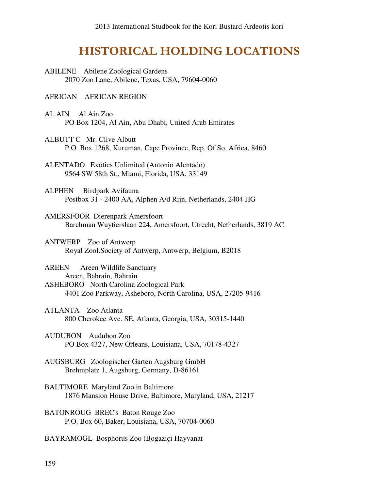## HISTORICAL HOLDING LOCATIONS

ABILENE Abilene Zoological Gardens 2070 Zoo Lane, Abilene, Texas, USA, 79604-0060

#### AFRICAN AFRICAN REGION

- AL AIN Al Ain Zoo PO Box 1204, Al Ain, Abu Dhabi, United Arab Emirates
- ALBUTT C Mr. Clive Albutt P.O. Box 1268, Kuruman, Cape Province, Rep. Of So. Africa, 8460
- ALENTADO Exotics Unlimited (Antonio Alentado) 9564 SW 58th St., Miami, Florida, USA, 33149
- ALPHEN Birdpark Avifauna Postbox 31 - 2400 AA, Alphen A/d Rijn, Netherlands, 2404 HG
- AMERSFOOR Dierenpark Amersfoort Barchman Wuytierslaan 224, Amersfoort, Utrecht, Netherlands, 3819 AC
- ANTWERP Zoo of Antwerp Royal Zool.Society of Antwerp, Antwerp, Belgium, B2018

AREEN Areen Wildlife Sanctuary Areen, Bahrain, Bahrain ASHEBORO North Carolina Zoological Park 4401 Zoo Parkway, Asheboro, North Carolina, USA, 27205-9416

- ATLANTA Zoo Atlanta 800 Cherokee Ave. SE, Atlanta, Georgia, USA, 30315-1440
- AUDUBON Audubon Zoo PO Box 4327, New Orleans, Louisiana, USA, 70178-4327
- AUGSBURG Zoologischer Garten Augsburg GmbH Brehmplatz 1, Augsburg, Germany, D-86161
- BALTIMORE Maryland Zoo in Baltimore 1876 Mansion House Drive, Baltimore, Maryland, USA, 21217
- BATONROUG BREC's Baton Rouge Zoo P.O. Box 60, Baker, Louisiana, USA, 70704-0060
- BAYRAMOGL Bosphorus Zoo (Bogaziçi Hayvanat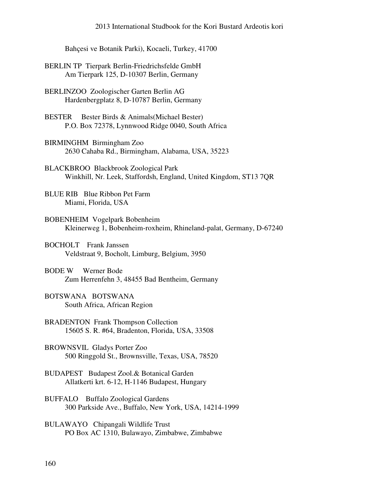Bahçesi ve Botanik Parki), Kocaeli, Turkey, 41700

- BERLIN TP Tierpark Berlin-Friedrichsfelde GmbH Am Tierpark 125, D-10307 Berlin, Germany
- BERLINZOO Zoologischer Garten Berlin AG Hardenbergplatz 8, D-10787 Berlin, Germany
- BESTER Bester Birds & Animals(Michael Bester) P.O. Box 72378, Lynnwood Ridge 0040, South Africa
- BIRMINGHM Birmingham Zoo 2630 Cahaba Rd., Birmingham, Alabama, USA, 35223
- BLACKBROO Blackbrook Zoological Park Winkhill, Nr. Leek, Staffordsh, England, United Kingdom, ST13 7QR
- BLUE RIB Blue Ribbon Pet Farm Miami, Florida, USA
- BOBENHEIM Vogelpark Bobenheim Kleinerweg 1, Bobenheim-roxheim, Rhineland-palat, Germany, D-67240
- BOCHOLT Frank Janssen Veldstraat 9, Bocholt, Limburg, Belgium, 3950
- BODE W Werner Bode Zum Herrenfehn 3, 48455 Bad Bentheim, Germany
- BOTSWANA BOTSWANA South Africa, African Region
- BRADENTON Frank Thompson Collection 15605 S. R. #64, Bradenton, Florida, USA, 33508
- BROWNSVIL Gladys Porter Zoo 500 Ringgold St., Brownsville, Texas, USA, 78520
- BUDAPEST Budapest Zool.& Botanical Garden Allatkerti krt. 6-12, H-1146 Budapest, Hungary
- BUFFALO Buffalo Zoological Gardens 300 Parkside Ave., Buffalo, New York, USA, 14214-1999
- BULAWAYO Chipangali Wildlife Trust PO Box AC 1310, Bulawayo, Zimbabwe, Zimbabwe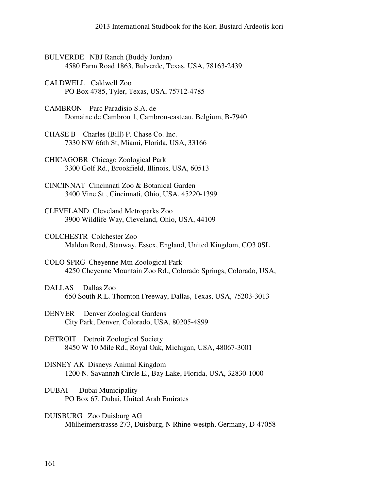- BULVERDE NBJ Ranch (Buddy Jordan) 4580 Farm Road 1863, Bulverde, Texas, USA, 78163-2439
- CALDWELL Caldwell Zoo PO Box 4785, Tyler, Texas, USA, 75712-4785
- CAMBRON Parc Paradisio S.A. de Domaine de Cambron 1, Cambron-casteau, Belgium, B-7940
- CHASE B Charles (Bill) P. Chase Co. Inc. 7330 NW 66th St, Miami, Florida, USA, 33166
- CHICAGOBR Chicago Zoological Park 3300 Golf Rd., Brookfield, Illinois, USA, 60513
- CINCINNAT Cincinnati Zoo & Botanical Garden 3400 Vine St., Cincinnati, Ohio, USA, 45220-1399
- CLEVELAND Cleveland Metroparks Zoo 3900 Wildlife Way, Cleveland, Ohio, USA, 44109
- COLCHESTR Colchester Zoo Maldon Road, Stanway, Essex, England, United Kingdom, CO3 0SL
- COLO SPRG Cheyenne Mtn Zoological Park 4250 Cheyenne Mountain Zoo Rd., Colorado Springs, Colorado, USA,
- DALLAS Dallas Zoo 650 South R.L. Thornton Freeway, Dallas, Texas, USA, 75203-3013
- DENVER Denver Zoological Gardens City Park, Denver, Colorado, USA, 80205-4899
- DETROIT Detroit Zoological Society 8450 W 10 Mile Rd., Royal Oak, Michigan, USA, 48067-3001
- DISNEY AK Disneys Animal Kingdom 1200 N. Savannah Circle E., Bay Lake, Florida, USA, 32830-1000
- DUBAI Dubai Municipality PO Box 67, Dubai, United Arab Emirates
- DUISBURG Zoo Duisburg AG Mülheimerstrasse 273, Duisburg, N Rhine-westph, Germany, D-47058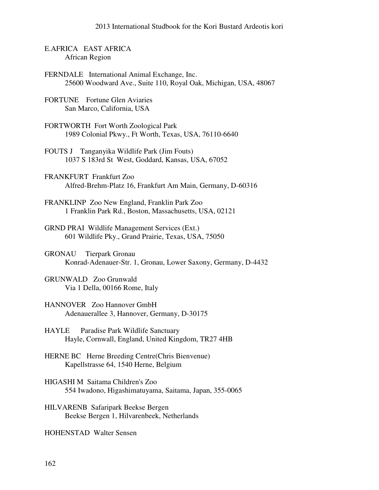- E.AFRICA EAST AFRICA African Region
- FERNDALE International Animal Exchange, Inc. 25600 Woodward Ave., Suite 110, Royal Oak, Michigan, USA, 48067
- FORTUNE Fortune Glen Aviaries San Marco, California, USA
- FORTWORTH Fort Worth Zoological Park 1989 Colonial Pkwy., Ft Worth, Texas, USA, 76110-6640
- FOUTS J Tanganyika Wildlife Park (Jim Fouts) 1037 S 183rd St West, Goddard, Kansas, USA, 67052
- FRANKFURT Frankfurt Zoo Alfred-Brehm-Platz 16, Frankfurt Am Main, Germany, D-60316
- FRANKLINP Zoo New England, Franklin Park Zoo 1 Franklin Park Rd., Boston, Massachusetts, USA, 02121
- GRND PRAI Wildlife Management Services (Ext.) 601 Wildlife Pky., Grand Prairie, Texas, USA, 75050
- GRONAU Tierpark Gronau Konrad-Adenauer-Str. 1, Gronau, Lower Saxony, Germany, D-4432
- GRUNWALD Zoo Grunwald Via 1 Della, 00166 Rome, Italy
- HANNOVER Zoo Hannover GmbH Adenauerallee 3, Hannover, Germany, D-30175
- HAYLE Paradise Park Wildlife Sanctuary Hayle, Cornwall, England, United Kingdom, TR27 4HB
- HERNE BC Herne Breeding Centre(Chris Bienvenue) Kapellstrasse 64, 1540 Herne, Belgium
- HIGASHI M Saitama Children's Zoo 554 Iwadono, Higashimatuyama, Saitama, Japan, 355-0065
- HILVARENB Safaripark Beekse Bergen Beekse Bergen 1, Hilvarenbeek, Netherlands

HOHENSTAD Walter Sensen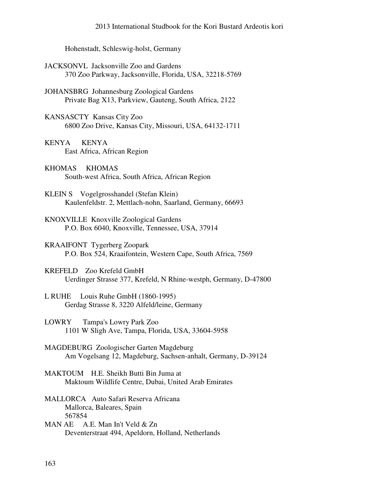Hohenstadt, Schleswig-holst, Germany

| <b>JACKSONVL</b> Jacksonville Zoo and Gardens |                                                         |  |  |
|-----------------------------------------------|---------------------------------------------------------|--|--|
|                                               | 370 Zoo Parkway, Jacksonville, Florida, USA, 32218-5769 |  |  |

- JOHANSBRG Johannesburg Zoological Gardens Private Bag X13, Parkview, Gauteng, South Africa, 2122
- KANSASCTY Kansas City Zoo 6800 Zoo Drive, Kansas City, Missouri, USA, 64132-1711
- KENYA KENYA East Africa, African Region
- KHOMAS KHOMAS South-west Africa, South Africa, African Region
- KLEIN S Vogelgrosshandel (Stefan Klein) Kaulenfeldstr. 2, Mettlach-nohn, Saarland, Germany, 66693
- KNOXVILLE Knoxville Zoological Gardens P.O. Box 6040, Knoxville, Tennessee, USA, 37914
- KRAAIFONT Tygerberg Zoopark P.O. Box 524, Kraaifontein, Western Cape, South Africa, 7569
- KREFELD Zoo Krefeld GmbH Uerdinger Strasse 377, Krefeld, N Rhine-westph, Germany, D-47800
- L RUHE Louis Ruhe GmbH (1860-1995) Gerdag Strasse 8, 3220 Alfeld/leine, Germany
- LOWRY Tampa's Lowry Park Zoo 1101 W Sligh Ave, Tampa, Florida, USA, 33604-5958
- MAGDEBURG Zoologischer Garten Magdeburg Am Vogelsang 12, Magdeburg, Sachsen-anhalt, Germany, D-39124
- MAKTOUM H.E. Sheikh Butti Bin Juma at Maktoum Wildlife Centre, Dubai, United Arab Emirates
- MALLORCA Auto Safari Reserva Africana Mallorca, Baleares, Spain 567854
- MAN AE A.E. Man In't Veld & Zn Deventerstraat 494, Apeldorn, Holland, Netherlands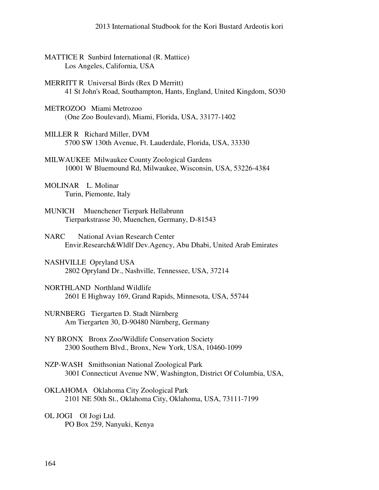| <b>MATTICE R</b> Sunbird International (R. Mattice)<br>Los Angeles, California, USA                                      |
|--------------------------------------------------------------------------------------------------------------------------|
| <b>MERRITT R</b> Universal Birds (Rex D Merritt)<br>41 St John's Road, Southampton, Hants, England, United Kingdom, SO30 |
| METROZOO Miami Metrozoo<br>(One Zoo Boulevard), Miami, Florida, USA, 33177-1402                                          |
| MILLER R Richard Miller, DVM<br>5700 SW 130th Avenue, Ft. Lauderdale, Florida, USA, 33330                                |
| MILWAUKEE Milwaukee County Zoological Gardens<br>10001 W Bluemound Rd, Milwaukee, Wisconsin, USA, 53226-4384             |
| MOLINAR L. Molinar<br>Turin, Piemonte, Italy                                                                             |
| Muenchener Tierpark Hellabrunn<br><b>MUNICH</b><br>Tierparkstrasse 30, Muenchen, Germany, D-81543                        |
| <b>National Avian Research Center</b><br><b>NARC</b><br>Envir.Research&Wldlf Dev.Agency, Abu Dhabi, United Arab Emirates |
| NASHVILLE Opryland USA<br>2802 Opryland Dr., Nashville, Tennessee, USA, 37214                                            |
| NORTHLAND Northland Wildlife<br>2601 E Highway 169, Grand Rapids, Minnesota, USA, 55744                                  |
| NURNBERG Tiergarten D. Stadt Nürnberg<br>Am Tiergarten 30, D-90480 Nürnberg, Germany                                     |
| NY BRONX Bronx Zoo/Wildlife Conservation Society<br>2300 Southern Blvd., Bronx, New York, USA, 10460-1099                |
| NZP-WASH Smithsonian National Zoological Park<br>3001 Connecticut Avenue NW, Washington, District Of Columbia, USA,      |
| OKLAHOMA Oklahoma City Zoological Park<br>2101 NE 50th St., Oklahoma City, Oklahoma, USA, 73111-7199                     |
| OL JOGI Ol Jogi Ltd.<br>PO Box 259, Nanyuki, Kenya                                                                       |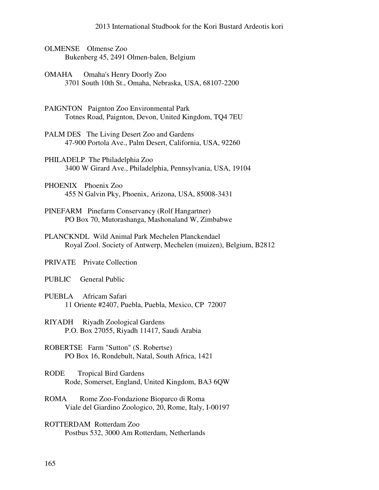- OLMENSE Olmense Zoo Bukenberg 45, 2491 Olmen-balen, Belgium
- OMAHA Omaha's Henry Doorly Zoo 3701 South 10th St., Omaha, Nebraska, USA, 68107-2200
- PAIGNTON Paignton Zoo Environmental Park Totnes Road, Paignton, Devon, United Kingdom, TQ4 7EU
- PALM DES The Living Desert Zoo and Gardens 47-900 Portola Ave., Palm Desert, California, USA, 92260
- PHILADELP The Philadelphia Zoo 3400 W Girard Ave., Philadelphia, Pennsylvania, USA, 19104
- PHOENIX Phoenix Zoo 455 N Galvin Pky, Phoenix, Arizona, USA, 85008-3431
- PINEFARM Pinefarm Conservancy (Rolf Hangartner) PO Box 70, Mutorashanga, Mashonaland W, Zimbabwe
- PLANCKNDL Wild Animal Park Mechelen Planckendael Royal Zool. Society of Antwerp, Mechelen (muizen), Belgium, B2812

PRIVATE Private Collection

PUBLIC General Public

- PUEBLA Africam Safari 11 Oriente #2407, Puebla, Puebla, Mexico, CP 72007
- RIYADH Riyadh Zoological Gardens P.O. Box 27055, Riyadh 11417, Saudi Arabia
- ROBERTSE Farm "Sutton" (S. Robertse) PO Box 16, Rondebult, Natal, South Africa, 1421
- RODE Tropical Bird Gardens Rode, Somerset, England, United Kingdom, BA3 6QW
- ROMA Rome Zoo-Fondazione Bioparco di Roma Viale del Giardino Zoologico, 20, Rome, Italy, I-00197
- ROTTERDAM Rotterdam Zoo Postbus 532, 3000 Am Rotterdam, Netherlands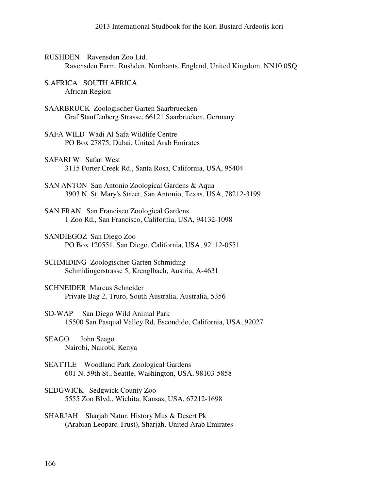- RUSHDEN Ravensden Zoo Ltd. Ravensden Farm, Rushden, Northants, England, United Kingdom, NN10 0SQ
- S.AFRICA SOUTH AFRICA African Region
- SAARBRUCK Zoologischer Garten Saarbruecken Graf Stauffenberg Strasse, 66121 Saarbrücken, Germany
- SAFA WILD Wadi Al Safa Wildlife Centre PO Box 27875, Dubai, United Arab Emirates
- SAFARI W Safari West 3115 Porter Creek Rd., Santa Rosa, California, USA, 95404
- SAN ANTON San Antonio Zoological Gardens & Aqua 3903 N. St. Mary's Street, San Antonio, Texas, USA, 78212-3199
- SAN FRAN San Francisco Zoological Gardens 1 Zoo Rd., San Francisco, California, USA, 94132-1098
- SANDIEGOZ San Diego Zoo PO Box 120551, San Diego, California, USA, 92112-0551
- SCHMIDING Zoologischer Garten Schmiding Schmidingerstrasse 5, Krenglbach, Austria, A-4631
- SCHNEIDER Marcus Schneider Private Bag 2, Truro, South Australia, Australia, 5356
- SD-WAP San Diego Wild Animal Park 15500 San Pasqual Valley Rd, Escondido, California, USA, 92027
- SEAGO John Seago Nairobi, Nairobi, Kenya
- SEATTLE Woodland Park Zoological Gardens 601 N. 59th St., Seattle, Washington, USA, 98103-5858
- SEDGWICK Sedgwick County Zoo 5555 Zoo Blvd., Wichita, Kansas, USA, 67212-1698
- SHARJAH Sharjah Natur. History Mus & Desert Pk (Arabian Leopard Trust), Sharjah, United Arab Emirates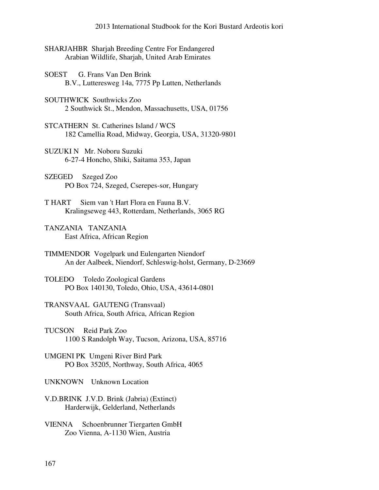- SHARJAHBR Sharjah Breeding Centre For Endangered Arabian Wildlife, Sharjah, United Arab Emirates
- SOEST G. Frans Van Den Brink B.V., Lutteresweg 14a, 7775 Pp Lutten, Netherlands
- SOUTHWICK Southwicks Zoo 2 Southwick St., Mendon, Massachusetts, USA, 01756
- STCATHERN St. Catherines Island / WCS 182 Camellia Road, Midway, Georgia, USA, 31320-9801
- SUZUKI N Mr. Noboru Suzuki 6-27-4 Honcho, Shiki, Saitama 353, Japan
- SZEGED Szeged Zoo PO Box 724, Szeged, Cserepes-sor, Hungary
- T HART Siem van 't Hart Flora en Fauna B.V. Kralingseweg 443, Rotterdam, Netherlands, 3065 RG
- TANZANIA TANZANIA East Africa, African Region
- TIMMENDOR Vogelpark und Eulengarten Niendorf An der Aalbeek, Niendorf, Schleswig-holst, Germany, D-23669
- TOLEDO Toledo Zoological Gardens PO Box 140130, Toledo, Ohio, USA, 43614-0801
- TRANSVAAL GAUTENG (Transvaal) South Africa, South Africa, African Region
- TUCSON Reid Park Zoo 1100 S Randolph Way, Tucson, Arizona, USA, 85716
- UMGENI PK Umgeni River Bird Park PO Box 35205, Northway, South Africa, 4065
- UNKNOWN Unknown Location
- V.D.BRINK J.V.D. Brink (Jabria) (Extinct) Harderwijk, Gelderland, Netherlands
- VIENNA Schoenbrunner Tiergarten GmbH Zoo Vienna, A-1130 Wien, Austria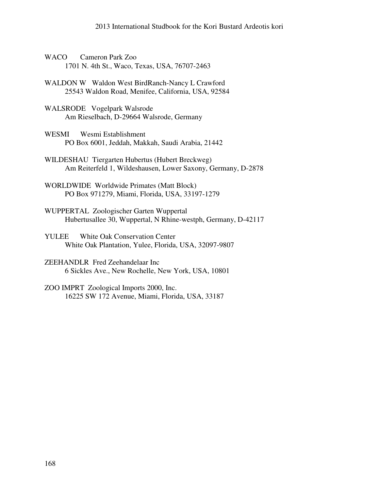- WACO Cameron Park Zoo 1701 N. 4th St., Waco, Texas, USA, 76707-2463
- WALDON W Waldon West BirdRanch-Nancy L Crawford 25543 Waldon Road, Menifee, California, USA, 92584
- WALSRODE Vogelpark Walsrode Am Rieselbach, D-29664 Walsrode, Germany
- WESMI Wesmi Establishment PO Box 6001, Jeddah, Makkah, Saudi Arabia, 21442
- WILDESHAU Tiergarten Hubertus (Hubert Breckweg) Am Reiterfeld 1, Wildeshausen, Lower Saxony, Germany, D-2878
- WORLDWIDE Worldwide Primates (Matt Block) PO Box 971279, Miami, Florida, USA, 33197-1279
- WUPPERTAL Zoologischer Garten Wuppertal Hubertusallee 30, Wuppertal, N Rhine-westph, Germany, D-42117
- YULEE White Oak Conservation Center White Oak Plantation, Yulee, Florida, USA, 32097-9807
- ZEEHANDLR Fred Zeehandelaar Inc 6 Sickles Ave., New Rochelle, New York, USA, 10801
- ZOO IMPRT Zoological Imports 2000, Inc. 16225 SW 172 Avenue, Miami, Florida, USA, 33187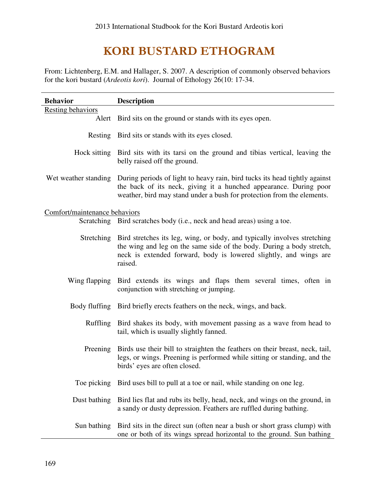# KORI BUSTARD ETHOGRAM

From: Lichtenberg, E.M. and Hallager, S. 2007. A description of commonly observed behaviors for the kori bustard (*Ardeotis kori*). Journal of Ethology 26(10: 17-34.

| <b>Behavior</b>               | <b>Description</b>                                                                                                                                                                                                                             |
|-------------------------------|------------------------------------------------------------------------------------------------------------------------------------------------------------------------------------------------------------------------------------------------|
| <b>Resting behaviors</b>      |                                                                                                                                                                                                                                                |
|                               | Alert Bird sits on the ground or stands with its eyes open.                                                                                                                                                                                    |
|                               | Resting Bird sits or stands with its eyes closed.                                                                                                                                                                                              |
|                               | Hock sitting Bird sits with its tarsi on the ground and tibias vertical, leaving the<br>belly raised off the ground.                                                                                                                           |
|                               | Wet weather standing During periods of light to heavy rain, bird tucks its head tightly against<br>the back of its neck, giving it a hunched appearance. During poor<br>weather, bird may stand under a bush for protection from the elements. |
| Comfort/maintenance behaviors |                                                                                                                                                                                                                                                |
|                               | Scratching Bird scratches body (i.e., neck and head areas) using a toe.                                                                                                                                                                        |
|                               | Stretching Bird stretches its leg, wing, or body, and typically involves stretching<br>the wing and leg on the same side of the body. During a body stretch,<br>neck is extended forward, body is lowered slightly, and wings are<br>raised.   |
| Wing flapping                 | Bird extends its wings and flaps them several times, often in<br>conjunction with stretching or jumping.                                                                                                                                       |
|                               | Body fluffing Bird briefly erects feathers on the neck, wings, and back.                                                                                                                                                                       |
| Ruffling                      | Bird shakes its body, with movement passing as a wave from head to<br>tail, which is usually slightly fanned.                                                                                                                                  |
| Preening                      | Birds use their bill to straighten the feathers on their breast, neck, tail,<br>legs, or wings. Preening is performed while sitting or standing, and the<br>birds' eyes are often closed.                                                      |
|                               | Toe picking Bird uses bill to pull at a toe or nail, while standing on one leg.                                                                                                                                                                |
| Dust bathing                  | Bird lies flat and rubs its belly, head, neck, and wings on the ground, in<br>a sandy or dusty depression. Feathers are ruffled during bathing.                                                                                                |
|                               | Sun bathing Bird sits in the direct sun (often near a bush or short grass clump) with<br>one or both of its wings spread horizontal to the ground. Sun bathing                                                                                 |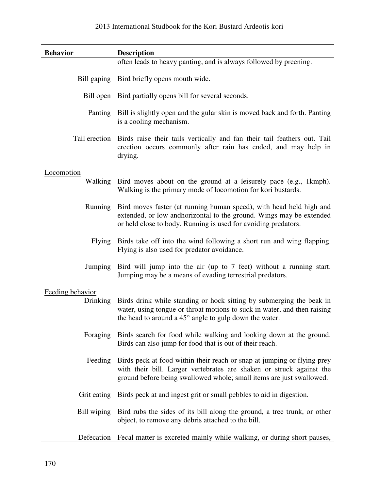| <b>Behavior</b>  | <b>Description</b>                                                                                                                                                                                                              |  |  |  |  |
|------------------|---------------------------------------------------------------------------------------------------------------------------------------------------------------------------------------------------------------------------------|--|--|--|--|
|                  | often leads to heavy panting, and is always followed by preening.                                                                                                                                                               |  |  |  |  |
|                  | Bill gaping Bird briefly opens mouth wide.                                                                                                                                                                                      |  |  |  |  |
|                  | Bill open Bird partially opens bill for several seconds.                                                                                                                                                                        |  |  |  |  |
|                  | Panting Bill is slightly open and the gular skin is moved back and forth. Panting<br>is a cooling mechanism.                                                                                                                    |  |  |  |  |
| Tail erection    | Birds raise their tails vertically and fan their tail feathers out. Tail<br>erection occurs commonly after rain has ended, and may help in<br>drying.                                                                           |  |  |  |  |
| Locomotion       |                                                                                                                                                                                                                                 |  |  |  |  |
|                  | Walking Bird moves about on the ground at a leisurely pace (e.g., 1kmph).<br>Walking is the primary mode of locomotion for kori bustards.                                                                                       |  |  |  |  |
|                  | Running Bird moves faster (at running human speed), with head held high and<br>extended, or low and horizontal to the ground. Wings may be extended<br>or held close to body. Running is used for avoiding predators.           |  |  |  |  |
| <b>Flying</b>    | Birds take off into the wind following a short run and wing flapping.<br>Flying is also used for predator avoidance.                                                                                                            |  |  |  |  |
|                  | Jumping Bird will jump into the air (up to 7 feet) without a running start.<br>Jumping may be a means of evading terrestrial predators.                                                                                         |  |  |  |  |
| Feeding behavior |                                                                                                                                                                                                                                 |  |  |  |  |
| <b>Drinking</b>  | Birds drink while standing or hock sitting by submerging the beak in<br>water, using tongue or throat motions to suck in water, and then raising<br>the head to around a $45^{\circ}$ angle to gulp down the water.             |  |  |  |  |
|                  | Foraging Birds search for food while walking and looking down at the ground.<br>Birds can also jump for food that is out of their reach.                                                                                        |  |  |  |  |
|                  | Feeding Birds peck at food within their reach or snap at jumping or flying prey<br>with their bill. Larger vertebrates are shaken or struck against the<br>ground before being swallowed whole; small items are just swallowed. |  |  |  |  |
|                  | Grit eating Birds peck at and ingest grit or small pebbles to aid in digestion.                                                                                                                                                 |  |  |  |  |
|                  | Bill wiping Bird rubs the sides of its bill along the ground, a tree trunk, or other<br>object, to remove any debris attached to the bill.                                                                                      |  |  |  |  |
|                  | Defecation Fecal matter is excreted mainly while walking, or during short pauses,                                                                                                                                               |  |  |  |  |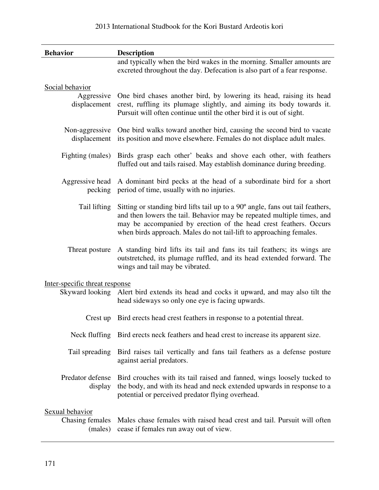| <b>Behavior</b>                               | <b>Description</b>                                                                                                                                                                                                                                                                                   |
|-----------------------------------------------|------------------------------------------------------------------------------------------------------------------------------------------------------------------------------------------------------------------------------------------------------------------------------------------------------|
|                                               | and typically when the bird wakes in the morning. Smaller amounts are<br>excreted throughout the day. Defecation is also part of a fear response.                                                                                                                                                    |
| Social behavior<br>Aggressive<br>displacement | One bird chases another bird, by lowering its head, raising its head<br>crest, ruffling its plumage slightly, and aiming its body towards it.<br>Pursuit will often continue until the other bird it is out of sight.                                                                                |
| Non-aggressive<br>displacement                | One bird walks toward another bird, causing the second bird to vacate<br>its position and move elsewhere. Females do not displace adult males.                                                                                                                                                       |
| Fighting (males)                              | Birds grasp each other' beaks and shove each other, with feathers<br>fluffed out and tails raised. May establish dominance during breeding.                                                                                                                                                          |
| Aggressive head<br>pecking                    | A dominant bird pecks at the head of a subordinate bird for a short<br>period of time, usually with no injuries.                                                                                                                                                                                     |
| Tail lifting                                  | Sitting or standing bird lifts tail up to a 90° angle, fans out tail feathers,<br>and then lowers the tail. Behavior may be repeated multiple times, and<br>may be accompanied by erection of the head crest feathers. Occurs<br>when birds approach. Males do not tail-lift to approaching females. |
| Threat posture                                | A standing bird lifts its tail and fans its tail feathers; its wings are<br>outstretched, its plumage ruffled, and its head extended forward. The<br>wings and tail may be vibrated.                                                                                                                 |
| Inter-specific threat response                |                                                                                                                                                                                                                                                                                                      |
| Skyward looking                               | Alert bird extends its head and cocks it upward, and may also tilt the<br>head sideways so only one eye is facing upwards.                                                                                                                                                                           |
|                                               | Crest up Bird erects head crest feathers in response to a potential threat.                                                                                                                                                                                                                          |
|                                               | Neck fluffing Bird erects neck feathers and head crest to increase its apparent size.                                                                                                                                                                                                                |
| Tail spreading                                | Bird raises tail vertically and fans tail feathers as a defense posture<br>against aerial predators.                                                                                                                                                                                                 |
| Predator defense<br>display                   | Bird crouches with its tail raised and fanned, wings loosely tucked to<br>the body, and with its head and neck extended upwards in response to a<br>potential or perceived predator flying overhead.                                                                                                 |
| Sexual behavior<br>Chasing females<br>(males) | Males chase females with raised head crest and tail. Pursuit will often<br>cease if females run away out of view.                                                                                                                                                                                    |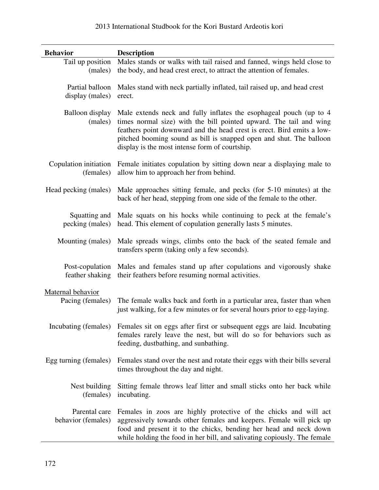| <b>Behavior</b>                     | <b>Description</b>                                                                                                                                                                                                                                                                                                                          |  |  |  |
|-------------------------------------|---------------------------------------------------------------------------------------------------------------------------------------------------------------------------------------------------------------------------------------------------------------------------------------------------------------------------------------------|--|--|--|
| Tail up position<br>(males)         | Males stands or walks with tail raised and fanned, wings held close to<br>the body, and head crest erect, to attract the attention of females.                                                                                                                                                                                              |  |  |  |
| Partial balloon<br>display (males)  | Males stand with neck partially inflated, tail raised up, and head crest<br>erect.                                                                                                                                                                                                                                                          |  |  |  |
| <b>Balloon</b> display<br>(males)   | Male extends neck and fully inflates the esophageal pouch (up to 4<br>times normal size) with the bill pointed upward. The tail and wing<br>feathers point downward and the head crest is erect. Bird emits a low-<br>pitched booming sound as bill is snapped open and shut. The balloon<br>display is the most intense form of courtship. |  |  |  |
| Copulation initiation<br>(females)  | Female initiates copulation by sitting down near a displaying male to<br>allow him to approach her from behind.                                                                                                                                                                                                                             |  |  |  |
| Head pecking (males)                | Male approaches sitting female, and pecks (for 5-10 minutes) at the<br>back of her head, stepping from one side of the female to the other.                                                                                                                                                                                                 |  |  |  |
| Squatting and<br>pecking (males)    | Male squats on his hocks while continuing to peck at the female's<br>head. This element of copulation generally lasts 5 minutes.                                                                                                                                                                                                            |  |  |  |
| Mounting (males)                    | Male spreads wings, climbs onto the back of the seated female and<br>transfers sperm (taking only a few seconds).                                                                                                                                                                                                                           |  |  |  |
| Post-copulation<br>feather shaking  | Males and females stand up after copulations and vigorously shake<br>their feathers before resuming normal activities.                                                                                                                                                                                                                      |  |  |  |
| Maternal behavior                   |                                                                                                                                                                                                                                                                                                                                             |  |  |  |
| Pacing (females)                    | The female walks back and forth in a particular area, faster than when<br>just walking, for a few minutes or for several hours prior to egg-laying.                                                                                                                                                                                         |  |  |  |
| Incubating (females)                | Females sit on eggs after first or subsequent eggs are laid. Incubating<br>females rarely leave the nest, but will do so for behaviors such as<br>feeding, dustbathing, and sunbathing.                                                                                                                                                     |  |  |  |
| Egg turning (females)               | Females stand over the nest and rotate their eggs with their bills several<br>times throughout the day and night.                                                                                                                                                                                                                           |  |  |  |
| Nest building<br>(females)          | Sitting female throws leaf litter and small sticks onto her back while<br>incubating.                                                                                                                                                                                                                                                       |  |  |  |
| Parental care<br>behavior (females) | Females in zoos are highly protective of the chicks and will act<br>aggressively towards other females and keepers. Female will pick up<br>food and present it to the chicks, bending her head and neck down<br>while holding the food in her bill, and salivating copiously. The female                                                    |  |  |  |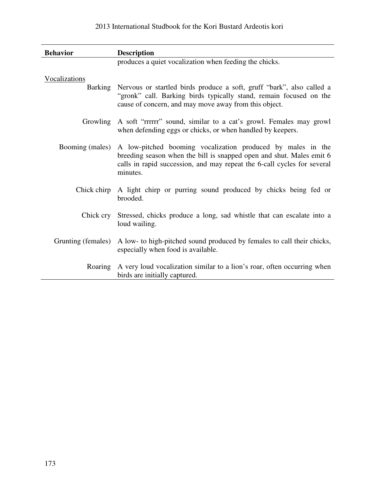| <b>Behavior</b>    | <b>Description</b>                                                                                                                                                                                                         |
|--------------------|----------------------------------------------------------------------------------------------------------------------------------------------------------------------------------------------------------------------------|
|                    | produces a quiet vocalization when feeding the chicks.                                                                                                                                                                     |
| Vocalizations      |                                                                                                                                                                                                                            |
|                    | Barking Nervous or startled birds produce a soft, gruff "bark", also called a<br>"gronk" call. Barking birds typically stand, remain focused on the<br>cause of concern, and may move away from this object.               |
| Growling           | A soft "rrrrrr" sound, similar to a cat's growl. Females may growl<br>when defending eggs or chicks, or when handled by keepers.                                                                                           |
| Booming (males)    | A low-pitched booming vocalization produced by males in the<br>breeding season when the bill is snapped open and shut. Males emit 6<br>calls in rapid succession, and may repeat the 6-call cycles for several<br>minutes. |
| Chick chirp        | A light chirp or purring sound produced by chicks being fed or<br>brooded.                                                                                                                                                 |
|                    | Chick cry Stressed, chicks produce a long, sad whistle that can escalate into a<br>loud wailing.                                                                                                                           |
| Grunting (females) | A low- to high-pitched sound produced by females to call their chicks,<br>especially when food is available.                                                                                                               |
| Roaring            | A very loud vocalization similar to a lion's roar, often occurring when<br>birds are initially captured.                                                                                                                   |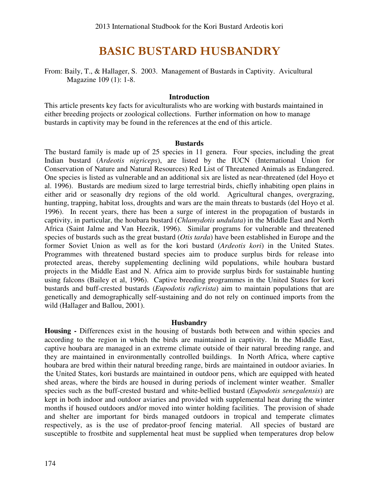## BASIC BUSTARD HUSBANDRY

From: Baily, T., & Hallager, S. 2003. Management of Bustards in Captivity. Avicultural Magazine 109 (1): 1-8.

#### **Introduction**

This article presents key facts for aviculturalists who are working with bustards maintained in either breeding projects or zoological collections. Further information on how to manage bustards in captivity may be found in the references at the end of this article.

#### **Bustards**

The bustard family is made up of 25 species in 11 genera. Four species, including the great Indian bustard (*Ardeotis nigriceps*), are listed by the IUCN (International Union for Conservation of Nature and Natural Resources) Red List of Threatened Animals as Endangered. One species is listed as vulnerable and an additional six are listed as near-threatened (del Hoyo et al. 1996). Bustards are medium sized to large terrestrial birds, chiefly inhabiting open plains in either arid or seasonally dry regions of the old world. Agricultural changes, overgrazing, hunting, trapping, habitat loss, droughts and wars are the main threats to bustards (del Hoyo et al. 1996). In recent years, there has been a surge of interest in the propagation of bustards in captivity, in particular, the houbara bustard (*Chlamydotis undulata*) in the Middle East and North Africa (Saint Jalme and Van Heezik, 1996). Similar programs for vulnerable and threatened species of bustards such as the great bustard (*Otis tarda*) have been established in Europe and the former Soviet Union as well as for the kori bustard (*Ardeotis kori*) in the United States. Programmes with threatened bustard species aim to produce surplus birds for release into protected areas, thereby supplementing declining wild populations, while houbara bustard projects in the Middle East and N. Africa aim to provide surplus birds for sustainable hunting using falcons (Bailey et al, 1996). Captive breeding programmes in the United States for kori bustards and buff-crested bustards (*Eupodotis ruficrista*) aim to maintain populations that are genetically and demographically self-sustaining and do not rely on continued imports from the wild (Hallager and Ballou, 2001).

#### **Husbandry**

**Housing -** Differences exist in the housing of bustards both between and within species and according to the region in which the birds are maintained in captivity. In the Middle East, captive houbara are managed in an extreme climate outside of their natural breeding range, and they are maintained in environmentally controlled buildings. In North Africa, where captive houbara are bred within their natural breeding range, birds are maintained in outdoor aviaries. In the United States, kori bustards are maintained in outdoor pens, which are equipped with heated shed areas, where the birds are housed in during periods of inclement winter weather. Smaller species such as the buff-crested bustard and white-bellied bustard (*Eupodotis senegalensis*) are kept in both indoor and outdoor aviaries and provided with supplemental heat during the winter months if housed outdoors and/or moved into winter holding facilities. The provision of shade and shelter are important for birds managed outdoors in tropical and temperate climates respectively, as is the use of predator-proof fencing material. All species of bustard are susceptible to frostbite and supplemental heat must be supplied when temperatures drop below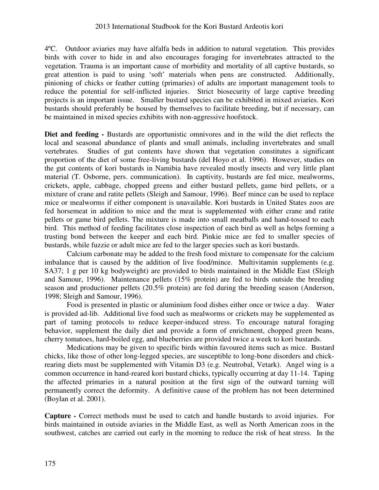4ºC. Outdoor aviaries may have alfalfa beds in addition to natural vegetation. This provides birds with cover to hide in and also encourages foraging for invertebrates attracted to the vegetation. Trauma is an important cause of morbidity and mortality of all captive bustards, so great attention is paid to using 'soft' materials when pens are constructed. Additionally, pinioning of chicks or feather cutting (primaries) of adults are important management tools to reduce the potential for self-inflicted injuries. Strict biosecurity of large captive breeding projects is an important issue. Smaller bustard species can be exhibited in mixed aviaries. Kori bustards should preferably be housed by themselves to facilitate breeding, but if necessary, can be maintained in mixed species exhibits with non-aggressive hoofstock.

Diet and feeding - Bustards are opportunistic omnivores and in the wild the diet reflects the local and seasonal abundance of plants and small animals, including invertebrates and small vertebrates. Studies of gut contents have shown that vegetation constitutes a significant proportion of the diet of some free-living bustards (del Hoyo et al. 1996). However, studies on the gut contents of kori bustards in Namibia have revealed mostly insects and very little plant material (T. Osborne, pers. communication). In captivity, bustards are fed mice, mealworms, crickets, apple, cabbage, chopped greens and either bustard pellets, game bird pellets, or a mixture of crane and ratite pellets (Sleigh and Samour, 1996). Beef mince can be used to replace mice or mealworms if either component is unavailable. Kori bustards in United States zoos are fed horsemeat in addition to mice and the meat is supplemented with either crane and ratite pellets or game bird pellets. The mixture is made into small meatballs and hand-tossed to each bird. This method of feeding facilitates close inspection of each bird as well as helps forming a trusting bond between the keeper and each bird. Pinkie mice are fed to smaller species of bustards, while fuzzie or adult mice are fed to the larger species such as kori bustards.

Calcium carbonate may be added to the fresh food mixture to compensate for the calcium imbalance that is caused by the addition of live food/mince. Multivitamin supplements (e.g. SA37; 1 g per 10 kg bodyweight) are provided to birds maintained in the Middle East (Sleigh and Samour, 1996). Maintenance pellets (15% protein) are fed to birds outside the breeding season and productioner pellets (20.5% protein) are fed during the breeding season (Anderson, 1998; Sleigh and Samour, 1996).

Food is presented in plastic or aluminium food dishes either once or twice a day. Water is provided ad-lib. Additional live food such as mealworms or crickets may be supplemented as part of taming protocols to reduce keeper-induced stress. To encourage natural foraging behavior, supplement the daily diet and provide a form of enrichment, chopped green beans, cherry tomatoes, hard-boiled egg, and blueberries are provided twice a week to kori bustards.

Medications may be given to specific birds within favoured items such as mice. Bustard chicks, like those of other long-legged species, are susceptible to long-bone disorders and chickrearing diets must be supplemented with Vitamin D3 (e.g. Neutrobal, Vetark). Angel wing is a common occurrence in hand-reared kori bustard chicks, typically occurring at day 11-14. Taping the affected primaries in a natural position at the first sign of the outward turning will permanently correct the deformity. A definitive cause of the problem has not been determined (Boylan et al. 2001).

**Capture -** Correct methods must be used to catch and handle bustards to avoid injuries. For birds maintained in outside aviaries in the Middle East, as well as North American zoos in the southwest, catches are carried out early in the morning to reduce the risk of heat stress. In the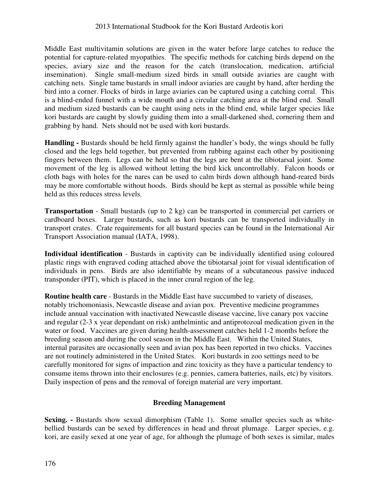Middle East multivitamin solutions are given in the water before large catches to reduce the potential for capture-related myopathies. The specific methods for catching birds depend on the species, aviary size and the reason for the catch (translocation, medication, artificial insemination). Single small-medium sized birds in small outside aviaries are caught with catching nets. Single tame bustards in small indoor aviaries are caught by hand, after herding the bird into a corner. Flocks of birds in large aviaries can be captured using a catching corral. This is a blind-ended funnel with a wide mouth and a circular catching area at the blind end. Small and medium sized bustards can be caught using nets in the blind end, while larger species like kori bustards are caught by slowly guiding them into a small-darkened shed, cornering them and grabbing by hand. Nets should not be used with kori bustards.

Handling - Bustards should be held firmly against the handler's body, the wings should be fully closed and the legs held together, but prevented from rubbing against each other by positioning fingers between them. Legs can be held so that the legs are bent at the tibiotarsal joint. Some movement of the leg is allowed without letting the bird kick uncontrollably. Falcon hoods or cloth bags with holes for the nares can be used to calm birds down although hand-reared birds may be more comfortable without hoods. Birds should be kept as sternal as possible while being held as this reduces stress levels.

**Transportation** - Small bustards (up to 2 kg) can be transported in commercial pet carriers or cardboard boxes. Larger bustards, such as kori bustards can be transported individually in transport crates. Crate requirements for all bustard species can be found in the International Air Transport Association manual (IATA, 1998).

**Individual identification** - Bustards in captivity can be individually identified using coloured plastic rings with engraved coding attached above the tibiotarsal joint for visual identification of individuals in pens. Birds are also identifiable by means of a subcutaneous passive induced transponder (PIT), which is placed in the inner crural region of the leg.

**Routine health care** - Bustards in the Middle East have succumbed to variety of diseases, notably trichomoniasis, Newcastle disease and avian pox. Preventive medicine programmes include annual vaccination with inactivated Newcastle disease vaccine, live canary pox vaccine and regular (2-3 x year dependant on risk) anthelmintic and antiprotozoal medication given in the water or food. Vaccines are given during health-assessment catches held 1-2 months before the breeding season and during the cool season in the Middle East. Within the United States, internal parasites are occasionally seen and avian pox has been reported in two chicks. Vaccines are not routinely administered in the United States. Kori bustards in zoo settings need to be carefully monitored for signs of impaction and zinc toxicity as they have a particular tendency to consume items thrown into their enclosures (e.g. pennies, camera batteries, nails, etc) by visitors. Daily inspection of pens and the removal of foreign material are very important.

#### **Breeding Management**

**Sexing.** - Bustards show sexual dimorphism (Table 1). Some smaller species such as whitebellied bustards can be sexed by differences in head and throat plumage. Larger species, e.g. kori, are easily sexed at one year of age, for although the plumage of both sexes is similar, males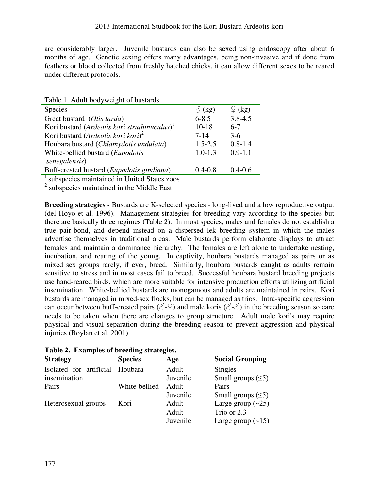are considerably larger. Juvenile bustards can also be sexed using endoscopy after about 6 months of age. Genetic sexing offers many advantages, being non-invasive and if done from feathers or blood collected from freshly hatched chicks, it can allow different sexes to be reared under different protocols.

| raole 1.1 Radit bou ; weight of bastards.                |               |             |
|----------------------------------------------------------|---------------|-------------|
| <b>Species</b>                                           | $\delta$ (kg) | (kg)        |
| Great bustard (Otis tarda)                               | $6 - 8.5$     | $3.8 - 4.5$ |
| Kori bustard (Ardeotis kori struthinuculus) <sup>1</sup> | $10 - 18$     | $6-7$       |
| Kori bustard (Ardeotis kori kori) <sup>2</sup>           | $7 - 14$      | $3-6$       |
| Houbara bustard (Chlamydotis undulata)                   | $1.5 - 2.5$   | $0.8 - 1.4$ |
| White-bellied bustard ( <i>Eupodotis</i>                 | $1.0 - 1.3$   | $0.9 - 1.1$ |
| senegalensis)                                            |               |             |
| Buff-crested bustard (Eupodotis gindiana)                | $0.4 - 0.8$   | $0.4 - 0.6$ |
|                                                          |               |             |

Table 1. Adult bodyweight of bustards.

<sup>1</sup>subspecies maintained in United States zoos

<sup>2</sup> subspecies maintained in the Middle East

**Breeding strategies -** Bustards are K-selected species - long-lived and a low reproductive output (del Hoyo et al. 1996). Management strategies for breeding vary according to the species but there are basically three regimes (Table 2). In most species, males and females do not establish a true pair-bond, and depend instead on a dispersed lek breeding system in which the males advertise themselves in traditional areas. Male bustards perform elaborate displays to attract females and maintain a dominance hierarchy. The females are left alone to undertake nesting, incubation, and rearing of the young. In captivity, houbara bustards managed as pairs or as mixed sex groups rarely, if ever, breed. Similarly, houbara bustards caught as adults remain sensitive to stress and in most cases fail to breed. Successful houbara bustard breeding projects use hand-reared birds, which are more suitable for intensive production efforts utilizing artificial insemination. White-bellied bustards are monogamous and adults are maintained in pairs. Kori bustards are managed in mixed-sex flocks, but can be managed as trios. Intra-specific aggression can occur between buff-crested pairs ( $\Diamond$ - $\Diamond$ ) and male koris ( $\Diamond$ - $\Diamond$ ) in the breeding season so care needs to be taken when there are changes to group structure. Adult male kori's may require physical and visual separation during the breeding season to prevent aggression and physical injuries (Boylan et al. 2001).

| <b>Strategy</b>         | <b>Species</b> | Age      | <b>Social Grouping</b> |
|-------------------------|----------------|----------|------------------------|
| Isolated for artificial | Houbara        | Adult    | Singles                |
| insemination            |                | Juvenile | Small groups $(5)$     |
| Pairs                   | White-bellied  | Adult    | Pairs                  |
|                         |                | Juvenile | Small groups $(5)$     |
| Heterosexual groups     | Kori           | Adult    | Large group $(-25)$    |
|                         |                | Adult    | Trio or 2.3            |
|                         |                | Juvenile | Large group $(-15)$    |

|  |  |  |  | Table 2. Examples of breeding strategies. |
|--|--|--|--|-------------------------------------------|
|--|--|--|--|-------------------------------------------|